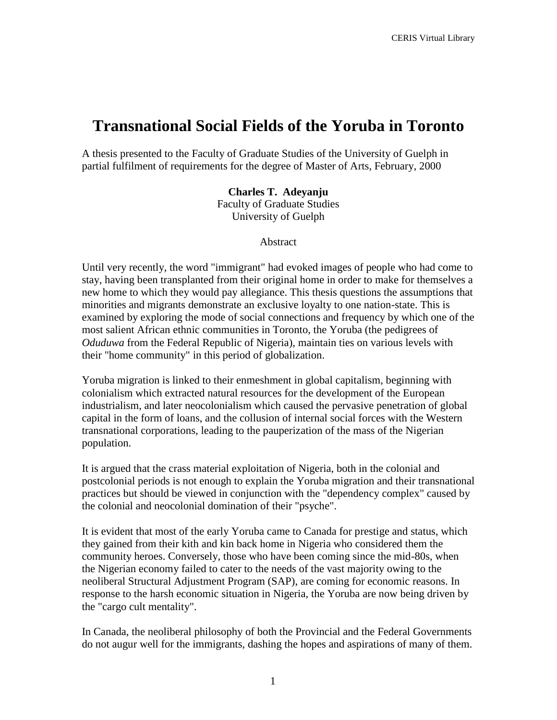# **Transnational Social Fields of the Yoruba in Toronto**

A thesis presented to the Faculty of Graduate Studies of the University of Guelph in partial fulfilment of requirements for the degree of Master of Arts, February, 2000

> **Charles T. Adeyanju** Faculty of Graduate Studies University of Guelph

> > **Abstract**

Until very recently, the word "immigrant" had evoked images of people who had come to stay, having been transplanted from their original home in order to make for themselves a new home to which they would pay allegiance. This thesis questions the assumptions that minorities and migrants demonstrate an exclusive loyalty to one nation-state. This is examined by exploring the mode of social connections and frequency by which one of the most salient African ethnic communities in Toronto, the Yoruba (the pedigrees of *Oduduwa* from the Federal Republic of Nigeria), maintain ties on various levels with their "home community" in this period of globalization.

Yoruba migration is linked to their enmeshment in global capitalism, beginning with colonialism which extracted natural resources for the development of the European industrialism, and later neocolonialism which caused the pervasive penetration of global capital in the form of loans, and the collusion of internal social forces with the Western transnational corporations, leading to the pauperization of the mass of the Nigerian population.

It is argued that the crass material exploitation of Nigeria, both in the colonial and postcolonial periods is not enough to explain the Yoruba migration and their transnational practices but should be viewed in conjunction with the "dependency complex" caused by the colonial and neocolonial domination of their "psyche".

It is evident that most of the early Yoruba came to Canada for prestige and status, which they gained from their kith and kin back home in Nigeria who considered them the community heroes. Conversely, those who have been coming since the mid-80s, when the Nigerian economy failed to cater to the needs of the vast majority owing to the neoliberal Structural Adjustment Program (SAP), are coming for economic reasons. In response to the harsh economic situation in Nigeria, the Yoruba are now being driven by the "cargo cult mentality".

In Canada, the neoliberal philosophy of both the Provincial and the Federal Governments do not augur well for the immigrants, dashing the hopes and aspirations of many of them.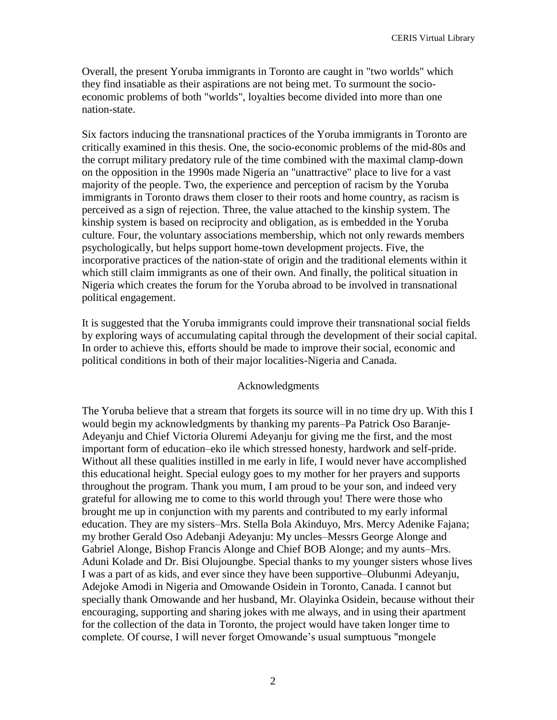Overall, the present Yoruba immigrants in Toronto are caught in "two worlds" which they find insatiable as their aspirations are not being met. To surmount the socioeconomic problems of both "worlds", loyalties become divided into more than one nation-state.

Six factors inducing the transnational practices of the Yoruba immigrants in Toronto are critically examined in this thesis. One, the socio-economic problems of the mid-80s and the corrupt military predatory rule of the time combined with the maximal clamp-down on the opposition in the 1990s made Nigeria an "unattractive" place to live for a vast majority of the people. Two, the experience and perception of racism by the Yoruba immigrants in Toronto draws them closer to their roots and home country, as racism is perceived as a sign of rejection. Three, the value attached to the kinship system. The kinship system is based on reciprocity and obligation, as is embedded in the Yoruba culture. Four, the voluntary associations membership, which not only rewards members psychologically, but helps support home-town development projects. Five, the incorporative practices of the nation-state of origin and the traditional elements within it which still claim immigrants as one of their own. And finally, the political situation in Nigeria which creates the forum for the Yoruba abroad to be involved in transnational political engagement.

It is suggested that the Yoruba immigrants could improve their transnational social fields by exploring ways of accumulating capital through the development of their social capital. In order to achieve this, efforts should be made to improve their social, economic and political conditions in both of their major localities-Nigeria and Canada.

#### Acknowledgments

The Yoruba believe that a stream that forgets its source will in no time dry up. With this I would begin my acknowledgments by thanking my parents–Pa Patrick Oso Baranje-Adeyanju and Chief Victoria Oluremi Adeyanju for giving me the first, and the most important form of education–eko ile which stressed honesty, hardwork and self-pride. Without all these qualities instilled in me early in life, I would never have accomplished this educational height. Special eulogy goes to my mother for her prayers and supports throughout the program. Thank you mum, I am proud to be your son, and indeed very grateful for allowing me to come to this world through you! There were those who brought me up in conjunction with my parents and contributed to my early informal education. They are my sisters–Mrs. Stella Bola Akinduyo, Mrs. Mercy Adenike Fajana; my brother Gerald Oso Adebanji Adeyanju: My uncles–Messrs George Alonge and Gabriel Alonge, Bishop Francis Alonge and Chief BOB Alonge; and my aunts–Mrs. Aduni Kolade and Dr. Bisi Olujoungbe. Special thanks to my younger sisters whose lives I was a part of as kids, and ever since they have been supportive–Olubunmi Adeyanju, Adejoke Amodi in Nigeria and Omowande Osidein in Toronto, Canada. I cannot but specially thank Omowande and her husband, Mr. Olayinka Osidein, because without their encouraging, supporting and sharing jokes with me always, and in using their apartment for the collection of the data in Toronto, the project would have taken longer time to complete. Of course, I will never forget Omowande's usual sumptuous "mongele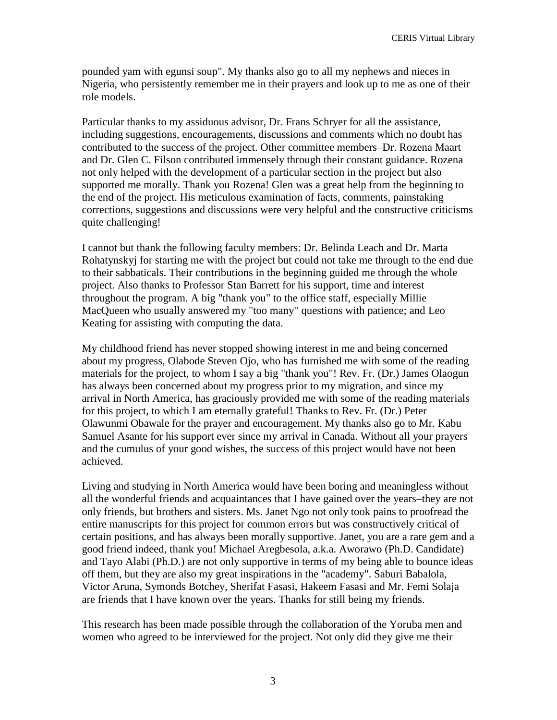pounded yam with egunsi soup". My thanks also go to all my nephews and nieces in Nigeria, who persistently remember me in their prayers and look up to me as one of their role models.

Particular thanks to my assiduous advisor, Dr. Frans Schryer for all the assistance, including suggestions, encouragements, discussions and comments which no doubt has contributed to the success of the project. Other committee members–Dr. Rozena Maart and Dr. Glen C. Filson contributed immensely through their constant guidance. Rozena not only helped with the development of a particular section in the project but also supported me morally. Thank you Rozena! Glen was a great help from the beginning to the end of the project. His meticulous examination of facts, comments, painstaking corrections, suggestions and discussions were very helpful and the constructive criticisms quite challenging!

I cannot but thank the following faculty members: Dr. Belinda Leach and Dr. Marta Rohatynskyj for starting me with the project but could not take me through to the end due to their sabbaticals. Their contributions in the beginning guided me through the whole project. Also thanks to Professor Stan Barrett for his support, time and interest throughout the program. A big "thank you" to the office staff, especially Millie MacQueen who usually answered my "too many" questions with patience; and Leo Keating for assisting with computing the data.

My childhood friend has never stopped showing interest in me and being concerned about my progress, Olabode Steven Ojo, who has furnished me with some of the reading materials for the project, to whom I say a big "thank you"! Rev. Fr. (Dr.) James Olaogun has always been concerned about my progress prior to my migration, and since my arrival in North America, has graciously provided me with some of the reading materials for this project, to which I am eternally grateful! Thanks to Rev. Fr. (Dr.) Peter Olawunmi Obawale for the prayer and encouragement. My thanks also go to Mr. Kabu Samuel Asante for his support ever since my arrival in Canada. Without all your prayers and the cumulus of your good wishes, the success of this project would have not been achieved.

Living and studying in North America would have been boring and meaningless without all the wonderful friends and acquaintances that I have gained over the years–they are not only friends, but brothers and sisters. Ms. Janet Ngo not only took pains to proofread the entire manuscripts for this project for common errors but was constructively critical of certain positions, and has always been morally supportive. Janet, you are a rare gem and a good friend indeed, thank you! Michael Aregbesola, a.k.a. Aworawo (Ph.D. Candidate) and Tayo Alabi (Ph.D.) are not only supportive in terms of my being able to bounce ideas off them, but they are also my great inspirations in the "academy". Saburi Babalola, Victor Aruna, Symonds Botchey, Sherifat Fasasi, Hakeem Fasasi and Mr. Femi Solaja are friends that I have known over the years. Thanks for still being my friends.

This research has been made possible through the collaboration of the Yoruba men and women who agreed to be interviewed for the project. Not only did they give me their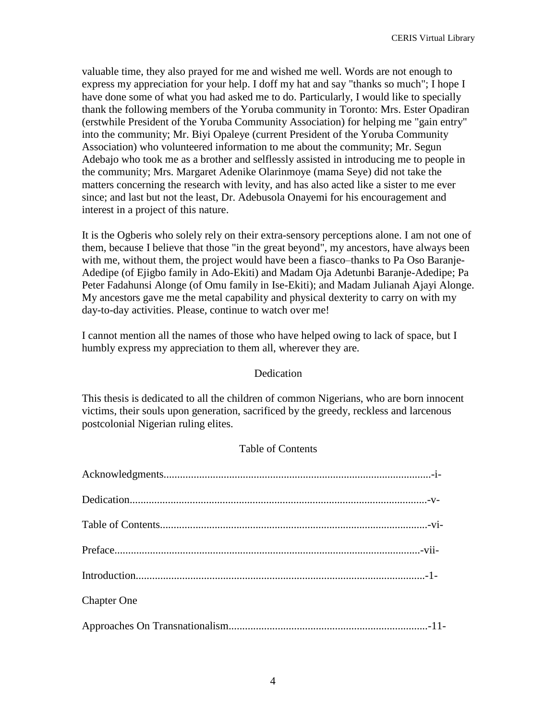valuable time, they also prayed for me and wished me well. Words are not enough to express my appreciation for your help. I doff my hat and say "thanks so much"; I hope I have done some of what you had asked me to do. Particularly, I would like to specially thank the following members of the Yoruba community in Toronto: Mrs. Ester Opadiran (erstwhile President of the Yoruba Community Association) for helping me "gain entry" into the community; Mr. Biyi Opaleye (current President of the Yoruba Community Association) who volunteered information to me about the community; Mr. Segun Adebajo who took me as a brother and selflessly assisted in introducing me to people in the community; Mrs. Margaret Adenike Olarinmoye (mama Seye) did not take the matters concerning the research with levity, and has also acted like a sister to me ever since; and last but not the least, Dr. Adebusola Onayemi for his encouragement and interest in a project of this nature.

It is the Ogberis who solely rely on their extra-sensory perceptions alone. I am not one of them, because I believe that those "in the great beyond", my ancestors, have always been with me, without them, the project would have been a fiasco–thanks to Pa Oso Baranje-Adedipe (of Ejigbo family in Ado-Ekiti) and Madam Oja Adetunbi Baranje-Adedipe; Pa Peter Fadahunsi Alonge (of Omu family in Ise-Ekiti); and Madam Julianah Ajayi Alonge. My ancestors gave me the metal capability and physical dexterity to carry on with my day-to-day activities. Please, continue to watch over me!

I cannot mention all the names of those who have helped owing to lack of space, but I humbly express my appreciation to them all, wherever they are.

## Dedication

This thesis is dedicated to all the children of common Nigerians, who are born innocent victims, their souls upon generation, sacrificed by the greedy, reckless and larcenous postcolonial Nigerian ruling elites.

## Table of Contents

| <b>Chapter One</b> |  |
|--------------------|--|
|                    |  |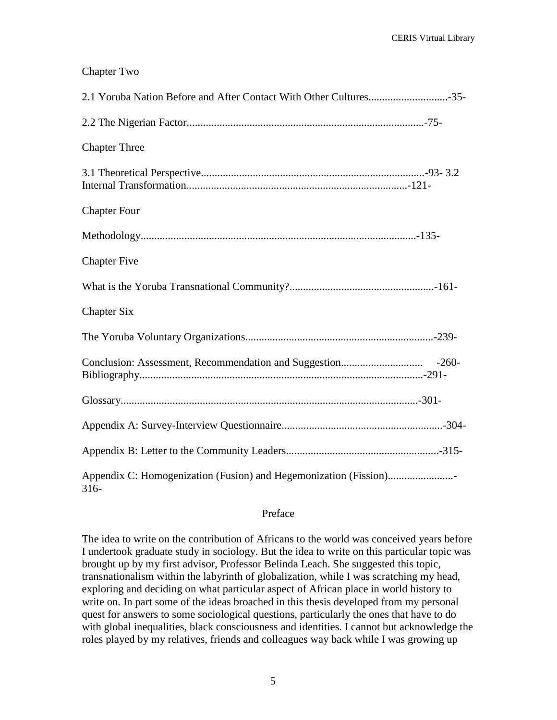# Chapter Two

| 2.1 Yoruba Nation Before and After Contact With Other Cultures35- |
|-------------------------------------------------------------------|
|                                                                   |
| <b>Chapter Three</b>                                              |
|                                                                   |
| <b>Chapter Four</b>                                               |
|                                                                   |
| <b>Chapter Five</b>                                               |
|                                                                   |
| <b>Chapter Six</b>                                                |
|                                                                   |
|                                                                   |
|                                                                   |
|                                                                   |
|                                                                   |
| $316 -$                                                           |

## Preface

The idea to write on the contribution of Africans to the world was conceived years before I undertook graduate study in sociology. But the idea to write on this particular topic was brought up by my first advisor, Professor Belinda Leach. She suggested this topic, transnationalism within the labyrinth of globalization, while I was scratching my head, exploring and deciding on what particular aspect of African place in world history to write on. In part some of the ideas broached in this thesis developed from my personal quest for answers to some sociological questions, particularly the ones that have to do with global inequalities, black consciousness and identities. I cannot but acknowledge the roles played by my relatives, friends and colleagues way back while I was growing up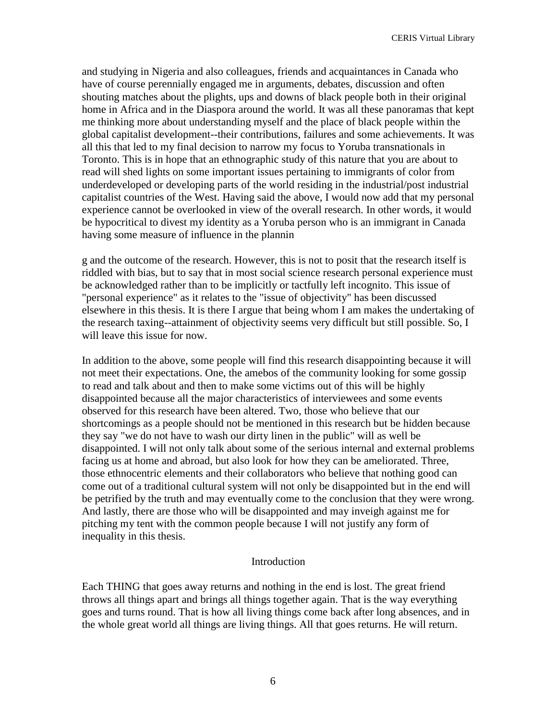and studying in Nigeria and also colleagues, friends and acquaintances in Canada who have of course perennially engaged me in arguments, debates, discussion and often shouting matches about the plights, ups and downs of black people both in their original home in Africa and in the Diaspora around the world. It was all these panoramas that kept me thinking more about understanding myself and the place of black people within the global capitalist development--their contributions, failures and some achievements. It was all this that led to my final decision to narrow my focus to Yoruba transnationals in Toronto. This is in hope that an ethnographic study of this nature that you are about to read will shed lights on some important issues pertaining to immigrants of color from underdeveloped or developing parts of the world residing in the industrial/post industrial capitalist countries of the West. Having said the above, I would now add that my personal experience cannot be overlooked in view of the overall research. In other words, it would be hypocritical to divest my identity as a Yoruba person who is an immigrant in Canada having some measure of influence in the plannin

g and the outcome of the research. However, this is not to posit that the research itself is riddled with bias, but to say that in most social science research personal experience must be acknowledged rather than to be implicitly or tactfully left incognito. This issue of "personal experience" as it relates to the "issue of objectivity" has been discussed elsewhere in this thesis. It is there I argue that being whom I am makes the undertaking of the research taxing--attainment of objectivity seems very difficult but still possible. So, I will leave this issue for now.

In addition to the above, some people will find this research disappointing because it will not meet their expectations. One, the amebos of the community looking for some gossip to read and talk about and then to make some victims out of this will be highly disappointed because all the major characteristics of interviewees and some events observed for this research have been altered. Two, those who believe that our shortcomings as a people should not be mentioned in this research but be hidden because they say "we do not have to wash our dirty linen in the public" will as well be disappointed. I will not only talk about some of the serious internal and external problems facing us at home and abroad, but also look for how they can be ameliorated. Three, those ethnocentric elements and their collaborators who believe that nothing good can come out of a traditional cultural system will not only be disappointed but in the end will be petrified by the truth and may eventually come to the conclusion that they were wrong. And lastly, there are those who will be disappointed and may inveigh against me for pitching my tent with the common people because I will not justify any form of inequality in this thesis.

#### Introduction

Each THING that goes away returns and nothing in the end is lost. The great friend throws all things apart and brings all things together again. That is the way everything goes and turns round. That is how all living things come back after long absences, and in the whole great world all things are living things. All that goes returns. He will return.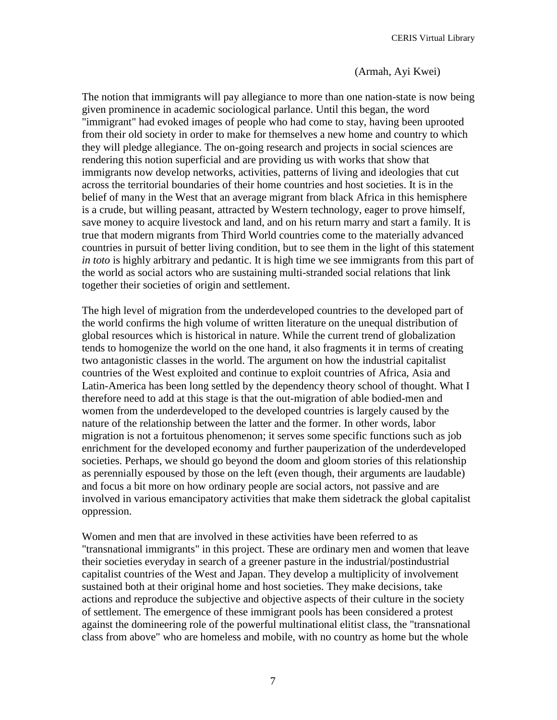(Armah, Ayi Kwei)

The notion that immigrants will pay allegiance to more than one nation-state is now being given prominence in academic sociological parlance. Until this began, the word "immigrant" had evoked images of people who had come to stay, having been uprooted from their old society in order to make for themselves a new home and country to which they will pledge allegiance. The on-going research and projects in social sciences are rendering this notion superficial and are providing us with works that show that immigrants now develop networks, activities, patterns of living and ideologies that cut across the territorial boundaries of their home countries and host societies. It is in the belief of many in the West that an average migrant from black Africa in this hemisphere is a crude, but willing peasant, attracted by Western technology, eager to prove himself, save money to acquire livestock and land, and on his return marry and start a family. It is true that modern migrants from Third World countries come to the materially advanced countries in pursuit of better living condition, but to see them in the light of this statement *in toto* is highly arbitrary and pedantic. It is high time we see immigrants from this part of the world as social actors who are sustaining multi-stranded social relations that link together their societies of origin and settlement.

The high level of migration from the underdeveloped countries to the developed part of the world confirms the high volume of written literature on the unequal distribution of global resources which is historical in nature. While the current trend of globalization tends to homogenize the world on the one hand, it also fragments it in terms of creating two antagonistic classes in the world. The argument on how the industrial capitalist countries of the West exploited and continue to exploit countries of Africa, Asia and Latin-America has been long settled by the dependency theory school of thought. What I therefore need to add at this stage is that the out-migration of able bodied-men and women from the underdeveloped to the developed countries is largely caused by the nature of the relationship between the latter and the former. In other words, labor migration is not a fortuitous phenomenon; it serves some specific functions such as job enrichment for the developed economy and further pauperization of the underdeveloped societies. Perhaps, we should go beyond the doom and gloom stories of this relationship as perennially espoused by those on the left (even though, their arguments are laudable) and focus a bit more on how ordinary people are social actors, not passive and are involved in various emancipatory activities that make them sidetrack the global capitalist oppression.

Women and men that are involved in these activities have been referred to as "transnational immigrants" in this project. These are ordinary men and women that leave their societies everyday in search of a greener pasture in the industrial/postindustrial capitalist countries of the West and Japan. They develop a multiplicity of involvement sustained both at their original home and host societies. They make decisions, take actions and reproduce the subjective and objective aspects of their culture in the society of settlement. The emergence of these immigrant pools has been considered a protest against the domineering role of the powerful multinational elitist class, the "transnational class from above" who are homeless and mobile, with no country as home but the whole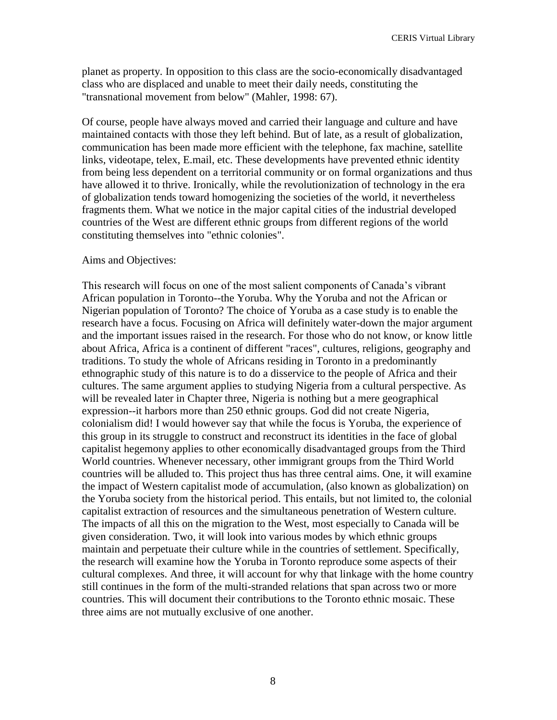planet as property. In opposition to this class are the socio-economically disadvantaged class who are displaced and unable to meet their daily needs, constituting the "transnational movement from below" (Mahler, 1998: 67).

Of course, people have always moved and carried their language and culture and have maintained contacts with those they left behind. But of late, as a result of globalization, communication has been made more efficient with the telephone, fax machine, satellite links, videotape, telex, E.mail, etc. These developments have prevented ethnic identity from being less dependent on a territorial community or on formal organizations and thus have allowed it to thrive. Ironically, while the revolutionization of technology in the era of globalization tends toward homogenizing the societies of the world, it nevertheless fragments them. What we notice in the major capital cities of the industrial developed countries of the West are different ethnic groups from different regions of the world constituting themselves into "ethnic colonies".

#### Aims and Objectives:

This research will focus on one of the most salient components of Canada's vibrant African population in Toronto--the Yoruba. Why the Yoruba and not the African or Nigerian population of Toronto? The choice of Yoruba as a case study is to enable the research have a focus. Focusing on Africa will definitely water-down the major argument and the important issues raised in the research. For those who do not know, or know little about Africa, Africa is a continent of different "races", cultures, religions, geography and traditions. To study the whole of Africans residing in Toronto in a predominantly ethnographic study of this nature is to do a disservice to the people of Africa and their cultures. The same argument applies to studying Nigeria from a cultural perspective. As will be revealed later in Chapter three, Nigeria is nothing but a mere geographical expression--it harbors more than 250 ethnic groups. God did not create Nigeria, colonialism did! I would however say that while the focus is Yoruba, the experience of this group in its struggle to construct and reconstruct its identities in the face of global capitalist hegemony applies to other economically disadvantaged groups from the Third World countries. Whenever necessary, other immigrant groups from the Third World countries will be alluded to. This project thus has three central aims. One, it will examine the impact of Western capitalist mode of accumulation, (also known as globalization) on the Yoruba society from the historical period. This entails, but not limited to, the colonial capitalist extraction of resources and the simultaneous penetration of Western culture. The impacts of all this on the migration to the West, most especially to Canada will be given consideration. Two, it will look into various modes by which ethnic groups maintain and perpetuate their culture while in the countries of settlement. Specifically, the research will examine how the Yoruba in Toronto reproduce some aspects of their cultural complexes. And three, it will account for why that linkage with the home country still continues in the form of the multi-stranded relations that span across two or more countries. This will document their contributions to the Toronto ethnic mosaic. These three aims are not mutually exclusive of one another.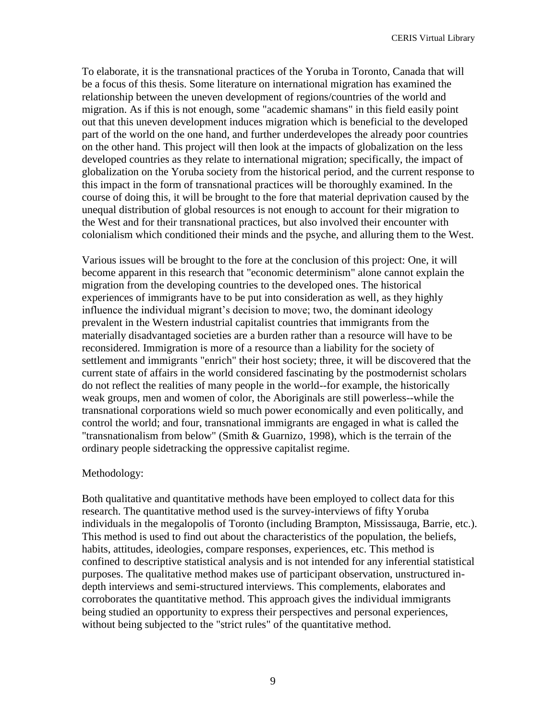To elaborate, it is the transnational practices of the Yoruba in Toronto, Canada that will be a focus of this thesis. Some literature on international migration has examined the relationship between the uneven development of regions/countries of the world and migration. As if this is not enough, some "academic shamans" in this field easily point out that this uneven development induces migration which is beneficial to the developed part of the world on the one hand, and further underdevelopes the already poor countries on the other hand. This project will then look at the impacts of globalization on the less developed countries as they relate to international migration; specifically, the impact of globalization on the Yoruba society from the historical period, and the current response to this impact in the form of transnational practices will be thoroughly examined. In the course of doing this, it will be brought to the fore that material deprivation caused by the unequal distribution of global resources is not enough to account for their migration to the West and for their transnational practices, but also involved their encounter with colonialism which conditioned their minds and the psyche, and alluring them to the West.

Various issues will be brought to the fore at the conclusion of this project: One, it will become apparent in this research that "economic determinism" alone cannot explain the migration from the developing countries to the developed ones. The historical experiences of immigrants have to be put into consideration as well, as they highly influence the individual migrant's decision to move; two, the dominant ideology prevalent in the Western industrial capitalist countries that immigrants from the materially disadvantaged societies are a burden rather than a resource will have to be reconsidered. Immigration is more of a resource than a liability for the society of settlement and immigrants "enrich" their host society; three, it will be discovered that the current state of affairs in the world considered fascinating by the postmodernist scholars do not reflect the realities of many people in the world--for example, the historically weak groups, men and women of color, the Aboriginals are still powerless--while the transnational corporations wield so much power economically and even politically, and control the world; and four, transnational immigrants are engaged in what is called the "transnationalism from below" (Smith & Guarnizo, 1998), which is the terrain of the ordinary people sidetracking the oppressive capitalist regime.

## Methodology:

Both qualitative and quantitative methods have been employed to collect data for this research. The quantitative method used is the survey-interviews of fifty Yoruba individuals in the megalopolis of Toronto (including Brampton, Mississauga, Barrie, etc.). This method is used to find out about the characteristics of the population, the beliefs, habits, attitudes, ideologies, compare responses, experiences, etc. This method is confined to descriptive statistical analysis and is not intended for any inferential statistical purposes. The qualitative method makes use of participant observation, unstructured indepth interviews and semi-structured interviews. This complements, elaborates and corroborates the quantitative method. This approach gives the individual immigrants being studied an opportunity to express their perspectives and personal experiences, without being subjected to the "strict rules" of the quantitative method.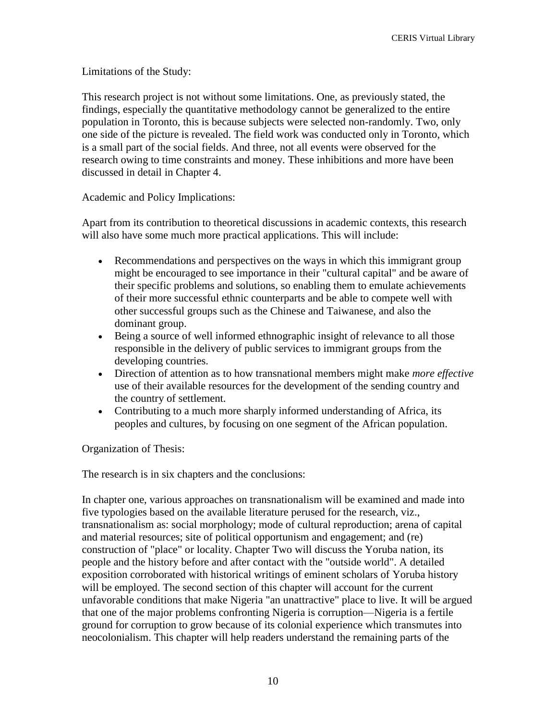Limitations of the Study:

This research project is not without some limitations. One, as previously stated, the findings, especially the quantitative methodology cannot be generalized to the entire population in Toronto, this is because subjects were selected non-randomly. Two, only one side of the picture is revealed. The field work was conducted only in Toronto, which is a small part of the social fields. And three, not all events were observed for the research owing to time constraints and money. These inhibitions and more have been discussed in detail in Chapter 4.

# Academic and Policy Implications:

Apart from its contribution to theoretical discussions in academic contexts, this research will also have some much more practical applications. This will include:

- Recommendations and perspectives on the ways in which this immigrant group might be encouraged to see importance in their "cultural capital" and be aware of their specific problems and solutions, so enabling them to emulate achievements of their more successful ethnic counterparts and be able to compete well with other successful groups such as the Chinese and Taiwanese, and also the dominant group.
- Being a source of well informed ethnographic insight of relevance to all those responsible in the delivery of public services to immigrant groups from the developing countries.
- Direction of attention as to how transnational members might make *more effective* use of their available resources for the development of the sending country and the country of settlement.
- Contributing to a much more sharply informed understanding of Africa, its peoples and cultures, by focusing on one segment of the African population.

Organization of Thesis:

The research is in six chapters and the conclusions:

In chapter one, various approaches on transnationalism will be examined and made into five typologies based on the available literature perused for the research, viz., transnationalism as: social morphology; mode of cultural reproduction; arena of capital and material resources; site of political opportunism and engagement; and (re) construction of "place" or locality. Chapter Two will discuss the Yoruba nation, its people and the history before and after contact with the "outside world". A detailed exposition corroborated with historical writings of eminent scholars of Yoruba history will be employed. The second section of this chapter will account for the current unfavorable conditions that make Nigeria "an unattractive" place to live. It will be argued that one of the major problems confronting Nigeria is corruption—Nigeria is a fertile ground for corruption to grow because of its colonial experience which transmutes into neocolonialism. This chapter will help readers understand the remaining parts of the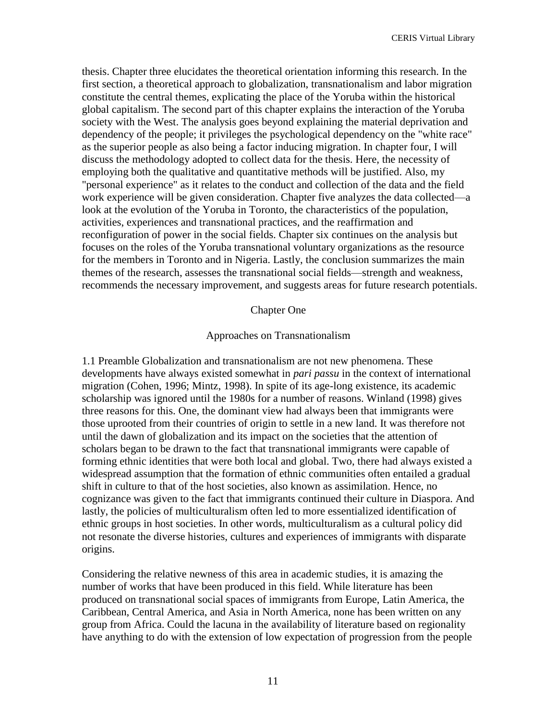thesis. Chapter three elucidates the theoretical orientation informing this research. In the first section, a theoretical approach to globalization, transnationalism and labor migration constitute the central themes, explicating the place of the Yoruba within the historical global capitalism. The second part of this chapter explains the interaction of the Yoruba society with the West. The analysis goes beyond explaining the material deprivation and dependency of the people; it privileges the psychological dependency on the "white race" as the superior people as also being a factor inducing migration. In chapter four, I will discuss the methodology adopted to collect data for the thesis. Here, the necessity of employing both the qualitative and quantitative methods will be justified. Also, my "personal experience" as it relates to the conduct and collection of the data and the field work experience will be given consideration. Chapter five analyzes the data collected—a look at the evolution of the Yoruba in Toronto, the characteristics of the population, activities, experiences and transnational practices, and the reaffirmation and reconfiguration of power in the social fields. Chapter six continues on the analysis but focuses on the roles of the Yoruba transnational voluntary organizations as the resource for the members in Toronto and in Nigeria. Lastly, the conclusion summarizes the main themes of the research, assesses the transnational social fields—strength and weakness, recommends the necessary improvement, and suggests areas for future research potentials.

#### Chapter One

#### Approaches on Transnationalism

1.1 Preamble Globalization and transnationalism are not new phenomena. These developments have always existed somewhat in *pari passu* in the context of international migration (Cohen, 1996; Mintz, 1998). In spite of its age-long existence, its academic scholarship was ignored until the 1980s for a number of reasons. Winland (1998) gives three reasons for this. One, the dominant view had always been that immigrants were those uprooted from their countries of origin to settle in a new land. It was therefore not until the dawn of globalization and its impact on the societies that the attention of scholars began to be drawn to the fact that transnational immigrants were capable of forming ethnic identities that were both local and global. Two, there had always existed a widespread assumption that the formation of ethnic communities often entailed a gradual shift in culture to that of the host societies, also known as assimilation. Hence, no cognizance was given to the fact that immigrants continued their culture in Diaspora. And lastly, the policies of multiculturalism often led to more essentialized identification of ethnic groups in host societies. In other words, multiculturalism as a cultural policy did not resonate the diverse histories, cultures and experiences of immigrants with disparate origins.

Considering the relative newness of this area in academic studies, it is amazing the number of works that have been produced in this field. While literature has been produced on transnational social spaces of immigrants from Europe, Latin America, the Caribbean, Central America, and Asia in North America, none has been written on any group from Africa. Could the lacuna in the availability of literature based on regionality have anything to do with the extension of low expectation of progression from the people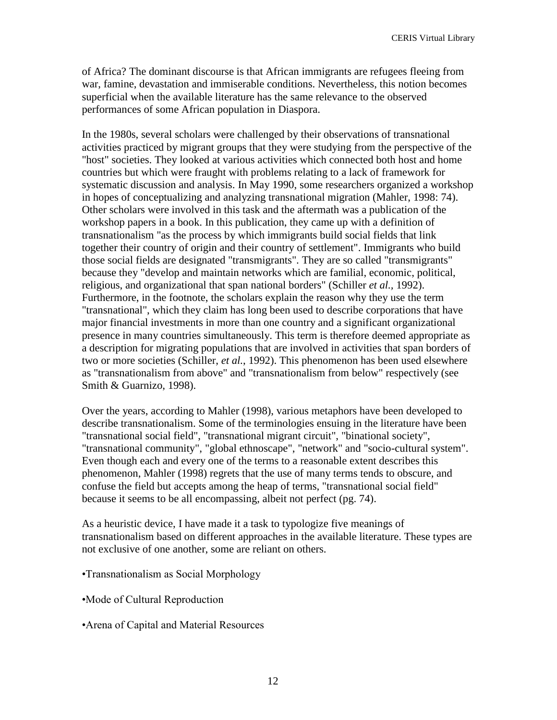of Africa? The dominant discourse is that African immigrants are refugees fleeing from war, famine, devastation and immiserable conditions. Nevertheless, this notion becomes superficial when the available literature has the same relevance to the observed performances of some African population in Diaspora.

In the 1980s, several scholars were challenged by their observations of transnational activities practiced by migrant groups that they were studying from the perspective of the "host" societies. They looked at various activities which connected both host and home countries but which were fraught with problems relating to a lack of framework for systematic discussion and analysis. In May 1990, some researchers organized a workshop in hopes of conceptualizing and analyzing transnational migration (Mahler, 1998: 74). Other scholars were involved in this task and the aftermath was a publication of the workshop papers in a book. In this publication, they came up with a definition of transnationalism "as the process by which immigrants build social fields that link together their country of origin and their country of settlement". Immigrants who build those social fields are designated "transmigrants". They are so called "transmigrants" because they "develop and maintain networks which are familial, economic, political, religious, and organizational that span national borders" (Schiller *et al.,* 1992). Furthermore, in the footnote, the scholars explain the reason why they use the term "transnational", which they claim has long been used to describe corporations that have major financial investments in more than one country and a significant organizational presence in many countries simultaneously. This term is therefore deemed appropriate as a description for migrating populations that are involved in activities that span borders of two or more societies (Schiller, *et al.*, 1992). This phenomenon has been used elsewhere as "transnationalism from above" and "transnationalism from below" respectively (see Smith & Guarnizo, 1998).

Over the years, according to Mahler (1998), various metaphors have been developed to describe transnationalism. Some of the terminologies ensuing in the literature have been "transnational social field", "transnational migrant circuit", "binational society", "transnational community", "global ethnoscape", "network" and "socio-cultural system". Even though each and every one of the terms to a reasonable extent describes this phenomenon, Mahler (1998) regrets that the use of many terms tends to obscure, and confuse the field but accepts among the heap of terms, "transnational social field" because it seems to be all encompassing, albeit not perfect (pg. 74).

As a heuristic device, I have made it a task to typologize five meanings of transnationalism based on different approaches in the available literature. These types are not exclusive of one another, some are reliant on others.

•Transnationalism as Social Morphology

•Mode of Cultural Reproduction

•Arena of Capital and Material Resources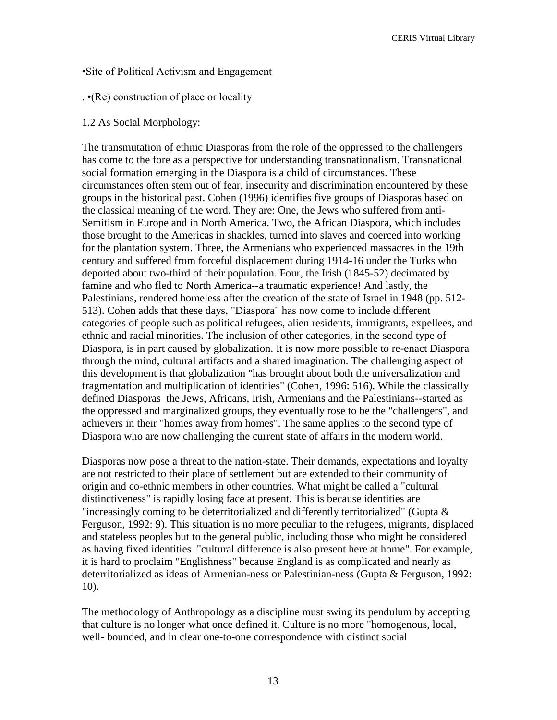# •Site of Political Activism and Engagement

# . •(Re) construction of place or locality

## 1.2 As Social Morphology:

The transmutation of ethnic Diasporas from the role of the oppressed to the challengers has come to the fore as a perspective for understanding transnationalism. Transnational social formation emerging in the Diaspora is a child of circumstances. These circumstances often stem out of fear, insecurity and discrimination encountered by these groups in the historical past. Cohen (1996) identifies five groups of Diasporas based on the classical meaning of the word. They are: One, the Jews who suffered from anti-Semitism in Europe and in North America. Two, the African Diaspora, which includes those brought to the Americas in shackles, turned into slaves and coerced into working for the plantation system. Three, the Armenians who experienced massacres in the 19th century and suffered from forceful displacement during 1914-16 under the Turks who deported about two-third of their population. Four, the Irish (1845-52) decimated by famine and who fled to North America--a traumatic experience! And lastly, the Palestinians, rendered homeless after the creation of the state of Israel in 1948 (pp. 512- 513). Cohen adds that these days, "Diaspora" has now come to include different categories of people such as political refugees, alien residents, immigrants, expellees, and ethnic and racial minorities. The inclusion of other categories, in the second type of Diaspora, is in part caused by globalization. It is now more possible to re-enact Diaspora through the mind, cultural artifacts and a shared imagination. The challenging aspect of this development is that globalization "has brought about both the universalization and fragmentation and multiplication of identities" (Cohen, 1996: 516). While the classically defined Diasporas–the Jews, Africans, Irish, Armenians and the Palestinians--started as the oppressed and marginalized groups, they eventually rose to be the "challengers", and achievers in their "homes away from homes". The same applies to the second type of Diaspora who are now challenging the current state of affairs in the modern world.

Diasporas now pose a threat to the nation-state. Their demands, expectations and loyalty are not restricted to their place of settlement but are extended to their community of origin and co-ethnic members in other countries. What might be called a "cultural distinctiveness" is rapidly losing face at present. This is because identities are "increasingly coming to be deterritorialized and differently territorialized" (Gupta & Ferguson, 1992: 9). This situation is no more peculiar to the refugees, migrants, displaced and stateless peoples but to the general public, including those who might be considered as having fixed identities–"cultural difference is also present here at home". For example, it is hard to proclaim "Englishness" because England is as complicated and nearly as deterritorialized as ideas of Armenian-ness or Palestinian-ness (Gupta & Ferguson, 1992: 10).

The methodology of Anthropology as a discipline must swing its pendulum by accepting that culture is no longer what once defined it. Culture is no more "homogenous, local, well- bounded, and in clear one-to-one correspondence with distinct social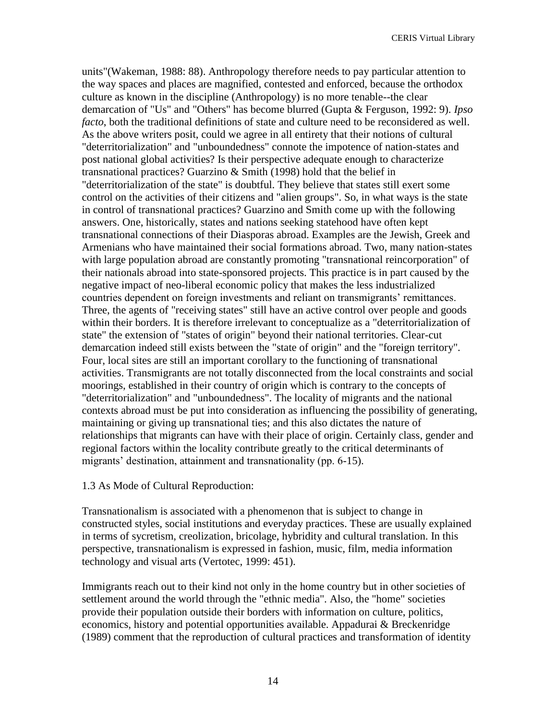units"(Wakeman, 1988: 88). Anthropology therefore needs to pay particular attention to the way spaces and places are magnified, contested and enforced, because the orthodox culture as known in the discipline (Anthropology) is no more tenable--the clear demarcation of "Us" and "Others" has become blurred (Gupta & Ferguson, 1992: 9). *Ipso facto*, both the traditional definitions of state and culture need to be reconsidered as well. As the above writers posit, could we agree in all entirety that their notions of cultural "deterritorialization" and "unboundedness" connote the impotence of nation-states and post national global activities? Is their perspective adequate enough to characterize transnational practices? Guarzino & Smith (1998) hold that the belief in "deterritorialization of the state" is doubtful. They believe that states still exert some control on the activities of their citizens and "alien groups". So, in what ways is the state in control of transnational practices? Guarzino and Smith come up with the following answers. One, historically, states and nations seeking statehood have often kept transnational connections of their Diasporas abroad. Examples are the Jewish, Greek and Armenians who have maintained their social formations abroad. Two, many nation-states with large population abroad are constantly promoting "transnational reincorporation" of their nationals abroad into state-sponsored projects. This practice is in part caused by the negative impact of neo-liberal economic policy that makes the less industrialized countries dependent on foreign investments and reliant on transmigrants' remittances. Three, the agents of "receiving states" still have an active control over people and goods within their borders. It is therefore irrelevant to conceptualize as a "deterritorialization of state" the extension of "states of origin" beyond their national territories. Clear-cut demarcation indeed still exists between the "state of origin" and the "foreign territory". Four, local sites are still an important corollary to the functioning of transnational activities. Transmigrants are not totally disconnected from the local constraints and social moorings, established in their country of origin which is contrary to the concepts of "deterritorialization" and "unboundedness". The locality of migrants and the national contexts abroad must be put into consideration as influencing the possibility of generating, maintaining or giving up transnational ties; and this also dictates the nature of relationships that migrants can have with their place of origin. Certainly class, gender and regional factors within the locality contribute greatly to the critical determinants of migrants' destination, attainment and transnationality (pp. 6-15).

1.3 As Mode of Cultural Reproduction:

Transnationalism is associated with a phenomenon that is subject to change in constructed styles, social institutions and everyday practices. These are usually explained in terms of sycretism, creolization, bricolage, hybridity and cultural translation. In this perspective, transnationalism is expressed in fashion, music, film, media information technology and visual arts (Vertotec, 1999: 451).

Immigrants reach out to their kind not only in the home country but in other societies of settlement around the world through the "ethnic media". Also, the "home" societies provide their population outside their borders with information on culture, politics, economics, history and potential opportunities available. Appadurai & Breckenridge (1989) comment that the reproduction of cultural practices and transformation of identity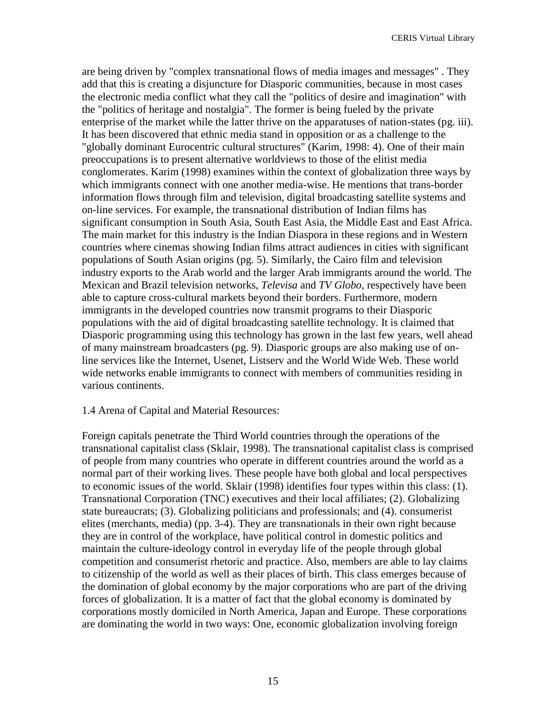are being driven by "complex transnational flows of media images and messages" . They add that this is creating a disjuncture for Diasporic communities, because in most cases the electronic media conflict what they call the "politics of desire and imagination" with the "politics of heritage and nostalgia". The former is being fueled by the private enterprise of the market while the latter thrive on the apparatuses of nation-states (pg. iii). It has been discovered that ethnic media stand in opposition or as a challenge to the "globally dominant Eurocentric cultural structures" (Karim, 1998: 4). One of their main preoccupations is to present alternative worldviews to those of the elitist media conglomerates. Karim (1998) examines within the context of globalization three ways by which immigrants connect with one another media-wise. He mentions that trans-border information flows through film and television, digital broadcasting satellite systems and on-line services. For example, the transnational distribution of Indian films has significant consumption in South Asia, South East Asia, the Middle East and East Africa. The main market for this industry is the Indian Diaspora in these regions and in Western countries where cinemas showing Indian films attract audiences in cities with significant populations of South Asian origins (pg. 5). Similarly, the Cairo film and television industry exports to the Arab world and the larger Arab immigrants around the world. The Mexican and Brazil television networks, *Televisa* and *TV Globo*, respectively have been able to capture cross-cultural markets beyond their borders. Furthermore, modern immigrants in the developed countries now transmit programs to their Diasporic populations with the aid of digital broadcasting satellite technology. It is claimed that Diasporic programming using this technology has grown in the last few years, well ahead of many mainstream broadcasters (pg. 9). Diasporic groups are also making use of online services like the Internet, Usenet, Listserv and the World Wide Web. These world wide networks enable immigrants to connect with members of communities residing in various continents.

#### 1.4 Arena of Capital and Material Resources:

Foreign capitals penetrate the Third World countries through the operations of the transnational capitalist class (Sklair, 1998). The transnational capitalist class is comprised of people from many countries who operate in different countries around the world as a normal part of their working lives. These people have both global and local perspectives to economic issues of the world. Sklair (1998) identifies four types within this class: (1). Transnational Corporation (TNC) executives and their local affiliates; (2). Globalizing state bureaucrats; (3). Globalizing politicians and professionals; and (4). consumerist elites (merchants, media) (pp. 3-4). They are transnationals in their own right because they are in control of the workplace, have political control in domestic politics and maintain the culture-ideology control in everyday life of the people through global competition and consumerist rhetoric and practice. Also, members are able to lay claims to citizenship of the world as well as their places of birth. This class emerges because of the domination of global economy by the major corporations who are part of the driving forces of globalization. It is a matter of fact that the global economy is dominated by corporations mostly domiciled in North America, Japan and Europe. These corporations are dominating the world in two ways: One, economic globalization involving foreign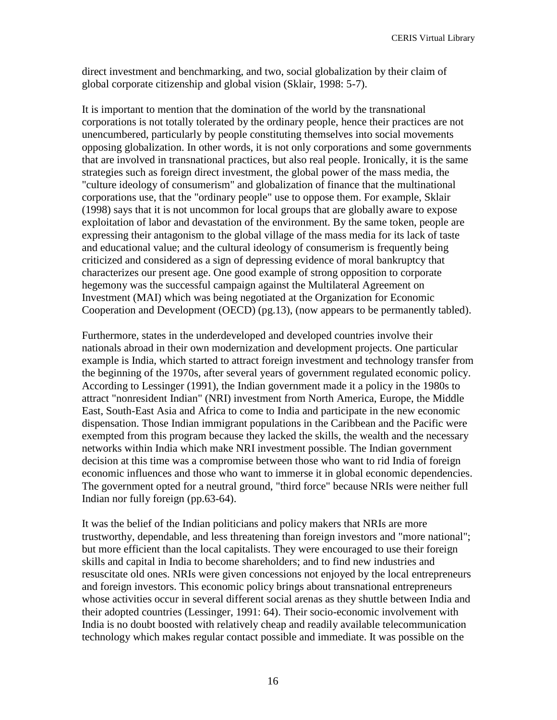direct investment and benchmarking, and two, social globalization by their claim of global corporate citizenship and global vision (Sklair, 1998: 5-7).

It is important to mention that the domination of the world by the transnational corporations is not totally tolerated by the ordinary people, hence their practices are not unencumbered, particularly by people constituting themselves into social movements opposing globalization. In other words, it is not only corporations and some governments that are involved in transnational practices, but also real people. Ironically, it is the same strategies such as foreign direct investment, the global power of the mass media, the "culture ideology of consumerism" and globalization of finance that the multinational corporations use, that the "ordinary people" use to oppose them. For example, Sklair (1998) says that it is not uncommon for local groups that are globally aware to expose exploitation of labor and devastation of the environment. By the same token, people are expressing their antagonism to the global village of the mass media for its lack of taste and educational value; and the cultural ideology of consumerism is frequently being criticized and considered as a sign of depressing evidence of moral bankruptcy that characterizes our present age. One good example of strong opposition to corporate hegemony was the successful campaign against the Multilateral Agreement on Investment (MAI) which was being negotiated at the Organization for Economic Cooperation and Development (OECD) (pg.13), (now appears to be permanently tabled).

Furthermore, states in the underdeveloped and developed countries involve their nationals abroad in their own modernization and development projects. One particular example is India, which started to attract foreign investment and technology transfer from the beginning of the 1970s, after several years of government regulated economic policy. According to Lessinger (1991), the Indian government made it a policy in the 1980s to attract "nonresident Indian" (NRI) investment from North America, Europe, the Middle East, South-East Asia and Africa to come to India and participate in the new economic dispensation. Those Indian immigrant populations in the Caribbean and the Pacific were exempted from this program because they lacked the skills, the wealth and the necessary networks within India which make NRI investment possible. The Indian government decision at this time was a compromise between those who want to rid India of foreign economic influences and those who want to immerse it in global economic dependencies. The government opted for a neutral ground, "third force" because NRIs were neither full Indian nor fully foreign (pp.63-64).

It was the belief of the Indian politicians and policy makers that NRIs are more trustworthy, dependable, and less threatening than foreign investors and "more national"; but more efficient than the local capitalists. They were encouraged to use their foreign skills and capital in India to become shareholders; and to find new industries and resuscitate old ones. NRIs were given concessions not enjoyed by the local entrepreneurs and foreign investors. This economic policy brings about transnational entrepreneurs whose activities occur in several different social arenas as they shuttle between India and their adopted countries (Lessinger, 1991: 64). Their socio-economic involvement with India is no doubt boosted with relatively cheap and readily available telecommunication technology which makes regular contact possible and immediate. It was possible on the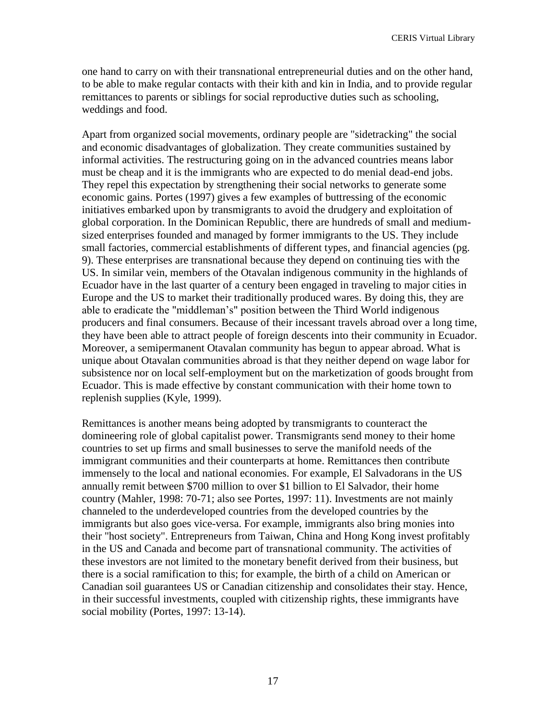one hand to carry on with their transnational entrepreneurial duties and on the other hand, to be able to make regular contacts with their kith and kin in India, and to provide regular remittances to parents or siblings for social reproductive duties such as schooling, weddings and food.

Apart from organized social movements, ordinary people are "sidetracking" the social and economic disadvantages of globalization. They create communities sustained by informal activities. The restructuring going on in the advanced countries means labor must be cheap and it is the immigrants who are expected to do menial dead-end jobs. They repel this expectation by strengthening their social networks to generate some economic gains. Portes (1997) gives a few examples of buttressing of the economic initiatives embarked upon by transmigrants to avoid the drudgery and exploitation of global corporation. In the Dominican Republic, there are hundreds of small and mediumsized enterprises founded and managed by former immigrants to the US. They include small factories, commercial establishments of different types, and financial agencies (pg. 9). These enterprises are transnational because they depend on continuing ties with the US. In similar vein, members of the Otavalan indigenous community in the highlands of Ecuador have in the last quarter of a century been engaged in traveling to major cities in Europe and the US to market their traditionally produced wares. By doing this, they are able to eradicate the "middleman's" position between the Third World indigenous producers and final consumers. Because of their incessant travels abroad over a long time, they have been able to attract people of foreign descents into their community in Ecuador. Moreover, a semipermanent Otavalan community has begun to appear abroad. What is unique about Otavalan communities abroad is that they neither depend on wage labor for subsistence nor on local self-employment but on the marketization of goods brought from Ecuador. This is made effective by constant communication with their home town to replenish supplies (Kyle, 1999).

Remittances is another means being adopted by transmigrants to counteract the domineering role of global capitalist power. Transmigrants send money to their home countries to set up firms and small businesses to serve the manifold needs of the immigrant communities and their counterparts at home. Remittances then contribute immensely to the local and national economies. For example, El Salvadorans in the US annually remit between \$700 million to over \$1 billion to El Salvador, their home country (Mahler, 1998: 70-71; also see Portes, 1997: 11). Investments are not mainly channeled to the underdeveloped countries from the developed countries by the immigrants but also goes vice-versa. For example, immigrants also bring monies into their "host society". Entrepreneurs from Taiwan, China and Hong Kong invest profitably in the US and Canada and become part of transnational community. The activities of these investors are not limited to the monetary benefit derived from their business, but there is a social ramification to this; for example, the birth of a child on American or Canadian soil guarantees US or Canadian citizenship and consolidates their stay. Hence, in their successful investments, coupled with citizenship rights, these immigrants have social mobility (Portes, 1997: 13-14).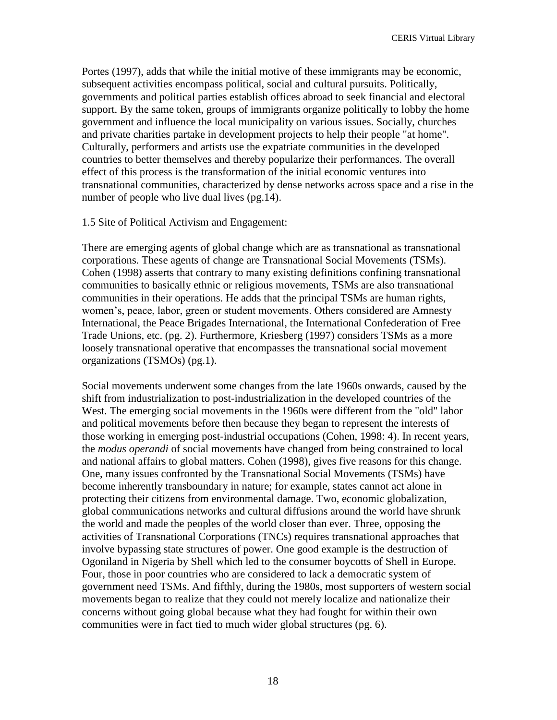Portes (1997), adds that while the initial motive of these immigrants may be economic, subsequent activities encompass political, social and cultural pursuits. Politically, governments and political parties establish offices abroad to seek financial and electoral support. By the same token, groups of immigrants organize politically to lobby the home government and influence the local municipality on various issues. Socially, churches and private charities partake in development projects to help their people "at home". Culturally, performers and artists use the expatriate communities in the developed countries to better themselves and thereby popularize their performances. The overall effect of this process is the transformation of the initial economic ventures into transnational communities, characterized by dense networks across space and a rise in the number of people who live dual lives (pg.14).

1.5 Site of Political Activism and Engagement:

There are emerging agents of global change which are as transnational as transnational corporations. These agents of change are Transnational Social Movements (TSMs). Cohen (1998) asserts that contrary to many existing definitions confining transnational communities to basically ethnic or religious movements, TSMs are also transnational communities in their operations. He adds that the principal TSMs are human rights, women's, peace, labor, green or student movements. Others considered are Amnesty International, the Peace Brigades International, the International Confederation of Free Trade Unions, etc. (pg. 2). Furthermore, Kriesberg (1997) considers TSMs as a more loosely transnational operative that encompasses the transnational social movement organizations (TSMOs) (pg.1).

Social movements underwent some changes from the late 1960s onwards, caused by the shift from industrialization to post-industrialization in the developed countries of the West. The emerging social movements in the 1960s were different from the "old" labor and political movements before then because they began to represent the interests of those working in emerging post-industrial occupations (Cohen, 1998: 4). In recent years, the *modus operandi* of social movements have changed from being constrained to local and national affairs to global matters. Cohen (1998), gives five reasons for this change. One, many issues confronted by the Transnational Social Movements (TSMs) have become inherently transboundary in nature; for example, states cannot act alone in protecting their citizens from environmental damage. Two, economic globalization, global communications networks and cultural diffusions around the world have shrunk the world and made the peoples of the world closer than ever. Three, opposing the activities of Transnational Corporations (TNCs) requires transnational approaches that involve bypassing state structures of power. One good example is the destruction of Ogoniland in Nigeria by Shell which led to the consumer boycotts of Shell in Europe. Four, those in poor countries who are considered to lack a democratic system of government need TSMs. And fifthly, during the 1980s, most supporters of western social movements began to realize that they could not merely localize and nationalize their concerns without going global because what they had fought for within their own communities were in fact tied to much wider global structures (pg. 6).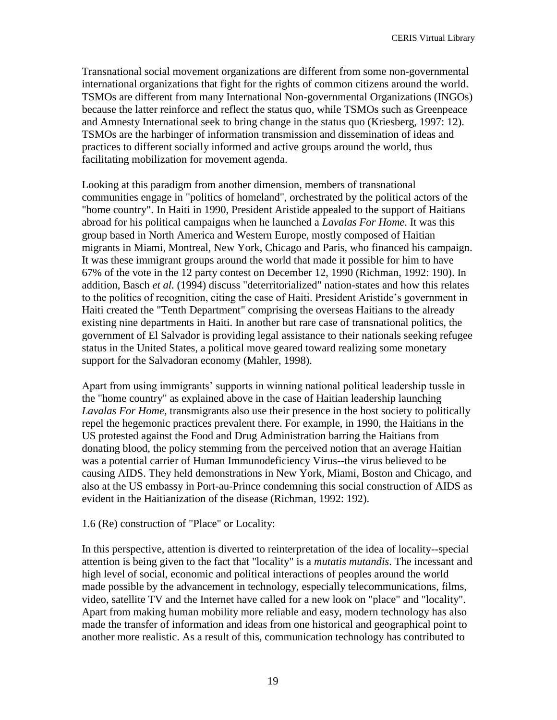Transnational social movement organizations are different from some non-governmental international organizations that fight for the rights of common citizens around the world. TSMOs are different from many International Non-governmental Organizations (INGOs) because the latter reinforce and reflect the status quo, while TSMOs such as Greenpeace and Amnesty International seek to bring change in the status quo (Kriesberg, 1997: 12). TSMOs are the harbinger of information transmission and dissemination of ideas and practices to different socially informed and active groups around the world, thus facilitating mobilization for movement agenda.

Looking at this paradigm from another dimension, members of transnational communities engage in "politics of homeland", orchestrated by the political actors of the "home country". In Haiti in 1990, President Aristide appealed to the support of Haitians abroad for his political campaigns when he launched a *Lavalas For Home*. It was this group based in North America and Western Europe, mostly composed of Haitian migrants in Miami, Montreal, New York, Chicago and Paris, who financed his campaign. It was these immigrant groups around the world that made it possible for him to have 67% of the vote in the 12 party contest on December 12, 1990 (Richman, 1992: 190). In addition, Basch *et al.* (1994) discuss "deterritorialized" nation-states and how this relates to the politics of recognition, citing the case of Haiti. President Aristide's government in Haiti created the "Tenth Department" comprising the overseas Haitians to the already existing nine departments in Haiti. In another but rare case of transnational politics, the government of El Salvador is providing legal assistance to their nationals seeking refugee status in the United States, a political move geared toward realizing some monetary support for the Salvadoran economy (Mahler, 1998).

Apart from using immigrants' supports in winning national political leadership tussle in the "home country" as explained above in the case of Haitian leadership launching *Lavalas For Home,* transmigrants also use their presence in the host society to politically repel the hegemonic practices prevalent there. For example, in 1990, the Haitians in the US protested against the Food and Drug Administration barring the Haitians from donating blood, the policy stemming from the perceived notion that an average Haitian was a potential carrier of Human Immunodeficiency Virus--the virus believed to be causing AIDS. They held demonstrations in New York, Miami, Boston and Chicago, and also at the US embassy in Port-au-Prince condemning this social construction of AIDS as evident in the Haitianization of the disease (Richman, 1992: 192).

## 1.6 (Re) construction of "Place" or Locality:

In this perspective, attention is diverted to reinterpretation of the idea of locality--special attention is being given to the fact that "locality" is a *mutatis mutandis*. The incessant and high level of social, economic and political interactions of peoples around the world made possible by the advancement in technology, especially telecommunications, films, video, satellite TV and the Internet have called for a new look on "place" and "locality". Apart from making human mobility more reliable and easy, modern technology has also made the transfer of information and ideas from one historical and geographical point to another more realistic. As a result of this, communication technology has contributed to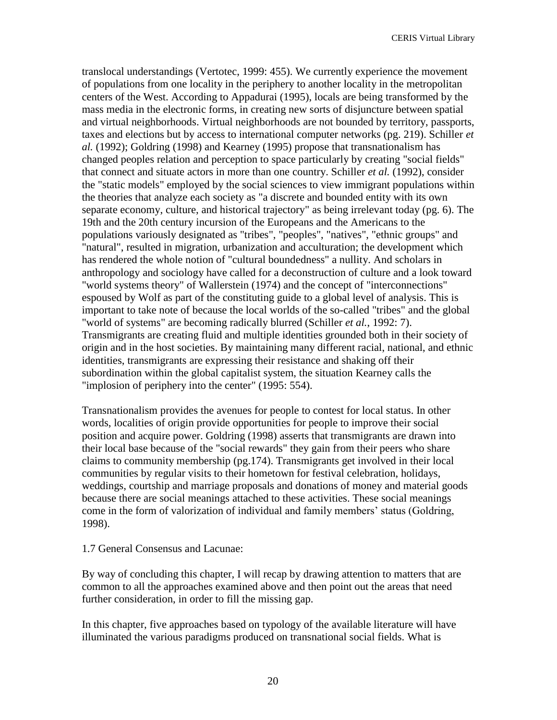translocal understandings (Vertotec, 1999: 455). We currently experience the movement of populations from one locality in the periphery to another locality in the metropolitan centers of the West. According to Appadurai (1995), locals are being transformed by the mass media in the electronic forms, in creating new sorts of disjuncture between spatial and virtual neighborhoods. Virtual neighborhoods are not bounded by territory, passports, taxes and elections but by access to international computer networks (pg. 219). Schiller *et al.* (1992); Goldring (1998) and Kearney (1995) propose that transnationalism has changed peoples relation and perception to space particularly by creating "social fields" that connect and situate actors in more than one country. Schiller *et al.* (1992), consider the "static models" employed by the social sciences to view immigrant populations within the theories that analyze each society as "a discrete and bounded entity with its own separate economy, culture, and historical trajectory" as being irrelevant today (pg. 6). The 19th and the 20th century incursion of the Europeans and the Americans to the populations variously designated as "tribes", "peoples", "natives", "ethnic groups" and "natural", resulted in migration, urbanization and acculturation; the development which has rendered the whole notion of "cultural boundedness" a nullity. And scholars in anthropology and sociology have called for a deconstruction of culture and a look toward "world systems theory" of Wallerstein (1974) and the concept of "interconnections" espoused by Wolf as part of the constituting guide to a global level of analysis. This is important to take note of because the local worlds of the so-called "tribes" and the global "world of systems" are becoming radically blurred (Schiller *et al.*, 1992: 7). Transmigrants are creating fluid and multiple identities grounded both in their society of origin and in the host societies. By maintaining many different racial, national, and ethnic identities, transmigrants are expressing their resistance and shaking off their subordination within the global capitalist system, the situation Kearney calls the "implosion of periphery into the center" (1995: 554).

Transnationalism provides the avenues for people to contest for local status. In other words, localities of origin provide opportunities for people to improve their social position and acquire power. Goldring (1998) asserts that transmigrants are drawn into their local base because of the "social rewards" they gain from their peers who share claims to community membership (pg.174). Transmigrants get involved in their local communities by regular visits to their hometown for festival celebration, holidays, weddings, courtship and marriage proposals and donations of money and material goods because there are social meanings attached to these activities. These social meanings come in the form of valorization of individual and family members' status (Goldring, 1998).

## 1.7 General Consensus and Lacunae:

By way of concluding this chapter, I will recap by drawing attention to matters that are common to all the approaches examined above and then point out the areas that need further consideration, in order to fill the missing gap.

In this chapter, five approaches based on typology of the available literature will have illuminated the various paradigms produced on transnational social fields. What is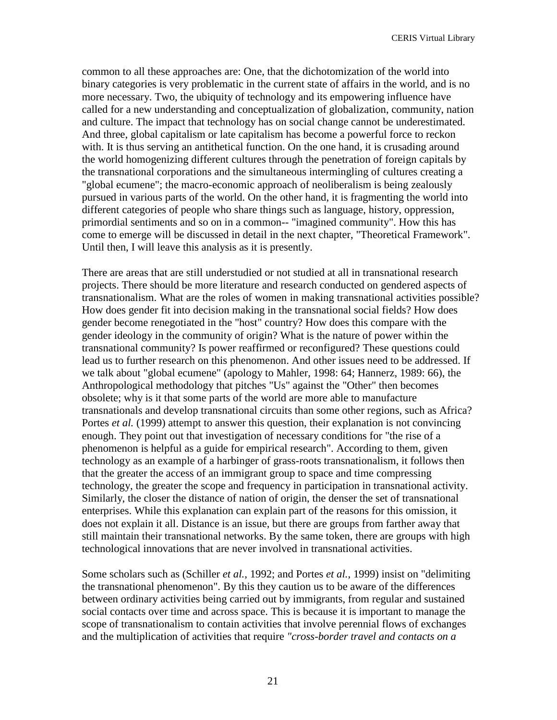common to all these approaches are: One, that the dichotomization of the world into binary categories is very problematic in the current state of affairs in the world, and is no more necessary. Two, the ubiquity of technology and its empowering influence have called for a new understanding and conceptualization of globalization, community, nation and culture. The impact that technology has on social change cannot be underestimated. And three, global capitalism or late capitalism has become a powerful force to reckon with. It is thus serving an antithetical function. On the one hand, it is crusading around the world homogenizing different cultures through the penetration of foreign capitals by the transnational corporations and the simultaneous intermingling of cultures creating a "global ecumene"; the macro-economic approach of neoliberalism is being zealously pursued in various parts of the world. On the other hand, it is fragmenting the world into different categories of people who share things such as language, history, oppression, primordial sentiments and so on in a common-- "imagined community". How this has come to emerge will be discussed in detail in the next chapter, "Theoretical Framework". Until then, I will leave this analysis as it is presently.

There are areas that are still understudied or not studied at all in transnational research projects. There should be more literature and research conducted on gendered aspects of transnationalism. What are the roles of women in making transnational activities possible? How does gender fit into decision making in the transnational social fields? How does gender become renegotiated in the "host" country? How does this compare with the gender ideology in the community of origin? What is the nature of power within the transnational community? Is power reaffirmed or reconfigured? These questions could lead us to further research on this phenomenon. And other issues need to be addressed. If we talk about "global ecumene" (apology to Mahler, 1998: 64; Hannerz, 1989: 66), the Anthropological methodology that pitches "Us" against the "Other" then becomes obsolete; why is it that some parts of the world are more able to manufacture transnationals and develop transnational circuits than some other regions, such as Africa? Portes *et al.* (1999) attempt to answer this question, their explanation is not convincing enough. They point out that investigation of necessary conditions for "the rise of a phenomenon is helpful as a guide for empirical research". According to them, given technology as an example of a harbinger of grass-roots transnationalism, it follows then that the greater the access of an immigrant group to space and time compressing technology, the greater the scope and frequency in participation in transnational activity. Similarly, the closer the distance of nation of origin, the denser the set of transnational enterprises. While this explanation can explain part of the reasons for this omission, it does not explain it all. Distance is an issue, but there are groups from farther away that still maintain their transnational networks. By the same token, there are groups with high technological innovations that are never involved in transnational activities.

Some scholars such as (Schiller *et al.*, 1992; and Portes *et al.*, 1999) insist on "delimiting the transnational phenomenon". By this they caution us to be aware of the differences between ordinary activities being carried out by immigrants, from regular and sustained social contacts over time and across space. This is because it is important to manage the scope of transnationalism to contain activities that involve perennial flows of exchanges and the multiplication of activities that require *"cross-border travel and contacts on a*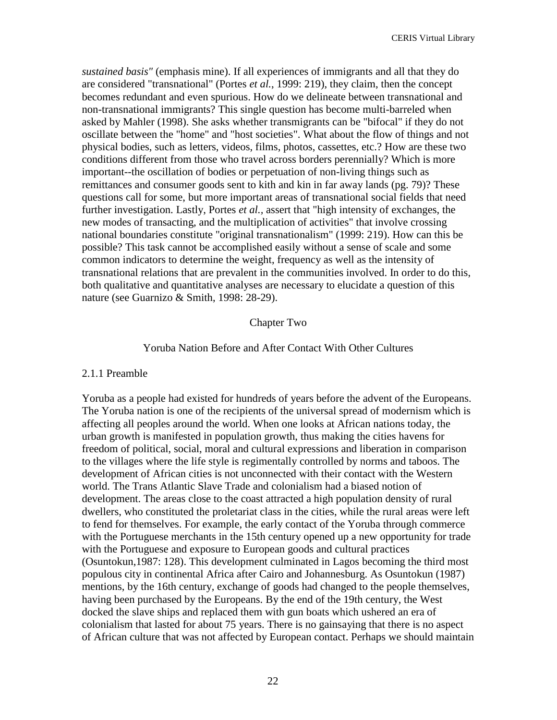*sustained basis"* (emphasis mine). If all experiences of immigrants and all that they do are considered "transnational" (Portes *et al.*, 1999: 219), they claim, then the concept becomes redundant and even spurious. How do we delineate between transnational and non-transnational immigrants? This single question has become multi-barreled when asked by Mahler (1998). She asks whether transmigrants can be "bifocal" if they do not oscillate between the "home" and "host societies". What about the flow of things and not physical bodies, such as letters, videos, films, photos, cassettes, etc.? How are these two conditions different from those who travel across borders perennially? Which is more important--the oscillation of bodies or perpetuation of non-living things such as remittances and consumer goods sent to kith and kin in far away lands (pg. 79)? These questions call for some, but more important areas of transnational social fields that need further investigation. Lastly, Portes *et al.,* assert that "high intensity of exchanges, the new modes of transacting, and the multiplication of activities" that involve crossing national boundaries constitute "original transnationalism" (1999: 219). How can this be possible? This task cannot be accomplished easily without a sense of scale and some common indicators to determine the weight, frequency as well as the intensity of transnational relations that are prevalent in the communities involved. In order to do this, both qualitative and quantitative analyses are necessary to elucidate a question of this nature (see Guarnizo & Smith, 1998: 28-29).

#### Chapter Two

#### Yoruba Nation Before and After Contact With Other Cultures

#### 2.1.1 Preamble

Yoruba as a people had existed for hundreds of years before the advent of the Europeans. The Yoruba nation is one of the recipients of the universal spread of modernism which is affecting all peoples around the world. When one looks at African nations today, the urban growth is manifested in population growth, thus making the cities havens for freedom of political, social, moral and cultural expressions and liberation in comparison to the villages where the life style is regimentally controlled by norms and taboos. The development of African cities is not unconnected with their contact with the Western world. The Trans Atlantic Slave Trade and colonialism had a biased notion of development. The areas close to the coast attracted a high population density of rural dwellers, who constituted the proletariat class in the cities, while the rural areas were left to fend for themselves. For example, the early contact of the Yoruba through commerce with the Portuguese merchants in the 15th century opened up a new opportunity for trade with the Portuguese and exposure to European goods and cultural practices (Osuntokun,1987: 128). This development culminated in Lagos becoming the third most populous city in continental Africa after Cairo and Johannesburg. As Osuntokun (1987) mentions, by the 16th century, exchange of goods had changed to the people themselves, having been purchased by the Europeans. By the end of the 19th century, the West docked the slave ships and replaced them with gun boats which ushered an era of colonialism that lasted for about 75 years. There is no gainsaying that there is no aspect of African culture that was not affected by European contact. Perhaps we should maintain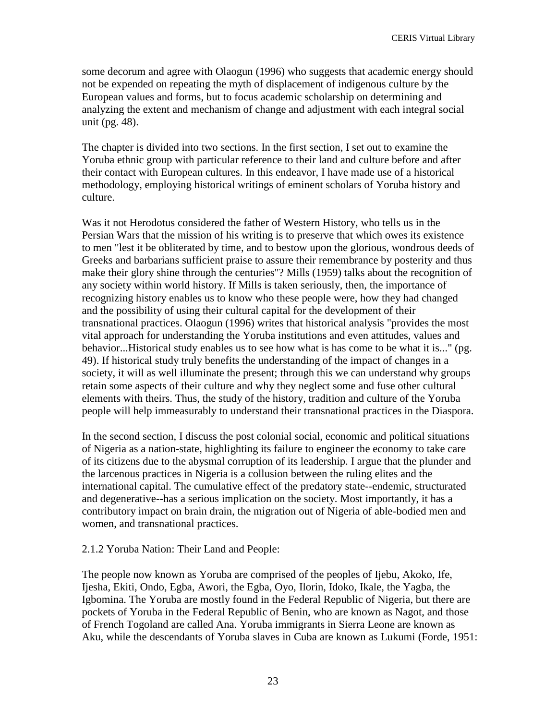some decorum and agree with Olaogun (1996) who suggests that academic energy should not be expended on repeating the myth of displacement of indigenous culture by the European values and forms, but to focus academic scholarship on determining and analyzing the extent and mechanism of change and adjustment with each integral social unit (pg. 48).

The chapter is divided into two sections. In the first section, I set out to examine the Yoruba ethnic group with particular reference to their land and culture before and after their contact with European cultures. In this endeavor, I have made use of a historical methodology, employing historical writings of eminent scholars of Yoruba history and culture.

Was it not Herodotus considered the father of Western History, who tells us in the Persian Wars that the mission of his writing is to preserve that which owes its existence to men "lest it be obliterated by time, and to bestow upon the glorious, wondrous deeds of Greeks and barbarians sufficient praise to assure their remembrance by posterity and thus make their glory shine through the centuries"? Mills (1959) talks about the recognition of any society within world history. If Mills is taken seriously, then, the importance of recognizing history enables us to know who these people were, how they had changed and the possibility of using their cultural capital for the development of their transnational practices. Olaogun (1996) writes that historical analysis "provides the most vital approach for understanding the Yoruba institutions and even attitudes, values and behavior...Historical study enables us to see how what is has come to be what it is..." (pg. 49). If historical study truly benefits the understanding of the impact of changes in a society, it will as well illuminate the present; through this we can understand why groups retain some aspects of their culture and why they neglect some and fuse other cultural elements with theirs. Thus, the study of the history, tradition and culture of the Yoruba people will help immeasurably to understand their transnational practices in the Diaspora.

In the second section, I discuss the post colonial social, economic and political situations of Nigeria as a nation-state, highlighting its failure to engineer the economy to take care of its citizens due to the abysmal corruption of its leadership. I argue that the plunder and the larcenous practices in Nigeria is a collusion between the ruling elites and the international capital. The cumulative effect of the predatory state--endemic, structurated and degenerative--has a serious implication on the society. Most importantly, it has a contributory impact on brain drain, the migration out of Nigeria of able-bodied men and women, and transnational practices.

## 2.1.2 Yoruba Nation: Their Land and People:

The people now known as Yoruba are comprised of the peoples of Ijebu, Akoko, Ife, Ijesha, Ekiti, Ondo, Egba, Awori, the Egba, Oyo, Ilorin, Idoko, Ikale, the Yagba, the Igbomina. The Yoruba are mostly found in the Federal Republic of Nigeria, but there are pockets of Yoruba in the Federal Republic of Benin, who are known as Nagot, and those of French Togoland are called Ana. Yoruba immigrants in Sierra Leone are known as Aku, while the descendants of Yoruba slaves in Cuba are known as Lukumi (Forde, 1951: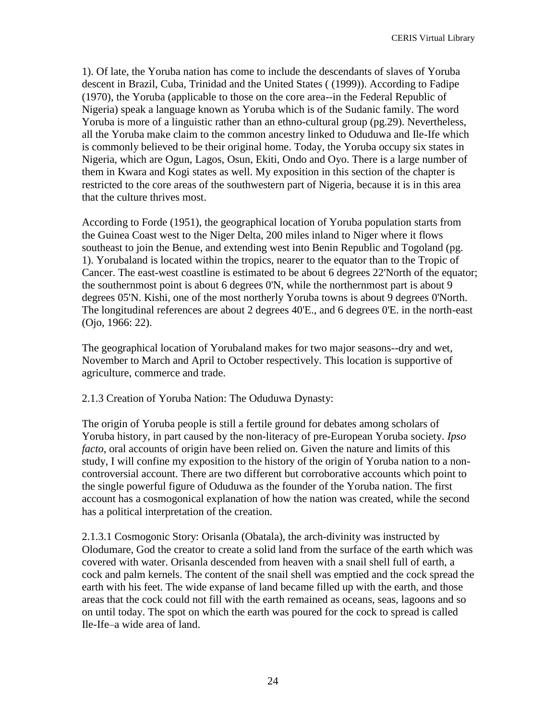1). Of late, the Yoruba nation has come to include the descendants of slaves of Yoruba descent in Brazil, Cuba, Trinidad and the United States ( (1999)). According to Fadipe (1970), the Yoruba (applicable to those on the core area--in the Federal Republic of Nigeria) speak a language known as Yoruba which is of the Sudanic family. The word Yoruba is more of a linguistic rather than an ethno-cultural group (pg.29). Nevertheless, all the Yoruba make claim to the common ancestry linked to Oduduwa and Ile-Ife which is commonly believed to be their original home. Today, the Yoruba occupy six states in Nigeria, which are Ogun, Lagos, Osun, Ekiti, Ondo and Oyo. There is a large number of them in Kwara and Kogi states as well. My exposition in this section of the chapter is restricted to the core areas of the southwestern part of Nigeria, because it is in this area that the culture thrives most.

According to Forde (1951), the geographical location of Yoruba population starts from the Guinea Coast west to the Niger Delta, 200 miles inland to Niger where it flows southeast to join the Benue, and extending west into Benin Republic and Togoland (pg. 1). Yorubaland is located within the tropics, nearer to the equator than to the Tropic of Cancer. The east-west coastline is estimated to be about 6 degrees 22'North of the equator; the southernmost point is about 6 degrees 0'N, while the northernmost part is about 9 degrees 05'N. Kishi, one of the most northerly Yoruba towns is about 9 degrees 0'North. The longitudinal references are about 2 degrees 40'E., and 6 degrees 0'E. in the north-east (Ojo, 1966: 22).

The geographical location of Yorubaland makes for two major seasons--dry and wet, November to March and April to October respectively. This location is supportive of agriculture, commerce and trade.

2.1.3 Creation of Yoruba Nation: The Oduduwa Dynasty:

The origin of Yoruba people is still a fertile ground for debates among scholars of Yoruba history, in part caused by the non-literacy of pre-European Yoruba society. *Ipso facto*, oral accounts of origin have been relied on. Given the nature and limits of this study, I will confine my exposition to the history of the origin of Yoruba nation to a noncontroversial account. There are two different but corroborative accounts which point to the single powerful figure of Oduduwa as the founder of the Yoruba nation. The first account has a cosmogonical explanation of how the nation was created, while the second has a political interpretation of the creation.

2.1.3.1 Cosmogonic Story: Orisanla (Obatala), the arch-divinity was instructed by Olodumare, God the creator to create a solid land from the surface of the earth which was covered with water. Orisanla descended from heaven with a snail shell full of earth, a cock and palm kernels. The content of the snail shell was emptied and the cock spread the earth with his feet. The wide expanse of land became filled up with the earth, and those areas that the cock could not fill with the earth remained as oceans, seas, lagoons and so on until today. The spot on which the earth was poured for the cock to spread is called Ile-Ife–a wide area of land.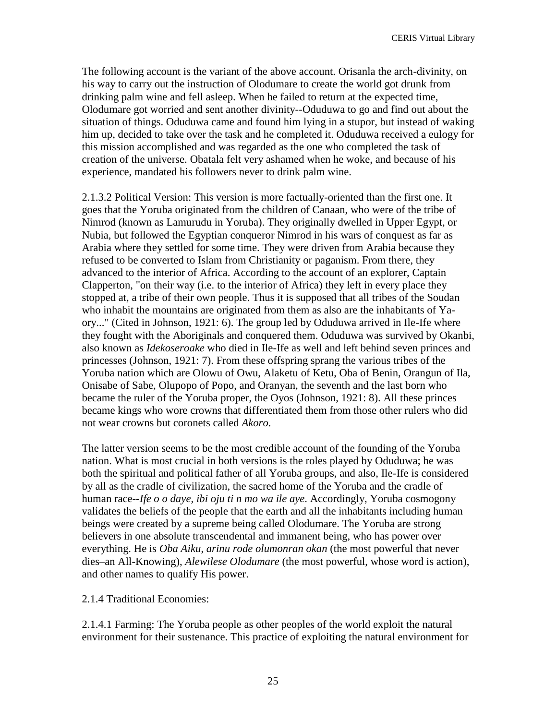The following account is the variant of the above account. Orisanla the arch-divinity, on his way to carry out the instruction of Olodumare to create the world got drunk from drinking palm wine and fell asleep. When he failed to return at the expected time, Olodumare got worried and sent another divinity--Oduduwa to go and find out about the situation of things. Oduduwa came and found him lying in a stupor, but instead of waking him up, decided to take over the task and he completed it. Oduduwa received a eulogy for this mission accomplished and was regarded as the one who completed the task of creation of the universe. Obatala felt very ashamed when he woke, and because of his experience, mandated his followers never to drink palm wine.

2.1.3.2 Political Version: This version is more factually-oriented than the first one. It goes that the Yoruba originated from the children of Canaan, who were of the tribe of Nimrod (known as Lamurudu in Yoruba). They originally dwelled in Upper Egypt, or Nubia, but followed the Egyptian conqueror Nimrod in his wars of conquest as far as Arabia where they settled for some time. They were driven from Arabia because they refused to be converted to Islam from Christianity or paganism. From there, they advanced to the interior of Africa. According to the account of an explorer, Captain Clapperton, "on their way (i.e. to the interior of Africa) they left in every place they stopped at, a tribe of their own people. Thus it is supposed that all tribes of the Soudan who inhabit the mountains are originated from them as also are the inhabitants of Yaory..." (Cited in Johnson, 1921: 6). The group led by Oduduwa arrived in Ile-Ife where they fought with the Aboriginals and conquered them. Oduduwa was survived by Okanbi, also known as *Idekoseroake* who died in Ile-Ife as well and left behind seven princes and princesses (Johnson, 1921: 7). From these offspring sprang the various tribes of the Yoruba nation which are Olowu of Owu, Alaketu of Ketu, Oba of Benin, Orangun of Ila, Onisabe of Sabe, Olupopo of Popo, and Oranyan, the seventh and the last born who became the ruler of the Yoruba proper, the Oyos (Johnson, 1921: 8). All these princes became kings who wore crowns that differentiated them from those other rulers who did not wear crowns but coronets called *Akoro*.

The latter version seems to be the most credible account of the founding of the Yoruba nation. What is most crucial in both versions is the roles played by Oduduwa; he was both the spiritual and political father of all Yoruba groups, and also, Ile-Ife is considered by all as the cradle of civilization, the sacred home of the Yoruba and the cradle of human race-*-Ife o o daye, ibi oju ti n mo wa ile aye*. Accordingly, Yoruba cosmogony validates the beliefs of the people that the earth and all the inhabitants including human beings were created by a supreme being called Olodumare. The Yoruba are strong believers in one absolute transcendental and immanent being, who has power over everything. He is *Oba Aiku*, *arinu rode olumonran okan* (the most powerful that never dies–an All-Knowing), *Alewilese Olodumare* (the most powerful, whose word is action), and other names to qualify His power.

## 2.1.4 Traditional Economies:

2.1.4.1 Farming: The Yoruba people as other peoples of the world exploit the natural environment for their sustenance. This practice of exploiting the natural environment for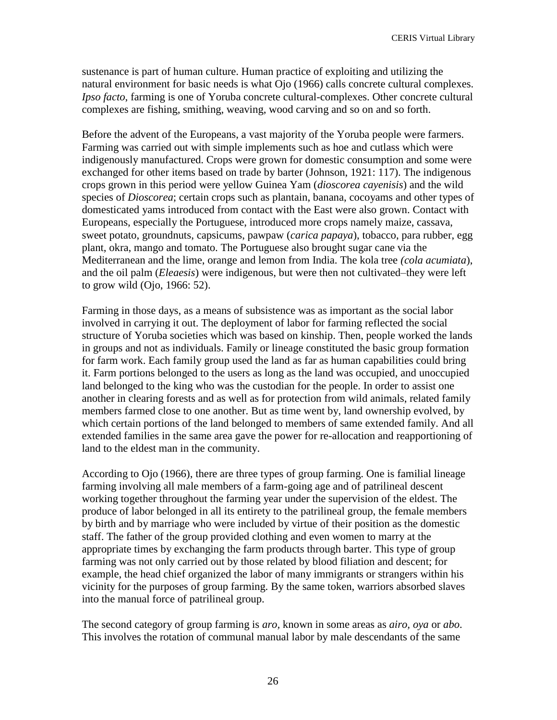sustenance is part of human culture. Human practice of exploiting and utilizing the natural environment for basic needs is what Ojo (1966) calls concrete cultural complexes. *Ipso facto*, farming is one of Yoruba concrete cultural-complexes. Other concrete cultural complexes are fishing, smithing, weaving, wood carving and so on and so forth.

Before the advent of the Europeans, a vast majority of the Yoruba people were farmers. Farming was carried out with simple implements such as hoe and cutlass which were indigenously manufactured. Crops were grown for domestic consumption and some were exchanged for other items based on trade by barter (Johnson, 1921: 117). The indigenous crops grown in this period were yellow Guinea Yam (*dioscorea cayenisis*) and the wild species of *Dioscorea*; certain crops such as plantain, banana, cocoyams and other types of domesticated yams introduced from contact with the East were also grown. Contact with Europeans, especially the Portuguese, introduced more crops namely maize, cassava, sweet potato, groundnuts, capsicums, pawpaw (*carica papaya*), tobacco, para rubber, egg plant, okra, mango and tomato. The Portuguese also brought sugar cane via the Mediterranean and the lime, orange and lemon from India. The kola tree *(cola acumiata*), and the oil palm (*Eleaesis*) were indigenous, but were then not cultivated–they were left to grow wild (Ojo, 1966: 52).

Farming in those days, as a means of subsistence was as important as the social labor involved in carrying it out. The deployment of labor for farming reflected the social structure of Yoruba societies which was based on kinship. Then, people worked the lands in groups and not as individuals. Family or lineage constituted the basic group formation for farm work. Each family group used the land as far as human capabilities could bring it. Farm portions belonged to the users as long as the land was occupied, and unoccupied land belonged to the king who was the custodian for the people. In order to assist one another in clearing forests and as well as for protection from wild animals, related family members farmed close to one another. But as time went by, land ownership evolved, by which certain portions of the land belonged to members of same extended family. And all extended families in the same area gave the power for re-allocation and reapportioning of land to the eldest man in the community.

According to Ojo (1966), there are three types of group farming. One is familial lineage farming involving all male members of a farm-going age and of patrilineal descent working together throughout the farming year under the supervision of the eldest. The produce of labor belonged in all its entirety to the patrilineal group, the female members by birth and by marriage who were included by virtue of their position as the domestic staff. The father of the group provided clothing and even women to marry at the appropriate times by exchanging the farm products through barter. This type of group farming was not only carried out by those related by blood filiation and descent; for example, the head chief organized the labor of many immigrants or strangers within his vicinity for the purposes of group farming. By the same token, warriors absorbed slaves into the manual force of patrilineal group.

The second category of group farming is *aro,* known in some areas as *airo, oya* or *abo*. This involves the rotation of communal manual labor by male descendants of the same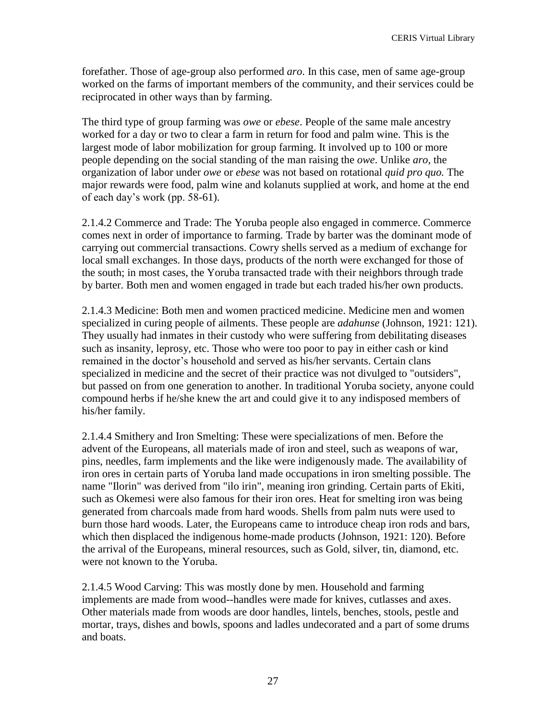forefather. Those of age-group also performed *aro*. In this case, men of same age-group worked on the farms of important members of the community, and their services could be reciprocated in other ways than by farming.

The third type of group farming was *owe* or *ebese*. People of the same male ancestry worked for a day or two to clear a farm in return for food and palm wine. This is the largest mode of labor mobilization for group farming. It involved up to 100 or more people depending on the social standing of the man raising the *owe*. Unlike *aro*, the organization of labor under *owe* or *ebese* was not based on rotational *quid pro quo.* The major rewards were food, palm wine and kolanuts supplied at work, and home at the end of each day's work (pp. 58-61).

2.1.4.2 Commerce and Trade: The Yoruba people also engaged in commerce. Commerce comes next in order of importance to farming. Trade by barter was the dominant mode of carrying out commercial transactions. Cowry shells served as a medium of exchange for local small exchanges. In those days, products of the north were exchanged for those of the south; in most cases, the Yoruba transacted trade with their neighbors through trade by barter. Both men and women engaged in trade but each traded his/her own products.

2.1.4.3 Medicine: Both men and women practiced medicine. Medicine men and women specialized in curing people of ailments. These people are *adahunse* (Johnson, 1921: 121). They usually had inmates in their custody who were suffering from debilitating diseases such as insanity, leprosy, etc. Those who were too poor to pay in either cash or kind remained in the doctor's household and served as his/her servants. Certain clans specialized in medicine and the secret of their practice was not divulged to "outsiders", but passed on from one generation to another. In traditional Yoruba society, anyone could compound herbs if he/she knew the art and could give it to any indisposed members of his/her family.

2.1.4.4 Smithery and Iron Smelting: These were specializations of men. Before the advent of the Europeans, all materials made of iron and steel, such as weapons of war, pins, needles, farm implements and the like were indigenously made. The availability of iron ores in certain parts of Yoruba land made occupations in iron smelting possible. The name "Ilorin" was derived from "ilo irin", meaning iron grinding. Certain parts of Ekiti, such as Okemesi were also famous for their iron ores. Heat for smelting iron was being generated from charcoals made from hard woods. Shells from palm nuts were used to burn those hard woods. Later, the Europeans came to introduce cheap iron rods and bars, which then displaced the indigenous home-made products (Johnson, 1921: 120). Before the arrival of the Europeans, mineral resources, such as Gold, silver, tin, diamond, etc. were not known to the Yoruba.

2.1.4.5 Wood Carving: This was mostly done by men. Household and farming implements are made from wood--handles were made for knives, cutlasses and axes. Other materials made from woods are door handles, lintels, benches, stools, pestle and mortar, trays, dishes and bowls, spoons and ladles undecorated and a part of some drums and boats.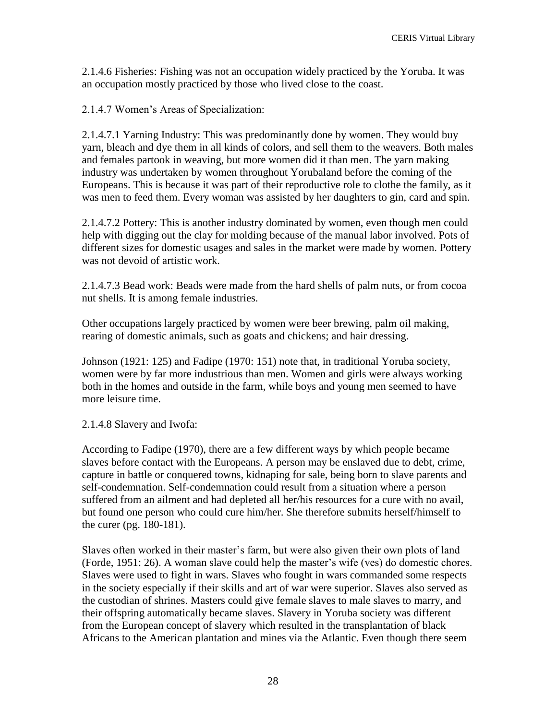2.1.4.6 Fisheries: Fishing was not an occupation widely practiced by the Yoruba. It was an occupation mostly practiced by those who lived close to the coast.

2.1.4.7 Women's Areas of Specialization:

2.1.4.7.1 Yarning Industry: This was predominantly done by women. They would buy yarn, bleach and dye them in all kinds of colors, and sell them to the weavers. Both males and females partook in weaving, but more women did it than men. The yarn making industry was undertaken by women throughout Yorubaland before the coming of the Europeans. This is because it was part of their reproductive role to clothe the family, as it was men to feed them. Every woman was assisted by her daughters to gin, card and spin.

2.1.4.7.2 Pottery: This is another industry dominated by women, even though men could help with digging out the clay for molding because of the manual labor involved. Pots of different sizes for domestic usages and sales in the market were made by women. Pottery was not devoid of artistic work.

2.1.4.7.3 Bead work: Beads were made from the hard shells of palm nuts, or from cocoa nut shells. It is among female industries.

Other occupations largely practiced by women were beer brewing, palm oil making, rearing of domestic animals, such as goats and chickens; and hair dressing.

Johnson (1921: 125) and Fadipe (1970: 151) note that, in traditional Yoruba society, women were by far more industrious than men. Women and girls were always working both in the homes and outside in the farm, while boys and young men seemed to have more leisure time.

2.1.4.8 Slavery and Iwofa:

According to Fadipe (1970), there are a few different ways by which people became slaves before contact with the Europeans. A person may be enslaved due to debt, crime, capture in battle or conquered towns, kidnaping for sale, being born to slave parents and self-condemnation. Self-condemnation could result from a situation where a person suffered from an ailment and had depleted all her/his resources for a cure with no avail, but found one person who could cure him/her. She therefore submits herself/himself to the curer (pg. 180-181).

Slaves often worked in their master's farm, but were also given their own plots of land (Forde, 1951: 26). A woman slave could help the master's wife (ves) do domestic chores. Slaves were used to fight in wars. Slaves who fought in wars commanded some respects in the society especially if their skills and art of war were superior. Slaves also served as the custodian of shrines. Masters could give female slaves to male slaves to marry, and their offspring automatically became slaves. Slavery in Yoruba society was different from the European concept of slavery which resulted in the transplantation of black Africans to the American plantation and mines via the Atlantic. Even though there seem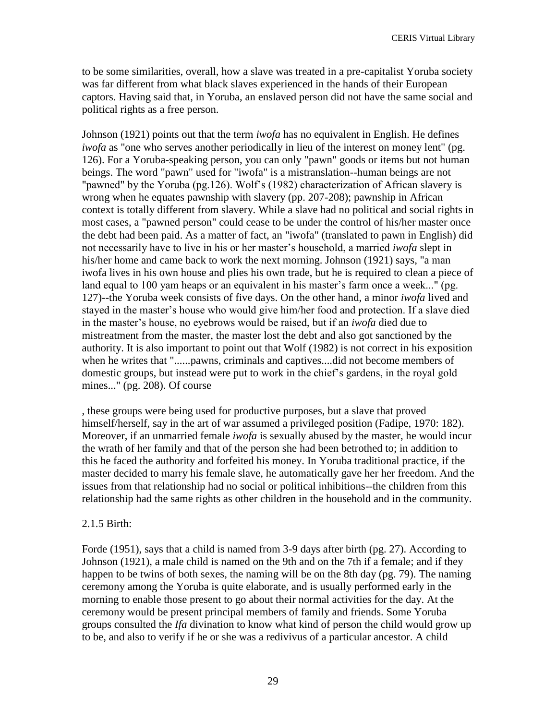to be some similarities, overall, how a slave was treated in a pre-capitalist Yoruba society was far different from what black slaves experienced in the hands of their European captors. Having said that, in Yoruba, an enslaved person did not have the same social and political rights as a free person.

Johnson (1921) points out that the term *iwofa* has no equivalent in English. He defines *iwofa* as "one who serves another periodically in lieu of the interest on money lent" (pg. 126). For a Yoruba-speaking person, you can only "pawn" goods or items but not human beings. The word "pawn" used for "iwofa" is a mistranslation--human beings are not "pawned" by the Yoruba (pg.126). Wolf's (1982) characterization of African slavery is wrong when he equates pawnship with slavery (pp. 207-208); pawnship in African context is totally different from slavery. While a slave had no political and social rights in most cases, a "pawned person" could cease to be under the control of his/her master once the debt had been paid. As a matter of fact, an "iwofa" (translated to pawn in English) did not necessarily have to live in his or her master's household, a married *iwofa* slept in his/her home and came back to work the next morning. Johnson (1921) says, "a man iwofa lives in his own house and plies his own trade, but he is required to clean a piece of land equal to 100 yam heaps or an equivalent in his master's farm once a week..." (pg. 127)--the Yoruba week consists of five days. On the other hand, a minor *iwofa* lived and stayed in the master's house who would give him/her food and protection. If a slave died in the master's house, no eyebrows would be raised, but if an *iwofa* died due to mistreatment from the master, the master lost the debt and also got sanctioned by the authority. It is also important to point out that Wolf (1982) is not correct in his exposition when he writes that "......pawns, criminals and captives....did not become members of domestic groups, but instead were put to work in the chief's gardens, in the royal gold mines..." (pg. 208). Of course

, these groups were being used for productive purposes, but a slave that proved himself/herself, say in the art of war assumed a privileged position (Fadipe, 1970: 182). Moreover, if an unmarried female *iwofa* is sexually abused by the master, he would incur the wrath of her family and that of the person she had been betrothed to; in addition to this he faced the authority and forfeited his money. In Yoruba traditional practice, if the master decided to marry his female slave, he automatically gave her her freedom. And the issues from that relationship had no social or political inhibitions--the children from this relationship had the same rights as other children in the household and in the community.

## 2.1.5 Birth:

Forde (1951), says that a child is named from 3-9 days after birth (pg. 27). According to Johnson (1921), a male child is named on the 9th and on the 7th if a female; and if they happen to be twins of both sexes, the naming will be on the 8th day (pg. 79). The naming ceremony among the Yoruba is quite elaborate, and is usually performed early in the morning to enable those present to go about their normal activities for the day. At the ceremony would be present principal members of family and friends. Some Yoruba groups consulted the *Ifa* divination to know what kind of person the child would grow up to be, and also to verify if he or she was a redivivus of a particular ancestor. A child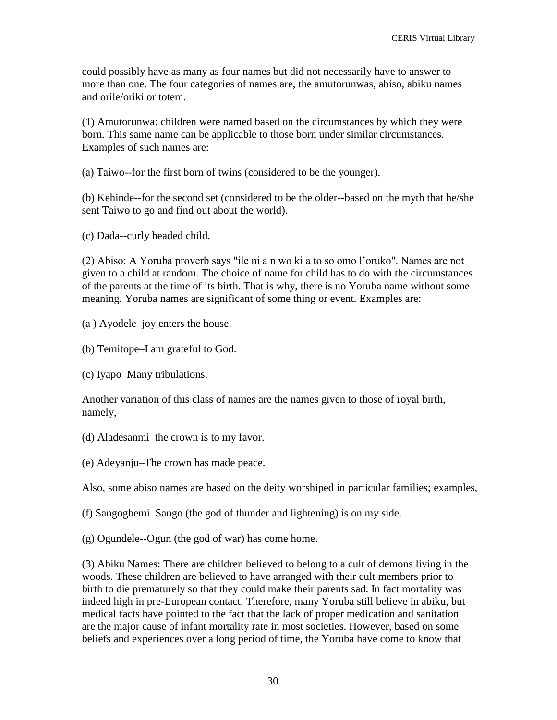could possibly have as many as four names but did not necessarily have to answer to more than one. The four categories of names are, the amutorunwas, abiso, abiku names and orile/oriki or totem.

(1) Amutorunwa: children were named based on the circumstances by which they were born. This same name can be applicable to those born under similar circumstances. Examples of such names are:

(a) Taiwo--for the first born of twins (considered to be the younger).

(b) Kehinde--for the second set (considered to be the older--based on the myth that he/she sent Taiwo to go and find out about the world).

(c) Dada--curly headed child.

(2) Abiso: A Yoruba proverb says "ile ni a n wo ki a to so omo l'oruko". Names are not given to a child at random. The choice of name for child has to do with the circumstances of the parents at the time of its birth. That is why, there is no Yoruba name without some meaning. Yoruba names are significant of some thing or event. Examples are:

- (a ) Ayodele–joy enters the house.
- (b) Temitope–I am grateful to God.
- (c) Iyapo–Many tribulations.

Another variation of this class of names are the names given to those of royal birth, namely,

- (d) Aladesanmi–the crown is to my favor.
- (e) Adeyanju–The crown has made peace.

Also, some abiso names are based on the deity worshiped in particular families; examples,

(f) Sangogbemi–Sango (the god of thunder and lightening) is on my side.

(g) Ogundele--Ogun (the god of war) has come home.

(3) Abiku Names: There are children believed to belong to a cult of demons living in the woods. These children are believed to have arranged with their cult members prior to birth to die prematurely so that they could make their parents sad. In fact mortality was indeed high in pre-European contact. Therefore, many Yoruba still believe in abiku, but medical facts have pointed to the fact that the lack of proper medication and sanitation are the major cause of infant mortality rate in most societies. However, based on some beliefs and experiences over a long period of time, the Yoruba have come to know that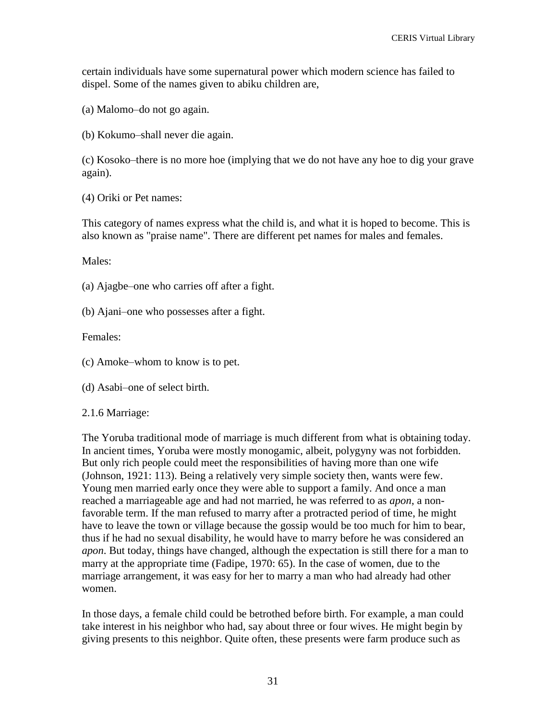certain individuals have some supernatural power which modern science has failed to dispel. Some of the names given to abiku children are,

(a) Malomo–do not go again.

(b) Kokumo–shall never die again.

(c) Kosoko–there is no more hoe (implying that we do not have any hoe to dig your grave again).

(4) Oriki or Pet names:

This category of names express what the child is, and what it is hoped to become. This is also known as "praise name". There are different pet names for males and females.

Males:

- (a) Ajagbe–one who carries off after a fight.
- (b) Ajani–one who possesses after a fight.

Females:

- (c) Amoke–whom to know is to pet.
- (d) Asabi–one of select birth.

#### 2.1.6 Marriage:

The Yoruba traditional mode of marriage is much different from what is obtaining today. In ancient times, Yoruba were mostly monogamic, albeit, polygyny was not forbidden. But only rich people could meet the responsibilities of having more than one wife (Johnson, 1921: 113). Being a relatively very simple society then, wants were few. Young men married early once they were able to support a family. And once a man reached a marriageable age and had not married, he was referred to as *apon*, a nonfavorable term. If the man refused to marry after a protracted period of time, he might have to leave the town or village because the gossip would be too much for him to bear, thus if he had no sexual disability, he would have to marry before he was considered an *apon*. But today, things have changed, although the expectation is still there for a man to marry at the appropriate time (Fadipe, 1970: 65). In the case of women, due to the marriage arrangement, it was easy for her to marry a man who had already had other women.

In those days, a female child could be betrothed before birth. For example, a man could take interest in his neighbor who had, say about three or four wives. He might begin by giving presents to this neighbor. Quite often, these presents were farm produce such as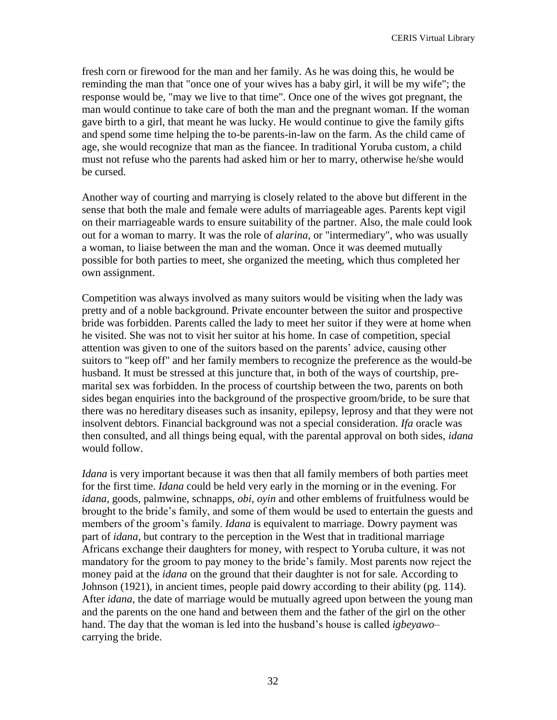fresh corn or firewood for the man and her family. As he was doing this, he would be reminding the man that "once one of your wives has a baby girl, it will be my wife"; the response would be, "may we live to that time". Once one of the wives got pregnant, the man would continue to take care of both the man and the pregnant woman. If the woman gave birth to a girl, that meant he was lucky. He would continue to give the family gifts and spend some time helping the to-be parents-in-law on the farm. As the child came of age, she would recognize that man as the fiancee. In traditional Yoruba custom, a child must not refuse who the parents had asked him or her to marry, otherwise he/she would be cursed.

Another way of courting and marrying is closely related to the above but different in the sense that both the male and female were adults of marriageable ages. Parents kept vigil on their marriageable wards to ensure suitability of the partner. Also, the male could look out for a woman to marry. It was the role of *alarina*, or "intermediary", who was usually a woman, to liaise between the man and the woman. Once it was deemed mutually possible for both parties to meet, she organized the meeting, which thus completed her own assignment.

Competition was always involved as many suitors would be visiting when the lady was pretty and of a noble background. Private encounter between the suitor and prospective bride was forbidden. Parents called the lady to meet her suitor if they were at home when he visited. She was not to visit her suitor at his home. In case of competition, special attention was given to one of the suitors based on the parents' advice, causing other suitors to "keep off" and her family members to recognize the preference as the would-be husband. It must be stressed at this juncture that, in both of the ways of courtship, premarital sex was forbidden. In the process of courtship between the two, parents on both sides began enquiries into the background of the prospective groom/bride, to be sure that there was no hereditary diseases such as insanity, epilepsy, leprosy and that they were not insolvent debtors. Financial background was not a special consideration. *Ifa* oracle was then consulted, and all things being equal, with the parental approval on both sides, *idana* would follow.

*Idana* is very important because it was then that all family members of both parties meet for the first time. *Idana* could be held very early in the morning or in the evening. For *idana*, goods, palmwine, schnapps, *obi, oyin* and other emblems of fruitfulness would be brought to the bride's family, and some of them would be used to entertain the guests and members of the groom's family. *Idana* is equivalent to marriage. Dowry payment was part of *idana*, but contrary to the perception in the West that in traditional marriage Africans exchange their daughters for money, with respect to Yoruba culture, it was not mandatory for the groom to pay money to the bride's family. Most parents now reject the money paid at the *idana* on the ground that their daughter is not for sale. According to Johnson (1921), in ancient times, people paid dowry according to their ability (pg. 114). After *idana*, the date of marriage would be mutually agreed upon between the young man and the parents on the one hand and between them and the father of the girl on the other hand. The day that the woman is led into the husband's house is called *igbeyawo*– carrying the bride.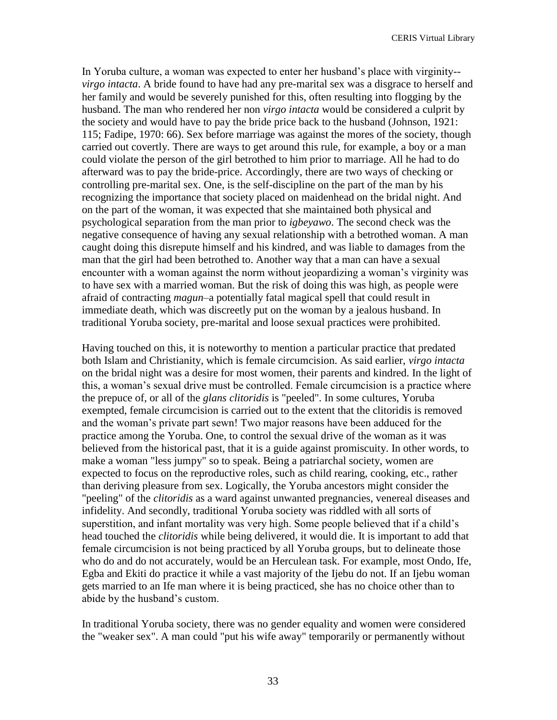In Yoruba culture, a woman was expected to enter her husband's place with virginity- *virgo intacta*. A bride found to have had any pre-marital sex was a disgrace to herself and her family and would be severely punished for this, often resulting into flogging by the husband. The man who rendered her non *virgo intacta* would be considered a culprit by the society and would have to pay the bride price back to the husband (Johnson, 1921: 115; Fadipe, 1970: 66). Sex before marriage was against the mores of the society, though carried out covertly. There are ways to get around this rule, for example, a boy or a man could violate the person of the girl betrothed to him prior to marriage. All he had to do afterward was to pay the bride-price. Accordingly, there are two ways of checking or controlling pre-marital sex. One, is the self-discipline on the part of the man by his recognizing the importance that society placed on maidenhead on the bridal night. And on the part of the woman, it was expected that she maintained both physical and psychological separation from the man prior to *igbeyawo*. The second check was the negative consequence of having any sexual relationship with a betrothed woman. A man caught doing this disrepute himself and his kindred, and was liable to damages from the man that the girl had been betrothed to. Another way that a man can have a sexual encounter with a woman against the norm without jeopardizing a woman's virginity was to have sex with a married woman. But the risk of doing this was high, as people were afraid of contracting *magun*–a potentially fatal magical spell that could result in immediate death, which was discreetly put on the woman by a jealous husband. In traditional Yoruba society, pre-marital and loose sexual practices were prohibited.

Having touched on this, it is noteworthy to mention a particular practice that predated both Islam and Christianity, which is female circumcision. As said earlier, *virgo intacta* on the bridal night was a desire for most women, their parents and kindred. In the light of this, a woman's sexual drive must be controlled. Female circumcision is a practice where the prepuce of, or all of the *glans clitoridis* is "peeled". In some cultures, Yoruba exempted, female circumcision is carried out to the extent that the clitoridis is removed and the woman's private part sewn! Two major reasons have been adduced for the practice among the Yoruba. One, to control the sexual drive of the woman as it was believed from the historical past, that it is a guide against promiscuity. In other words, to make a woman "less jumpy" so to speak. Being a patriarchal society, women are expected to focus on the reproductive roles, such as child rearing, cooking, etc., rather than deriving pleasure from sex. Logically, the Yoruba ancestors might consider the "peeling" of the *clitoridis* as a ward against unwanted pregnancies, venereal diseases and infidelity. And secondly, traditional Yoruba society was riddled with all sorts of superstition, and infant mortality was very high. Some people believed that if a child's head touched the *clitoridis* while being delivered, it would die. It is important to add that female circumcision is not being practiced by all Yoruba groups, but to delineate those who do and do not accurately, would be an Herculean task. For example, most Ondo, Ife, Egba and Ekiti do practice it while a vast majority of the Ijebu do not. If an Ijebu woman gets married to an Ife man where it is being practiced, she has no choice other than to abide by the husband's custom.

In traditional Yoruba society, there was no gender equality and women were considered the "weaker sex". A man could "put his wife away" temporarily or permanently without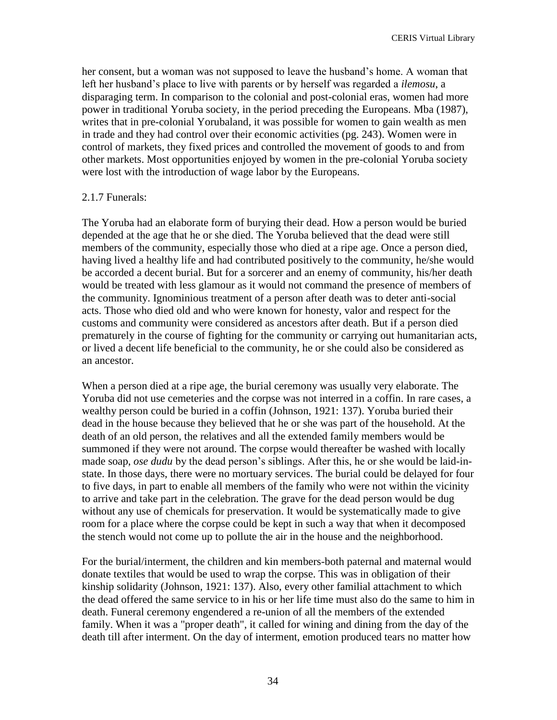her consent, but a woman was not supposed to leave the husband's home. A woman that left her husband's place to live with parents or by herself was regarded a *ilemosu*, a disparaging term. In comparison to the colonial and post-colonial eras, women had more power in traditional Yoruba society, in the period preceding the Europeans. Mba (1987), writes that in pre-colonial Yorubaland, it was possible for women to gain wealth as men in trade and they had control over their economic activities (pg. 243). Women were in control of markets, they fixed prices and controlled the movement of goods to and from other markets. Most opportunities enjoyed by women in the pre-colonial Yoruba society were lost with the introduction of wage labor by the Europeans.

## 2.1.7 Funerals:

The Yoruba had an elaborate form of burying their dead. How a person would be buried depended at the age that he or she died. The Yoruba believed that the dead were still members of the community, especially those who died at a ripe age. Once a person died, having lived a healthy life and had contributed positively to the community, he/she would be accorded a decent burial. But for a sorcerer and an enemy of community, his/her death would be treated with less glamour as it would not command the presence of members of the community. Ignominious treatment of a person after death was to deter anti-social acts. Those who died old and who were known for honesty, valor and respect for the customs and community were considered as ancestors after death. But if a person died prematurely in the course of fighting for the community or carrying out humanitarian acts, or lived a decent life beneficial to the community, he or she could also be considered as an ancestor.

When a person died at a ripe age, the burial ceremony was usually very elaborate. The Yoruba did not use cemeteries and the corpse was not interred in a coffin. In rare cases, a wealthy person could be buried in a coffin (Johnson, 1921: 137). Yoruba buried their dead in the house because they believed that he or she was part of the household. At the death of an old person, the relatives and all the extended family members would be summoned if they were not around. The corpse would thereafter be washed with locally made soap, *ose dudu* by the dead person's siblings. After this, he or she would be laid-instate. In those days, there were no mortuary services. The burial could be delayed for four to five days, in part to enable all members of the family who were not within the vicinity to arrive and take part in the celebration. The grave for the dead person would be dug without any use of chemicals for preservation. It would be systematically made to give room for a place where the corpse could be kept in such a way that when it decomposed the stench would not come up to pollute the air in the house and the neighborhood.

For the burial/interment, the children and kin members-both paternal and maternal would donate textiles that would be used to wrap the corpse. This was in obligation of their kinship solidarity (Johnson, 1921: 137). Also, every other familial attachment to which the dead offered the same service to in his or her life time must also do the same to him in death. Funeral ceremony engendered a re-union of all the members of the extended family. When it was a "proper death", it called for wining and dining from the day of the death till after interment. On the day of interment, emotion produced tears no matter how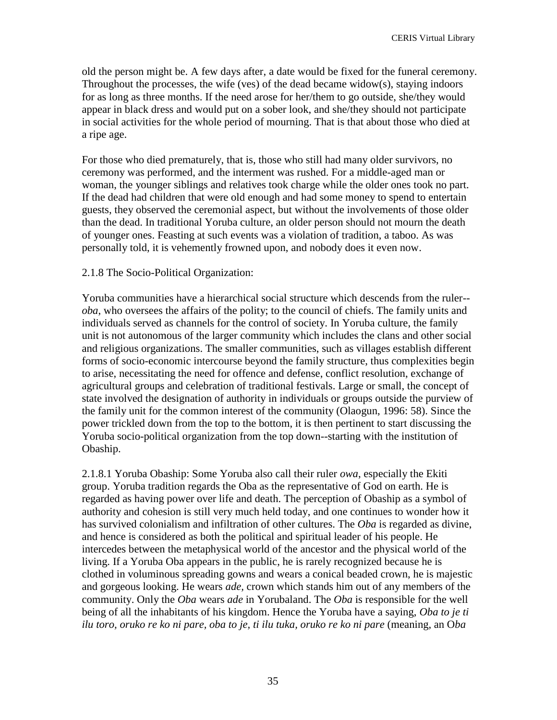old the person might be. A few days after, a date would be fixed for the funeral ceremony. Throughout the processes, the wife (ves) of the dead became widow(s), staying indoors for as long as three months. If the need arose for her/them to go outside, she/they would appear in black dress and would put on a sober look, and she/they should not participate in social activities for the whole period of mourning. That is that about those who died at a ripe age.

For those who died prematurely, that is, those who still had many older survivors, no ceremony was performed, and the interment was rushed. For a middle-aged man or woman, the younger siblings and relatives took charge while the older ones took no part. If the dead had children that were old enough and had some money to spend to entertain guests, they observed the ceremonial aspect, but without the involvements of those older than the dead. In traditional Yoruba culture, an older person should not mourn the death of younger ones. Feasting at such events was a violation of tradition, a taboo. As was personally told, it is vehemently frowned upon, and nobody does it even now.

## 2.1.8 The Socio-Political Organization:

Yoruba communities have a hierarchical social structure which descends from the ruler- *oba*, who oversees the affairs of the polity; to the council of chiefs. The family units and individuals served as channels for the control of society. In Yoruba culture, the family unit is not autonomous of the larger community which includes the clans and other social and religious organizations. The smaller communities, such as villages establish different forms of socio-economic intercourse beyond the family structure, thus complexities begin to arise, necessitating the need for offence and defense, conflict resolution, exchange of agricultural groups and celebration of traditional festivals. Large or small, the concept of state involved the designation of authority in individuals or groups outside the purview of the family unit for the common interest of the community (Olaogun, 1996: 58). Since the power trickled down from the top to the bottom, it is then pertinent to start discussing the Yoruba socio-political organization from the top down--starting with the institution of Obaship.

2.1.8.1 Yoruba Obaship: Some Yoruba also call their ruler *owa*, especially the Ekiti group. Yoruba tradition regards the Oba as the representative of God on earth. He is regarded as having power over life and death. The perception of Obaship as a symbol of authority and cohesion is still very much held today, and one continues to wonder how it has survived colonialism and infiltration of other cultures. The *Oba* is regarded as divine, and hence is considered as both the political and spiritual leader of his people. He intercedes between the metaphysical world of the ancestor and the physical world of the living. If a Yoruba Oba appears in the public, he is rarely recognized because he is clothed in voluminous spreading gowns and wears a conical beaded crown, he is majestic and gorgeous looking. He wears *ade,* crown which stands him out of any members of the community. Only the *Oba* wears *ade* in Yorubaland. The *Oba* is responsible for the well being of all the inhabitants of his kingdom. Hence the Yoruba have a saying, *Oba to je ti ilu toro, oruko re ko ni pare, oba to je, ti ilu tuka, oruko re ko ni pare* (meaning, an O*ba*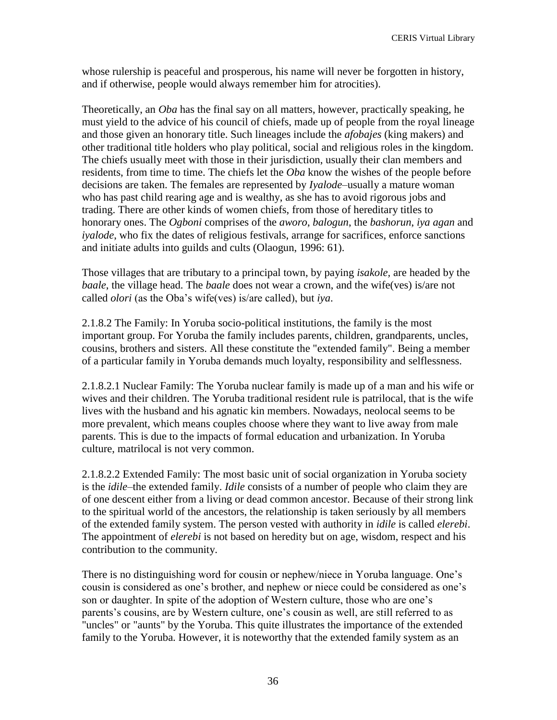whose rulership is peaceful and prosperous, his name will never be forgotten in history, and if otherwise, people would always remember him for atrocities).

Theoretically, an *Oba* has the final say on all matters, however, practically speaking, he must yield to the advice of his council of chiefs, made up of people from the royal lineage and those given an honorary title. Such lineages include the *afobajes* (king makers) and other traditional title holders who play political, social and religious roles in the kingdom. The chiefs usually meet with those in their jurisdiction, usually their clan members and residents, from time to time. The chiefs let the *Oba* know the wishes of the people before decisions are taken. The females are represented by *Iyalode*–usually a mature woman who has past child rearing age and is wealthy, as she has to avoid rigorous jobs and trading. There are other kinds of women chiefs, from those of hereditary titles to honorary ones. The *Ogboni* comprises of the *aworo*, *balogun*, the *bashorun*, *iya agan* and *iyalode*, who fix the dates of religious festivals, arrange for sacrifices, enforce sanctions and initiate adults into guilds and cults (Olaogun, 1996: 61).

Those villages that are tributary to a principal town, by paying *isakole,* are headed by the *baale*, the village head. The *baale* does not wear a crown, and the wife(ves) is/are not called *olori* (as the Oba's wife(ves) is/are called), but *iya*.

2.1.8.2 The Family: In Yoruba socio-political institutions, the family is the most important group. For Yoruba the family includes parents, children, grandparents, uncles, cousins, brothers and sisters. All these constitute the "extended family". Being a member of a particular family in Yoruba demands much loyalty, responsibility and selflessness.

2.1.8.2.1 Nuclear Family: The Yoruba nuclear family is made up of a man and his wife or wives and their children. The Yoruba traditional resident rule is patrilocal, that is the wife lives with the husband and his agnatic kin members. Nowadays, neolocal seems to be more prevalent, which means couples choose where they want to live away from male parents. This is due to the impacts of formal education and urbanization. In Yoruba culture, matrilocal is not very common.

2.1.8.2.2 Extended Family: The most basic unit of social organization in Yoruba society is the *idile*–the extended family. *Idile* consists of a number of people who claim they are of one descent either from a living or dead common ancestor. Because of their strong link to the spiritual world of the ancestors, the relationship is taken seriously by all members of the extended family system. The person vested with authority in *idile* is called *elerebi*. The appointment of *elerebi* is not based on heredity but on age, wisdom, respect and his contribution to the community.

There is no distinguishing word for cousin or nephew/niece in Yoruba language. One's cousin is considered as one's brother, and nephew or niece could be considered as one's son or daughter. In spite of the adoption of Western culture, those who are one's parents's cousins, are by Western culture, one's cousin as well, are still referred to as "uncles" or "aunts" by the Yoruba. This quite illustrates the importance of the extended family to the Yoruba. However, it is noteworthy that the extended family system as an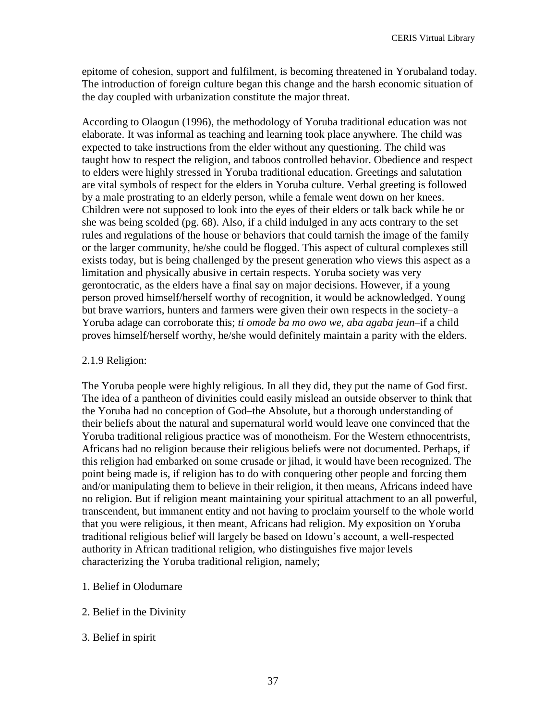epitome of cohesion, support and fulfilment, is becoming threatened in Yorubaland today. The introduction of foreign culture began this change and the harsh economic situation of the day coupled with urbanization constitute the major threat.

According to Olaogun (1996), the methodology of Yoruba traditional education was not elaborate. It was informal as teaching and learning took place anywhere. The child was expected to take instructions from the elder without any questioning. The child was taught how to respect the religion, and taboos controlled behavior. Obedience and respect to elders were highly stressed in Yoruba traditional education. Greetings and salutation are vital symbols of respect for the elders in Yoruba culture. Verbal greeting is followed by a male prostrating to an elderly person, while a female went down on her knees. Children were not supposed to look into the eyes of their elders or talk back while he or she was being scolded (pg. 68). Also, if a child indulged in any acts contrary to the set rules and regulations of the house or behaviors that could tarnish the image of the family or the larger community, he/she could be flogged. This aspect of cultural complexes still exists today, but is being challenged by the present generation who views this aspect as a limitation and physically abusive in certain respects. Yoruba society was very gerontocratic, as the elders have a final say on major decisions. However, if a young person proved himself/herself worthy of recognition, it would be acknowledged. Young but brave warriors, hunters and farmers were given their own respects in the society–a Yoruba adage can corroborate this; *ti omode ba mo owo we, aba agaba jeun*–if a child proves himself/herself worthy, he/she would definitely maintain a parity with the elders.

# 2.1.9 Religion:

The Yoruba people were highly religious. In all they did, they put the name of God first. The idea of a pantheon of divinities could easily mislead an outside observer to think that the Yoruba had no conception of God–the Absolute, but a thorough understanding of their beliefs about the natural and supernatural world would leave one convinced that the Yoruba traditional religious practice was of monotheism. For the Western ethnocentrists, Africans had no religion because their religious beliefs were not documented. Perhaps, if this religion had embarked on some crusade or jihad, it would have been recognized. The point being made is, if religion has to do with conquering other people and forcing them and/or manipulating them to believe in their religion, it then means, Africans indeed have no religion. But if religion meant maintaining your spiritual attachment to an all powerful, transcendent, but immanent entity and not having to proclaim yourself to the whole world that you were religious, it then meant, Africans had religion. My exposition on Yoruba traditional religious belief will largely be based on Idowu's account, a well-respected authority in African traditional religion, who distinguishes five major levels characterizing the Yoruba traditional religion, namely;

- 1. Belief in Olodumare
- 2. Belief in the Divinity
- 3. Belief in spirit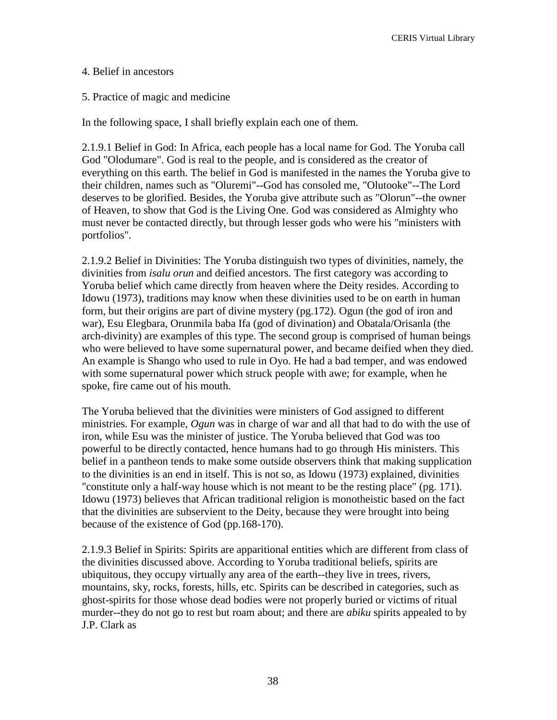#### 4. Belief in ancestors

### 5. Practice of magic and medicine

In the following space, I shall briefly explain each one of them.

2.1.9.1 Belief in God: In Africa, each people has a local name for God. The Yoruba call God "Olodumare". God is real to the people, and is considered as the creator of everything on this earth. The belief in God is manifested in the names the Yoruba give to their children, names such as "Oluremi"--God has consoled me, "Olutooke"--The Lord deserves to be glorified. Besides, the Yoruba give attribute such as "Olorun"--the owner of Heaven, to show that God is the Living One. God was considered as Almighty who must never be contacted directly, but through lesser gods who were his "ministers with portfolios".

2.1.9.2 Belief in Divinities: The Yoruba distinguish two types of divinities, namely, the divinities from *isalu orun* and deified ancestors. The first category was according to Yoruba belief which came directly from heaven where the Deity resides. According to Idowu (1973), traditions may know when these divinities used to be on earth in human form, but their origins are part of divine mystery (pg.172). Ogun (the god of iron and war), Esu Elegbara, Orunmila baba Ifa (god of divination) and Obatala/Orisanla (the arch-divinity) are examples of this type. The second group is comprised of human beings who were believed to have some supernatural power, and became deified when they died. An example is Shango who used to rule in Oyo. He had a bad temper, and was endowed with some supernatural power which struck people with awe; for example, when he spoke, fire came out of his mouth.

The Yoruba believed that the divinities were ministers of God assigned to different ministries. For example, *Ogun* was in charge of war and all that had to do with the use of iron, while Esu was the minister of justice. The Yoruba believed that God was too powerful to be directly contacted, hence humans had to go through His ministers. This belief in a pantheon tends to make some outside observers think that making supplication to the divinities is an end in itself. This is not so, as Idowu (1973) explained, divinities "constitute only a half-way house which is not meant to be the resting place" (pg. 171). Idowu (1973) believes that African traditional religion is monotheistic based on the fact that the divinities are subservient to the Deity, because they were brought into being because of the existence of God (pp.168-170).

2.1.9.3 Belief in Spirits: Spirits are apparitional entities which are different from class of the divinities discussed above. According to Yoruba traditional beliefs, spirits are ubiquitous, they occupy virtually any area of the earth--they live in trees, rivers, mountains, sky, rocks, forests, hills, etc. Spirits can be described in categories, such as ghost-spirits for those whose dead bodies were not properly buried or victims of ritual murder--they do not go to rest but roam about; and there are *abiku* spirits appealed to by J.P. Clark as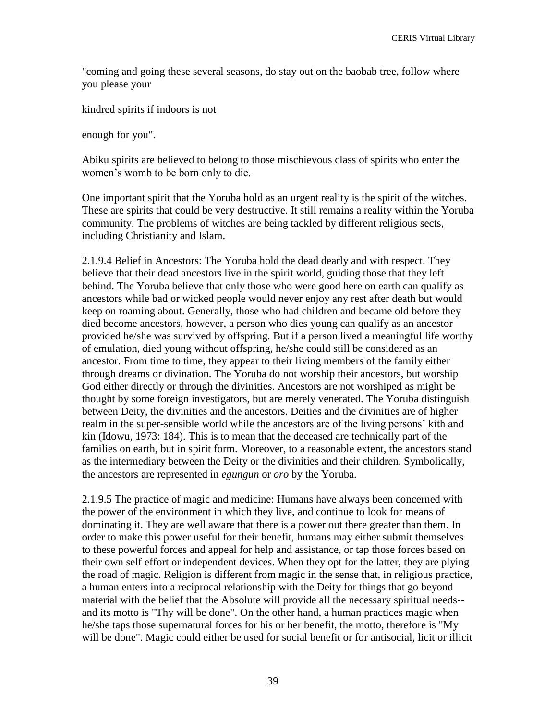"coming and going these several seasons, do stay out on the baobab tree, follow where you please your

kindred spirits if indoors is not

enough for you".

Abiku spirits are believed to belong to those mischievous class of spirits who enter the women's womb to be born only to die.

One important spirit that the Yoruba hold as an urgent reality is the spirit of the witches. These are spirits that could be very destructive. It still remains a reality within the Yoruba community. The problems of witches are being tackled by different religious sects, including Christianity and Islam.

2.1.9.4 Belief in Ancestors: The Yoruba hold the dead dearly and with respect. They believe that their dead ancestors live in the spirit world, guiding those that they left behind. The Yoruba believe that only those who were good here on earth can qualify as ancestors while bad or wicked people would never enjoy any rest after death but would keep on roaming about. Generally, those who had children and became old before they died become ancestors, however, a person who dies young can qualify as an ancestor provided he/she was survived by offspring. But if a person lived a meaningful life worthy of emulation, died young without offspring, he/she could still be considered as an ancestor. From time to time, they appear to their living members of the family either through dreams or divination. The Yoruba do not worship their ancestors, but worship God either directly or through the divinities. Ancestors are not worshiped as might be thought by some foreign investigators, but are merely venerated. The Yoruba distinguish between Deity, the divinities and the ancestors. Deities and the divinities are of higher realm in the super-sensible world while the ancestors are of the living persons' kith and kin (Idowu, 1973: 184). This is to mean that the deceased are technically part of the families on earth, but in spirit form. Moreover, to a reasonable extent, the ancestors stand as the intermediary between the Deity or the divinities and their children. Symbolically, the ancestors are represented in *egungun* or *oro* by the Yoruba.

2.1.9.5 The practice of magic and medicine: Humans have always been concerned with the power of the environment in which they live, and continue to look for means of dominating it. They are well aware that there is a power out there greater than them. In order to make this power useful for their benefit, humans may either submit themselves to these powerful forces and appeal for help and assistance, or tap those forces based on their own self effort or independent devices. When they opt for the latter, they are plying the road of magic. Religion is different from magic in the sense that, in religious practice, a human enters into a reciprocal relationship with the Deity for things that go beyond material with the belief that the Absolute will provide all the necessary spiritual needs- and its motto is "Thy will be done". On the other hand, a human practices magic when he/she taps those supernatural forces for his or her benefit, the motto, therefore is "My will be done". Magic could either be used for social benefit or for antisocial, licit or illicit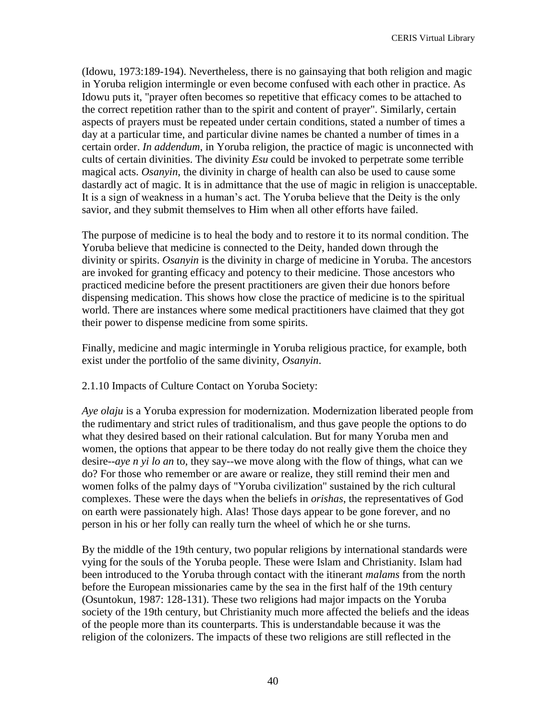(Idowu, 1973:189-194). Nevertheless, there is no gainsaying that both religion and magic in Yoruba religion intermingle or even become confused with each other in practice. As Idowu puts it, "prayer often becomes so repetitive that efficacy comes to be attached to the correct repetition rather than to the spirit and content of prayer". Similarly, certain aspects of prayers must be repeated under certain conditions, stated a number of times a day at a particular time, and particular divine names be chanted a number of times in a certain order. *In addendum*, in Yoruba religion, the practice of magic is unconnected with cults of certain divinities. The divinity *Esu* could be invoked to perpetrate some terrible magical acts. *Osanyin*, the divinity in charge of health can also be used to cause some dastardly act of magic. It is in admittance that the use of magic in religion is unacceptable. It is a sign of weakness in a human's act. The Yoruba believe that the Deity is the only savior, and they submit themselves to Him when all other efforts have failed.

The purpose of medicine is to heal the body and to restore it to its normal condition. The Yoruba believe that medicine is connected to the Deity, handed down through the divinity or spirits. *Osanyin* is the divinity in charge of medicine in Yoruba. The ancestors are invoked for granting efficacy and potency to their medicine. Those ancestors who practiced medicine before the present practitioners are given their due honors before dispensing medication. This shows how close the practice of medicine is to the spiritual world. There are instances where some medical practitioners have claimed that they got their power to dispense medicine from some spirits.

Finally, medicine and magic intermingle in Yoruba religious practice, for example, both exist under the portfolio of the same divinity, *Osanyin*.

### 2.1.10 Impacts of Culture Contact on Yoruba Society:

*Aye olaju* is a Yoruba expression for modernization. Modernization liberated people from the rudimentary and strict rules of traditionalism, and thus gave people the options to do what they desired based on their rational calculation. But for many Yoruba men and women, the options that appear to be there today do not really give them the choice they desire-*-aye n yi lo an* to, they say--we move along with the flow of things, what can we do? For those who remember or are aware or realize, they still remind their men and women folks of the palmy days of "Yoruba civilization" sustained by the rich cultural complexes. These were the days when the beliefs in *orishas*, the representatives of God on earth were passionately high. Alas! Those days appear to be gone forever, and no person in his or her folly can really turn the wheel of which he or she turns.

By the middle of the 19th century, two popular religions by international standards were vying for the souls of the Yoruba people. These were Islam and Christianity. Islam had been introduced to the Yoruba through contact with the itinerant *malams* from the north before the European missionaries came by the sea in the first half of the 19th century (Osuntokun, 1987: 128-131). These two religions had major impacts on the Yoruba society of the 19th century, but Christianity much more affected the beliefs and the ideas of the people more than its counterparts. This is understandable because it was the religion of the colonizers. The impacts of these two religions are still reflected in the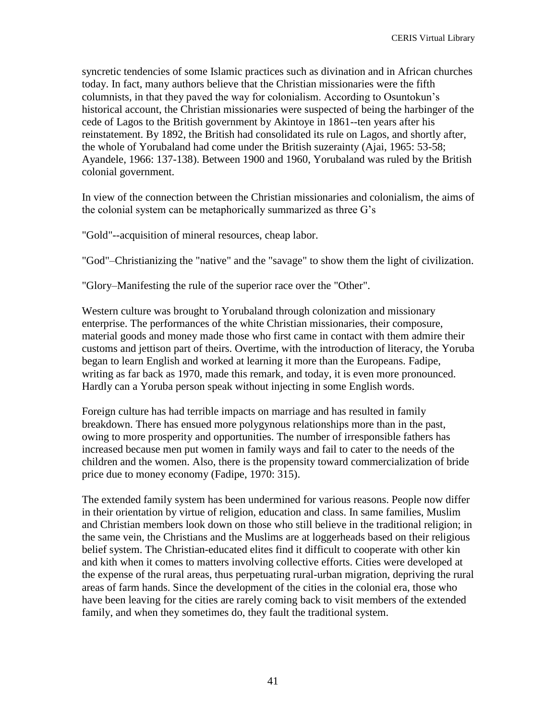syncretic tendencies of some Islamic practices such as divination and in African churches today. In fact, many authors believe that the Christian missionaries were the fifth columnists, in that they paved the way for colonialism. According to Osuntokun's historical account, the Christian missionaries were suspected of being the harbinger of the cede of Lagos to the British government by Akintoye in 1861--ten years after his reinstatement. By 1892, the British had consolidated its rule on Lagos, and shortly after, the whole of Yorubaland had come under the British suzerainty (Ajai, 1965: 53-58; Ayandele, 1966: 137-138). Between 1900 and 1960, Yorubaland was ruled by the British colonial government.

In view of the connection between the Christian missionaries and colonialism, the aims of the colonial system can be metaphorically summarized as three G's

"Gold"--acquisition of mineral resources, cheap labor.

"God"–Christianizing the "native" and the "savage" to show them the light of civilization.

"Glory–Manifesting the rule of the superior race over the "Other".

Western culture was brought to Yorubaland through colonization and missionary enterprise. The performances of the white Christian missionaries, their composure, material goods and money made those who first came in contact with them admire their customs and jettison part of theirs. Overtime, with the introduction of literacy, the Yoruba began to learn English and worked at learning it more than the Europeans. Fadipe, writing as far back as 1970, made this remark, and today, it is even more pronounced. Hardly can a Yoruba person speak without injecting in some English words.

Foreign culture has had terrible impacts on marriage and has resulted in family breakdown. There has ensued more polygynous relationships more than in the past, owing to more prosperity and opportunities. The number of irresponsible fathers has increased because men put women in family ways and fail to cater to the needs of the children and the women. Also, there is the propensity toward commercialization of bride price due to money economy (Fadipe, 1970: 315).

The extended family system has been undermined for various reasons. People now differ in their orientation by virtue of religion, education and class. In same families, Muslim and Christian members look down on those who still believe in the traditional religion; in the same vein, the Christians and the Muslims are at loggerheads based on their religious belief system. The Christian-educated elites find it difficult to cooperate with other kin and kith when it comes to matters involving collective efforts. Cities were developed at the expense of the rural areas, thus perpetuating rural-urban migration, depriving the rural areas of farm hands. Since the development of the cities in the colonial era, those who have been leaving for the cities are rarely coming back to visit members of the extended family, and when they sometimes do, they fault the traditional system.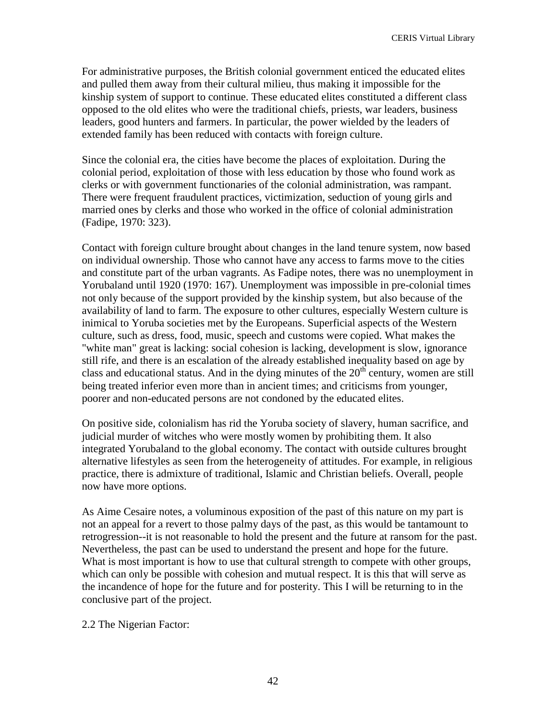For administrative purposes, the British colonial government enticed the educated elites and pulled them away from their cultural milieu, thus making it impossible for the kinship system of support to continue. These educated elites constituted a different class opposed to the old elites who were the traditional chiefs, priests, war leaders, business leaders, good hunters and farmers. In particular, the power wielded by the leaders of extended family has been reduced with contacts with foreign culture.

Since the colonial era, the cities have become the places of exploitation. During the colonial period, exploitation of those with less education by those who found work as clerks or with government functionaries of the colonial administration, was rampant. There were frequent fraudulent practices, victimization, seduction of young girls and married ones by clerks and those who worked in the office of colonial administration (Fadipe, 1970: 323).

Contact with foreign culture brought about changes in the land tenure system, now based on individual ownership. Those who cannot have any access to farms move to the cities and constitute part of the urban vagrants. As Fadipe notes, there was no unemployment in Yorubaland until 1920 (1970: 167). Unemployment was impossible in pre-colonial times not only because of the support provided by the kinship system, but also because of the availability of land to farm. The exposure to other cultures, especially Western culture is inimical to Yoruba societies met by the Europeans. Superficial aspects of the Western culture, such as dress, food, music, speech and customs were copied. What makes the "white man" great is lacking: social cohesion is lacking, development is slow, ignorance still rife, and there is an escalation of the already established inequality based on age by class and educational status. And in the dying minutes of the  $20<sup>th</sup>$  century, women are still being treated inferior even more than in ancient times; and criticisms from younger, poorer and non-educated persons are not condoned by the educated elites.

On positive side, colonialism has rid the Yoruba society of slavery, human sacrifice, and judicial murder of witches who were mostly women by prohibiting them. It also integrated Yorubaland to the global economy. The contact with outside cultures brought alternative lifestyles as seen from the heterogeneity of attitudes. For example, in religious practice, there is admixture of traditional, Islamic and Christian beliefs. Overall, people now have more options.

As Aime Cesaire notes, a voluminous exposition of the past of this nature on my part is not an appeal for a revert to those palmy days of the past, as this would be tantamount to retrogression--it is not reasonable to hold the present and the future at ransom for the past. Nevertheless, the past can be used to understand the present and hope for the future. What is most important is how to use that cultural strength to compete with other groups, which can only be possible with cohesion and mutual respect. It is this that will serve as the incandence of hope for the future and for posterity. This I will be returning to in the conclusive part of the project.

2.2 The Nigerian Factor: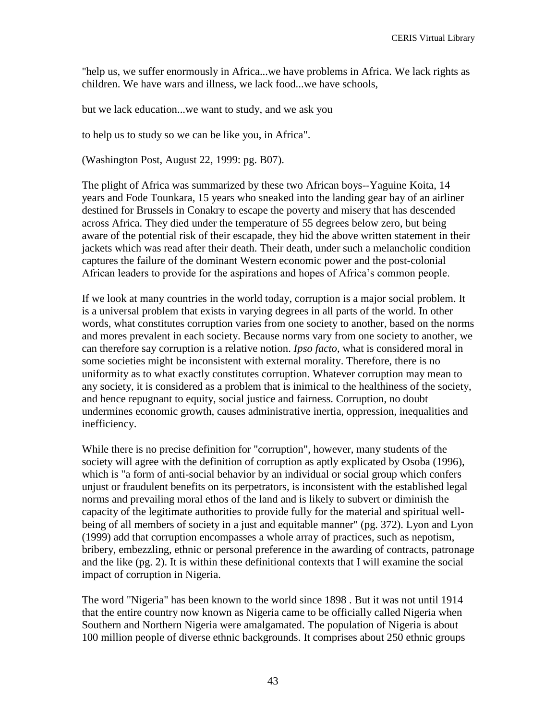"help us, we suffer enormously in Africa...we have problems in Africa. We lack rights as children. We have wars and illness, we lack food...we have schools,

but we lack education...we want to study, and we ask you

to help us to study so we can be like you, in Africa".

(Washington Post, August 22, 1999: pg. B07).

The plight of Africa was summarized by these two African boys--Yaguine Koita, 14 years and Fode Tounkara, 15 years who sneaked into the landing gear bay of an airliner destined for Brussels in Conakry to escape the poverty and misery that has descended across Africa. They died under the temperature of 55 degrees below zero, but being aware of the potential risk of their escapade, they hid the above written statement in their jackets which was read after their death. Their death, under such a melancholic condition captures the failure of the dominant Western economic power and the post-colonial African leaders to provide for the aspirations and hopes of Africa's common people.

If we look at many countries in the world today, corruption is a major social problem. It is a universal problem that exists in varying degrees in all parts of the world. In other words, what constitutes corruption varies from one society to another, based on the norms and mores prevalent in each society. Because norms vary from one society to another, we can therefore say corruption is a relative notion. *Ipso facto*, what is considered moral in some societies might be inconsistent with external morality. Therefore, there is no uniformity as to what exactly constitutes corruption. Whatever corruption may mean to any society, it is considered as a problem that is inimical to the healthiness of the society, and hence repugnant to equity, social justice and fairness. Corruption, no doubt undermines economic growth, causes administrative inertia, oppression, inequalities and inefficiency.

While there is no precise definition for "corruption", however, many students of the society will agree with the definition of corruption as aptly explicated by Osoba (1996), which is "a form of anti-social behavior by an individual or social group which confers unjust or fraudulent benefits on its perpetrators, is inconsistent with the established legal norms and prevailing moral ethos of the land and is likely to subvert or diminish the capacity of the legitimate authorities to provide fully for the material and spiritual wellbeing of all members of society in a just and equitable manner" (pg. 372). Lyon and Lyon (1999) add that corruption encompasses a whole array of practices, such as nepotism, bribery, embezzling, ethnic or personal preference in the awarding of contracts, patronage and the like (pg. 2). It is within these definitional contexts that I will examine the social impact of corruption in Nigeria.

The word "Nigeria" has been known to the world since 1898 . But it was not until 1914 that the entire country now known as Nigeria came to be officially called Nigeria when Southern and Northern Nigeria were amalgamated. The population of Nigeria is about 100 million people of diverse ethnic backgrounds. It comprises about 250 ethnic groups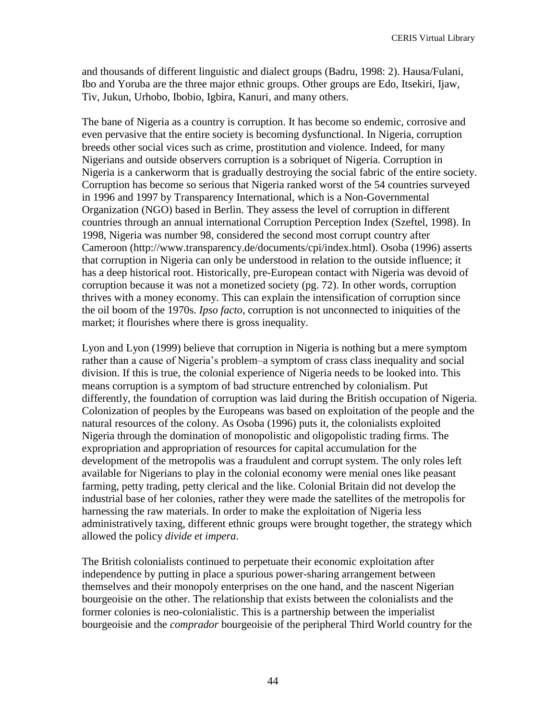and thousands of different linguistic and dialect groups (Badru, 1998: 2). Hausa/Fulani, Ibo and Yoruba are the three major ethnic groups. Other groups are Edo, Itsekiri, Ijaw, Tiv, Jukun, Urhobo, Ibobio, Igbira, Kanuri, and many others.

The bane of Nigeria as a country is corruption. It has become so endemic, corrosive and even pervasive that the entire society is becoming dysfunctional. In Nigeria, corruption breeds other social vices such as crime, prostitution and violence. Indeed, for many Nigerians and outside observers corruption is a sobriquet of Nigeria. Corruption in Nigeria is a cankerworm that is gradually destroying the social fabric of the entire society. Corruption has become so serious that Nigeria ranked worst of the 54 countries surveyed in 1996 and 1997 by Transparency International, which is a Non-Governmental Organization (NGO) based in Berlin. They assess the level of corruption in different countries through an annual international Corruption Perception Index (Szeftel, 1998). In 1998, Nigeria was number 98, considered the second most corrupt country after Cameroon (http://www.transparency.de/documents/cpi/index.html). Osoba (1996) asserts that corruption in Nigeria can only be understood in relation to the outside influence; it has a deep historical root. Historically, pre-European contact with Nigeria was devoid of corruption because it was not a monetized society (pg. 72). In other words, corruption thrives with a money economy. This can explain the intensification of corruption since the oil boom of the 1970s. *Ipso facto*, corruption is not unconnected to iniquities of the market; it flourishes where there is gross inequality.

Lyon and Lyon (1999) believe that corruption in Nigeria is nothing but a mere symptom rather than a cause of Nigeria's problem–a symptom of crass class inequality and social division. If this is true, the colonial experience of Nigeria needs to be looked into. This means corruption is a symptom of bad structure entrenched by colonialism. Put differently, the foundation of corruption was laid during the British occupation of Nigeria. Colonization of peoples by the Europeans was based on exploitation of the people and the natural resources of the colony. As Osoba (1996) puts it, the colonialists exploited Nigeria through the domination of monopolistic and oligopolistic trading firms. The expropriation and appropriation of resources for capital accumulation for the development of the metropolis was a fraudulent and corrupt system. The only roles left available for Nigerians to play in the colonial economy were menial ones like peasant farming, petty trading, petty clerical and the like. Colonial Britain did not develop the industrial base of her colonies, rather they were made the satellites of the metropolis for harnessing the raw materials. In order to make the exploitation of Nigeria less administratively taxing, different ethnic groups were brought together, the strategy which allowed the policy *divide et impera*.

The British colonialists continued to perpetuate their economic exploitation after independence by putting in place a spurious power-sharing arrangement between themselves and their monopoly enterprises on the one hand, and the nascent Nigerian bourgeoisie on the other. The relationship that exists between the colonialists and the former colonies is neo-colonialistic. This is a partnership between the imperialist bourgeoisie and the *comprador* bourgeoisie of the peripheral Third World country for the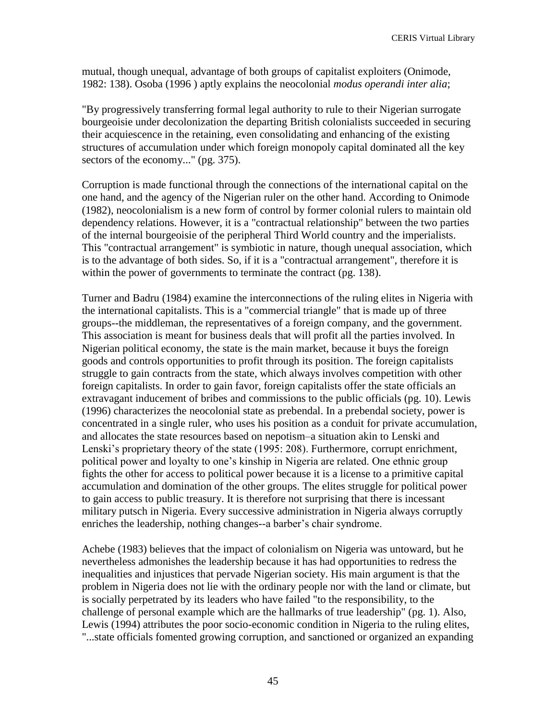mutual, though unequal, advantage of both groups of capitalist exploiters (Onimode, 1982: 138). Osoba (1996 ) aptly explains the neocolonial *modus operandi inter alia*;

"By progressively transferring formal legal authority to rule to their Nigerian surrogate bourgeoisie under decolonization the departing British colonialists succeeded in securing their acquiescence in the retaining, even consolidating and enhancing of the existing structures of accumulation under which foreign monopoly capital dominated all the key sectors of the economy..." (pg. 375).

Corruption is made functional through the connections of the international capital on the one hand, and the agency of the Nigerian ruler on the other hand. According to Onimode (1982), neocolonialism is a new form of control by former colonial rulers to maintain old dependency relations. However, it is a "contractual relationship" between the two parties of the internal bourgeoisie of the peripheral Third World country and the imperialists. This "contractual arrangement" is symbiotic in nature, though unequal association, which is to the advantage of both sides. So, if it is a "contractual arrangement", therefore it is within the power of governments to terminate the contract (pg. 138).

Turner and Badru (1984) examine the interconnections of the ruling elites in Nigeria with the international capitalists. This is a "commercial triangle" that is made up of three groups--the middleman, the representatives of a foreign company, and the government. This association is meant for business deals that will profit all the parties involved. In Nigerian political economy, the state is the main market, because it buys the foreign goods and controls opportunities to profit through its position. The foreign capitalists struggle to gain contracts from the state, which always involves competition with other foreign capitalists. In order to gain favor, foreign capitalists offer the state officials an extravagant inducement of bribes and commissions to the public officials (pg. 10). Lewis (1996) characterizes the neocolonial state as prebendal. In a prebendal society, power is concentrated in a single ruler, who uses his position as a conduit for private accumulation, and allocates the state resources based on nepotism–a situation akin to Lenski and Lenski's proprietary theory of the state (1995: 208). Furthermore, corrupt enrichment, political power and loyalty to one's kinship in Nigeria are related. One ethnic group fights the other for access to political power because it is a license to a primitive capital accumulation and domination of the other groups. The elites struggle for political power to gain access to public treasury. It is therefore not surprising that there is incessant military putsch in Nigeria. Every successive administration in Nigeria always corruptly enriches the leadership, nothing changes--a barber's chair syndrome.

Achebe (1983) believes that the impact of colonialism on Nigeria was untoward, but he nevertheless admonishes the leadership because it has had opportunities to redress the inequalities and injustices that pervade Nigerian society. His main argument is that the problem in Nigeria does not lie with the ordinary people nor with the land or climate, but is socially perpetrated by its leaders who have failed "to the responsibility, to the challenge of personal example which are the hallmarks of true leadership" (pg. 1). Also, Lewis (1994) attributes the poor socio-economic condition in Nigeria to the ruling elites, "...state officials fomented growing corruption, and sanctioned or organized an expanding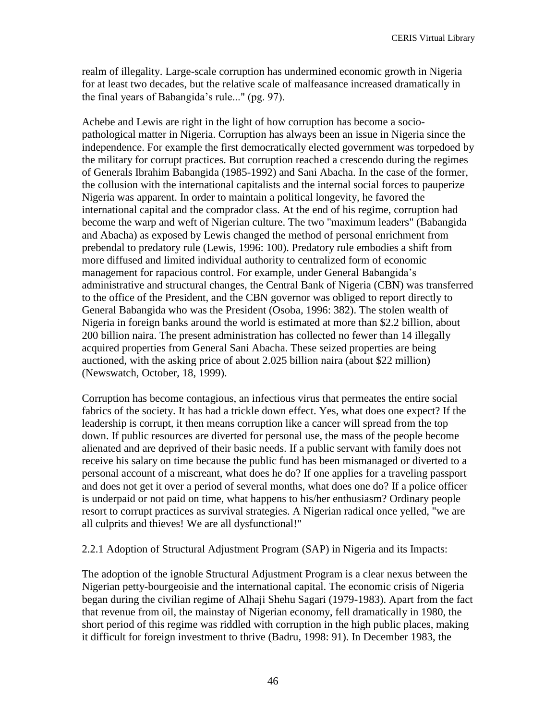realm of illegality. Large-scale corruption has undermined economic growth in Nigeria for at least two decades, but the relative scale of malfeasance increased dramatically in the final years of Babangida's rule..." (pg. 97).

Achebe and Lewis are right in the light of how corruption has become a sociopathological matter in Nigeria. Corruption has always been an issue in Nigeria since the independence. For example the first democratically elected government was torpedoed by the military for corrupt practices. But corruption reached a crescendo during the regimes of Generals Ibrahim Babangida (1985-1992) and Sani Abacha. In the case of the former, the collusion with the international capitalists and the internal social forces to pauperize Nigeria was apparent. In order to maintain a political longevity, he favored the international capital and the comprador class. At the end of his regime, corruption had become the warp and weft of Nigerian culture. The two "maximum leaders" (Babangida and Abacha) as exposed by Lewis changed the method of personal enrichment from prebendal to predatory rule (Lewis, 1996: 100). Predatory rule embodies a shift from more diffused and limited individual authority to centralized form of economic management for rapacious control. For example, under General Babangida's administrative and structural changes, the Central Bank of Nigeria (CBN) was transferred to the office of the President, and the CBN governor was obliged to report directly to General Babangida who was the President (Osoba, 1996: 382). The stolen wealth of Nigeria in foreign banks around the world is estimated at more than \$2.2 billion, about 200 billion naira. The present administration has collected no fewer than 14 illegally acquired properties from General Sani Abacha. These seized properties are being auctioned, with the asking price of about 2.025 billion naira (about \$22 million) (Newswatch, October, 18, 1999).

Corruption has become contagious, an infectious virus that permeates the entire social fabrics of the society. It has had a trickle down effect. Yes, what does one expect? If the leadership is corrupt, it then means corruption like a cancer will spread from the top down. If public resources are diverted for personal use, the mass of the people become alienated and are deprived of their basic needs. If a public servant with family does not receive his salary on time because the public fund has been mismanaged or diverted to a personal account of a miscreant, what does he do? If one applies for a traveling passport and does not get it over a period of several months, what does one do? If a police officer is underpaid or not paid on time, what happens to his/her enthusiasm? Ordinary people resort to corrupt practices as survival strategies. A Nigerian radical once yelled, "we are all culprits and thieves! We are all dysfunctional!"

### 2.2.1 Adoption of Structural Adjustment Program (SAP) in Nigeria and its Impacts:

The adoption of the ignoble Structural Adjustment Program is a clear nexus between the Nigerian petty-bourgeoisie and the international capital. The economic crisis of Nigeria began during the civilian regime of Alhaji Shehu Sagari (1979-1983). Apart from the fact that revenue from oil, the mainstay of Nigerian economy, fell dramatically in 1980, the short period of this regime was riddled with corruption in the high public places, making it difficult for foreign investment to thrive (Badru, 1998: 91). In December 1983, the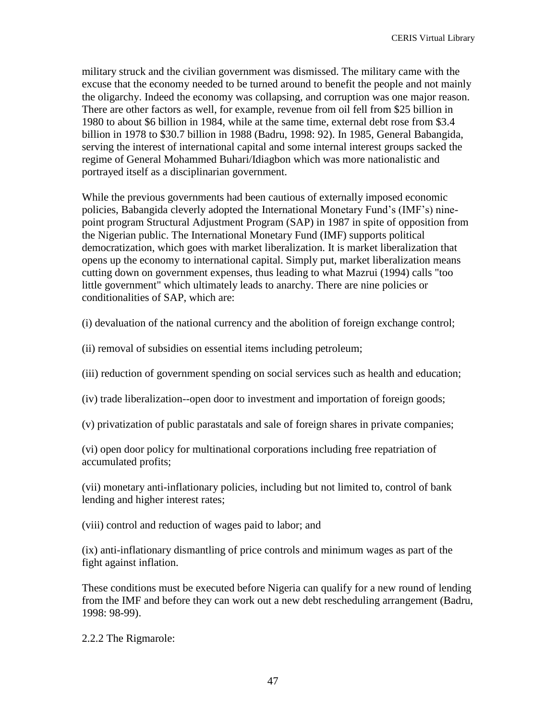military struck and the civilian government was dismissed. The military came with the excuse that the economy needed to be turned around to benefit the people and not mainly the oligarchy. Indeed the economy was collapsing, and corruption was one major reason. There are other factors as well, for example, revenue from oil fell from \$25 billion in 1980 to about \$6 billion in 1984, while at the same time, external debt rose from \$3.4 billion in 1978 to \$30.7 billion in 1988 (Badru, 1998: 92). In 1985, General Babangida, serving the interest of international capital and some internal interest groups sacked the regime of General Mohammed Buhari/Idiagbon which was more nationalistic and portrayed itself as a disciplinarian government.

While the previous governments had been cautious of externally imposed economic policies, Babangida cleverly adopted the International Monetary Fund's (IMF's) ninepoint program Structural Adjustment Program (SAP) in 1987 in spite of opposition from the Nigerian public. The International Monetary Fund (IMF) supports political democratization, which goes with market liberalization. It is market liberalization that opens up the economy to international capital. Simply put, market liberalization means cutting down on government expenses, thus leading to what Mazrui (1994) calls "too little government" which ultimately leads to anarchy. There are nine policies or conditionalities of SAP, which are:

(i) devaluation of the national currency and the abolition of foreign exchange control;

- (ii) removal of subsidies on essential items including petroleum;
- (iii) reduction of government spending on social services such as health and education;
- (iv) trade liberalization--open door to investment and importation of foreign goods;
- (v) privatization of public parastatals and sale of foreign shares in private companies;

(vi) open door policy for multinational corporations including free repatriation of accumulated profits;

(vii) monetary anti-inflationary policies, including but not limited to, control of bank lending and higher interest rates;

(viii) control and reduction of wages paid to labor; and

(ix) anti-inflationary dismantling of price controls and minimum wages as part of the fight against inflation.

These conditions must be executed before Nigeria can qualify for a new round of lending from the IMF and before they can work out a new debt rescheduling arrangement (Badru, 1998: 98-99).

2.2.2 The Rigmarole: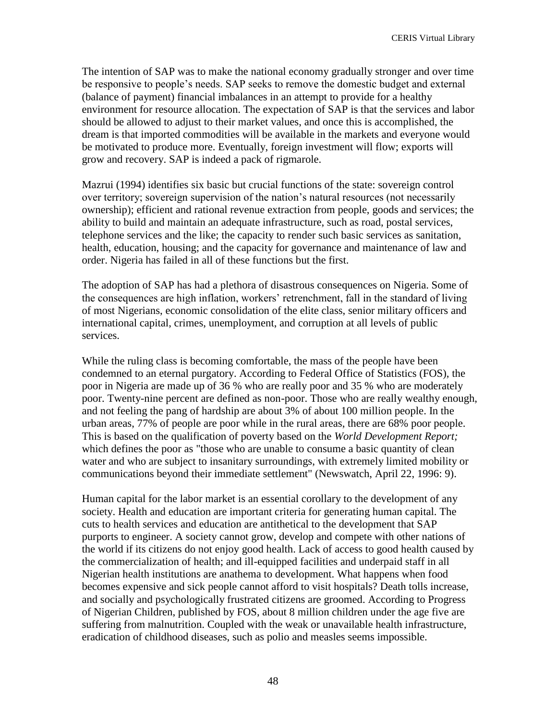The intention of SAP was to make the national economy gradually stronger and over time be responsive to people's needs. SAP seeks to remove the domestic budget and external (balance of payment) financial imbalances in an attempt to provide for a healthy environment for resource allocation. The expectation of SAP is that the services and labor should be allowed to adjust to their market values, and once this is accomplished, the dream is that imported commodities will be available in the markets and everyone would be motivated to produce more. Eventually, foreign investment will flow; exports will grow and recovery. SAP is indeed a pack of rigmarole.

Mazrui (1994) identifies six basic but crucial functions of the state: sovereign control over territory; sovereign supervision of the nation's natural resources (not necessarily ownership); efficient and rational revenue extraction from people, goods and services; the ability to build and maintain an adequate infrastructure, such as road, postal services, telephone services and the like; the capacity to render such basic services as sanitation, health, education, housing; and the capacity for governance and maintenance of law and order. Nigeria has failed in all of these functions but the first.

The adoption of SAP has had a plethora of disastrous consequences on Nigeria. Some of the consequences are high inflation, workers' retrenchment, fall in the standard of living of most Nigerians, economic consolidation of the elite class, senior military officers and international capital, crimes, unemployment, and corruption at all levels of public services.

While the ruling class is becoming comfortable, the mass of the people have been condemned to an eternal purgatory. According to Federal Office of Statistics (FOS), the poor in Nigeria are made up of 36 % who are really poor and 35 % who are moderately poor. Twenty-nine percent are defined as non-poor. Those who are really wealthy enough, and not feeling the pang of hardship are about 3% of about 100 million people. In the urban areas, 77% of people are poor while in the rural areas, there are 68% poor people. This is based on the qualification of poverty based on the *World Development Report;*  which defines the poor as "those who are unable to consume a basic quantity of clean water and who are subject to insanitary surroundings, with extremely limited mobility or communications beyond their immediate settlement" (Newswatch, April 22, 1996: 9).

Human capital for the labor market is an essential corollary to the development of any society. Health and education are important criteria for generating human capital. The cuts to health services and education are antithetical to the development that SAP purports to engineer. A society cannot grow, develop and compete with other nations of the world if its citizens do not enjoy good health. Lack of access to good health caused by the commercialization of health; and ill-equipped facilities and underpaid staff in all Nigerian health institutions are anathema to development. What happens when food becomes expensive and sick people cannot afford to visit hospitals? Death tolls increase, and socially and psychologically frustrated citizens are groomed. According to Progress of Nigerian Children, published by FOS, about 8 million children under the age five are suffering from malnutrition. Coupled with the weak or unavailable health infrastructure, eradication of childhood diseases, such as polio and measles seems impossible.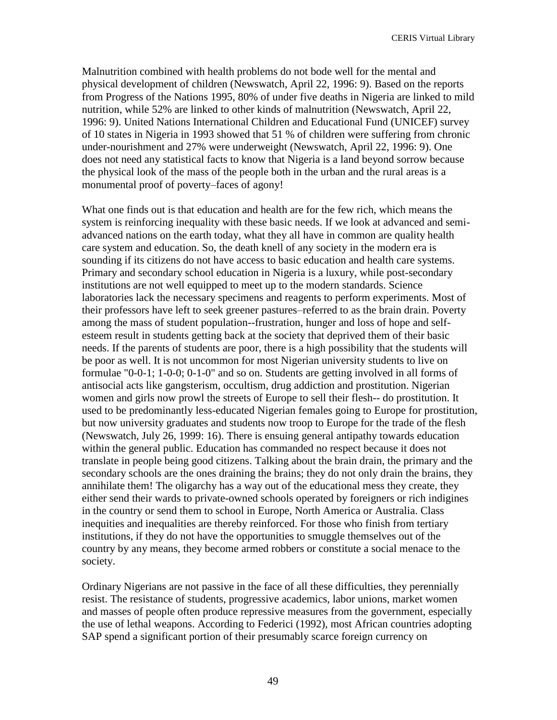Malnutrition combined with health problems do not bode well for the mental and physical development of children (Newswatch, April 22, 1996: 9). Based on the reports from Progress of the Nations 1995, 80% of under five deaths in Nigeria are linked to mild nutrition, while 52% are linked to other kinds of malnutrition (Newswatch, April 22, 1996: 9). United Nations International Children and Educational Fund (UNICEF) survey of 10 states in Nigeria in 1993 showed that 51 % of children were suffering from chronic under-nourishment and 27% were underweight (Newswatch, April 22, 1996: 9). One does not need any statistical facts to know that Nigeria is a land beyond sorrow because the physical look of the mass of the people both in the urban and the rural areas is a monumental proof of poverty–faces of agony!

What one finds out is that education and health are for the few rich, which means the system is reinforcing inequality with these basic needs. If we look at advanced and semiadvanced nations on the earth today, what they all have in common are quality health care system and education. So, the death knell of any society in the modern era is sounding if its citizens do not have access to basic education and health care systems. Primary and secondary school education in Nigeria is a luxury, while post-secondary institutions are not well equipped to meet up to the modern standards. Science laboratories lack the necessary specimens and reagents to perform experiments. Most of their professors have left to seek greener pastures–referred to as the brain drain. Poverty among the mass of student population--frustration, hunger and loss of hope and selfesteem result in students getting back at the society that deprived them of their basic needs. If the parents of students are poor, there is a high possibility that the students will be poor as well. It is not uncommon for most Nigerian university students to live on formulae "0-0-1; 1-0-0; 0-1-0" and so on. Students are getting involved in all forms of antisocial acts like gangsterism, occultism, drug addiction and prostitution. Nigerian women and girls now prowl the streets of Europe to sell their flesh-- do prostitution. It used to be predominantly less-educated Nigerian females going to Europe for prostitution, but now university graduates and students now troop to Europe for the trade of the flesh (Newswatch, July 26, 1999: 16). There is ensuing general antipathy towards education within the general public. Education has commanded no respect because it does not translate in people being good citizens. Talking about the brain drain, the primary and the secondary schools are the ones draining the brains; they do not only drain the brains, they annihilate them! The oligarchy has a way out of the educational mess they create, they either send their wards to private-owned schools operated by foreigners or rich indigines in the country or send them to school in Europe, North America or Australia. Class inequities and inequalities are thereby reinforced. For those who finish from tertiary institutions, if they do not have the opportunities to smuggle themselves out of the country by any means, they become armed robbers or constitute a social menace to the society.

Ordinary Nigerians are not passive in the face of all these difficulties, they perennially resist. The resistance of students, progressive academics, labor unions, market women and masses of people often produce repressive measures from the government, especially the use of lethal weapons. According to Federici (1992), most African countries adopting SAP spend a significant portion of their presumably scarce foreign currency on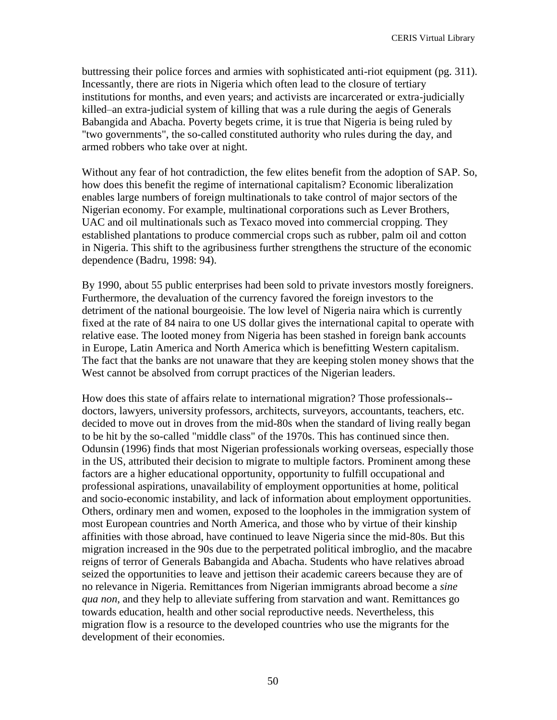buttressing their police forces and armies with sophisticated anti-riot equipment (pg. 311). Incessantly, there are riots in Nigeria which often lead to the closure of tertiary institutions for months, and even years; and activists are incarcerated or extra-judicially killed–an extra-judicial system of killing that was a rule during the aegis of Generals Babangida and Abacha. Poverty begets crime, it is true that Nigeria is being ruled by "two governments", the so-called constituted authority who rules during the day, and armed robbers who take over at night.

Without any fear of hot contradiction, the few elites benefit from the adoption of SAP. So, how does this benefit the regime of international capitalism? Economic liberalization enables large numbers of foreign multinationals to take control of major sectors of the Nigerian economy. For example, multinational corporations such as Lever Brothers, UAC and oil multinationals such as Texaco moved into commercial cropping. They established plantations to produce commercial crops such as rubber, palm oil and cotton in Nigeria. This shift to the agribusiness further strengthens the structure of the economic dependence (Badru, 1998: 94).

By 1990, about 55 public enterprises had been sold to private investors mostly foreigners. Furthermore, the devaluation of the currency favored the foreign investors to the detriment of the national bourgeoisie. The low level of Nigeria naira which is currently fixed at the rate of 84 naira to one US dollar gives the international capital to operate with relative ease. The looted money from Nigeria has been stashed in foreign bank accounts in Europe, Latin America and North America which is benefitting Western capitalism. The fact that the banks are not unaware that they are keeping stolen money shows that the West cannot be absolved from corrupt practices of the Nigerian leaders.

How does this state of affairs relate to international migration? Those professionals- doctors, lawyers, university professors, architects, surveyors, accountants, teachers, etc. decided to move out in droves from the mid-80s when the standard of living really began to be hit by the so-called "middle class" of the 1970s. This has continued since then. Odunsin (1996) finds that most Nigerian professionals working overseas, especially those in the US, attributed their decision to migrate to multiple factors. Prominent among these factors are a higher educational opportunity, opportunity to fulfill occupational and professional aspirations, unavailability of employment opportunities at home, political and socio-economic instability, and lack of information about employment opportunities. Others, ordinary men and women, exposed to the loopholes in the immigration system of most European countries and North America, and those who by virtue of their kinship affinities with those abroad, have continued to leave Nigeria since the mid-80s. But this migration increased in the 90s due to the perpetrated political imbroglio, and the macabre reigns of terror of Generals Babangida and Abacha. Students who have relatives abroad seized the opportunities to leave and jettison their academic careers because they are of no relevance in Nigeria. Remittances from Nigerian immigrants abroad become a *sine qua non*, and they help to alleviate suffering from starvation and want. Remittances go towards education, health and other social reproductive needs. Nevertheless, this migration flow is a resource to the developed countries who use the migrants for the development of their economies.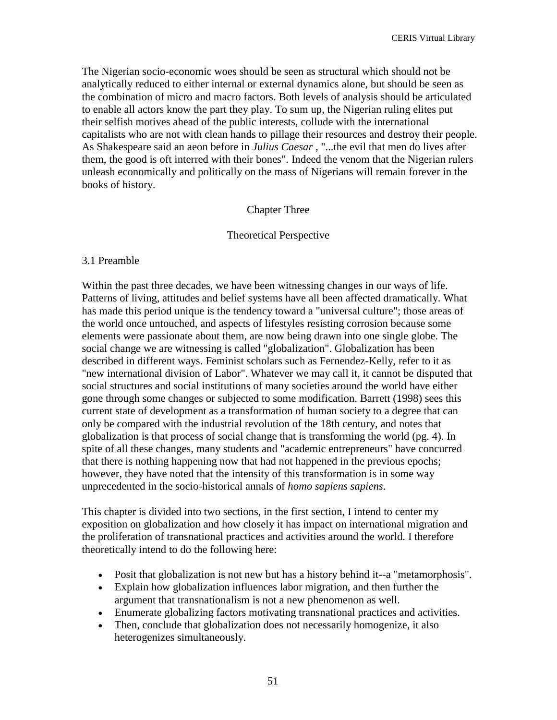The Nigerian socio-economic woes should be seen as structural which should not be analytically reduced to either internal or external dynamics alone, but should be seen as the combination of micro and macro factors. Both levels of analysis should be articulated to enable all actors know the part they play. To sum up, the Nigerian ruling elites put their selfish motives ahead of the public interests, collude with the international capitalists who are not with clean hands to pillage their resources and destroy their people. As Shakespeare said an aeon before in *Julius Caesar* , "...the evil that men do lives after them, the good is oft interred with their bones". Indeed the venom that the Nigerian rulers unleash economically and politically on the mass of Nigerians will remain forever in the books of history.

### Chapter Three

# Theoretical Perspective

#### 3.1 Preamble

Within the past three decades, we have been witnessing changes in our ways of life. Patterns of living, attitudes and belief systems have all been affected dramatically. What has made this period unique is the tendency toward a "universal culture"; those areas of the world once untouched, and aspects of lifestyles resisting corrosion because some elements were passionate about them, are now being drawn into one single globe. The social change we are witnessing is called "globalization". Globalization has been described in different ways. Feminist scholars such as Fernendez-Kelly, refer to it as "new international division of Labor". Whatever we may call it, it cannot be disputed that social structures and social institutions of many societies around the world have either gone through some changes or subjected to some modification. Barrett (1998) sees this current state of development as a transformation of human society to a degree that can only be compared with the industrial revolution of the 18th century, and notes that globalization is that process of social change that is transforming the world (pg. 4). In spite of all these changes, many students and "academic entrepreneurs" have concurred that there is nothing happening now that had not happened in the previous epochs; however, they have noted that the intensity of this transformation is in some way unprecedented in the socio-historical annals of *homo sapiens sapiens*.

This chapter is divided into two sections, in the first section, I intend to center my exposition on globalization and how closely it has impact on international migration and the proliferation of transnational practices and activities around the world. I therefore theoretically intend to do the following here:

- Posit that globalization is not new but has a history behind it--a "metamorphosis".
- Explain how globalization influences labor migration, and then further the argument that transnationalism is not a new phenomenon as well.
- Enumerate globalizing factors motivating transnational practices and activities.
- Then, conclude that globalization does not necessarily homogenize, it also heterogenizes simultaneously.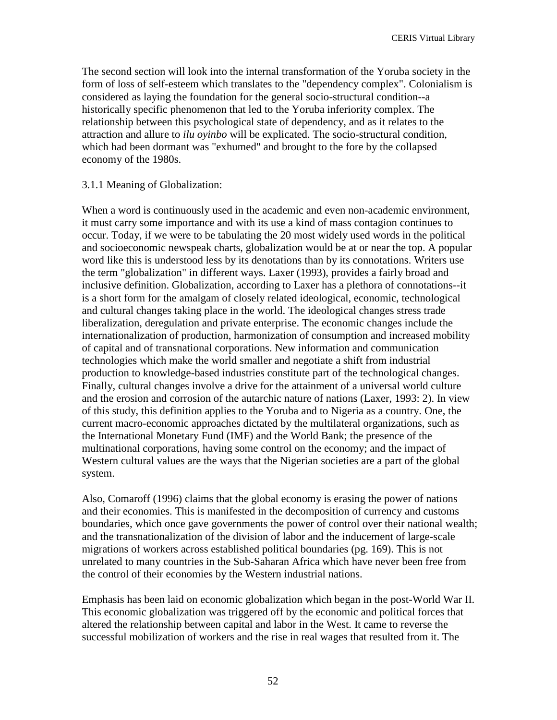The second section will look into the internal transformation of the Yoruba society in the form of loss of self-esteem which translates to the "dependency complex". Colonialism is considered as laying the foundation for the general socio-structural condition--a historically specific phenomenon that led to the Yoruba inferiority complex. The relationship between this psychological state of dependency, and as it relates to the attraction and allure to *ilu oyinbo* will be explicated. The socio-structural condition, which had been dormant was "exhumed" and brought to the fore by the collapsed economy of the 1980s.

### 3.1.1 Meaning of Globalization:

When a word is continuously used in the academic and even non-academic environment, it must carry some importance and with its use a kind of mass contagion continues to occur. Today, if we were to be tabulating the 20 most widely used words in the political and socioeconomic newspeak charts, globalization would be at or near the top. A popular word like this is understood less by its denotations than by its connotations. Writers use the term "globalization" in different ways. Laxer (1993), provides a fairly broad and inclusive definition. Globalization, according to Laxer has a plethora of connotations--it is a short form for the amalgam of closely related ideological, economic, technological and cultural changes taking place in the world. The ideological changes stress trade liberalization, deregulation and private enterprise. The economic changes include the internationalization of production, harmonization of consumption and increased mobility of capital and of transnational corporations. New information and communication technologies which make the world smaller and negotiate a shift from industrial production to knowledge-based industries constitute part of the technological changes. Finally, cultural changes involve a drive for the attainment of a universal world culture and the erosion and corrosion of the autarchic nature of nations (Laxer, 1993: 2). In view of this study, this definition applies to the Yoruba and to Nigeria as a country. One, the current macro-economic approaches dictated by the multilateral organizations, such as the International Monetary Fund (IMF) and the World Bank; the presence of the multinational corporations, having some control on the economy; and the impact of Western cultural values are the ways that the Nigerian societies are a part of the global system.

Also, Comaroff (1996) claims that the global economy is erasing the power of nations and their economies. This is manifested in the decomposition of currency and customs boundaries, which once gave governments the power of control over their national wealth; and the transnationalization of the division of labor and the inducement of large-scale migrations of workers across established political boundaries (pg. 169). This is not unrelated to many countries in the Sub-Saharan Africa which have never been free from the control of their economies by the Western industrial nations.

Emphasis has been laid on economic globalization which began in the post-World War II. This economic globalization was triggered off by the economic and political forces that altered the relationship between capital and labor in the West. It came to reverse the successful mobilization of workers and the rise in real wages that resulted from it. The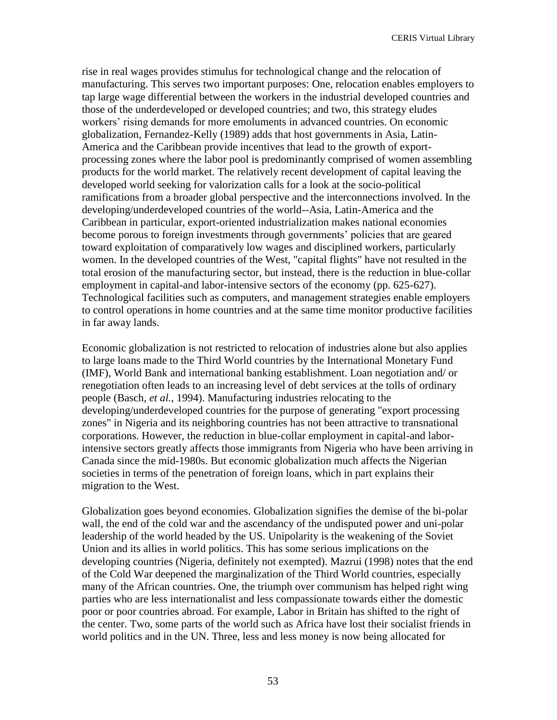rise in real wages provides stimulus for technological change and the relocation of manufacturing. This serves two important purposes: One, relocation enables employers to tap large wage differential between the workers in the industrial developed countries and those of the underdeveloped or developed countries; and two, this strategy eludes workers' rising demands for more emoluments in advanced countries. On economic globalization, Fernandez-Kelly (1989) adds that host governments in Asia, Latin-America and the Caribbean provide incentives that lead to the growth of exportprocessing zones where the labor pool is predominantly comprised of women assembling products for the world market. The relatively recent development of capital leaving the developed world seeking for valorization calls for a look at the socio-political ramifications from a broader global perspective and the interconnections involved. In the developing/underdeveloped countries of the world--Asia, Latin-America and the Caribbean in particular, export-oriented industrialization makes national economies become porous to foreign investments through governments' policies that are geared toward exploitation of comparatively low wages and disciplined workers, particularly women. In the developed countries of the West, "capital flights" have not resulted in the total erosion of the manufacturing sector, but instead, there is the reduction in blue-collar employment in capital-and labor-intensive sectors of the economy (pp. 625-627). Technological facilities such as computers, and management strategies enable employers to control operations in home countries and at the same time monitor productive facilities in far away lands.

Economic globalization is not restricted to relocation of industries alone but also applies to large loans made to the Third World countries by the International Monetary Fund (IMF), World Bank and international banking establishment. Loan negotiation and/ or renegotiation often leads to an increasing level of debt services at the tolls of ordinary people (Basch, *et al.*, 1994). Manufacturing industries relocating to the developing/underdeveloped countries for the purpose of generating "export processing zones" in Nigeria and its neighboring countries has not been attractive to transnational corporations. However, the reduction in blue-collar employment in capital-and laborintensive sectors greatly affects those immigrants from Nigeria who have been arriving in Canada since the mid-1980s. But economic globalization much affects the Nigerian societies in terms of the penetration of foreign loans, which in part explains their migration to the West.

Globalization goes beyond economies. Globalization signifies the demise of the bi-polar wall, the end of the cold war and the ascendancy of the undisputed power and uni-polar leadership of the world headed by the US. Unipolarity is the weakening of the Soviet Union and its allies in world politics. This has some serious implications on the developing countries (Nigeria, definitely not exempted). Mazrui (1998) notes that the end of the Cold War deepened the marginalization of the Third World countries, especially many of the African countries. One, the triumph over communism has helped right wing parties who are less internationalist and less compassionate towards either the domestic poor or poor countries abroad. For example, Labor in Britain has shifted to the right of the center. Two, some parts of the world such as Africa have lost their socialist friends in world politics and in the UN. Three, less and less money is now being allocated for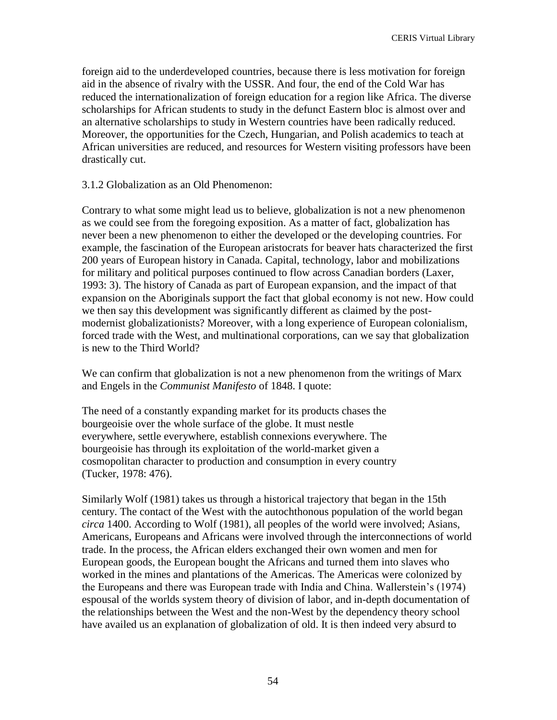foreign aid to the underdeveloped countries, because there is less motivation for foreign aid in the absence of rivalry with the USSR. And four, the end of the Cold War has reduced the internationalization of foreign education for a region like Africa. The diverse scholarships for African students to study in the defunct Eastern bloc is almost over and an alternative scholarships to study in Western countries have been radically reduced. Moreover, the opportunities for the Czech, Hungarian, and Polish academics to teach at African universities are reduced, and resources for Western visiting professors have been drastically cut.

3.1.2 Globalization as an Old Phenomenon:

Contrary to what some might lead us to believe, globalization is not a new phenomenon as we could see from the foregoing exposition. As a matter of fact, globalization has never been a new phenomenon to either the developed or the developing countries. For example, the fascination of the European aristocrats for beaver hats characterized the first 200 years of European history in Canada. Capital, technology, labor and mobilizations for military and political purposes continued to flow across Canadian borders (Laxer, 1993: 3). The history of Canada as part of European expansion, and the impact of that expansion on the Aboriginals support the fact that global economy is not new. How could we then say this development was significantly different as claimed by the postmodernist globalizationists? Moreover, with a long experience of European colonialism, forced trade with the West, and multinational corporations, can we say that globalization is new to the Third World?

We can confirm that globalization is not a new phenomenon from the writings of Marx and Engels in the *Communist Manifesto* of 1848. I quote:

The need of a constantly expanding market for its products chases the bourgeoisie over the whole surface of the globe. It must nestle everywhere, settle everywhere, establish connexions everywhere. The bourgeoisie has through its exploitation of the world-market given a cosmopolitan character to production and consumption in every country (Tucker, 1978: 476).

Similarly Wolf (1981) takes us through a historical trajectory that began in the 15th century. The contact of the West with the autochthonous population of the world began *circa* 1400. According to Wolf (1981), all peoples of the world were involved; Asians, Americans, Europeans and Africans were involved through the interconnections of world trade. In the process, the African elders exchanged their own women and men for European goods, the European bought the Africans and turned them into slaves who worked in the mines and plantations of the Americas. The Americas were colonized by the Europeans and there was European trade with India and China. Wallerstein's (1974) espousal of the worlds system theory of division of labor, and in-depth documentation of the relationships between the West and the non-West by the dependency theory school have availed us an explanation of globalization of old. It is then indeed very absurd to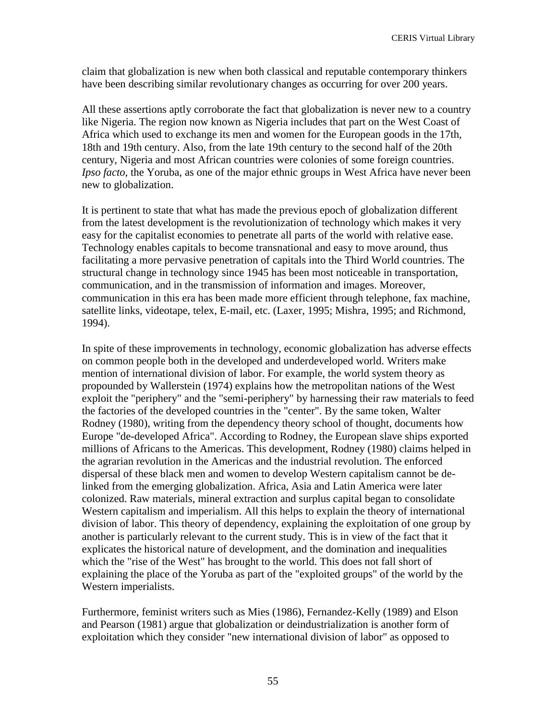claim that globalization is new when both classical and reputable contemporary thinkers have been describing similar revolutionary changes as occurring for over 200 years.

All these assertions aptly corroborate the fact that globalization is never new to a country like Nigeria. The region now known as Nigeria includes that part on the West Coast of Africa which used to exchange its men and women for the European goods in the 17th, 18th and 19th century. Also, from the late 19th century to the second half of the 20th century, Nigeria and most African countries were colonies of some foreign countries. *Ipso facto*, the Yoruba, as one of the major ethnic groups in West Africa have never been new to globalization.

It is pertinent to state that what has made the previous epoch of globalization different from the latest development is the revolutionization of technology which makes it very easy for the capitalist economies to penetrate all parts of the world with relative ease. Technology enables capitals to become transnational and easy to move around, thus facilitating a more pervasive penetration of capitals into the Third World countries. The structural change in technology since 1945 has been most noticeable in transportation, communication, and in the transmission of information and images. Moreover, communication in this era has been made more efficient through telephone, fax machine, satellite links, videotape, telex, E-mail, etc. (Laxer, 1995; Mishra, 1995; and Richmond, 1994).

In spite of these improvements in technology, economic globalization has adverse effects on common people both in the developed and underdeveloped world. Writers make mention of international division of labor. For example, the world system theory as propounded by Wallerstein (1974) explains how the metropolitan nations of the West exploit the "periphery" and the "semi-periphery" by harnessing their raw materials to feed the factories of the developed countries in the "center". By the same token, Walter Rodney (1980), writing from the dependency theory school of thought, documents how Europe "de-developed Africa". According to Rodney, the European slave ships exported millions of Africans to the Americas. This development, Rodney (1980) claims helped in the agrarian revolution in the Americas and the industrial revolution. The enforced dispersal of these black men and women to develop Western capitalism cannot be delinked from the emerging globalization. Africa, Asia and Latin America were later colonized. Raw materials, mineral extraction and surplus capital began to consolidate Western capitalism and imperialism. All this helps to explain the theory of international division of labor. This theory of dependency, explaining the exploitation of one group by another is particularly relevant to the current study. This is in view of the fact that it explicates the historical nature of development, and the domination and inequalities which the "rise of the West" has brought to the world. This does not fall short of explaining the place of the Yoruba as part of the "exploited groups" of the world by the Western imperialists.

Furthermore, feminist writers such as Mies (1986), Fernandez-Kelly (1989) and Elson and Pearson (1981) argue that globalization or deindustrialization is another form of exploitation which they consider "new international division of labor" as opposed to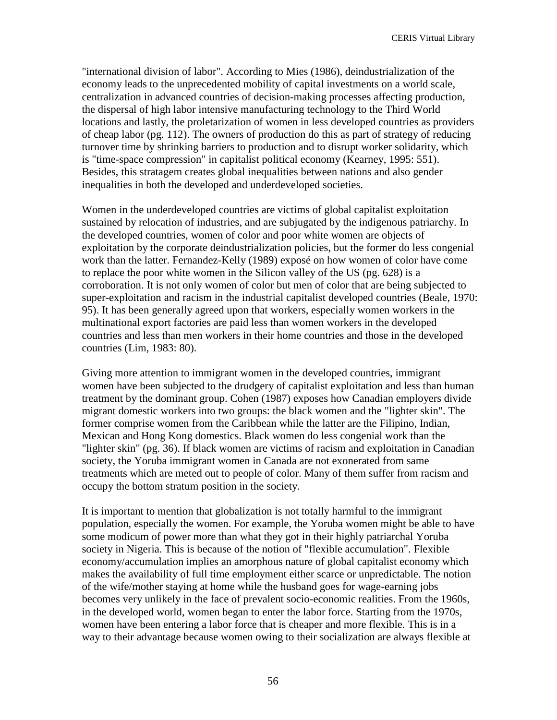"international division of labor". According to Mies (1986), deindustrialization of the economy leads to the unprecedented mobility of capital investments on a world scale, centralization in advanced countries of decision-making processes affecting production, the dispersal of high labor intensive manufacturing technology to the Third World locations and lastly, the proletarization of women in less developed countries as providers of cheap labor (pg. 112). The owners of production do this as part of strategy of reducing turnover time by shrinking barriers to production and to disrupt worker solidarity, which is "time-space compression" in capitalist political economy (Kearney, 1995: 551). Besides, this stratagem creates global inequalities between nations and also gender inequalities in both the developed and underdeveloped societies.

Women in the underdeveloped countries are victims of global capitalist exploitation sustained by relocation of industries, and are subjugated by the indigenous patriarchy. In the developed countries, women of color and poor white women are objects of exploitation by the corporate deindustrialization policies, but the former do less congenial work than the latter. Fernandez-Kelly (1989) exposé on how women of color have come to replace the poor white women in the Silicon valley of the US (pg. 628) is a corroboration. It is not only women of color but men of color that are being subjected to super-exploitation and racism in the industrial capitalist developed countries (Beale, 1970: 95). It has been generally agreed upon that workers, especially women workers in the multinational export factories are paid less than women workers in the developed countries and less than men workers in their home countries and those in the developed countries (Lim, 1983: 80).

Giving more attention to immigrant women in the developed countries, immigrant women have been subjected to the drudgery of capitalist exploitation and less than human treatment by the dominant group. Cohen (1987) exposes how Canadian employers divide migrant domestic workers into two groups: the black women and the "lighter skin". The former comprise women from the Caribbean while the latter are the Filipino, Indian, Mexican and Hong Kong domestics. Black women do less congenial work than the "lighter skin" (pg. 36). If black women are victims of racism and exploitation in Canadian society, the Yoruba immigrant women in Canada are not exonerated from same treatments which are meted out to people of color. Many of them suffer from racism and occupy the bottom stratum position in the society.

It is important to mention that globalization is not totally harmful to the immigrant population, especially the women. For example, the Yoruba women might be able to have some modicum of power more than what they got in their highly patriarchal Yoruba society in Nigeria. This is because of the notion of "flexible accumulation". Flexible economy/accumulation implies an amorphous nature of global capitalist economy which makes the availability of full time employment either scarce or unpredictable. The notion of the wife/mother staying at home while the husband goes for wage-earning jobs becomes very unlikely in the face of prevalent socio-economic realities. From the 1960s, in the developed world, women began to enter the labor force. Starting from the 1970s, women have been entering a labor force that is cheaper and more flexible. This is in a way to their advantage because women owing to their socialization are always flexible at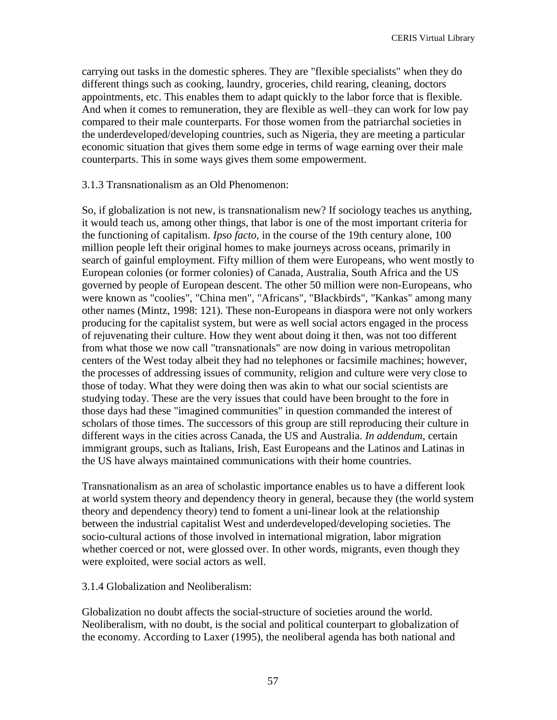carrying out tasks in the domestic spheres. They are "flexible specialists" when they do different things such as cooking, laundry, groceries, child rearing, cleaning, doctors appointments, etc. This enables them to adapt quickly to the labor force that is flexible. And when it comes to remuneration, they are flexible as well–they can work for low pay compared to their male counterparts. For those women from the patriarchal societies in the underdeveloped/developing countries, such as Nigeria, they are meeting a particular economic situation that gives them some edge in terms of wage earning over their male counterparts. This in some ways gives them some empowerment.

#### 3.1.3 Transnationalism as an Old Phenomenon:

So, if globalization is not new, is transnationalism new? If sociology teaches us anything, it would teach us, among other things, that labor is one of the most important criteria for the functioning of capitalism. *Ipso facto*, in the course of the 19th century alone, 100 million people left their original homes to make journeys across oceans, primarily in search of gainful employment. Fifty million of them were Europeans, who went mostly to European colonies (or former colonies) of Canada, Australia, South Africa and the US governed by people of European descent. The other 50 million were non-Europeans, who were known as "coolies", "China men", "Africans", "Blackbirds", "Kankas" among many other names (Mintz, 1998: 121). These non-Europeans in diaspora were not only workers producing for the capitalist system, but were as well social actors engaged in the process of rejuvenating their culture. How they went about doing it then, was not too different from what those we now call "transnationals" are now doing in various metropolitan centers of the West today albeit they had no telephones or facsimile machines; however, the processes of addressing issues of community, religion and culture were very close to those of today. What they were doing then was akin to what our social scientists are studying today. These are the very issues that could have been brought to the fore in those days had these "imagined communities" in question commanded the interest of scholars of those times. The successors of this group are still reproducing their culture in different ways in the cities across Canada, the US and Australia. *In addendum*, certain immigrant groups, such as Italians, Irish, East Europeans and the Latinos and Latinas in the US have always maintained communications with their home countries.

Transnationalism as an area of scholastic importance enables us to have a different look at world system theory and dependency theory in general, because they (the world system theory and dependency theory) tend to foment a uni-linear look at the relationship between the industrial capitalist West and underdeveloped/developing societies. The socio-cultural actions of those involved in international migration, labor migration whether coerced or not, were glossed over. In other words, migrants, even though they were exploited, were social actors as well.

3.1.4 Globalization and Neoliberalism:

Globalization no doubt affects the social-structure of societies around the world. Neoliberalism, with no doubt, is the social and political counterpart to globalization of the economy. According to Laxer (1995), the neoliberal agenda has both national and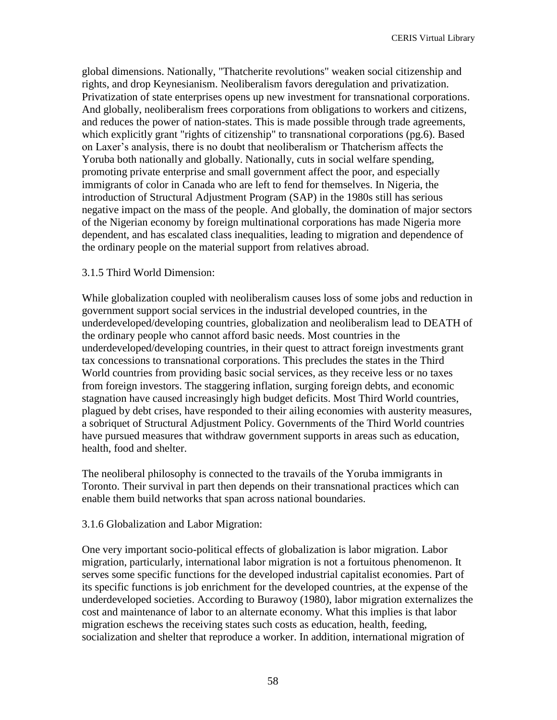global dimensions. Nationally, "Thatcherite revolutions" weaken social citizenship and rights, and drop Keynesianism. Neoliberalism favors deregulation and privatization. Privatization of state enterprises opens up new investment for transnational corporations. And globally, neoliberalism frees corporations from obligations to workers and citizens, and reduces the power of nation-states. This is made possible through trade agreements, which explicitly grant "rights of citizenship" to transnational corporations (pg.6). Based on Laxer's analysis, there is no doubt that neoliberalism or Thatcherism affects the Yoruba both nationally and globally. Nationally, cuts in social welfare spending, promoting private enterprise and small government affect the poor, and especially immigrants of color in Canada who are left to fend for themselves. In Nigeria, the introduction of Structural Adjustment Program (SAP) in the 1980s still has serious negative impact on the mass of the people. And globally, the domination of major sectors of the Nigerian economy by foreign multinational corporations has made Nigeria more dependent, and has escalated class inequalities, leading to migration and dependence of the ordinary people on the material support from relatives abroad.

### 3.1.5 Third World Dimension:

While globalization coupled with neoliberalism causes loss of some jobs and reduction in government support social services in the industrial developed countries, in the underdeveloped/developing countries, globalization and neoliberalism lead to DEATH of the ordinary people who cannot afford basic needs. Most countries in the underdeveloped/developing countries, in their quest to attract foreign investments grant tax concessions to transnational corporations. This precludes the states in the Third World countries from providing basic social services, as they receive less or no taxes from foreign investors. The staggering inflation, surging foreign debts, and economic stagnation have caused increasingly high budget deficits. Most Third World countries, plagued by debt crises, have responded to their ailing economies with austerity measures, a sobriquet of Structural Adjustment Policy. Governments of the Third World countries have pursued measures that withdraw government supports in areas such as education, health, food and shelter.

The neoliberal philosophy is connected to the travails of the Yoruba immigrants in Toronto. Their survival in part then depends on their transnational practices which can enable them build networks that span across national boundaries.

### 3.1.6 Globalization and Labor Migration:

One very important socio-political effects of globalization is labor migration. Labor migration, particularly, international labor migration is not a fortuitous phenomenon. It serves some specific functions for the developed industrial capitalist economies. Part of its specific functions is job enrichment for the developed countries, at the expense of the underdeveloped societies. According to Burawoy (1980), labor migration externalizes the cost and maintenance of labor to an alternate economy. What this implies is that labor migration eschews the receiving states such costs as education, health, feeding, socialization and shelter that reproduce a worker. In addition, international migration of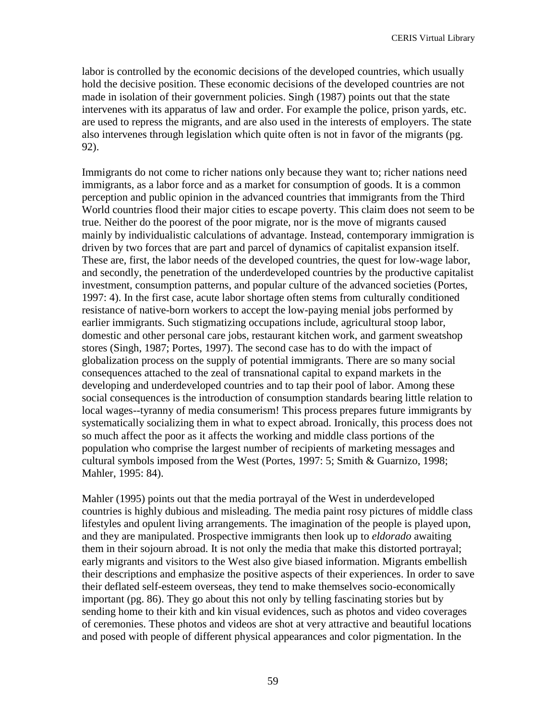labor is controlled by the economic decisions of the developed countries, which usually hold the decisive position. These economic decisions of the developed countries are not made in isolation of their government policies. Singh (1987) points out that the state intervenes with its apparatus of law and order. For example the police, prison yards, etc. are used to repress the migrants, and are also used in the interests of employers. The state also intervenes through legislation which quite often is not in favor of the migrants (pg. 92).

Immigrants do not come to richer nations only because they want to; richer nations need immigrants, as a labor force and as a market for consumption of goods. It is a common perception and public opinion in the advanced countries that immigrants from the Third World countries flood their major cities to escape poverty. This claim does not seem to be true. Neither do the poorest of the poor migrate, nor is the move of migrants caused mainly by individualistic calculations of advantage. Instead, contemporary immigration is driven by two forces that are part and parcel of dynamics of capitalist expansion itself. These are, first, the labor needs of the developed countries, the quest for low-wage labor, and secondly, the penetration of the underdeveloped countries by the productive capitalist investment, consumption patterns, and popular culture of the advanced societies (Portes, 1997: 4). In the first case, acute labor shortage often stems from culturally conditioned resistance of native-born workers to accept the low-paying menial jobs performed by earlier immigrants. Such stigmatizing occupations include, agricultural stoop labor, domestic and other personal care jobs, restaurant kitchen work, and garment sweatshop stores (Singh, 1987; Portes, 1997). The second case has to do with the impact of globalization process on the supply of potential immigrants. There are so many social consequences attached to the zeal of transnational capital to expand markets in the developing and underdeveloped countries and to tap their pool of labor. Among these social consequences is the introduction of consumption standards bearing little relation to local wages--tyranny of media consumerism! This process prepares future immigrants by systematically socializing them in what to expect abroad. Ironically, this process does not so much affect the poor as it affects the working and middle class portions of the population who comprise the largest number of recipients of marketing messages and cultural symbols imposed from the West (Portes, 1997: 5; Smith & Guarnizo, 1998; Mahler, 1995: 84).

Mahler (1995) points out that the media portrayal of the West in underdeveloped countries is highly dubious and misleading. The media paint rosy pictures of middle class lifestyles and opulent living arrangements. The imagination of the people is played upon, and they are manipulated. Prospective immigrants then look up to *eldorado* awaiting them in their sojourn abroad. It is not only the media that make this distorted portrayal; early migrants and visitors to the West also give biased information. Migrants embellish their descriptions and emphasize the positive aspects of their experiences. In order to save their deflated self-esteem overseas, they tend to make themselves socio-economically important (pg. 86). They go about this not only by telling fascinating stories but by sending home to their kith and kin visual evidences, such as photos and video coverages of ceremonies. These photos and videos are shot at very attractive and beautiful locations and posed with people of different physical appearances and color pigmentation. In the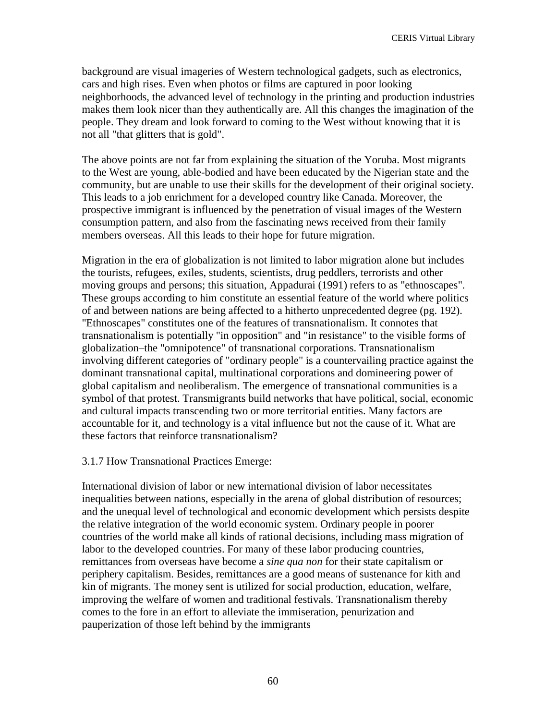background are visual imageries of Western technological gadgets, such as electronics, cars and high rises. Even when photos or films are captured in poor looking neighborhoods, the advanced level of technology in the printing and production industries makes them look nicer than they authentically are. All this changes the imagination of the people. They dream and look forward to coming to the West without knowing that it is not all "that glitters that is gold".

The above points are not far from explaining the situation of the Yoruba. Most migrants to the West are young, able-bodied and have been educated by the Nigerian state and the community, but are unable to use their skills for the development of their original society. This leads to a job enrichment for a developed country like Canada. Moreover, the prospective immigrant is influenced by the penetration of visual images of the Western consumption pattern, and also from the fascinating news received from their family members overseas. All this leads to their hope for future migration.

Migration in the era of globalization is not limited to labor migration alone but includes the tourists, refugees, exiles, students, scientists, drug peddlers, terrorists and other moving groups and persons; this situation, Appadurai (1991) refers to as "ethnoscapes". These groups according to him constitute an essential feature of the world where politics of and between nations are being affected to a hitherto unprecedented degree (pg. 192). "Ethnoscapes" constitutes one of the features of transnationalism. It connotes that transnationalism is potentially "in opposition" and "in resistance" to the visible forms of globalization–the "omnipotence" of transnational corporations. Transnationalism involving different categories of "ordinary people" is a countervailing practice against the dominant transnational capital, multinational corporations and domineering power of global capitalism and neoliberalism. The emergence of transnational communities is a symbol of that protest. Transmigrants build networks that have political, social, economic and cultural impacts transcending two or more territorial entities. Many factors are accountable for it, and technology is a vital influence but not the cause of it. What are these factors that reinforce transnationalism?

### 3.1.7 How Transnational Practices Emerge:

International division of labor or new international division of labor necessitates inequalities between nations, especially in the arena of global distribution of resources; and the unequal level of technological and economic development which persists despite the relative integration of the world economic system. Ordinary people in poorer countries of the world make all kinds of rational decisions, including mass migration of labor to the developed countries. For many of these labor producing countries, remittances from overseas have become a *sine qua non* for their state capitalism or periphery capitalism. Besides, remittances are a good means of sustenance for kith and kin of migrants. The money sent is utilized for social production, education, welfare, improving the welfare of women and traditional festivals. Transnationalism thereby comes to the fore in an effort to alleviate the immiseration, penurization and pauperization of those left behind by the immigrants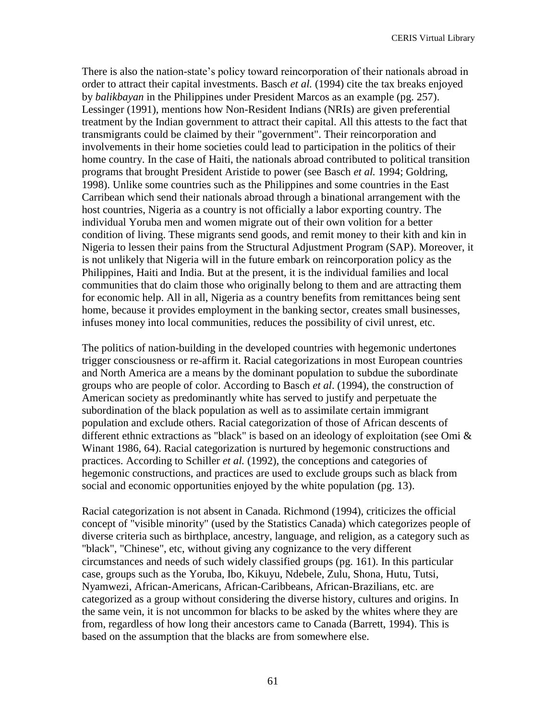There is also the nation-state's policy toward reincorporation of their nationals abroad in order to attract their capital investments. Basch *et al.* (1994) cite the tax breaks enjoyed by *balikbayan* in the Philippines under President Marcos as an example (pg. 257). Lessinger (1991), mentions how Non-Resident Indians (NRIs) are given preferential treatment by the Indian government to attract their capital. All this attests to the fact that transmigrants could be claimed by their "government". Their reincorporation and involvements in their home societies could lead to participation in the politics of their home country. In the case of Haiti, the nationals abroad contributed to political transition programs that brought President Aristide to power (see Basch *et al.* 1994; Goldring, 1998). Unlike some countries such as the Philippines and some countries in the East Carribean which send their nationals abroad through a binational arrangement with the host countries, Nigeria as a country is not officially a labor exporting country. The individual Yoruba men and women migrate out of their own volition for a better condition of living. These migrants send goods, and remit money to their kith and kin in Nigeria to lessen their pains from the Structural Adjustment Program (SAP). Moreover, it is not unlikely that Nigeria will in the future embark on reincorporation policy as the Philippines, Haiti and India. But at the present, it is the individual families and local communities that do claim those who originally belong to them and are attracting them for economic help. All in all, Nigeria as a country benefits from remittances being sent home, because it provides employment in the banking sector, creates small businesses, infuses money into local communities, reduces the possibility of civil unrest, etc.

The politics of nation-building in the developed countries with hegemonic undertones trigger consciousness or re-affirm it. Racial categorizations in most European countries and North America are a means by the dominant population to subdue the subordinate groups who are people of color. According to Basch *et al*. (1994), the construction of American society as predominantly white has served to justify and perpetuate the subordination of the black population as well as to assimilate certain immigrant population and exclude others. Racial categorization of those of African descents of different ethnic extractions as "black" is based on an ideology of exploitation (see Omi & Winant 1986, 64). Racial categorization is nurtured by hegemonic constructions and practices. According to Schiller *et al.* (1992), the conceptions and categories of hegemonic constructions, and practices are used to exclude groups such as black from social and economic opportunities enjoyed by the white population (pg. 13).

Racial categorization is not absent in Canada. Richmond (1994), criticizes the official concept of "visible minority" (used by the Statistics Canada) which categorizes people of diverse criteria such as birthplace, ancestry, language, and religion, as a category such as "black", "Chinese", etc, without giving any cognizance to the very different circumstances and needs of such widely classified groups (pg. 161). In this particular case, groups such as the Yoruba, Ibo, Kikuyu, Ndebele, Zulu, Shona, Hutu, Tutsi, Nyamwezi, African-Americans, African-Caribbeans, African-Brazilians, etc. are categorized as a group without considering the diverse history, cultures and origins. In the same vein, it is not uncommon for blacks to be asked by the whites where they are from, regardless of how long their ancestors came to Canada (Barrett, 1994). This is based on the assumption that the blacks are from somewhere else.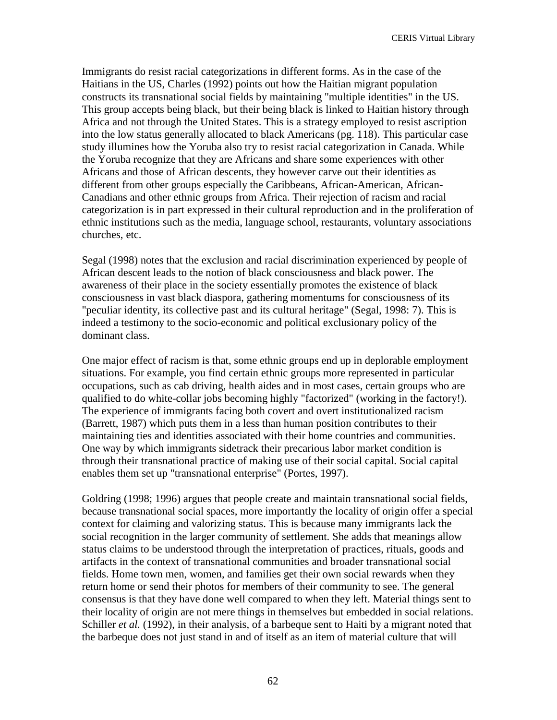Immigrants do resist racial categorizations in different forms. As in the case of the Haitians in the US, Charles (1992) points out how the Haitian migrant population constructs its transnational social fields by maintaining "multiple identities" in the US. This group accepts being black, but their being black is linked to Haitian history through Africa and not through the United States. This is a strategy employed to resist ascription into the low status generally allocated to black Americans (pg. 118). This particular case study illumines how the Yoruba also try to resist racial categorization in Canada. While the Yoruba recognize that they are Africans and share some experiences with other Africans and those of African descents, they however carve out their identities as different from other groups especially the Caribbeans, African-American, African-Canadians and other ethnic groups from Africa. Their rejection of racism and racial categorization is in part expressed in their cultural reproduction and in the proliferation of ethnic institutions such as the media, language school, restaurants, voluntary associations churches, etc.

Segal (1998) notes that the exclusion and racial discrimination experienced by people of African descent leads to the notion of black consciousness and black power. The awareness of their place in the society essentially promotes the existence of black consciousness in vast black diaspora, gathering momentums for consciousness of its "peculiar identity, its collective past and its cultural heritage" (Segal, 1998: 7). This is indeed a testimony to the socio-economic and political exclusionary policy of the dominant class.

One major effect of racism is that, some ethnic groups end up in deplorable employment situations. For example, you find certain ethnic groups more represented in particular occupations, such as cab driving, health aides and in most cases, certain groups who are qualified to do white-collar jobs becoming highly "factorized" (working in the factory!). The experience of immigrants facing both covert and overt institutionalized racism (Barrett, 1987) which puts them in a less than human position contributes to their maintaining ties and identities associated with their home countries and communities. One way by which immigrants sidetrack their precarious labor market condition is through their transnational practice of making use of their social capital. Social capital enables them set up "transnational enterprise" (Portes, 1997).

Goldring (1998; 1996) argues that people create and maintain transnational social fields, because transnational social spaces, more importantly the locality of origin offer a special context for claiming and valorizing status. This is because many immigrants lack the social recognition in the larger community of settlement. She adds that meanings allow status claims to be understood through the interpretation of practices, rituals, goods and artifacts in the context of transnational communities and broader transnational social fields. Home town men, women, and families get their own social rewards when they return home or send their photos for members of their community to see. The general consensus is that they have done well compared to when they left. Material things sent to their locality of origin are not mere things in themselves but embedded in social relations. Schiller *et al.* (1992), in their analysis, of a barbeque sent to Haiti by a migrant noted that the barbeque does not just stand in and of itself as an item of material culture that will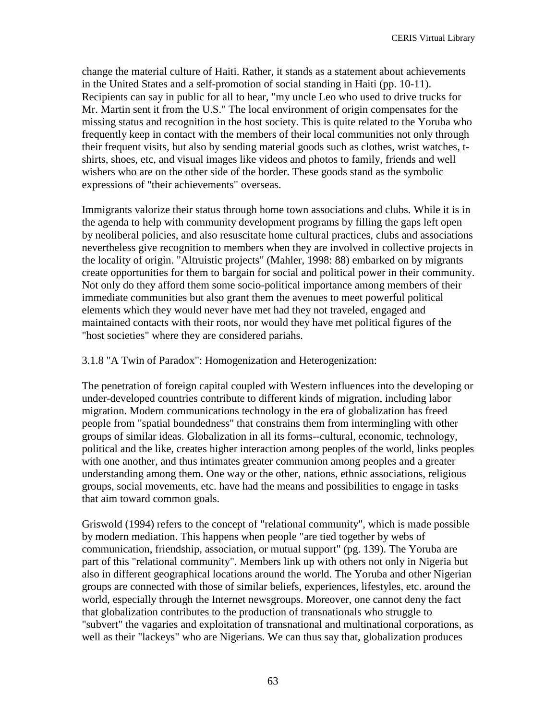change the material culture of Haiti. Rather, it stands as a statement about achievements in the United States and a self-promotion of social standing in Haiti (pp. 10-11). Recipients can say in public for all to hear, "my uncle Leo who used to drive trucks for Mr. Martin sent it from the U.S." The local environment of origin compensates for the missing status and recognition in the host society. This is quite related to the Yoruba who frequently keep in contact with the members of their local communities not only through their frequent visits, but also by sending material goods such as clothes, wrist watches, tshirts, shoes, etc, and visual images like videos and photos to family, friends and well wishers who are on the other side of the border. These goods stand as the symbolic expressions of "their achievements" overseas.

Immigrants valorize their status through home town associations and clubs. While it is in the agenda to help with community development programs by filling the gaps left open by neoliberal policies, and also resuscitate home cultural practices, clubs and associations nevertheless give recognition to members when they are involved in collective projects in the locality of origin. "Altruistic projects" (Mahler, 1998: 88) embarked on by migrants create opportunities for them to bargain for social and political power in their community. Not only do they afford them some socio-political importance among members of their immediate communities but also grant them the avenues to meet powerful political elements which they would never have met had they not traveled, engaged and maintained contacts with their roots, nor would they have met political figures of the "host societies" where they are considered pariahs.

### 3.1.8 "A Twin of Paradox": Homogenization and Heterogenization:

The penetration of foreign capital coupled with Western influences into the developing or under-developed countries contribute to different kinds of migration, including labor migration. Modern communications technology in the era of globalization has freed people from "spatial boundedness" that constrains them from intermingling with other groups of similar ideas. Globalization in all its forms--cultural, economic, technology, political and the like, creates higher interaction among peoples of the world, links peoples with one another, and thus intimates greater communion among peoples and a greater understanding among them. One way or the other, nations, ethnic associations, religious groups, social movements, etc. have had the means and possibilities to engage in tasks that aim toward common goals.

Griswold (1994) refers to the concept of "relational community", which is made possible by modern mediation. This happens when people "are tied together by webs of communication, friendship, association, or mutual support" (pg. 139). The Yoruba are part of this "relational community". Members link up with others not only in Nigeria but also in different geographical locations around the world. The Yoruba and other Nigerian groups are connected with those of similar beliefs, experiences, lifestyles, etc. around the world, especially through the Internet newsgroups. Moreover, one cannot deny the fact that globalization contributes to the production of transnationals who struggle to "subvert" the vagaries and exploitation of transnational and multinational corporations, as well as their "lackeys" who are Nigerians. We can thus say that, globalization produces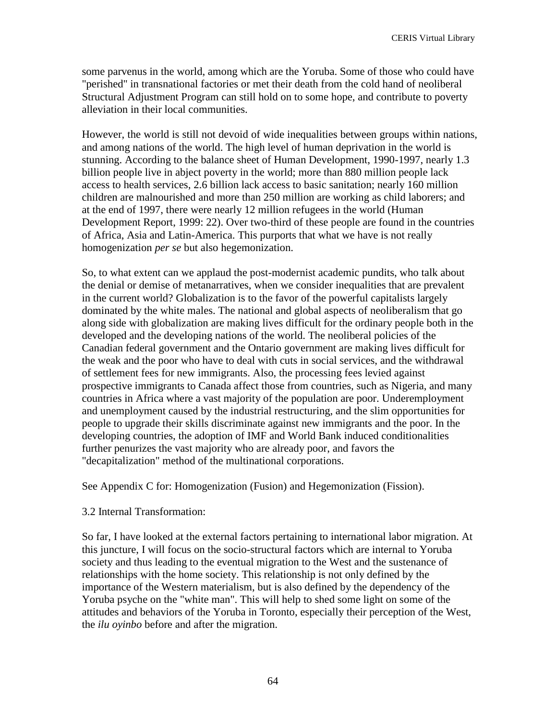some parvenus in the world, among which are the Yoruba. Some of those who could have "perished" in transnational factories or met their death from the cold hand of neoliberal Structural Adjustment Program can still hold on to some hope, and contribute to poverty alleviation in their local communities.

However, the world is still not devoid of wide inequalities between groups within nations, and among nations of the world. The high level of human deprivation in the world is stunning. According to the balance sheet of Human Development, 1990-1997, nearly 1.3 billion people live in abject poverty in the world; more than 880 million people lack access to health services, 2.6 billion lack access to basic sanitation; nearly 160 million children are malnourished and more than 250 million are working as child laborers; and at the end of 1997, there were nearly 12 million refugees in the world (Human Development Report, 1999: 22). Over two-third of these people are found in the countries of Africa, Asia and Latin-America. This purports that what we have is not really homogenization *per se* but also hegemonization.

So, to what extent can we applaud the post-modernist academic pundits, who talk about the denial or demise of metanarratives, when we consider inequalities that are prevalent in the current world? Globalization is to the favor of the powerful capitalists largely dominated by the white males. The national and global aspects of neoliberalism that go along side with globalization are making lives difficult for the ordinary people both in the developed and the developing nations of the world. The neoliberal policies of the Canadian federal government and the Ontario government are making lives difficult for the weak and the poor who have to deal with cuts in social services, and the withdrawal of settlement fees for new immigrants. Also, the processing fees levied against prospective immigrants to Canada affect those from countries, such as Nigeria, and many countries in Africa where a vast majority of the population are poor. Underemployment and unemployment caused by the industrial restructuring, and the slim opportunities for people to upgrade their skills discriminate against new immigrants and the poor. In the developing countries, the adoption of IMF and World Bank induced conditionalities further penurizes the vast majority who are already poor, and favors the "decapitalization" method of the multinational corporations.

See Appendix C for: Homogenization (Fusion) and Hegemonization (Fission).

### 3.2 Internal Transformation:

So far, I have looked at the external factors pertaining to international labor migration. At this juncture, I will focus on the socio-structural factors which are internal to Yoruba society and thus leading to the eventual migration to the West and the sustenance of relationships with the home society. This relationship is not only defined by the importance of the Western materialism, but is also defined by the dependency of the Yoruba psyche on the "white man". This will help to shed some light on some of the attitudes and behaviors of the Yoruba in Toronto, especially their perception of the West, the *ilu oyinbo* before and after the migration.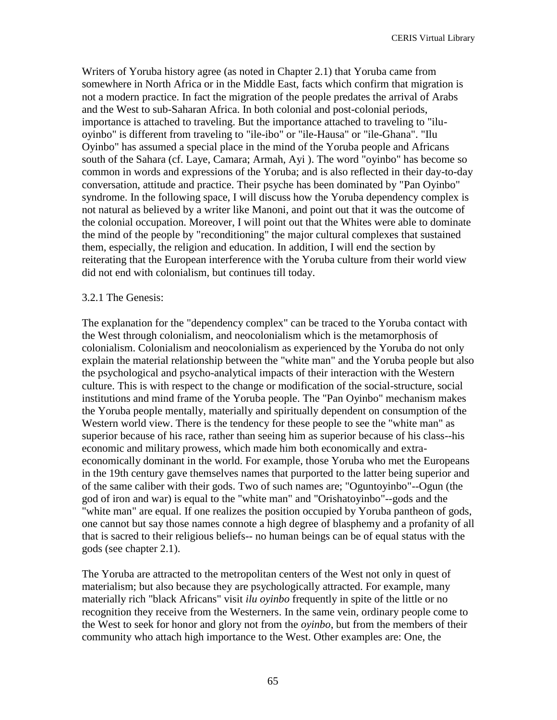Writers of Yoruba history agree (as noted in Chapter 2.1) that Yoruba came from somewhere in North Africa or in the Middle East, facts which confirm that migration is not a modern practice. In fact the migration of the people predates the arrival of Arabs and the West to sub-Saharan Africa. In both colonial and post-colonial periods, importance is attached to traveling. But the importance attached to traveling to "iluoyinbo" is different from traveling to "ile-ibo" or "ile-Hausa" or "ile-Ghana". "Ilu Oyinbo" has assumed a special place in the mind of the Yoruba people and Africans south of the Sahara (cf. Laye, Camara; Armah, Ayi ). The word "oyinbo" has become so common in words and expressions of the Yoruba; and is also reflected in their day-to-day conversation, attitude and practice. Their psyche has been dominated by "Pan Oyinbo" syndrome. In the following space, I will discuss how the Yoruba dependency complex is not natural as believed by a writer like Manoni, and point out that it was the outcome of the colonial occupation. Moreover, I will point out that the Whites were able to dominate the mind of the people by "reconditioning" the major cultural complexes that sustained them, especially, the religion and education. In addition, I will end the section by reiterating that the European interference with the Yoruba culture from their world view did not end with colonialism, but continues till today.

#### 3.2.1 The Genesis:

The explanation for the "dependency complex" can be traced to the Yoruba contact with the West through colonialism, and neocolonialism which is the metamorphosis of colonialism. Colonialism and neocolonialism as experienced by the Yoruba do not only explain the material relationship between the "white man" and the Yoruba people but also the psychological and psycho-analytical impacts of their interaction with the Western culture. This is with respect to the change or modification of the social-structure, social institutions and mind frame of the Yoruba people. The "Pan Oyinbo" mechanism makes the Yoruba people mentally, materially and spiritually dependent on consumption of the Western world view. There is the tendency for these people to see the "white man" as superior because of his race, rather than seeing him as superior because of his class--his economic and military prowess, which made him both economically and extraeconomically dominant in the world. For example, those Yoruba who met the Europeans in the 19th century gave themselves names that purported to the latter being superior and of the same caliber with their gods. Two of such names are; "Oguntoyinbo"--Ogun (the god of iron and war) is equal to the "white man" and "Orishatoyinbo"--gods and the "white man" are equal. If one realizes the position occupied by Yoruba pantheon of gods, one cannot but say those names connote a high degree of blasphemy and a profanity of all that is sacred to their religious beliefs-- no human beings can be of equal status with the gods (see chapter 2.1).

The Yoruba are attracted to the metropolitan centers of the West not only in quest of materialism; but also because they are psychologically attracted. For example, many materially rich "black Africans" visit *ilu oyinbo* frequently in spite of the little or no recognition they receive from the Westerners. In the same vein, ordinary people come to the West to seek for honor and glory not from the *oyinbo*, but from the members of their community who attach high importance to the West. Other examples are: One, the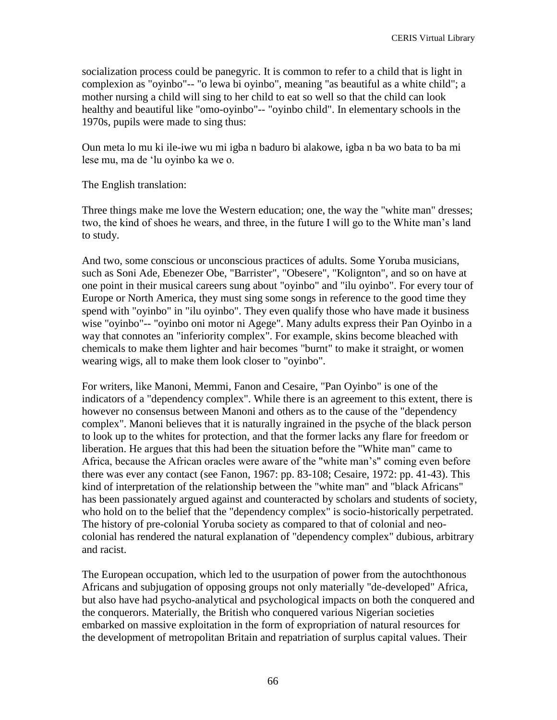socialization process could be panegyric. It is common to refer to a child that is light in complexion as "oyinbo"-- "o lewa bi oyinbo", meaning "as beautiful as a white child"; a mother nursing a child will sing to her child to eat so well so that the child can look healthy and beautiful like "omo-oyinbo"-- "oyinbo child". In elementary schools in the 1970s, pupils were made to sing thus:

Oun meta lo mu ki ile-iwe wu mi igba n baduro bi alakowe, igba n ba wo bata to ba mi lese mu, ma de 'lu oyinbo ka we o.

The English translation:

Three things make me love the Western education; one, the way the "white man" dresses; two, the kind of shoes he wears, and three, in the future I will go to the White man's land to study.

And two, some conscious or unconscious practices of adults. Some Yoruba musicians, such as Soni Ade, Ebenezer Obe, "Barrister", "Obesere", "Kolignton", and so on have at one point in their musical careers sung about "oyinbo" and "ilu oyinbo". For every tour of Europe or North America, they must sing some songs in reference to the good time they spend with "oyinbo" in "ilu oyinbo". They even qualify those who have made it business wise "oyinbo"-- "oyinbo oni motor ni Agege". Many adults express their Pan Oyinbo in a way that connotes an "inferiority complex". For example, skins become bleached with chemicals to make them lighter and hair becomes "burnt" to make it straight, or women wearing wigs, all to make them look closer to "oyinbo".

For writers, like Manoni, Memmi, Fanon and Cesaire, "Pan Oyinbo" is one of the indicators of a "dependency complex". While there is an agreement to this extent, there is however no consensus between Manoni and others as to the cause of the "dependency complex". Manoni believes that it is naturally ingrained in the psyche of the black person to look up to the whites for protection, and that the former lacks any flare for freedom or liberation. He argues that this had been the situation before the "White man" came to Africa, because the African oracles were aware of the "white man's" coming even before there was ever any contact (see Fanon, 1967: pp. 83-108; Cesaire, 1972: pp. 41-43). This kind of interpretation of the relationship between the "white man" and "black Africans" has been passionately argued against and counteracted by scholars and students of society, who hold on to the belief that the "dependency complex" is socio-historically perpetrated. The history of pre-colonial Yoruba society as compared to that of colonial and neocolonial has rendered the natural explanation of "dependency complex" dubious, arbitrary and racist.

The European occupation, which led to the usurpation of power from the autochthonous Africans and subjugation of opposing groups not only materially "de-developed" Africa, but also have had psycho-analytical and psychological impacts on both the conquered and the conquerors. Materially, the British who conquered various Nigerian societies embarked on massive exploitation in the form of expropriation of natural resources for the development of metropolitan Britain and repatriation of surplus capital values. Their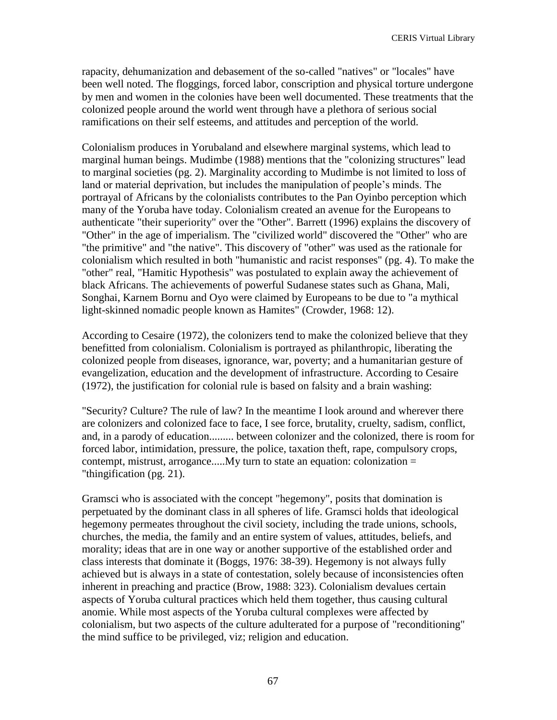rapacity, dehumanization and debasement of the so-called "natives" or "locales" have been well noted. The floggings, forced labor, conscription and physical torture undergone by men and women in the colonies have been well documented. These treatments that the colonized people around the world went through have a plethora of serious social ramifications on their self esteems, and attitudes and perception of the world.

Colonialism produces in Yorubaland and elsewhere marginal systems, which lead to marginal human beings. Mudimbe (1988) mentions that the "colonizing structures" lead to marginal societies (pg. 2). Marginality according to Mudimbe is not limited to loss of land or material deprivation, but includes the manipulation of people's minds. The portrayal of Africans by the colonialists contributes to the Pan Oyinbo perception which many of the Yoruba have today. Colonialism created an avenue for the Europeans to authenticate "their superiority" over the "Other". Barrett (1996) explains the discovery of "Other" in the age of imperialism. The "civilized world" discovered the "Other" who are "the primitive" and "the native". This discovery of "other" was used as the rationale for colonialism which resulted in both "humanistic and racist responses" (pg. 4). To make the "other" real, "Hamitic Hypothesis" was postulated to explain away the achievement of black Africans. The achievements of powerful Sudanese states such as Ghana, Mali, Songhai, Karnem Bornu and Oyo were claimed by Europeans to be due to "a mythical light-skinned nomadic people known as Hamites" (Crowder, 1968: 12).

According to Cesaire (1972), the colonizers tend to make the colonized believe that they benefitted from colonialism. Colonialism is portrayed as philanthropic, liberating the colonized people from diseases, ignorance, war, poverty; and a humanitarian gesture of evangelization, education and the development of infrastructure. According to Cesaire (1972), the justification for colonial rule is based on falsity and a brain washing:

"Security? Culture? The rule of law? In the meantime I look around and wherever there are colonizers and colonized face to face, I see force, brutality, cruelty, sadism, conflict, and, in a parody of education......... between colonizer and the colonized, there is room for forced labor, intimidation, pressure, the police, taxation theft, rape, compulsory crops, contempt, mistrust, arrogance.....My turn to state an equation: colonization = "thingification (pg. 21).

Gramsci who is associated with the concept "hegemony", posits that domination is perpetuated by the dominant class in all spheres of life. Gramsci holds that ideological hegemony permeates throughout the civil society, including the trade unions, schools, churches, the media, the family and an entire system of values, attitudes, beliefs, and morality; ideas that are in one way or another supportive of the established order and class interests that dominate it (Boggs, 1976: 38-39). Hegemony is not always fully achieved but is always in a state of contestation, solely because of inconsistencies often inherent in preaching and practice (Brow, 1988: 323). Colonialism devalues certain aspects of Yoruba cultural practices which held them together, thus causing cultural anomie. While most aspects of the Yoruba cultural complexes were affected by colonialism, but two aspects of the culture adulterated for a purpose of "reconditioning" the mind suffice to be privileged, viz; religion and education.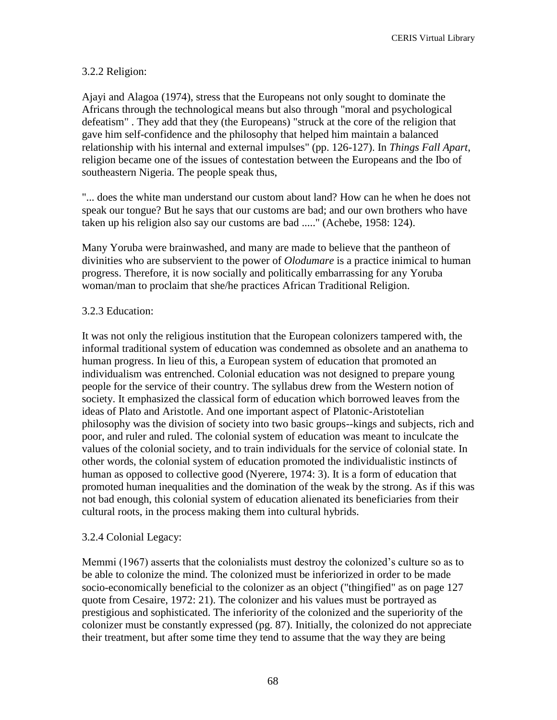CERIS Virtual Library

### 3.2.2 Religion:

Ajayi and Alagoa (1974), stress that the Europeans not only sought to dominate the Africans through the technological means but also through "moral and psychological defeatism" . They add that they (the Europeans) "struck at the core of the religion that gave him self-confidence and the philosophy that helped him maintain a balanced relationship with his internal and external impulses" (pp. 126-127). In *Things Fall Apart*, religion became one of the issues of contestation between the Europeans and the Ibo of southeastern Nigeria. The people speak thus,

"... does the white man understand our custom about land? How can he when he does not speak our tongue? But he says that our customs are bad; and our own brothers who have taken up his religion also say our customs are bad ....." (Achebe, 1958: 124).

Many Yoruba were brainwashed, and many are made to believe that the pantheon of divinities who are subservient to the power of *Olodumare* is a practice inimical to human progress. Therefore, it is now socially and politically embarrassing for any Yoruba woman/man to proclaim that she/he practices African Traditional Religion.

### 3.2.3 Education:

It was not only the religious institution that the European colonizers tampered with, the informal traditional system of education was condemned as obsolete and an anathema to human progress. In lieu of this, a European system of education that promoted an individualism was entrenched. Colonial education was not designed to prepare young people for the service of their country. The syllabus drew from the Western notion of society. It emphasized the classical form of education which borrowed leaves from the ideas of Plato and Aristotle. And one important aspect of Platonic-Aristotelian philosophy was the division of society into two basic groups--kings and subjects, rich and poor, and ruler and ruled. The colonial system of education was meant to inculcate the values of the colonial society, and to train individuals for the service of colonial state. In other words, the colonial system of education promoted the individualistic instincts of human as opposed to collective good (Nyerere, 1974: 3). It is a form of education that promoted human inequalities and the domination of the weak by the strong. As if this was not bad enough, this colonial system of education alienated its beneficiaries from their cultural roots, in the process making them into cultural hybrids.

# 3.2.4 Colonial Legacy:

Memmi (1967) asserts that the colonialists must destroy the colonized's culture so as to be able to colonize the mind. The colonized must be inferiorized in order to be made socio-economically beneficial to the colonizer as an object ("thingified" as on page 127 quote from Cesaire, 1972: 21). The colonizer and his values must be portrayed as prestigious and sophisticated. The inferiority of the colonized and the superiority of the colonizer must be constantly expressed (pg. 87). Initially, the colonized do not appreciate their treatment, but after some time they tend to assume that the way they are being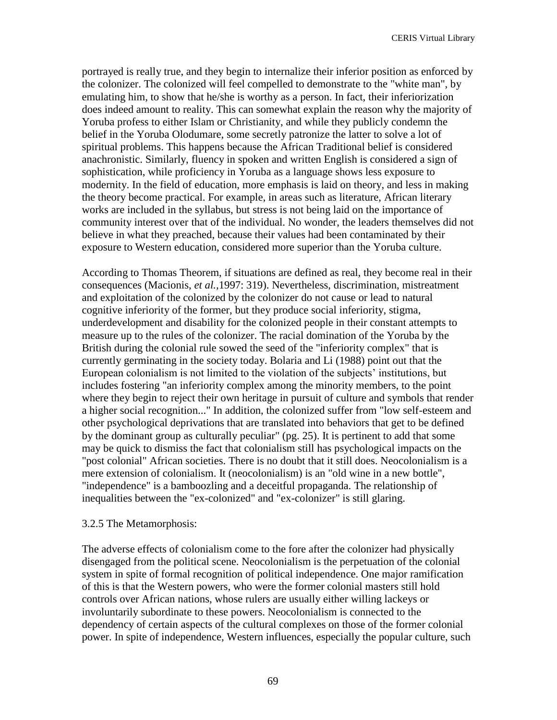portrayed is really true, and they begin to internalize their inferior position as enforced by the colonizer. The colonized will feel compelled to demonstrate to the "white man", by emulating him, to show that he/she is worthy as a person. In fact, their inferiorization does indeed amount to reality. This can somewhat explain the reason why the majority of Yoruba profess to either Islam or Christianity, and while they publicly condemn the belief in the Yoruba Olodumare, some secretly patronize the latter to solve a lot of spiritual problems. This happens because the African Traditional belief is considered anachronistic. Similarly, fluency in spoken and written English is considered a sign of sophistication, while proficiency in Yoruba as a language shows less exposure to modernity. In the field of education, more emphasis is laid on theory, and less in making the theory become practical. For example, in areas such as literature, African literary works are included in the syllabus, but stress is not being laid on the importance of community interest over that of the individual. No wonder, the leaders themselves did not believe in what they preached, because their values had been contaminated by their exposure to Western education, considered more superior than the Yoruba culture.

According to Thomas Theorem, if situations are defined as real, they become real in their consequences (Macionis, *et al.,*1997: 319). Nevertheless, discrimination, mistreatment and exploitation of the colonized by the colonizer do not cause or lead to natural cognitive inferiority of the former, but they produce social inferiority, stigma, underdevelopment and disability for the colonized people in their constant attempts to measure up to the rules of the colonizer. The racial domination of the Yoruba by the British during the colonial rule sowed the seed of the "inferiority complex" that is currently germinating in the society today. Bolaria and Li (1988) point out that the European colonialism is not limited to the violation of the subjects' institutions, but includes fostering "an inferiority complex among the minority members, to the point where they begin to reject their own heritage in pursuit of culture and symbols that render a higher social recognition..." In addition, the colonized suffer from "low self-esteem and other psychological deprivations that are translated into behaviors that get to be defined by the dominant group as culturally peculiar" (pg. 25). It is pertinent to add that some may be quick to dismiss the fact that colonialism still has psychological impacts on the "post colonial" African societies. There is no doubt that it still does. Neocolonialism is a mere extension of colonialism. It (neocolonialism) is an "old wine in a new bottle", "independence" is a bamboozling and a deceitful propaganda. The relationship of inequalities between the "ex-colonized" and "ex-colonizer" is still glaring.

### 3.2.5 The Metamorphosis:

The adverse effects of colonialism come to the fore after the colonizer had physically disengaged from the political scene. Neocolonialism is the perpetuation of the colonial system in spite of formal recognition of political independence. One major ramification of this is that the Western powers, who were the former colonial masters still hold controls over African nations, whose rulers are usually either willing lackeys or involuntarily subordinate to these powers. Neocolonialism is connected to the dependency of certain aspects of the cultural complexes on those of the former colonial power. In spite of independence, Western influences, especially the popular culture, such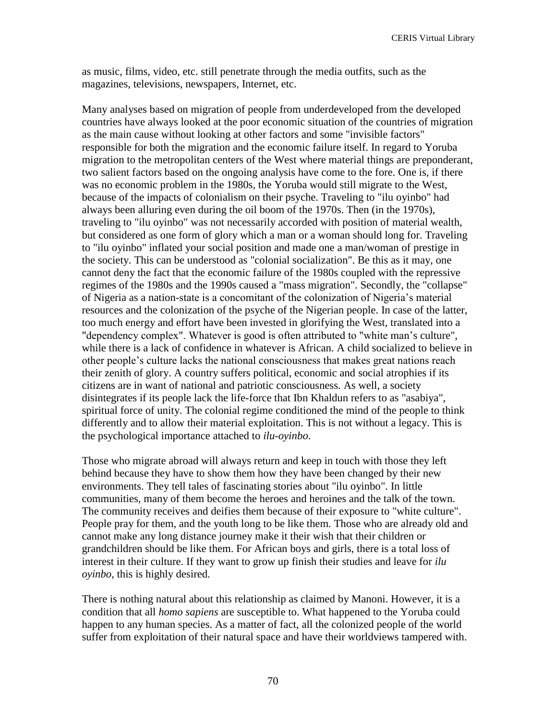as music, films, video, etc. still penetrate through the media outfits, such as the magazines, televisions, newspapers, Internet, etc.

Many analyses based on migration of people from underdeveloped from the developed countries have always looked at the poor economic situation of the countries of migration as the main cause without looking at other factors and some "invisible factors" responsible for both the migration and the economic failure itself. In regard to Yoruba migration to the metropolitan centers of the West where material things are preponderant, two salient factors based on the ongoing analysis have come to the fore. One is, if there was no economic problem in the 1980s, the Yoruba would still migrate to the West, because of the impacts of colonialism on their psyche. Traveling to "ilu oyinbo" had always been alluring even during the oil boom of the 1970s. Then (in the 1970s), traveling to "ilu oyinbo" was not necessarily accorded with position of material wealth, but considered as one form of glory which a man or a woman should long for. Traveling to "ilu oyinbo" inflated your social position and made one a man/woman of prestige in the society. This can be understood as "colonial socialization". Be this as it may, one cannot deny the fact that the economic failure of the 1980s coupled with the repressive regimes of the 1980s and the 1990s caused a "mass migration". Secondly, the "collapse" of Nigeria as a nation-state is a concomitant of the colonization of Nigeria's material resources and the colonization of the psyche of the Nigerian people. In case of the latter, too much energy and effort have been invested in glorifying the West, translated into a "dependency complex". Whatever is good is often attributed to "white man's culture", while there is a lack of confidence in whatever is African. A child socialized to believe in other people's culture lacks the national consciousness that makes great nations reach their zenith of glory. A country suffers political, economic and social atrophies if its citizens are in want of national and patriotic consciousness. As well, a society disintegrates if its people lack the life-force that Ibn Khaldun refers to as "asabiya", spiritual force of unity. The colonial regime conditioned the mind of the people to think differently and to allow their material exploitation. This is not without a legacy. This is the psychological importance attached to *ilu-oyinbo*.

Those who migrate abroad will always return and keep in touch with those they left behind because they have to show them how they have been changed by their new environments. They tell tales of fascinating stories about "ilu oyinbo". In little communities, many of them become the heroes and heroines and the talk of the town. The community receives and deifies them because of their exposure to "white culture". People pray for them, and the youth long to be like them. Those who are already old and cannot make any long distance journey make it their wish that their children or grandchildren should be like them. For African boys and girls, there is a total loss of interest in their culture. If they want to grow up finish their studies and leave for *ilu oyinbo*, this is highly desired.

There is nothing natural about this relationship as claimed by Manoni. However, it is a condition that all *homo sapiens* are susceptible to. What happened to the Yoruba could happen to any human species. As a matter of fact, all the colonized people of the world suffer from exploitation of their natural space and have their worldviews tampered with.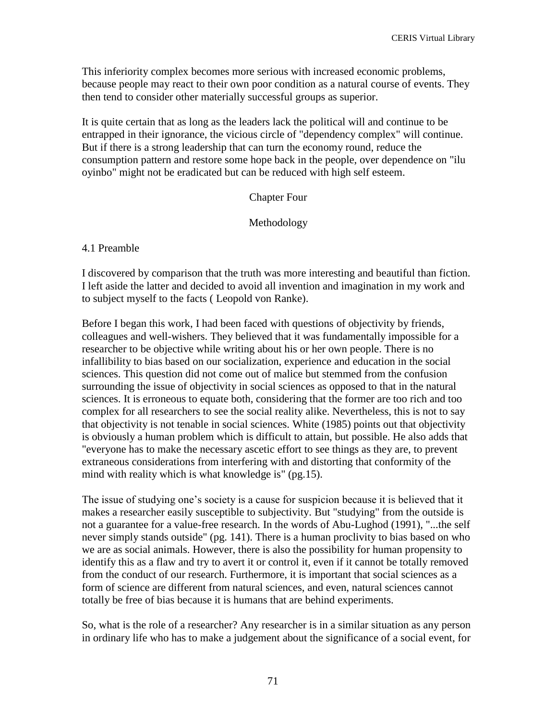This inferiority complex becomes more serious with increased economic problems, because people may react to their own poor condition as a natural course of events. They then tend to consider other materially successful groups as superior.

It is quite certain that as long as the leaders lack the political will and continue to be entrapped in their ignorance, the vicious circle of "dependency complex" will continue. But if there is a strong leadership that can turn the economy round, reduce the consumption pattern and restore some hope back in the people, over dependence on "ilu oyinbo" might not be eradicated but can be reduced with high self esteem.

# Chapter Four

# Methodology

#### 4.1 Preamble

I discovered by comparison that the truth was more interesting and beautiful than fiction. I left aside the latter and decided to avoid all invention and imagination in my work and to subject myself to the facts ( Leopold von Ranke).

Before I began this work, I had been faced with questions of objectivity by friends, colleagues and well-wishers. They believed that it was fundamentally impossible for a researcher to be objective while writing about his or her own people. There is no infallibility to bias based on our socialization, experience and education in the social sciences. This question did not come out of malice but stemmed from the confusion surrounding the issue of objectivity in social sciences as opposed to that in the natural sciences. It is erroneous to equate both, considering that the former are too rich and too complex for all researchers to see the social reality alike. Nevertheless, this is not to say that objectivity is not tenable in social sciences. White (1985) points out that objectivity is obviously a human problem which is difficult to attain, but possible. He also adds that "everyone has to make the necessary ascetic effort to see things as they are, to prevent extraneous considerations from interfering with and distorting that conformity of the mind with reality which is what knowledge is" (pg.15).

The issue of studying one's society is a cause for suspicion because it is believed that it makes a researcher easily susceptible to subjectivity. But "studying" from the outside is not a guarantee for a value-free research. In the words of Abu-Lughod (1991), "...the self never simply stands outside" (pg. 141). There is a human proclivity to bias based on who we are as social animals. However, there is also the possibility for human propensity to identify this as a flaw and try to avert it or control it, even if it cannot be totally removed from the conduct of our research. Furthermore, it is important that social sciences as a form of science are different from natural sciences, and even, natural sciences cannot totally be free of bias because it is humans that are behind experiments.

So, what is the role of a researcher? Any researcher is in a similar situation as any person in ordinary life who has to make a judgement about the significance of a social event, for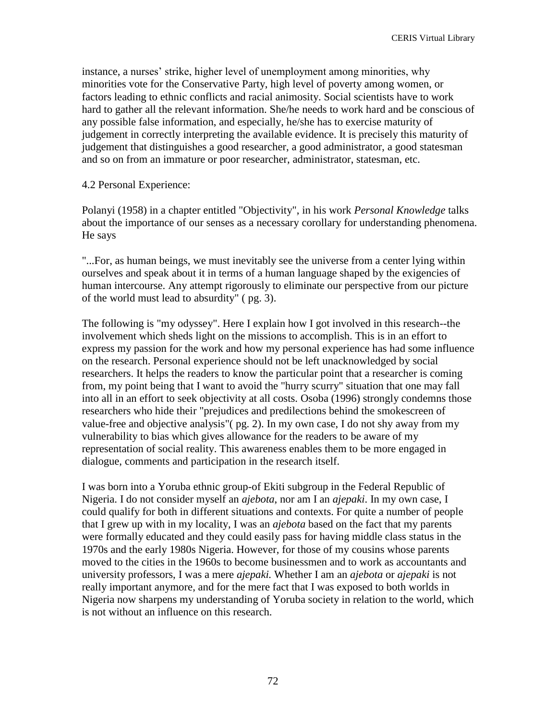instance, a nurses' strike, higher level of unemployment among minorities, why minorities vote for the Conservative Party, high level of poverty among women, or factors leading to ethnic conflicts and racial animosity. Social scientists have to work hard to gather all the relevant information. She/he needs to work hard and be conscious of any possible false information, and especially, he/she has to exercise maturity of judgement in correctly interpreting the available evidence. It is precisely this maturity of judgement that distinguishes a good researcher, a good administrator, a good statesman and so on from an immature or poor researcher, administrator, statesman, etc.

4.2 Personal Experience:

Polanyi (1958) in a chapter entitled "Objectivity", in his work *Personal Knowledge* talks about the importance of our senses as a necessary corollary for understanding phenomena. He says

"...For, as human beings, we must inevitably see the universe from a center lying within ourselves and speak about it in terms of a human language shaped by the exigencies of human intercourse. Any attempt rigorously to eliminate our perspective from our picture of the world must lead to absurdity" ( pg. 3).

The following is "my odyssey". Here I explain how I got involved in this research--the involvement which sheds light on the missions to accomplish. This is in an effort to express my passion for the work and how my personal experience has had some influence on the research. Personal experience should not be left unacknowledged by social researchers. It helps the readers to know the particular point that a researcher is coming from, my point being that I want to avoid the "hurry scurry" situation that one may fall into all in an effort to seek objectivity at all costs. Osoba (1996) strongly condemns those researchers who hide their "prejudices and predilections behind the smokescreen of value-free and objective analysis"( pg. 2). In my own case, I do not shy away from my vulnerability to bias which gives allowance for the readers to be aware of my representation of social reality. This awareness enables them to be more engaged in dialogue, comments and participation in the research itself.

I was born into a Yoruba ethnic group-of Ekiti subgroup in the Federal Republic of Nigeria. I do not consider myself an *ajebota*, nor am I an *ajepaki*. In my own case, I could qualify for both in different situations and contexts. For quite a number of people that I grew up with in my locality, I was an *ajebota* based on the fact that my parents were formally educated and they could easily pass for having middle class status in the 1970s and the early 1980s Nigeria. However, for those of my cousins whose parents moved to the cities in the 1960s to become businessmen and to work as accountants and university professors, I was a mere *ajepaki.* Whether I am an *ajebota* or *ajepaki* is not really important anymore, and for the mere fact that I was exposed to both worlds in Nigeria now sharpens my understanding of Yoruba society in relation to the world, which is not without an influence on this research.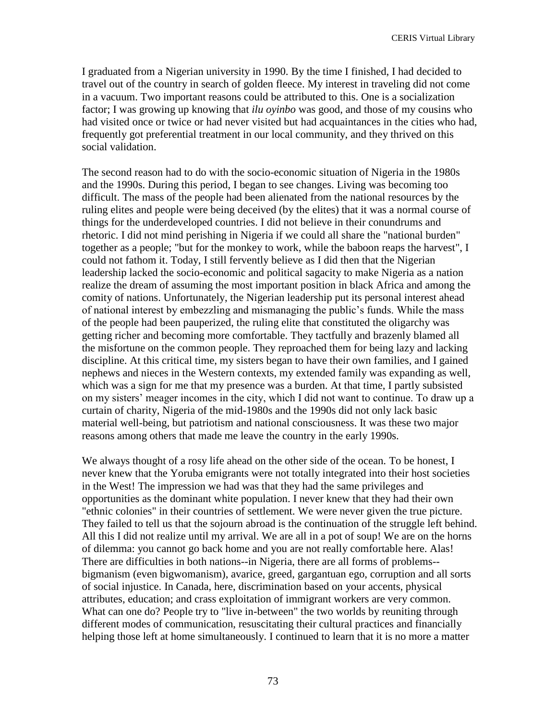I graduated from a Nigerian university in 1990. By the time I finished, I had decided to travel out of the country in search of golden fleece. My interest in traveling did not come in a vacuum. Two important reasons could be attributed to this. One is a socialization factor; I was growing up knowing that *ilu oyinbo* was good, and those of my cousins who had visited once or twice or had never visited but had acquaintances in the cities who had, frequently got preferential treatment in our local community, and they thrived on this social validation.

The second reason had to do with the socio-economic situation of Nigeria in the 1980s and the 1990s. During this period, I began to see changes. Living was becoming too difficult. The mass of the people had been alienated from the national resources by the ruling elites and people were being deceived (by the elites) that it was a normal course of things for the underdeveloped countries. I did not believe in their conundrums and rhetoric. I did not mind perishing in Nigeria if we could all share the "national burden" together as a people; "but for the monkey to work, while the baboon reaps the harvest", I could not fathom it. Today, I still fervently believe as I did then that the Nigerian leadership lacked the socio-economic and political sagacity to make Nigeria as a nation realize the dream of assuming the most important position in black Africa and among the comity of nations. Unfortunately, the Nigerian leadership put its personal interest ahead of national interest by embezzling and mismanaging the public's funds. While the mass of the people had been pauperized, the ruling elite that constituted the oligarchy was getting richer and becoming more comfortable. They tactfully and brazenly blamed all the misfortune on the common people. They reproached them for being lazy and lacking discipline. At this critical time, my sisters began to have their own families, and I gained nephews and nieces in the Western contexts, my extended family was expanding as well, which was a sign for me that my presence was a burden. At that time, I partly subsisted on my sisters' meager incomes in the city, which I did not want to continue. To draw up a curtain of charity, Nigeria of the mid-1980s and the 1990s did not only lack basic material well-being, but patriotism and national consciousness. It was these two major reasons among others that made me leave the country in the early 1990s.

We always thought of a rosy life ahead on the other side of the ocean. To be honest, I never knew that the Yoruba emigrants were not totally integrated into their host societies in the West! The impression we had was that they had the same privileges and opportunities as the dominant white population. I never knew that they had their own "ethnic colonies" in their countries of settlement. We were never given the true picture. They failed to tell us that the sojourn abroad is the continuation of the struggle left behind. All this I did not realize until my arrival. We are all in a pot of soup! We are on the horns of dilemma: you cannot go back home and you are not really comfortable here. Alas! There are difficulties in both nations--in Nigeria, there are all forms of problems- bigmanism (even bigwomanism), avarice, greed, gargantuan ego, corruption and all sorts of social injustice. In Canada, here, discrimination based on your accents, physical attributes, education; and crass exploitation of immigrant workers are very common. What can one do? People try to "live in-between" the two worlds by reuniting through different modes of communication, resuscitating their cultural practices and financially helping those left at home simultaneously. I continued to learn that it is no more a matter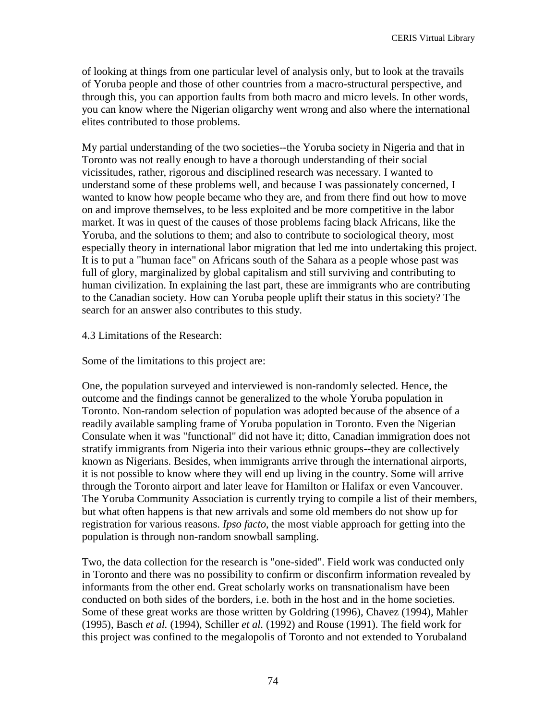of looking at things from one particular level of analysis only, but to look at the travails of Yoruba people and those of other countries from a macro-structural perspective, and through this, you can apportion faults from both macro and micro levels. In other words, you can know where the Nigerian oligarchy went wrong and also where the international elites contributed to those problems.

My partial understanding of the two societies--the Yoruba society in Nigeria and that in Toronto was not really enough to have a thorough understanding of their social vicissitudes, rather, rigorous and disciplined research was necessary. I wanted to understand some of these problems well, and because I was passionately concerned, I wanted to know how people became who they are, and from there find out how to move on and improve themselves, to be less exploited and be more competitive in the labor market. It was in quest of the causes of those problems facing black Africans, like the Yoruba, and the solutions to them; and also to contribute to sociological theory, most especially theory in international labor migration that led me into undertaking this project. It is to put a "human face" on Africans south of the Sahara as a people whose past was full of glory, marginalized by global capitalism and still surviving and contributing to human civilization. In explaining the last part, these are immigrants who are contributing to the Canadian society. How can Yoruba people uplift their status in this society? The search for an answer also contributes to this study.

### 4.3 Limitations of the Research:

Some of the limitations to this project are:

One, the population surveyed and interviewed is non-randomly selected. Hence, the outcome and the findings cannot be generalized to the whole Yoruba population in Toronto. Non-random selection of population was adopted because of the absence of a readily available sampling frame of Yoruba population in Toronto. Even the Nigerian Consulate when it was "functional" did not have it; ditto, Canadian immigration does not stratify immigrants from Nigeria into their various ethnic groups--they are collectively known as Nigerians. Besides, when immigrants arrive through the international airports, it is not possible to know where they will end up living in the country. Some will arrive through the Toronto airport and later leave for Hamilton or Halifax or even Vancouver. The Yoruba Community Association is currently trying to compile a list of their members, but what often happens is that new arrivals and some old members do not show up for registration for various reasons. *Ipso facto*, the most viable approach for getting into the population is through non-random snowball sampling.

Two, the data collection for the research is "one-sided". Field work was conducted only in Toronto and there was no possibility to confirm or disconfirm information revealed by informants from the other end. Great scholarly works on transnationalism have been conducted on both sides of the borders, i.e. both in the host and in the home societies. Some of these great works are those written by Goldring (1996), Chavez (1994), Mahler (1995), Basch *et al.* (1994), Schiller *et al.* (1992) and Rouse (1991). The field work for this project was confined to the megalopolis of Toronto and not extended to Yorubaland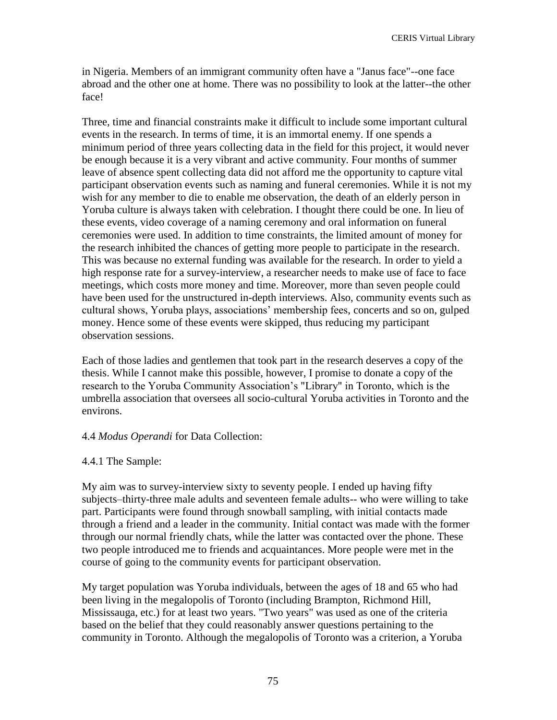in Nigeria. Members of an immigrant community often have a "Janus face"--one face abroad and the other one at home. There was no possibility to look at the latter--the other face!

Three, time and financial constraints make it difficult to include some important cultural events in the research. In terms of time, it is an immortal enemy. If one spends a minimum period of three years collecting data in the field for this project, it would never be enough because it is a very vibrant and active community. Four months of summer leave of absence spent collecting data did not afford me the opportunity to capture vital participant observation events such as naming and funeral ceremonies. While it is not my wish for any member to die to enable me observation, the death of an elderly person in Yoruba culture is always taken with celebration. I thought there could be one. In lieu of these events, video coverage of a naming ceremony and oral information on funeral ceremonies were used. In addition to time constraints, the limited amount of money for the research inhibited the chances of getting more people to participate in the research. This was because no external funding was available for the research. In order to yield a high response rate for a survey-interview, a researcher needs to make use of face to face meetings, which costs more money and time. Moreover, more than seven people could have been used for the unstructured in-depth interviews. Also, community events such as cultural shows, Yoruba plays, associations' membership fees, concerts and so on, gulped money. Hence some of these events were skipped, thus reducing my participant observation sessions.

Each of those ladies and gentlemen that took part in the research deserves a copy of the thesis. While I cannot make this possible, however, I promise to donate a copy of the research to the Yoruba Community Association's "Library" in Toronto, which is the umbrella association that oversees all socio-cultural Yoruba activities in Toronto and the environs.

### 4.4 *Modus Operandi* for Data Collection:

#### 4.4.1 The Sample:

My aim was to survey-interview sixty to seventy people. I ended up having fifty subjects–thirty-three male adults and seventeen female adults-- who were willing to take part. Participants were found through snowball sampling, with initial contacts made through a friend and a leader in the community. Initial contact was made with the former through our normal friendly chats, while the latter was contacted over the phone. These two people introduced me to friends and acquaintances. More people were met in the course of going to the community events for participant observation.

My target population was Yoruba individuals, between the ages of 18 and 65 who had been living in the megalopolis of Toronto (including Brampton, Richmond Hill, Mississauga, etc.) for at least two years. "Two years" was used as one of the criteria based on the belief that they could reasonably answer questions pertaining to the community in Toronto. Although the megalopolis of Toronto was a criterion, a Yoruba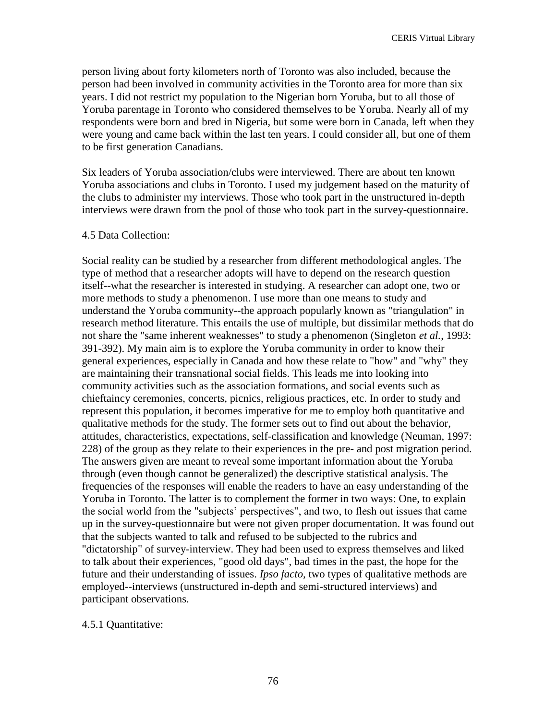person living about forty kilometers north of Toronto was also included, because the person had been involved in community activities in the Toronto area for more than six years. I did not restrict my population to the Nigerian born Yoruba, but to all those of Yoruba parentage in Toronto who considered themselves to be Yoruba. Nearly all of my respondents were born and bred in Nigeria, but some were born in Canada, left when they were young and came back within the last ten years. I could consider all, but one of them to be first generation Canadians.

Six leaders of Yoruba association/clubs were interviewed. There are about ten known Yoruba associations and clubs in Toronto. I used my judgement based on the maturity of the clubs to administer my interviews. Those who took part in the unstructured in-depth interviews were drawn from the pool of those who took part in the survey-questionnaire.

### 4.5 Data Collection:

Social reality can be studied by a researcher from different methodological angles. The type of method that a researcher adopts will have to depend on the research question itself--what the researcher is interested in studying. A researcher can adopt one, two or more methods to study a phenomenon. I use more than one means to study and understand the Yoruba community--the approach popularly known as "triangulation" in research method literature. This entails the use of multiple, but dissimilar methods that do not share the "same inherent weaknesses" to study a phenomenon (Singleton *et al.*, 1993: 391-392). My main aim is to explore the Yoruba community in order to know their general experiences, especially in Canada and how these relate to "how" and "why" they are maintaining their transnational social fields. This leads me into looking into community activities such as the association formations, and social events such as chieftaincy ceremonies, concerts, picnics, religious practices, etc. In order to study and represent this population, it becomes imperative for me to employ both quantitative and qualitative methods for the study. The former sets out to find out about the behavior, attitudes, characteristics, expectations, self-classification and knowledge (Neuman, 1997: 228) of the group as they relate to their experiences in the pre- and post migration period. The answers given are meant to reveal some important information about the Yoruba through (even though cannot be generalized) the descriptive statistical analysis. The frequencies of the responses will enable the readers to have an easy understanding of the Yoruba in Toronto. The latter is to complement the former in two ways: One, to explain the social world from the "subjects' perspectives", and two, to flesh out issues that came up in the survey-questionnaire but were not given proper documentation. It was found out that the subjects wanted to talk and refused to be subjected to the rubrics and "dictatorship" of survey-interview. They had been used to express themselves and liked to talk about their experiences, "good old days", bad times in the past, the hope for the future and their understanding of issues. *Ipso facto,* two types of qualitative methods are employed--interviews (unstructured in-depth and semi-structured interviews) and participant observations.

### 4.5.1 Quantitative: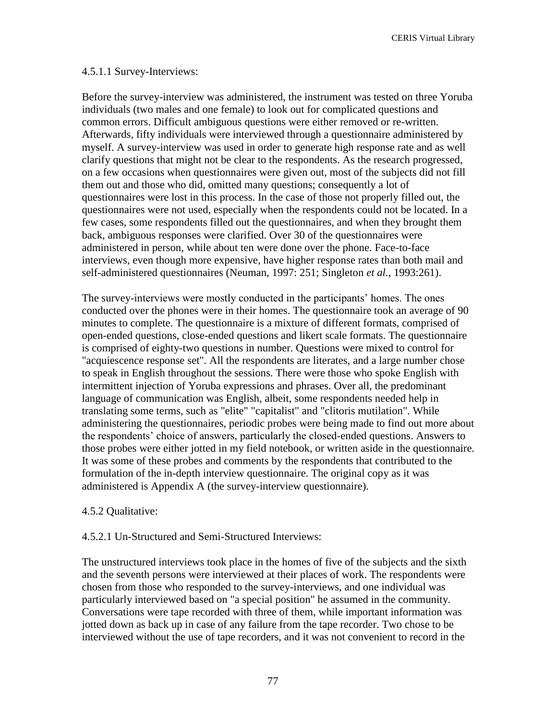CERIS Virtual Library

#### 4.5.1.1 Survey-Interviews:

Before the survey-interview was administered, the instrument was tested on three Yoruba individuals (two males and one female) to look out for complicated questions and common errors. Difficult ambiguous questions were either removed or re-written. Afterwards, fifty individuals were interviewed through a questionnaire administered by myself. A survey-interview was used in order to generate high response rate and as well clarify questions that might not be clear to the respondents. As the research progressed, on a few occasions when questionnaires were given out, most of the subjects did not fill them out and those who did, omitted many questions; consequently a lot of questionnaires were lost in this process. In the case of those not properly filled out, the questionnaires were not used, especially when the respondents could not be located. In a few cases, some respondents filled out the questionnaires, and when they brought them back, ambiguous responses were clarified. Over 30 of the questionnaires were administered in person, while about ten were done over the phone. Face-to-face interviews, even though more expensive, have higher response rates than both mail and self-administered questionnaires (Neuman, 1997: 251; Singleton *et al.*, 1993:261).

The survey-interviews were mostly conducted in the participants' homes. The ones conducted over the phones were in their homes. The questionnaire took an average of 90 minutes to complete. The questionnaire is a mixture of different formats, comprised of open-ended questions, close-ended questions and likert scale formats. The questionnaire is comprised of eighty-two questions in number. Questions were mixed to control for "acquiescence response set". All the respondents are literates, and a large number chose to speak in English throughout the sessions. There were those who spoke English with intermittent injection of Yoruba expressions and phrases. Over all, the predominant language of communication was English, albeit, some respondents needed help in translating some terms, such as "elite" "capitalist" and "clitoris mutilation". While administering the questionnaires, periodic probes were being made to find out more about the respondents' choice of answers, particularly the closed-ended questions. Answers to those probes were either jotted in my field notebook, or written aside in the questionnaire. It was some of these probes and comments by the respondents that contributed to the formulation of the in-depth interview questionnaire. The original copy as it was administered is Appendix A (the survey-interview questionnaire).

### 4.5.2 Qualitative:

#### 4.5.2.1 Un-Structured and Semi-Structured Interviews:

The unstructured interviews took place in the homes of five of the subjects and the sixth and the seventh persons were interviewed at their places of work. The respondents were chosen from those who responded to the survey-interviews, and one individual was particularly interviewed based on "a special position" he assumed in the community. Conversations were tape recorded with three of them, while important information was jotted down as back up in case of any failure from the tape recorder. Two chose to be interviewed without the use of tape recorders, and it was not convenient to record in the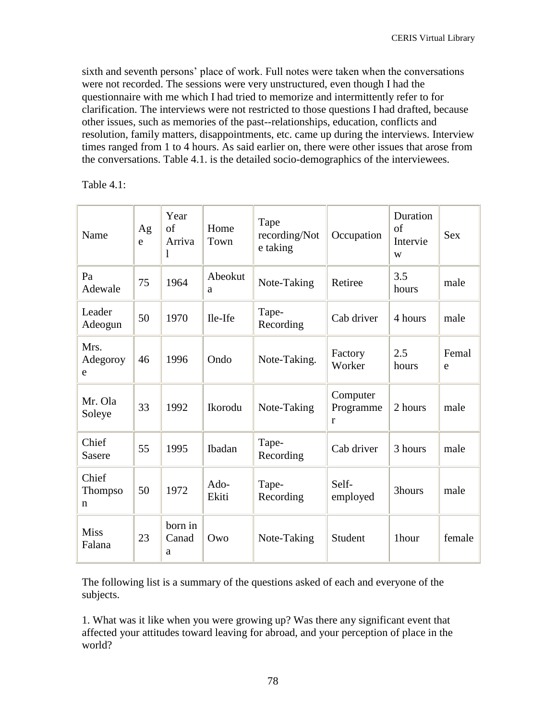sixth and seventh persons' place of work. Full notes were taken when the conversations were not recorded. The sessions were very unstructured, even though I had the questionnaire with me which I had tried to memorize and intermittently refer to for clarification. The interviews were not restricted to those questions I had drafted, because other issues, such as memories of the past--relationships, education, conflicts and resolution, family matters, disappointments, etc. came up during the interviews. Interview times ranged from 1 to 4 hours. As said earlier on, there were other issues that arose from the conversations. Table 4.1. is the detailed socio-demographics of the interviewees.

Table 4.1:

| Name                            | Ag<br>e | Year<br>of<br>Arriva<br>1 | Home<br>Town  | Tape<br>recording/Not<br>e taking | Occupation                 | Duration<br>of<br>Intervie<br>W | <b>Sex</b> |
|---------------------------------|---------|---------------------------|---------------|-----------------------------------|----------------------------|---------------------------------|------------|
| Pa<br>Adewale                   | 75      | 1964                      | Abeokut<br>a  | Note-Taking                       | Retiree                    | 3.5<br>hours                    | male       |
| Leader<br>Adeogun               | 50      | 1970                      | Ile-Ife       | Tape-<br>Recording                | Cab driver                 | 4 hours                         | male       |
| Mrs.<br>Adegoroy<br>e           | 46      | 1996                      | Ondo          | Note-Taking.                      | Factory<br>Worker          | 2.5<br>hours                    | Femal<br>e |
| Mr. Ola<br>Soleye               | 33      | 1992                      | Ikorodu       | Note-Taking                       | Computer<br>Programme<br>r | 2 hours                         | male       |
| Chief<br><b>Sasere</b>          | 55      | 1995                      | Ibadan        | Tape-<br>Recording                | Cab driver                 | 3 hours                         | male       |
| Chief<br>Thompso<br>$\mathbf n$ | 50      | 1972                      | Ado-<br>Ekiti | Tape-<br>Recording                | Self-<br>employed          | 3hours                          | male       |
| <b>Miss</b><br>Falana           | 23      | born in<br>Canad<br>a     | Owo           | Note-Taking                       | Student                    | 1hour                           | female     |

The following list is a summary of the questions asked of each and everyone of the subjects.

1. What was it like when you were growing up? Was there any significant event that affected your attitudes toward leaving for abroad, and your perception of place in the world?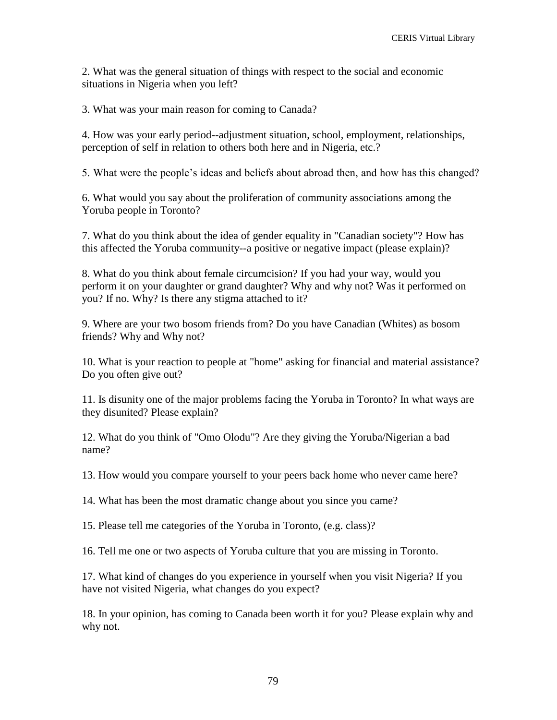2. What was the general situation of things with respect to the social and economic situations in Nigeria when you left?

3. What was your main reason for coming to Canada?

4. How was your early period--adjustment situation, school, employment, relationships, perception of self in relation to others both here and in Nigeria, etc.?

5. What were the people's ideas and beliefs about abroad then, and how has this changed?

6. What would you say about the proliferation of community associations among the Yoruba people in Toronto?

7. What do you think about the idea of gender equality in "Canadian society"? How has this affected the Yoruba community--a positive or negative impact (please explain)?

8. What do you think about female circumcision? If you had your way, would you perform it on your daughter or grand daughter? Why and why not? Was it performed on you? If no. Why? Is there any stigma attached to it?

9. Where are your two bosom friends from? Do you have Canadian (Whites) as bosom friends? Why and Why not?

10. What is your reaction to people at "home" asking for financial and material assistance? Do you often give out?

11. Is disunity one of the major problems facing the Yoruba in Toronto? In what ways are they disunited? Please explain?

12. What do you think of "Omo Olodu"? Are they giving the Yoruba/Nigerian a bad name?

13. How would you compare yourself to your peers back home who never came here?

14. What has been the most dramatic change about you since you came?

15. Please tell me categories of the Yoruba in Toronto, (e.g. class)?

16. Tell me one or two aspects of Yoruba culture that you are missing in Toronto.

17. What kind of changes do you experience in yourself when you visit Nigeria? If you have not visited Nigeria, what changes do you expect?

18. In your opinion, has coming to Canada been worth it for you? Please explain why and why not.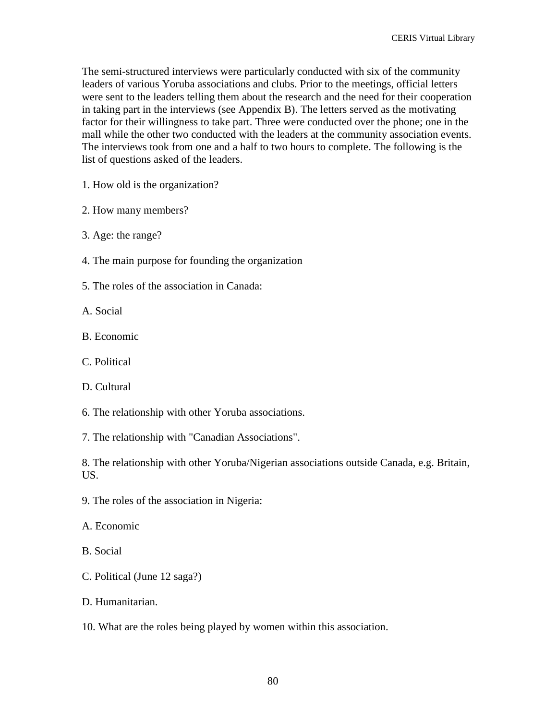The semi-structured interviews were particularly conducted with six of the community leaders of various Yoruba associations and clubs. Prior to the meetings, official letters were sent to the leaders telling them about the research and the need for their cooperation in taking part in the interviews (see Appendix B). The letters served as the motivating factor for their willingness to take part. Three were conducted over the phone; one in the mall while the other two conducted with the leaders at the community association events. The interviews took from one and a half to two hours to complete. The following is the list of questions asked of the leaders.

1. How old is the organization?

2. How many members?

3. Age: the range?

4. The main purpose for founding the organization

5. The roles of the association in Canada:

A. Social

B. Economic

C. Political

D. Cultural

6. The relationship with other Yoruba associations.

7. The relationship with "Canadian Associations".

8. The relationship with other Yoruba/Nigerian associations outside Canada, e.g. Britain, US.

9. The roles of the association in Nigeria:

A. Economic

B. Social

C. Political (June 12 saga?)

D. Humanitarian.

10. What are the roles being played by women within this association.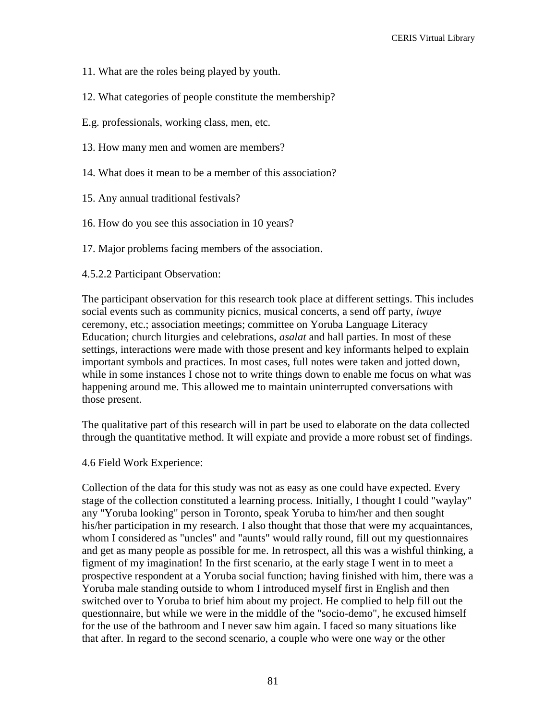- 11. What are the roles being played by youth.
- 12. What categories of people constitute the membership?
- E.g. professionals, working class, men, etc.
- 13. How many men and women are members?
- 14. What does it mean to be a member of this association?
- 15. Any annual traditional festivals?
- 16. How do you see this association in 10 years?
- 17. Major problems facing members of the association.
- 4.5.2.2 Participant Observation:

The participant observation for this research took place at different settings. This includes social events such as community picnics, musical concerts, a send off party, *iwuye* ceremony, etc.; association meetings; committee on Yoruba Language Literacy Education; church liturgies and celebrations, *asalat* and hall parties. In most of these settings, interactions were made with those present and key informants helped to explain important symbols and practices. In most cases, full notes were taken and jotted down, while in some instances I chose not to write things down to enable me focus on what was happening around me. This allowed me to maintain uninterrupted conversations with those present.

The qualitative part of this research will in part be used to elaborate on the data collected through the quantitative method. It will expiate and provide a more robust set of findings.

4.6 Field Work Experience:

Collection of the data for this study was not as easy as one could have expected. Every stage of the collection constituted a learning process. Initially, I thought I could "waylay" any "Yoruba looking" person in Toronto, speak Yoruba to him/her and then sought his/her participation in my research. I also thought that those that were my acquaintances, whom I considered as "uncles" and "aunts" would rally round, fill out my questionnaires and get as many people as possible for me. In retrospect, all this was a wishful thinking, a figment of my imagination! In the first scenario, at the early stage I went in to meet a prospective respondent at a Yoruba social function; having finished with him, there was a Yoruba male standing outside to whom I introduced myself first in English and then switched over to Yoruba to brief him about my project. He complied to help fill out the questionnaire, but while we were in the middle of the "socio-demo", he excused himself for the use of the bathroom and I never saw him again. I faced so many situations like that after. In regard to the second scenario, a couple who were one way or the other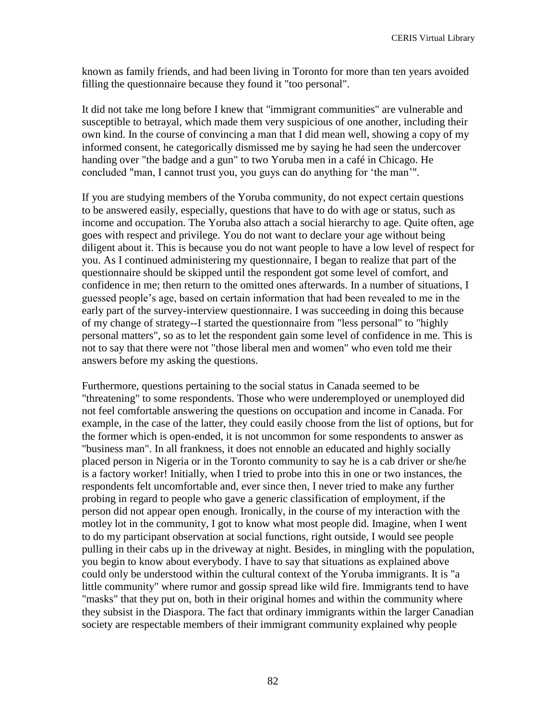known as family friends, and had been living in Toronto for more than ten years avoided filling the questionnaire because they found it "too personal".

It did not take me long before I knew that "immigrant communities" are vulnerable and susceptible to betrayal, which made them very suspicious of one another, including their own kind. In the course of convincing a man that I did mean well, showing a copy of my informed consent, he categorically dismissed me by saying he had seen the undercover handing over "the badge and a gun" to two Yoruba men in a café in Chicago. He concluded "man, I cannot trust you, you guys can do anything for 'the man'".

If you are studying members of the Yoruba community, do not expect certain questions to be answered easily, especially, questions that have to do with age or status, such as income and occupation. The Yoruba also attach a social hierarchy to age. Quite often, age goes with respect and privilege. You do not want to declare your age without being diligent about it. This is because you do not want people to have a low level of respect for you. As I continued administering my questionnaire, I began to realize that part of the questionnaire should be skipped until the respondent got some level of comfort, and confidence in me; then return to the omitted ones afterwards. In a number of situations, I guessed people's age, based on certain information that had been revealed to me in the early part of the survey-interview questionnaire. I was succeeding in doing this because of my change of strategy--I started the questionnaire from "less personal" to "highly personal matters", so as to let the respondent gain some level of confidence in me. This is not to say that there were not "those liberal men and women" who even told me their answers before my asking the questions.

Furthermore, questions pertaining to the social status in Canada seemed to be "threatening" to some respondents. Those who were underemployed or unemployed did not feel comfortable answering the questions on occupation and income in Canada. For example, in the case of the latter, they could easily choose from the list of options, but for the former which is open-ended, it is not uncommon for some respondents to answer as "business man". In all frankness, it does not ennoble an educated and highly socially placed person in Nigeria or in the Toronto community to say he is a cab driver or she/he is a factory worker! Initially, when I tried to probe into this in one or two instances, the respondents felt uncomfortable and, ever since then, I never tried to make any further probing in regard to people who gave a generic classification of employment, if the person did not appear open enough. Ironically, in the course of my interaction with the motley lot in the community, I got to know what most people did. Imagine, when I went to do my participant observation at social functions, right outside, I would see people pulling in their cabs up in the driveway at night. Besides, in mingling with the population, you begin to know about everybody. I have to say that situations as explained above could only be understood within the cultural context of the Yoruba immigrants. It is "a little community" where rumor and gossip spread like wild fire. Immigrants tend to have "masks" that they put on, both in their original homes and within the community where they subsist in the Diaspora. The fact that ordinary immigrants within the larger Canadian society are respectable members of their immigrant community explained why people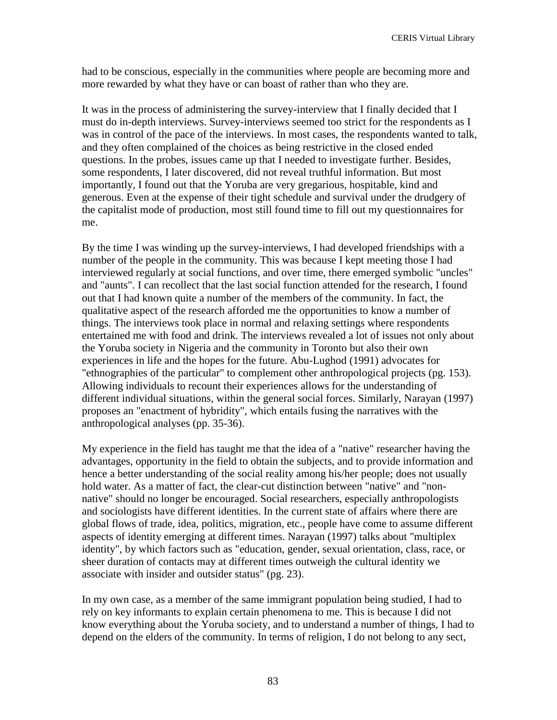had to be conscious, especially in the communities where people are becoming more and more rewarded by what they have or can boast of rather than who they are.

It was in the process of administering the survey-interview that I finally decided that I must do in-depth interviews. Survey-interviews seemed too strict for the respondents as I was in control of the pace of the interviews. In most cases, the respondents wanted to talk, and they often complained of the choices as being restrictive in the closed ended questions. In the probes, issues came up that I needed to investigate further. Besides, some respondents, I later discovered, did not reveal truthful information. But most importantly, I found out that the Yoruba are very gregarious, hospitable, kind and generous. Even at the expense of their tight schedule and survival under the drudgery of the capitalist mode of production, most still found time to fill out my questionnaires for me.

By the time I was winding up the survey-interviews, I had developed friendships with a number of the people in the community. This was because I kept meeting those I had interviewed regularly at social functions, and over time, there emerged symbolic "uncles" and "aunts". I can recollect that the last social function attended for the research, I found out that I had known quite a number of the members of the community. In fact, the qualitative aspect of the research afforded me the opportunities to know a number of things. The interviews took place in normal and relaxing settings where respondents entertained me with food and drink. The interviews revealed a lot of issues not only about the Yoruba society in Nigeria and the community in Toronto but also their own experiences in life and the hopes for the future. Abu-Lughod (1991) advocates for "ethnographies of the particular" to complement other anthropological projects (pg. 153). Allowing individuals to recount their experiences allows for the understanding of different individual situations, within the general social forces. Similarly, Narayan (1997) proposes an "enactment of hybridity", which entails fusing the narratives with the anthropological analyses (pp. 35-36).

My experience in the field has taught me that the idea of a "native" researcher having the advantages, opportunity in the field to obtain the subjects, and to provide information and hence a better understanding of the social reality among his/her people; does not usually hold water. As a matter of fact, the clear-cut distinction between "native" and "nonnative" should no longer be encouraged. Social researchers, especially anthropologists and sociologists have different identities. In the current state of affairs where there are global flows of trade, idea, politics, migration, etc., people have come to assume different aspects of identity emerging at different times. Narayan (1997) talks about "multiplex identity", by which factors such as "education, gender, sexual orientation, class, race, or sheer duration of contacts may at different times outweigh the cultural identity we associate with insider and outsider status" (pg. 23).

In my own case, as a member of the same immigrant population being studied, I had to rely on key informants to explain certain phenomena to me. This is because I did not know everything about the Yoruba society, and to understand a number of things, I had to depend on the elders of the community. In terms of religion, I do not belong to any sect,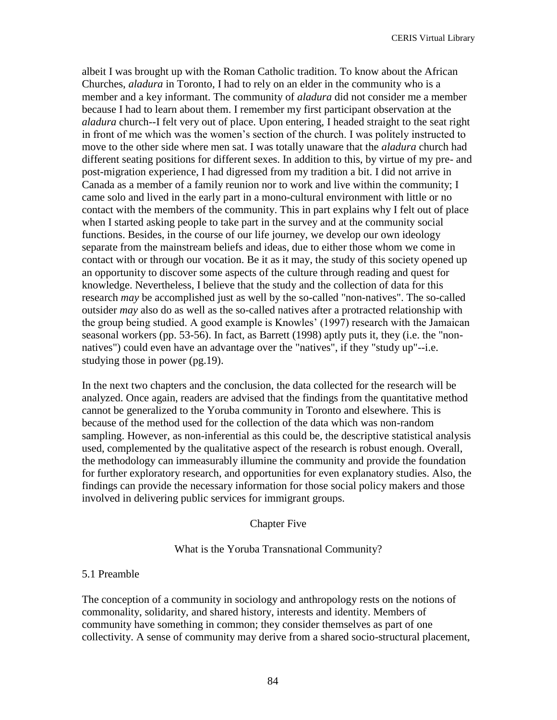albeit I was brought up with the Roman Catholic tradition. To know about the African Churches, *aladura* in Toronto, I had to rely on an elder in the community who is a member and a key informant. The community of *aladura* did not consider me a member because I had to learn about them. I remember my first participant observation at the *aladura* church--I felt very out of place. Upon entering, I headed straight to the seat right in front of me which was the women's section of the church. I was politely instructed to move to the other side where men sat. I was totally unaware that the *aladura* church had different seating positions for different sexes. In addition to this, by virtue of my pre- and post-migration experience, I had digressed from my tradition a bit. I did not arrive in Canada as a member of a family reunion nor to work and live within the community; I came solo and lived in the early part in a mono-cultural environment with little or no contact with the members of the community. This in part explains why I felt out of place when I started asking people to take part in the survey and at the community social functions. Besides, in the course of our life journey, we develop our own ideology separate from the mainstream beliefs and ideas, due to either those whom we come in contact with or through our vocation. Be it as it may, the study of this society opened up an opportunity to discover some aspects of the culture through reading and quest for knowledge. Nevertheless, I believe that the study and the collection of data for this research *may* be accomplished just as well by the so-called "non-natives". The so-called outsider *may* also do as well as the so-called natives after a protracted relationship with the group being studied. A good example is Knowles' (1997) research with the Jamaican seasonal workers (pp. 53-56). In fact, as Barrett (1998) aptly puts it, they (i.e. the "nonnatives") could even have an advantage over the "natives", if they "study up"--i.e. studying those in power (pg.19).

In the next two chapters and the conclusion, the data collected for the research will be analyzed. Once again, readers are advised that the findings from the quantitative method cannot be generalized to the Yoruba community in Toronto and elsewhere. This is because of the method used for the collection of the data which was non-random sampling. However, as non-inferential as this could be, the descriptive statistical analysis used, complemented by the qualitative aspect of the research is robust enough. Overall, the methodology can immeasurably illumine the community and provide the foundation for further exploratory research, and opportunities for even explanatory studies. Also, the findings can provide the necessary information for those social policy makers and those involved in delivering public services for immigrant groups.

#### Chapter Five

#### What is the Yoruba Transnational Community?

#### 5.1 Preamble

The conception of a community in sociology and anthropology rests on the notions of commonality, solidarity, and shared history, interests and identity. Members of community have something in common; they consider themselves as part of one collectivity. A sense of community may derive from a shared socio-structural placement,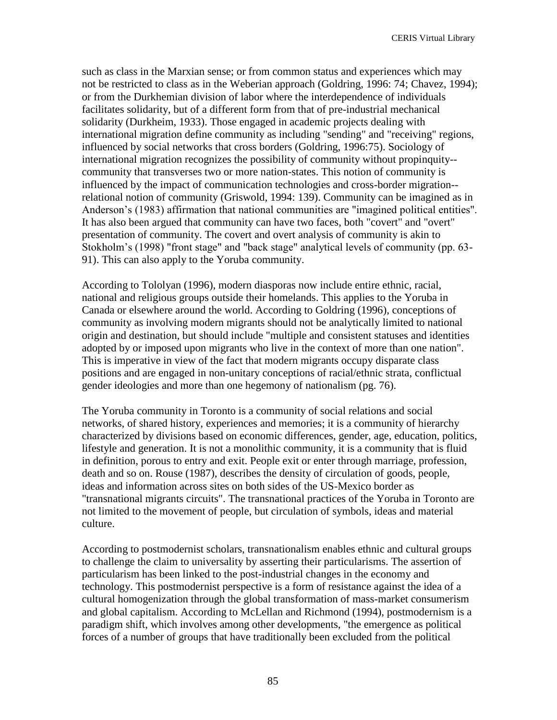such as class in the Marxian sense; or from common status and experiences which may not be restricted to class as in the Weberian approach (Goldring, 1996: 74; Chavez, 1994); or from the Durkhemian division of labor where the interdependence of individuals facilitates solidarity, but of a different form from that of pre-industrial mechanical solidarity (Durkheim, 1933). Those engaged in academic projects dealing with international migration define community as including "sending" and "receiving" regions, influenced by social networks that cross borders (Goldring, 1996:75). Sociology of international migration recognizes the possibility of community without propinquity- community that transverses two or more nation-states. This notion of community is influenced by the impact of communication technologies and cross-border migration- relational notion of community (Griswold, 1994: 139). Community can be imagined as in Anderson's (1983) affirmation that national communities are "imagined political entities". It has also been argued that community can have two faces, both "covert" and "overt" presentation of community. The covert and overt analysis of community is akin to Stokholm's (1998) "front stage" and "back stage" analytical levels of community (pp. 63- 91). This can also apply to the Yoruba community.

According to Tololyan (1996), modern diasporas now include entire ethnic, racial, national and religious groups outside their homelands. This applies to the Yoruba in Canada or elsewhere around the world. According to Goldring (1996), conceptions of community as involving modern migrants should not be analytically limited to national origin and destination, but should include "multiple and consistent statuses and identities adopted by or imposed upon migrants who live in the context of more than one nation". This is imperative in view of the fact that modern migrants occupy disparate class positions and are engaged in non-unitary conceptions of racial/ethnic strata, conflictual gender ideologies and more than one hegemony of nationalism (pg. 76).

The Yoruba community in Toronto is a community of social relations and social networks, of shared history, experiences and memories; it is a community of hierarchy characterized by divisions based on economic differences, gender, age, education, politics, lifestyle and generation. It is not a monolithic community, it is a community that is fluid in definition, porous to entry and exit. People exit or enter through marriage, profession, death and so on. Rouse (1987), describes the density of circulation of goods, people, ideas and information across sites on both sides of the US-Mexico border as "transnational migrants circuits". The transnational practices of the Yoruba in Toronto are not limited to the movement of people, but circulation of symbols, ideas and material culture.

According to postmodernist scholars, transnationalism enables ethnic and cultural groups to challenge the claim to universality by asserting their particularisms. The assertion of particularism has been linked to the post-industrial changes in the economy and technology. This postmodernist perspective is a form of resistance against the idea of a cultural homogenization through the global transformation of mass-market consumerism and global capitalism. According to McLellan and Richmond (1994), postmodernism is a paradigm shift, which involves among other developments, "the emergence as political forces of a number of groups that have traditionally been excluded from the political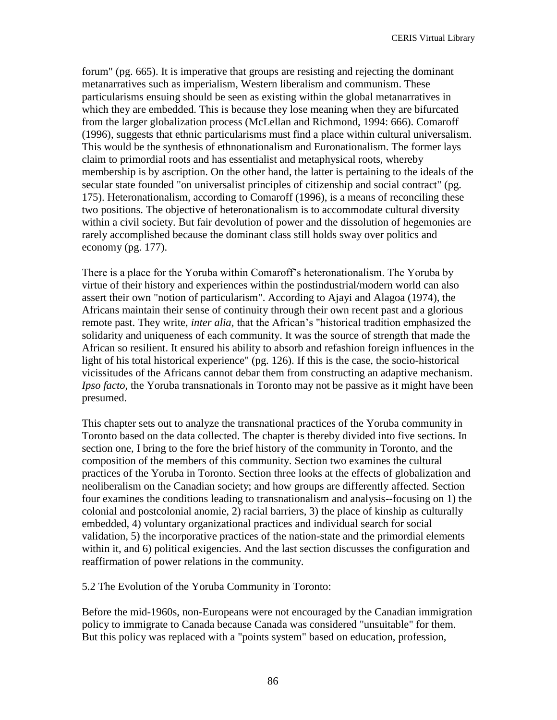forum" (pg. 665). It is imperative that groups are resisting and rejecting the dominant metanarratives such as imperialism, Western liberalism and communism. These particularisms ensuing should be seen as existing within the global metanarratives in which they are embedded. This is because they lose meaning when they are bifurcated from the larger globalization process (McLellan and Richmond, 1994: 666). Comaroff (1996), suggests that ethnic particularisms must find a place within cultural universalism. This would be the synthesis of ethnonationalism and Euronationalism. The former lays claim to primordial roots and has essentialist and metaphysical roots, whereby membership is by ascription. On the other hand, the latter is pertaining to the ideals of the secular state founded "on universalist principles of citizenship and social contract" (pg. 175). Heteronationalism, according to Comaroff (1996), is a means of reconciling these two positions. The objective of heteronationalism is to accommodate cultural diversity within a civil society. But fair devolution of power and the dissolution of hegemonies are rarely accomplished because the dominant class still holds sway over politics and economy (pg. 177).

There is a place for the Yoruba within Comaroff's heteronationalism. The Yoruba by virtue of their history and experiences within the postindustrial/modern world can also assert their own "notion of particularism". According to Ajayi and Alagoa (1974), the Africans maintain their sense of continuity through their own recent past and a glorious remote past. They write, *inter alia,* that the African's "historical tradition emphasized the solidarity and uniqueness of each community. It was the source of strength that made the African so resilient. It ensured his ability to absorb and refashion foreign influences in the light of his total historical experience" (pg. 126). If this is the case, the socio-historical vicissitudes of the Africans cannot debar them from constructing an adaptive mechanism. *Ipso facto*, the Yoruba transnationals in Toronto may not be passive as it might have been presumed.

This chapter sets out to analyze the transnational practices of the Yoruba community in Toronto based on the data collected. The chapter is thereby divided into five sections. In section one, I bring to the fore the brief history of the community in Toronto, and the composition of the members of this community. Section two examines the cultural practices of the Yoruba in Toronto. Section three looks at the effects of globalization and neoliberalism on the Canadian society; and how groups are differently affected. Section four examines the conditions leading to transnationalism and analysis--focusing on 1) the colonial and postcolonial anomie, 2) racial barriers, 3) the place of kinship as culturally embedded, 4) voluntary organizational practices and individual search for social validation, 5) the incorporative practices of the nation-state and the primordial elements within it, and 6) political exigencies. And the last section discusses the configuration and reaffirmation of power relations in the community.

5.2 The Evolution of the Yoruba Community in Toronto:

Before the mid-1960s, non-Europeans were not encouraged by the Canadian immigration policy to immigrate to Canada because Canada was considered "unsuitable" for them. But this policy was replaced with a "points system" based on education, profession,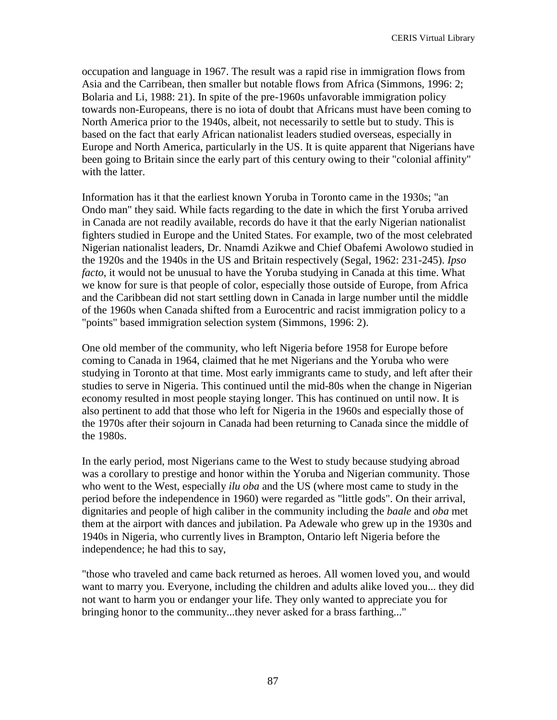occupation and language in 1967. The result was a rapid rise in immigration flows from Asia and the Carribean, then smaller but notable flows from Africa (Simmons, 1996: 2; Bolaria and Li, 1988: 21). In spite of the pre-1960s unfavorable immigration policy towards non-Europeans, there is no iota of doubt that Africans must have been coming to North America prior to the 1940s, albeit, not necessarily to settle but to study. This is based on the fact that early African nationalist leaders studied overseas, especially in Europe and North America, particularly in the US. It is quite apparent that Nigerians have been going to Britain since the early part of this century owing to their "colonial affinity" with the latter.

Information has it that the earliest known Yoruba in Toronto came in the 1930s; "an Ondo man" they said. While facts regarding to the date in which the first Yoruba arrived in Canada are not readily available, records do have it that the early Nigerian nationalist fighters studied in Europe and the United States. For example, two of the most celebrated Nigerian nationalist leaders, Dr. Nnamdi Azikwe and Chief Obafemi Awolowo studied in the 1920s and the 1940s in the US and Britain respectively (Segal, 1962: 231-245). *Ipso facto*, it would not be unusual to have the Yoruba studying in Canada at this time. What we know for sure is that people of color, especially those outside of Europe, from Africa and the Caribbean did not start settling down in Canada in large number until the middle of the 1960s when Canada shifted from a Eurocentric and racist immigration policy to a "points" based immigration selection system (Simmons, 1996: 2).

One old member of the community, who left Nigeria before 1958 for Europe before coming to Canada in 1964, claimed that he met Nigerians and the Yoruba who were studying in Toronto at that time. Most early immigrants came to study, and left after their studies to serve in Nigeria. This continued until the mid-80s when the change in Nigerian economy resulted in most people staying longer. This has continued on until now. It is also pertinent to add that those who left for Nigeria in the 1960s and especially those of the 1970s after their sojourn in Canada had been returning to Canada since the middle of the 1980s.

In the early period, most Nigerians came to the West to study because studying abroad was a corollary to prestige and honor within the Yoruba and Nigerian community. Those who went to the West, especially *ilu oba* and the US (where most came to study in the period before the independence in 1960) were regarded as "little gods". On their arrival, dignitaries and people of high caliber in the community including the *baale* and *oba* met them at the airport with dances and jubilation. Pa Adewale who grew up in the 1930s and 1940s in Nigeria, who currently lives in Brampton, Ontario left Nigeria before the independence; he had this to say,

"those who traveled and came back returned as heroes. All women loved you, and would want to marry you. Everyone, including the children and adults alike loved you... they did not want to harm you or endanger your life. They only wanted to appreciate you for bringing honor to the community...they never asked for a brass farthing..."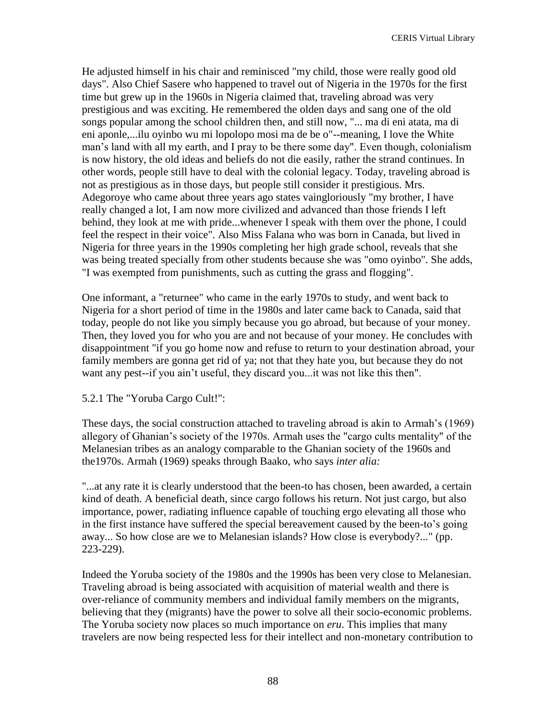He adjusted himself in his chair and reminisced "my child, those were really good old days". Also Chief Sasere who happened to travel out of Nigeria in the 1970s for the first time but grew up in the 1960s in Nigeria claimed that, traveling abroad was very prestigious and was exciting. He remembered the olden days and sang one of the old songs popular among the school children then, and still now, "... ma di eni atata, ma di eni aponle,...ilu oyinbo wu mi lopolopo mosi ma de be o"--meaning, I love the White man's land with all my earth, and I pray to be there some day". Even though, colonialism is now history, the old ideas and beliefs do not die easily, rather the strand continues. In other words, people still have to deal with the colonial legacy. Today, traveling abroad is not as prestigious as in those days, but people still consider it prestigious. Mrs. Adegoroye who came about three years ago states vaingloriously "my brother, I have really changed a lot, I am now more civilized and advanced than those friends I left behind, they look at me with pride...whenever I speak with them over the phone, I could feel the respect in their voice". Also Miss Falana who was born in Canada, but lived in Nigeria for three years in the 1990s completing her high grade school, reveals that she was being treated specially from other students because she was "omo oyinbo". She adds, "I was exempted from punishments, such as cutting the grass and flogging".

One informant, a "returnee" who came in the early 1970s to study, and went back to Nigeria for a short period of time in the 1980s and later came back to Canada, said that today, people do not like you simply because you go abroad, but because of your money. Then, they loved you for who you are and not because of your money. He concludes with disappointment "if you go home now and refuse to return to your destination abroad, your family members are gonna get rid of ya; not that they hate you, but because they do not want any pest--if you ain't useful, they discard you...it was not like this then".

### 5.2.1 The "Yoruba Cargo Cult!":

These days, the social construction attached to traveling abroad is akin to Armah's (1969) allegory of Ghanian's society of the 1970s. Armah uses the "cargo cults mentality" of the Melanesian tribes as an analogy comparable to the Ghanian society of the 1960s and the1970s. Armah (1969) speaks through Baako, who says *inter alia:*

"...at any rate it is clearly understood that the been-to has chosen, been awarded, a certain kind of death. A beneficial death, since cargo follows his return. Not just cargo, but also importance, power, radiating influence capable of touching ergo elevating all those who in the first instance have suffered the special bereavement caused by the been-to's going away... So how close are we to Melanesian islands? How close is everybody?..." (pp. 223-229).

Indeed the Yoruba society of the 1980s and the 1990s has been very close to Melanesian. Traveling abroad is being associated with acquisition of material wealth and there is over-reliance of community members and individual family members on the migrants, believing that they (migrants) have the power to solve all their socio-economic problems. The Yoruba society now places so much importance on *eru*. This implies that many travelers are now being respected less for their intellect and non-monetary contribution to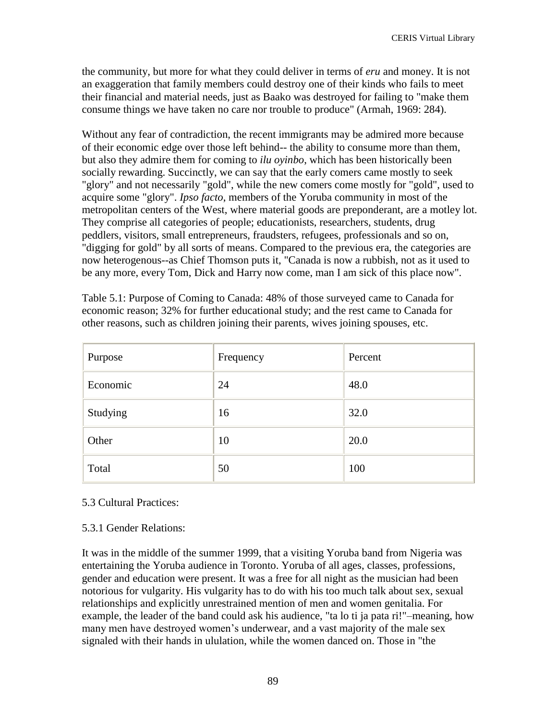the community, but more for what they could deliver in terms of *eru* and money. It is not an exaggeration that family members could destroy one of their kinds who fails to meet their financial and material needs, just as Baako was destroyed for failing to "make them consume things we have taken no care nor trouble to produce" (Armah, 1969: 284).

Without any fear of contradiction, the recent immigrants may be admired more because of their economic edge over those left behind-- the ability to consume more than them, but also they admire them for coming to *ilu oyinbo*, which has been historically been socially rewarding. Succinctly, we can say that the early comers came mostly to seek "glory" and not necessarily "gold", while the new comers come mostly for "gold", used to acquire some "glory". *Ipso facto*, members of the Yoruba community in most of the metropolitan centers of the West, where material goods are preponderant, are a motley lot. They comprise all categories of people; educationists, researchers, students, drug peddlers, visitors, small entrepreneurs, fraudsters, refugees, professionals and so on, "digging for gold" by all sorts of means. Compared to the previous era, the categories are now heterogenous--as Chief Thomson puts it, "Canada is now a rubbish, not as it used to be any more, every Tom, Dick and Harry now come, man I am sick of this place now".

Table 5.1: Purpose of Coming to Canada: 48% of those surveyed came to Canada for economic reason; 32% for further educational study; and the rest came to Canada for other reasons, such as children joining their parents, wives joining spouses, etc.

| Purpose  | Frequency | Percent |
|----------|-----------|---------|
| Economic | 24        | 48.0    |
| Studying | 16        | 32.0    |
| Other    | 10        | 20.0    |
| Total    | 50        | 100     |

# 5.3 Cultural Practices:

### 5.3.1 Gender Relations:

It was in the middle of the summer 1999, that a visiting Yoruba band from Nigeria was entertaining the Yoruba audience in Toronto. Yoruba of all ages, classes, professions, gender and education were present. It was a free for all night as the musician had been notorious for vulgarity. His vulgarity has to do with his too much talk about sex, sexual relationships and explicitly unrestrained mention of men and women genitalia. For example, the leader of the band could ask his audience, "ta lo ti ja pata ri!"–meaning, how many men have destroyed women's underwear, and a vast majority of the male sex signaled with their hands in ululation, while the women danced on. Those in "the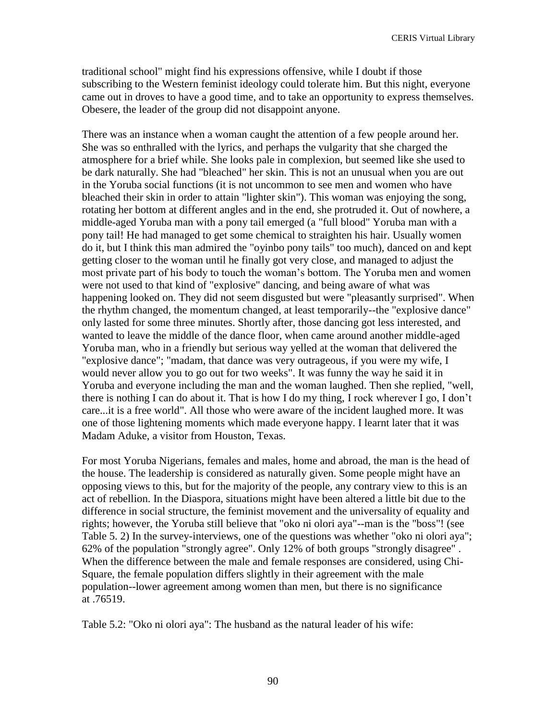traditional school" might find his expressions offensive, while I doubt if those subscribing to the Western feminist ideology could tolerate him. But this night, everyone came out in droves to have a good time, and to take an opportunity to express themselves. Obesere, the leader of the group did not disappoint anyone.

There was an instance when a woman caught the attention of a few people around her. She was so enthralled with the lyrics, and perhaps the vulgarity that she charged the atmosphere for a brief while. She looks pale in complexion, but seemed like she used to be dark naturally. She had "bleached" her skin. This is not an unusual when you are out in the Yoruba social functions (it is not uncommon to see men and women who have bleached their skin in order to attain "lighter skin"). This woman was enjoying the song, rotating her bottom at different angles and in the end, she protruded it. Out of nowhere, a middle-aged Yoruba man with a pony tail emerged (a "full blood" Yoruba man with a pony tail! He had managed to get some chemical to straighten his hair. Usually women do it, but I think this man admired the "oyinbo pony tails" too much), danced on and kept getting closer to the woman until he finally got very close, and managed to adjust the most private part of his body to touch the woman's bottom. The Yoruba men and women were not used to that kind of "explosive" dancing, and being aware of what was happening looked on. They did not seem disgusted but were "pleasantly surprised". When the rhythm changed, the momentum changed, at least temporarily--the "explosive dance" only lasted for some three minutes. Shortly after, those dancing got less interested, and wanted to leave the middle of the dance floor, when came around another middle-aged Yoruba man, who in a friendly but serious way yelled at the woman that delivered the "explosive dance"; "madam, that dance was very outrageous, if you were my wife, I would never allow you to go out for two weeks". It was funny the way he said it in Yoruba and everyone including the man and the woman laughed. Then she replied, "well, there is nothing I can do about it. That is how I do my thing, I rock wherever I go, I don't care...it is a free world". All those who were aware of the incident laughed more. It was one of those lightening moments which made everyone happy. I learnt later that it was Madam Aduke, a visitor from Houston, Texas.

For most Yoruba Nigerians, females and males, home and abroad, the man is the head of the house. The leadership is considered as naturally given. Some people might have an opposing views to this, but for the majority of the people, any contrary view to this is an act of rebellion. In the Diaspora, situations might have been altered a little bit due to the difference in social structure, the feminist movement and the universality of equality and rights; however, the Yoruba still believe that "oko ni olori aya"--man is the "boss"! (see Table 5. 2) In the survey-interviews, one of the questions was whether "oko ni olori aya"; 62% of the population "strongly agree". Only 12% of both groups "strongly disagree" . When the difference between the male and female responses are considered, using Chi-Square, the female population differs slightly in their agreement with the male population--lower agreement among women than men, but there is no significance at .76519.

Table 5.2: "Oko ni olori aya": The husband as the natural leader of his wife: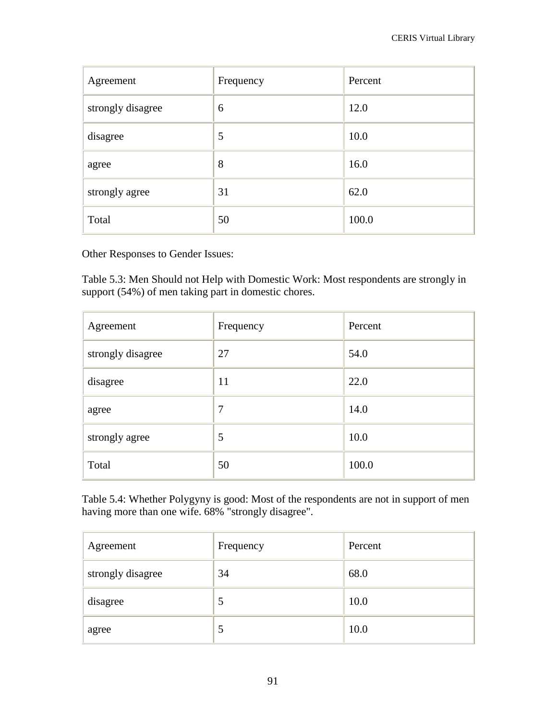| Agreement         | Frequency | Percent |
|-------------------|-----------|---------|
| strongly disagree | 6         | 12.0    |
| disagree          | 5         | 10.0    |
| agree             | 8         | 16.0    |
| strongly agree    | 31        | 62.0    |
| Total             | 50        | 100.0   |

Other Responses to Gender Issues:

Table 5.3: Men Should not Help with Domestic Work: Most respondents are strongly in support (54%) of men taking part in domestic chores.

| Agreement         | Frequency | Percent |
|-------------------|-----------|---------|
| strongly disagree | 27        | 54.0    |
| disagree          | 11        | 22.0    |
| agree             | 7         | 14.0    |
| strongly agree    | 5         | 10.0    |
| Total             | 50        | 100.0   |

Table 5.4: Whether Polygyny is good: Most of the respondents are not in support of men having more than one wife. 68% "strongly disagree".

| Agreement         | Frequency | Percent |
|-------------------|-----------|---------|
| strongly disagree | 34        | 68.0    |
| disagree          | 5         | 10.0    |
| agree             | 5         | 10.0    |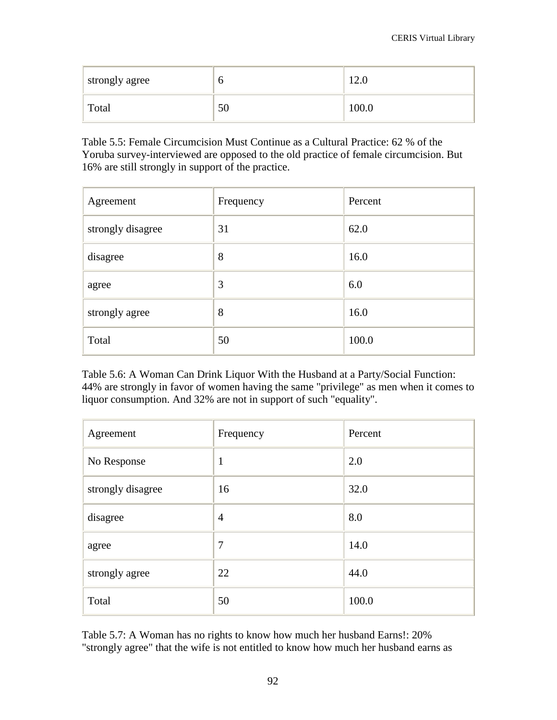| strongly agree | U  | 12.0  |
|----------------|----|-------|
| Total          | 50 | 100.0 |

Table 5.5: Female Circumcision Must Continue as a Cultural Practice: 62 % of the Yoruba survey-interviewed are opposed to the old practice of female circumcision. But 16% are still strongly in support of the practice.

| Agreement         | Frequency | Percent |
|-------------------|-----------|---------|
| strongly disagree | 31        | 62.0    |
| disagree          | 8         | 16.0    |
| agree             | 3         | 6.0     |
| strongly agree    | 8         | 16.0    |
| Total             | 50        | 100.0   |

Table 5.6: A Woman Can Drink Liquor With the Husband at a Party/Social Function: 44% are strongly in favor of women having the same "privilege" as men when it comes to liquor consumption. And 32% are not in support of such "equality".

| Agreement         | Frequency      | Percent |
|-------------------|----------------|---------|
| No Response       | 1              | 2.0     |
| strongly disagree | 16             | 32.0    |
| disagree          | $\overline{4}$ | 8.0     |
| agree             | 7              | 14.0    |
| strongly agree    | 22             | 44.0    |
| Total             | 50             | 100.0   |

Table 5.7: A Woman has no rights to know how much her husband Earns!: 20% "strongly agree" that the wife is not entitled to know how much her husband earns as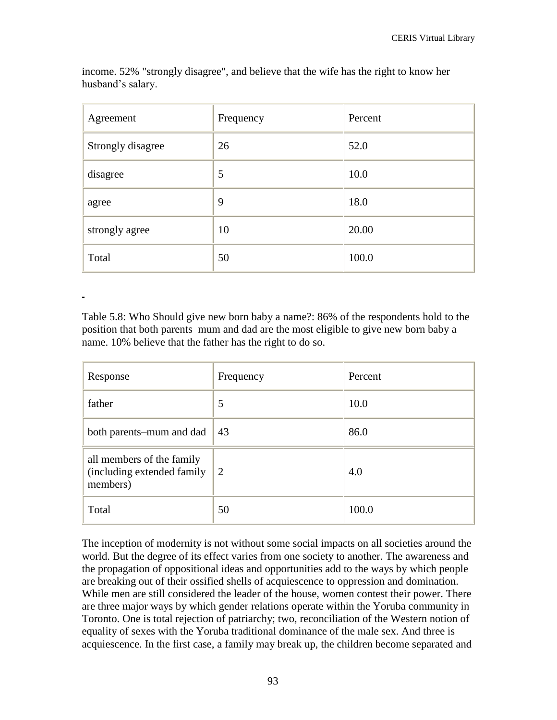| Agreement         | Frequency | Percent |
|-------------------|-----------|---------|
| Strongly disagree | 26        | 52.0    |
| disagree          | 5         | 10.0    |
| agree             | 9         | 18.0    |
| strongly agree    | 10        | 20.00   |
| Total             | 50        | 100.0   |

income. 52% "strongly disagree", and believe that the wife has the right to know her husband's salary.

Table 5.8: Who Should give new born baby a name?: 86% of the respondents hold to the position that both parents–mum and dad are the most eligible to give new born baby a name. 10% believe that the father has the right to do so.

| Response                                                            | Frequency | Percent |
|---------------------------------------------------------------------|-----------|---------|
| father                                                              | 5         | 10.0    |
| both parents-mum and dad                                            | 43        | 86.0    |
| all members of the family<br>(including extended family<br>members) | 2         | 4.0     |
| Total                                                               | 50        | 100.0   |

The inception of modernity is not without some social impacts on all societies around the world. But the degree of its effect varies from one society to another. The awareness and the propagation of oppositional ideas and opportunities add to the ways by which people are breaking out of their ossified shells of acquiescence to oppression and domination. While men are still considered the leader of the house, women contest their power. There are three major ways by which gender relations operate within the Yoruba community in Toronto. One is total rejection of patriarchy; two, reconciliation of the Western notion of equality of sexes with the Yoruba traditional dominance of the male sex. And three is acquiescence. In the first case, a family may break up, the children become separated and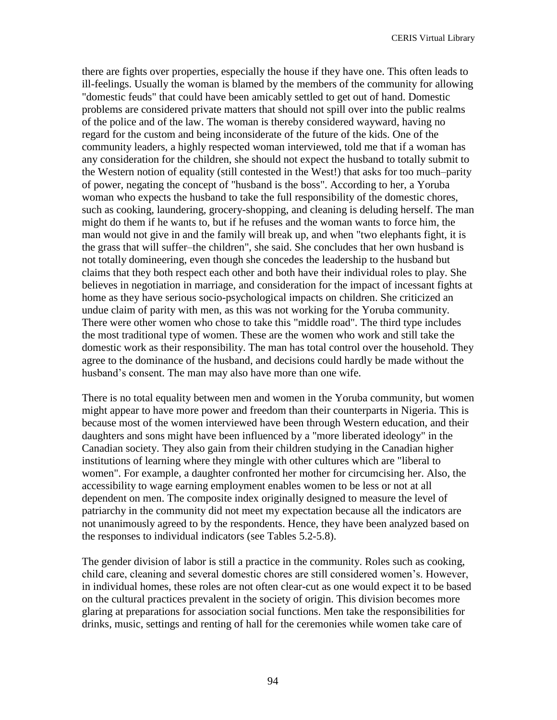there are fights over properties, especially the house if they have one. This often leads to ill-feelings. Usually the woman is blamed by the members of the community for allowing "domestic feuds" that could have been amicably settled to get out of hand. Domestic problems are considered private matters that should not spill over into the public realms of the police and of the law. The woman is thereby considered wayward, having no regard for the custom and being inconsiderate of the future of the kids. One of the community leaders, a highly respected woman interviewed, told me that if a woman has any consideration for the children, she should not expect the husband to totally submit to the Western notion of equality (still contested in the West!) that asks for too much–parity of power, negating the concept of "husband is the boss". According to her, a Yoruba woman who expects the husband to take the full responsibility of the domestic chores, such as cooking, laundering, grocery-shopping, and cleaning is deluding herself. The man might do them if he wants to, but if he refuses and the woman wants to force him, the man would not give in and the family will break up, and when "two elephants fight, it is the grass that will suffer–the children", she said. She concludes that her own husband is not totally domineering, even though she concedes the leadership to the husband but claims that they both respect each other and both have their individual roles to play. She believes in negotiation in marriage, and consideration for the impact of incessant fights at home as they have serious socio-psychological impacts on children. She criticized an undue claim of parity with men, as this was not working for the Yoruba community. There were other women who chose to take this "middle road". The third type includes the most traditional type of women. These are the women who work and still take the domestic work as their responsibility. The man has total control over the household. They agree to the dominance of the husband, and decisions could hardly be made without the husband's consent. The man may also have more than one wife.

There is no total equality between men and women in the Yoruba community, but women might appear to have more power and freedom than their counterparts in Nigeria. This is because most of the women interviewed have been through Western education, and their daughters and sons might have been influenced by a "more liberated ideology" in the Canadian society. They also gain from their children studying in the Canadian higher institutions of learning where they mingle with other cultures which are "liberal to women". For example, a daughter confronted her mother for circumcising her. Also, the accessibility to wage earning employment enables women to be less or not at all dependent on men. The composite index originally designed to measure the level of patriarchy in the community did not meet my expectation because all the indicators are not unanimously agreed to by the respondents. Hence, they have been analyzed based on the responses to individual indicators (see Tables 5.2-5.8).

The gender division of labor is still a practice in the community. Roles such as cooking, child care, cleaning and several domestic chores are still considered women's. However, in individual homes, these roles are not often clear-cut as one would expect it to be based on the cultural practices prevalent in the society of origin. This division becomes more glaring at preparations for association social functions. Men take the responsibilities for drinks, music, settings and renting of hall for the ceremonies while women take care of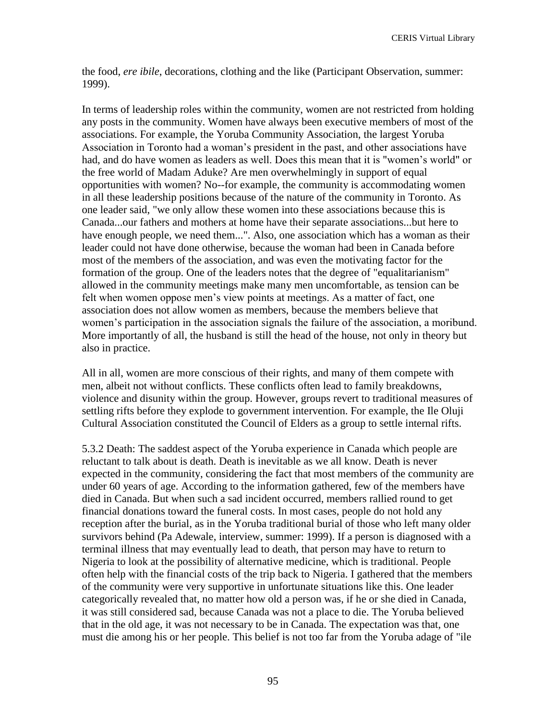the food, *ere ibile*, decorations, clothing and the like (Participant Observation, summer: 1999).

In terms of leadership roles within the community, women are not restricted from holding any posts in the community. Women have always been executive members of most of the associations. For example, the Yoruba Community Association, the largest Yoruba Association in Toronto had a woman's president in the past, and other associations have had, and do have women as leaders as well. Does this mean that it is "women's world" or the free world of Madam Aduke? Are men overwhelmingly in support of equal opportunities with women? No--for example, the community is accommodating women in all these leadership positions because of the nature of the community in Toronto. As one leader said, "we only allow these women into these associations because this is Canada...our fathers and mothers at home have their separate associations...but here to have enough people, we need them...". Also, one association which has a woman as their leader could not have done otherwise, because the woman had been in Canada before most of the members of the association, and was even the motivating factor for the formation of the group. One of the leaders notes that the degree of "equalitarianism" allowed in the community meetings make many men uncomfortable, as tension can be felt when women oppose men's view points at meetings. As a matter of fact, one association does not allow women as members, because the members believe that women's participation in the association signals the failure of the association, a moribund. More importantly of all, the husband is still the head of the house, not only in theory but also in practice.

All in all, women are more conscious of their rights, and many of them compete with men, albeit not without conflicts. These conflicts often lead to family breakdowns, violence and disunity within the group. However, groups revert to traditional measures of settling rifts before they explode to government intervention. For example, the Ile Oluji Cultural Association constituted the Council of Elders as a group to settle internal rifts.

5.3.2 Death: The saddest aspect of the Yoruba experience in Canada which people are reluctant to talk about is death. Death is inevitable as we all know. Death is never expected in the community, considering the fact that most members of the community are under 60 years of age. According to the information gathered, few of the members have died in Canada. But when such a sad incident occurred, members rallied round to get financial donations toward the funeral costs. In most cases, people do not hold any reception after the burial, as in the Yoruba traditional burial of those who left many older survivors behind (Pa Adewale, interview, summer: 1999). If a person is diagnosed with a terminal illness that may eventually lead to death, that person may have to return to Nigeria to look at the possibility of alternative medicine, which is traditional. People often help with the financial costs of the trip back to Nigeria. I gathered that the members of the community were very supportive in unfortunate situations like this. One leader categorically revealed that, no matter how old a person was, if he or she died in Canada, it was still considered sad, because Canada was not a place to die. The Yoruba believed that in the old age, it was not necessary to be in Canada. The expectation was that, one must die among his or her people. This belief is not too far from the Yoruba adage of "ile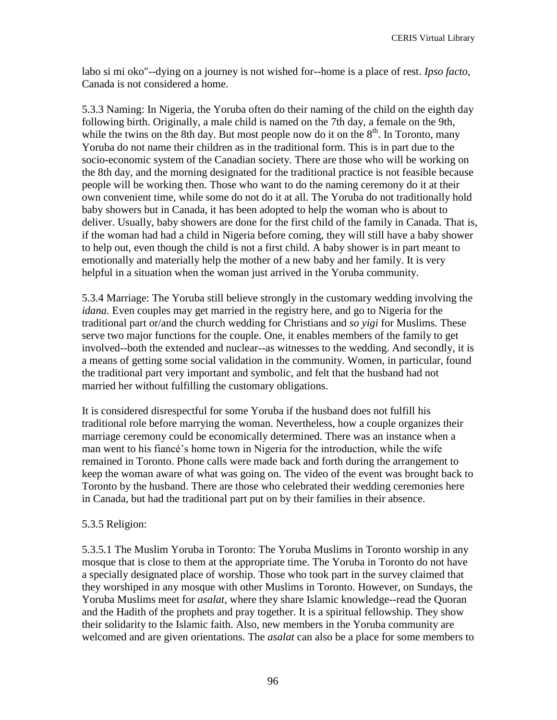labo si mi oko"--dying on a journey is not wished for--home is a place of rest. *Ipso facto*, Canada is not considered a home.

5.3.3 Naming: In Nigeria, the Yoruba often do their naming of the child on the eighth day following birth. Originally, a male child is named on the 7th day, a female on the 9th, while the twins on the 8th day. But most people now do it on the  $8<sup>th</sup>$ . In Toronto, many Yoruba do not name their children as in the traditional form. This is in part due to the socio-economic system of the Canadian society. There are those who will be working on the 8th day, and the morning designated for the traditional practice is not feasible because people will be working then. Those who want to do the naming ceremony do it at their own convenient time, while some do not do it at all. The Yoruba do not traditionally hold baby showers but in Canada, it has been adopted to help the woman who is about to deliver. Usually, baby showers are done for the first child of the family in Canada. That is, if the woman had had a child in Nigeria before coming, they will still have a baby shower to help out, even though the child is not a first child. A baby shower is in part meant to emotionally and materially help the mother of a new baby and her family. It is very helpful in a situation when the woman just arrived in the Yoruba community.

5.3.4 Marriage: The Yoruba still believe strongly in the customary wedding involving the *idana.* Even couples may get married in the registry here, and go to Nigeria for the traditional part or/and the church wedding for Christians and *so yigi* for Muslims. These serve two major functions for the couple. One, it enables members of the family to get involved--both the extended and nuclear--as witnesses to the wedding. And secondly, it is a means of getting some social validation in the community. Women, in particular, found the traditional part very important and symbolic, and felt that the husband had not married her without fulfilling the customary obligations.

It is considered disrespectful for some Yoruba if the husband does not fulfill his traditional role before marrying the woman. Nevertheless, how a couple organizes their marriage ceremony could be economically determined. There was an instance when a man went to his fiancé's home town in Nigeria for the introduction, while the wife remained in Toronto. Phone calls were made back and forth during the arrangement to keep the woman aware of what was going on. The video of the event was brought back to Toronto by the husband. There are those who celebrated their wedding ceremonies here in Canada, but had the traditional part put on by their families in their absence.

### 5.3.5 Religion:

5.3.5.1 The Muslim Yoruba in Toronto: The Yoruba Muslims in Toronto worship in any mosque that is close to them at the appropriate time. The Yoruba in Toronto do not have a specially designated place of worship. Those who took part in the survey claimed that they worshiped in any mosque with other Muslims in Toronto. However, on Sundays, the Yoruba Muslims meet for *asalat*, where they share Islamic knowledge--read the Quoran and the Hadith of the prophets and pray together. It is a spiritual fellowship. They show their solidarity to the Islamic faith. Also, new members in the Yoruba community are welcomed and are given orientations. The *asalat* can also be a place for some members to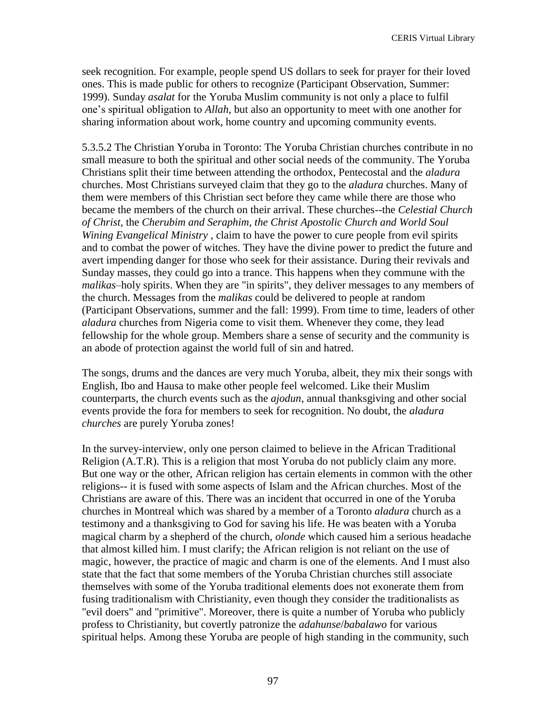seek recognition. For example, people spend US dollars to seek for prayer for their loved ones. This is made public for others to recognize (Participant Observation, Summer: 1999). Sunday *asalat* for the Yoruba Muslim community is not only a place to fulfil one's spiritual obligation to *Allah*, but also an opportunity to meet with one another for sharing information about work, home country and upcoming community events.

5.3.5.2 The Christian Yoruba in Toronto: The Yoruba Christian churches contribute in no small measure to both the spiritual and other social needs of the community. The Yoruba Christians split their time between attending the orthodox, Pentecostal and the *aladura* churches. Most Christians surveyed claim that they go to the *aladura* churches. Many of them were members of this Christian sect before they came while there are those who became the members of the church on their arrival. These churches--the *Celestial Church of Christ,* the *Cherubim and Seraphim, the Christ Apostolic Church and World Soul Wining Evangelical Ministry ,* claim to have the power to cure people from evil spirits and to combat the power of witches. They have the divine power to predict the future and avert impending danger for those who seek for their assistance. During their revivals and Sunday masses, they could go into a trance. This happens when they commune with the *malikas*–holy spirits. When they are "in spirits", they deliver messages to any members of the church. Messages from the *malikas* could be delivered to people at random (Participant Observations, summer and the fall: 1999). From time to time, leaders of other *aladura* churches from Nigeria come to visit them. Whenever they come, they lead fellowship for the whole group. Members share a sense of security and the community is an abode of protection against the world full of sin and hatred.

The songs, drums and the dances are very much Yoruba, albeit, they mix their songs with English, Ibo and Hausa to make other people feel welcomed. Like their Muslim counterparts, the church events such as the *ajodun*, annual thanksgiving and other social events provide the fora for members to seek for recognition. No doubt, the *aladura churches* are purely Yoruba zones!

In the survey-interview, only one person claimed to believe in the African Traditional Religion (A.T.R). This is a religion that most Yoruba do not publicly claim any more. But one way or the other, African religion has certain elements in common with the other religions-- it is fused with some aspects of Islam and the African churches. Most of the Christians are aware of this. There was an incident that occurred in one of the Yoruba churches in Montreal which was shared by a member of a Toronto *aladura* church as a testimony and a thanksgiving to God for saving his life. He was beaten with a Yoruba magical charm by a shepherd of the church, *olonde* which caused him a serious headache that almost killed him. I must clarify; the African religion is not reliant on the use of magic, however, the practice of magic and charm is one of the elements. And I must also state that the fact that some members of the Yoruba Christian churches still associate themselves with some of the Yoruba traditional elements does not exonerate them from fusing traditionalism with Christianity, even though they consider the traditionalists as "evil doers" and "primitive". Moreover, there is quite a number of Yoruba who publicly profess to Christianity, but covertly patronize the *adahunse*/*babalawo* for various spiritual helps. Among these Yoruba are people of high standing in the community, such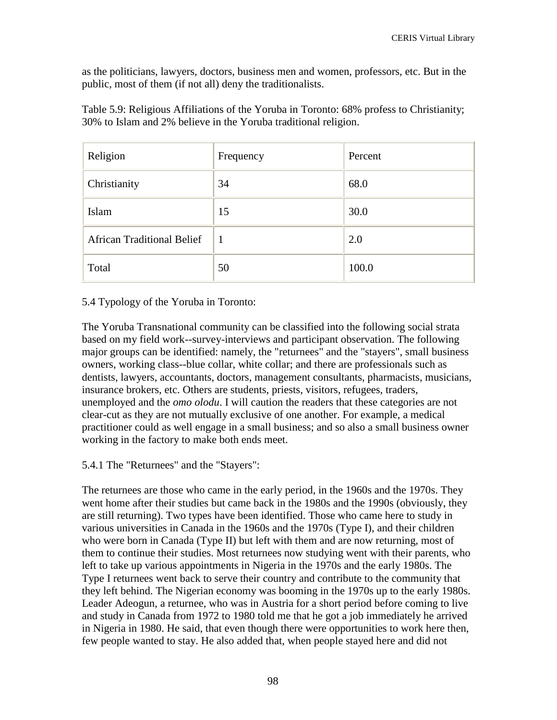as the politicians, lawyers, doctors, business men and women, professors, etc. But in the public, most of them (if not all) deny the traditionalists.

| Religion                          | Frequency | Percent |
|-----------------------------------|-----------|---------|
| Christianity                      | 34        | 68.0    |
| Islam                             | 15        | 30.0    |
| <b>African Traditional Belief</b> | -1        | 2.0     |
| Total                             | 50        | 100.0   |

Table 5.9: Religious Affiliations of the Yoruba in Toronto: 68% profess to Christianity; 30% to Islam and 2% believe in the Yoruba traditional religion.

## 5.4 Typology of the Yoruba in Toronto:

The Yoruba Transnational community can be classified into the following social strata based on my field work--survey-interviews and participant observation. The following major groups can be identified: namely, the "returnees" and the "stayers", small business owners, working class--blue collar, white collar; and there are professionals such as dentists, lawyers, accountants, doctors, management consultants, pharmacists, musicians, insurance brokers, etc. Others are students, priests, visitors, refugees, traders, unemployed and the *omo olodu*. I will caution the readers that these categories are not clear-cut as they are not mutually exclusive of one another. For example, a medical practitioner could as well engage in a small business; and so also a small business owner working in the factory to make both ends meet.

5.4.1 The "Returnees" and the "Stayers":

The returnees are those who came in the early period, in the 1960s and the 1970s. They went home after their studies but came back in the 1980s and the 1990s (obviously, they are still returning). Two types have been identified. Those who came here to study in various universities in Canada in the 1960s and the 1970s (Type I), and their children who were born in Canada (Type II) but left with them and are now returning, most of them to continue their studies. Most returnees now studying went with their parents, who left to take up various appointments in Nigeria in the 1970s and the early 1980s. The Type I returnees went back to serve their country and contribute to the community that they left behind. The Nigerian economy was booming in the 1970s up to the early 1980s. Leader Adeogun, a returnee, who was in Austria for a short period before coming to live and study in Canada from 1972 to 1980 told me that he got a job immediately he arrived in Nigeria in 1980. He said, that even though there were opportunities to work here then, few people wanted to stay. He also added that, when people stayed here and did not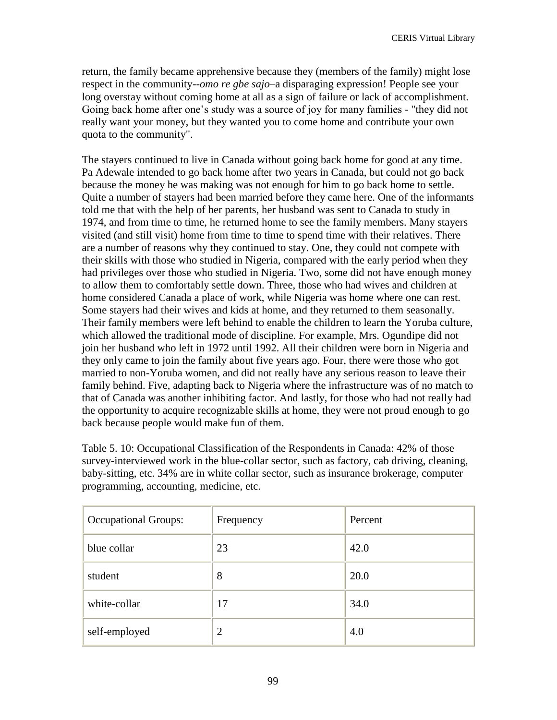return, the family became apprehensive because they (members of the family) might lose respect in the community--*omo re gbe sajo*–a disparaging expression! People see your long overstay without coming home at all as a sign of failure or lack of accomplishment. Going back home after one's study was a source of joy for many families - "they did not really want your money, but they wanted you to come home and contribute your own quota to the community".

The stayers continued to live in Canada without going back home for good at any time. Pa Adewale intended to go back home after two years in Canada, but could not go back because the money he was making was not enough for him to go back home to settle. Quite a number of stayers had been married before they came here. One of the informants told me that with the help of her parents, her husband was sent to Canada to study in 1974, and from time to time, he returned home to see the family members. Many stayers visited (and still visit) home from time to time to spend time with their relatives. There are a number of reasons why they continued to stay. One, they could not compete with their skills with those who studied in Nigeria, compared with the early period when they had privileges over those who studied in Nigeria. Two, some did not have enough money to allow them to comfortably settle down. Three, those who had wives and children at home considered Canada a place of work, while Nigeria was home where one can rest. Some stayers had their wives and kids at home, and they returned to them seasonally. Their family members were left behind to enable the children to learn the Yoruba culture, which allowed the traditional mode of discipline. For example, Mrs. Ogundipe did not join her husband who left in 1972 until 1992. All their children were born in Nigeria and they only came to join the family about five years ago. Four, there were those who got married to non-Yoruba women, and did not really have any serious reason to leave their family behind. Five, adapting back to Nigeria where the infrastructure was of no match to that of Canada was another inhibiting factor. And lastly, for those who had not really had the opportunity to acquire recognizable skills at home, they were not proud enough to go back because people would make fun of them.

Table 5. 10: Occupational Classification of the Respondents in Canada: 42% of those survey-interviewed work in the blue-collar sector, such as factory, cab driving, cleaning, baby-sitting, etc. 34% are in white collar sector, such as insurance brokerage, computer programming, accounting, medicine, etc.

| <b>Occupational Groups:</b> | Frequency | Percent |
|-----------------------------|-----------|---------|
| blue collar                 | 23        | 42.0    |
| student                     | 8         | 20.0    |
| white-collar                | 17        | 34.0    |
| self-employed               | 2         | 4.0     |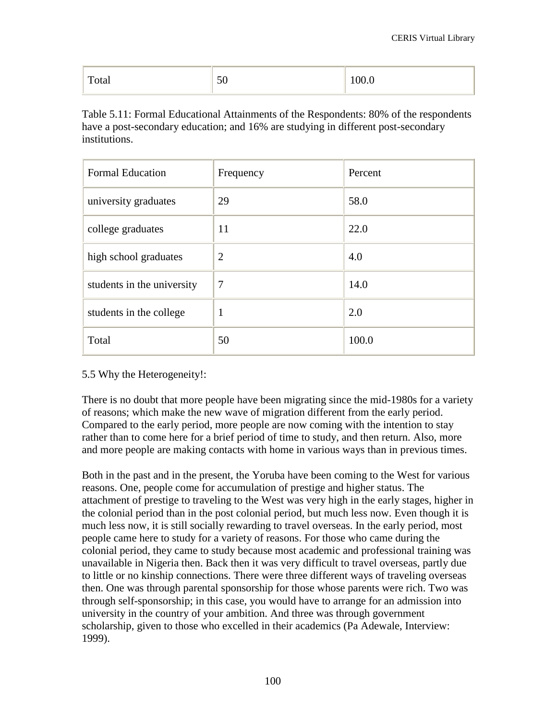| $\epsilon$<br>Total<br>υU<br>LUU.U |  |
|------------------------------------|--|
|------------------------------------|--|

Table 5.11: Formal Educational Attainments of the Respondents: 80% of the respondents have a post-secondary education; and 16% are studying in different post-secondary institutions.

| <b>Formal Education</b>    | Frequency      | Percent |
|----------------------------|----------------|---------|
| university graduates       | 29             | 58.0    |
| college graduates          | 11             | 22.0    |
| high school graduates      | $\overline{2}$ | 4.0     |
| students in the university | 7              | 14.0    |
| students in the college    | 1              | 2.0     |
| Total                      | 50             | 100.0   |

5.5 Why the Heterogeneity!:

There is no doubt that more people have been migrating since the mid-1980s for a variety of reasons; which make the new wave of migration different from the early period. Compared to the early period, more people are now coming with the intention to stay rather than to come here for a brief period of time to study, and then return. Also, more and more people are making contacts with home in various ways than in previous times.

Both in the past and in the present, the Yoruba have been coming to the West for various reasons. One, people come for accumulation of prestige and higher status. The attachment of prestige to traveling to the West was very high in the early stages, higher in the colonial period than in the post colonial period, but much less now. Even though it is much less now, it is still socially rewarding to travel overseas. In the early period, most people came here to study for a variety of reasons. For those who came during the colonial period, they came to study because most academic and professional training was unavailable in Nigeria then. Back then it was very difficult to travel overseas, partly due to little or no kinship connections. There were three different ways of traveling overseas then. One was through parental sponsorship for those whose parents were rich. Two was through self-sponsorship; in this case, you would have to arrange for an admission into university in the country of your ambition. And three was through government scholarship, given to those who excelled in their academics (Pa Adewale, Interview: 1999).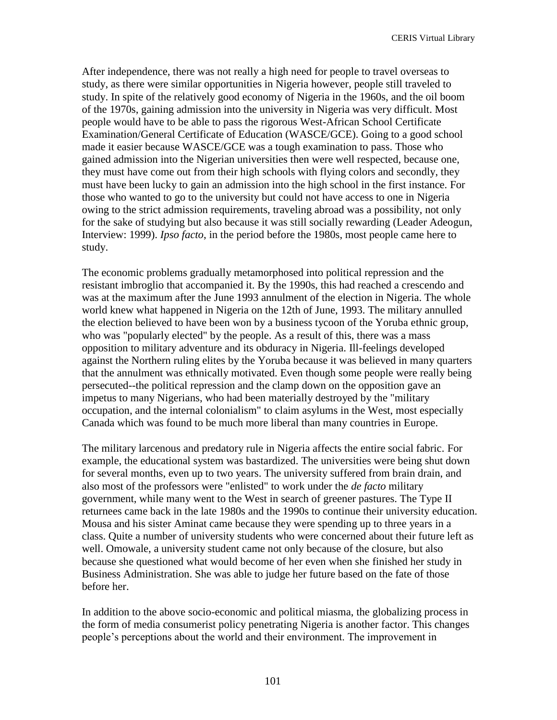After independence, there was not really a high need for people to travel overseas to study, as there were similar opportunities in Nigeria however, people still traveled to study. In spite of the relatively good economy of Nigeria in the 1960s, and the oil boom of the 1970s, gaining admission into the university in Nigeria was very difficult. Most people would have to be able to pass the rigorous West-African School Certificate Examination/General Certificate of Education (WASCE/GCE). Going to a good school made it easier because WASCE/GCE was a tough examination to pass. Those who gained admission into the Nigerian universities then were well respected, because one, they must have come out from their high schools with flying colors and secondly, they must have been lucky to gain an admission into the high school in the first instance. For those who wanted to go to the university but could not have access to one in Nigeria owing to the strict admission requirements, traveling abroad was a possibility, not only for the sake of studying but also because it was still socially rewarding (Leader Adeogun, Interview: 1999). *Ipso facto*, in the period before the 1980s, most people came here to study.

The economic problems gradually metamorphosed into political repression and the resistant imbroglio that accompanied it. By the 1990s, this had reached a crescendo and was at the maximum after the June 1993 annulment of the election in Nigeria. The whole world knew what happened in Nigeria on the 12th of June, 1993. The military annulled the election believed to have been won by a business tycoon of the Yoruba ethnic group, who was "popularly elected" by the people. As a result of this, there was a mass opposition to military adventure and its obduracy in Nigeria. Ill-feelings developed against the Northern ruling elites by the Yoruba because it was believed in many quarters that the annulment was ethnically motivated. Even though some people were really being persecuted--the political repression and the clamp down on the opposition gave an impetus to many Nigerians, who had been materially destroyed by the "military occupation, and the internal colonialism" to claim asylums in the West, most especially Canada which was found to be much more liberal than many countries in Europe.

The military larcenous and predatory rule in Nigeria affects the entire social fabric. For example, the educational system was bastardized. The universities were being shut down for several months, even up to two years. The university suffered from brain drain, and also most of the professors were "enlisted" to work under the *de facto* military government, while many went to the West in search of greener pastures. The Type II returnees came back in the late 1980s and the 1990s to continue their university education. Mousa and his sister Aminat came because they were spending up to three years in a class. Quite a number of university students who were concerned about their future left as well. Omowale, a university student came not only because of the closure, but also because she questioned what would become of her even when she finished her study in Business Administration. She was able to judge her future based on the fate of those before her.

In addition to the above socio-economic and political miasma, the globalizing process in the form of media consumerist policy penetrating Nigeria is another factor. This changes people's perceptions about the world and their environment. The improvement in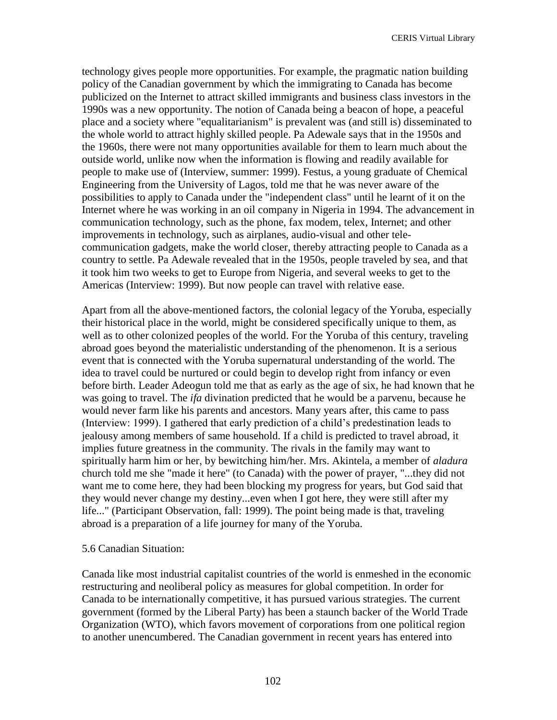technology gives people more opportunities. For example, the pragmatic nation building policy of the Canadian government by which the immigrating to Canada has become publicized on the Internet to attract skilled immigrants and business class investors in the 1990s was a new opportunity. The notion of Canada being a beacon of hope, a peaceful place and a society where "equalitarianism" is prevalent was (and still is) disseminated to the whole world to attract highly skilled people. Pa Adewale says that in the 1950s and the 1960s, there were not many opportunities available for them to learn much about the outside world, unlike now when the information is flowing and readily available for people to make use of (Interview, summer: 1999). Festus, a young graduate of Chemical Engineering from the University of Lagos, told me that he was never aware of the possibilities to apply to Canada under the "independent class" until he learnt of it on the Internet where he was working in an oil company in Nigeria in 1994. The advancement in communication technology, such as the phone, fax modem, telex, Internet; and other improvements in technology, such as airplanes, audio-visual and other telecommunication gadgets, make the world closer, thereby attracting people to Canada as a country to settle. Pa Adewale revealed that in the 1950s, people traveled by sea, and that it took him two weeks to get to Europe from Nigeria, and several weeks to get to the Americas (Interview: 1999). But now people can travel with relative ease.

Apart from all the above-mentioned factors, the colonial legacy of the Yoruba, especially their historical place in the world, might be considered specifically unique to them, as well as to other colonized peoples of the world. For the Yoruba of this century, traveling abroad goes beyond the materialistic understanding of the phenomenon. It is a serious event that is connected with the Yoruba supernatural understanding of the world. The idea to travel could be nurtured or could begin to develop right from infancy or even before birth. Leader Adeogun told me that as early as the age of six, he had known that he was going to travel. The *ifa* divination predicted that he would be a parvenu, because he would never farm like his parents and ancestors. Many years after, this came to pass (Interview: 1999). I gathered that early prediction of a child's predestination leads to jealousy among members of same household. If a child is predicted to travel abroad, it implies future greatness in the community. The rivals in the family may want to spiritually harm him or her, by bewitching him/her. Mrs. Akintela, a member of *aladura* church told me she "made it here" (to Canada) with the power of prayer, "...they did not want me to come here, they had been blocking my progress for years, but God said that they would never change my destiny...even when I got here, they were still after my life..." (Participant Observation, fall: 1999). The point being made is that, traveling abroad is a preparation of a life journey for many of the Yoruba.

### 5.6 Canadian Situation:

Canada like most industrial capitalist countries of the world is enmeshed in the economic restructuring and neoliberal policy as measures for global competition. In order for Canada to be internationally competitive, it has pursued various strategies. The current government (formed by the Liberal Party) has been a staunch backer of the World Trade Organization (WTO), which favors movement of corporations from one political region to another unencumbered. The Canadian government in recent years has entered into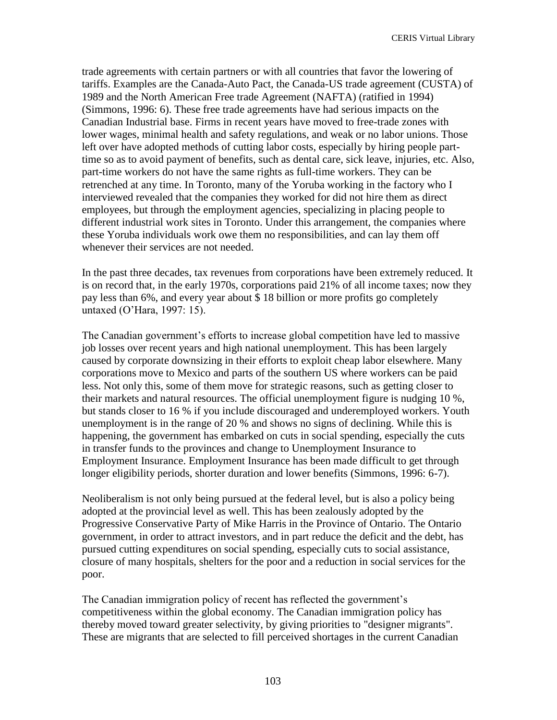trade agreements with certain partners or with all countries that favor the lowering of tariffs. Examples are the Canada-Auto Pact, the Canada-US trade agreement (CUSTA) of 1989 and the North American Free trade Agreement (NAFTA) (ratified in 1994) (Simmons, 1996: 6). These free trade agreements have had serious impacts on the Canadian Industrial base. Firms in recent years have moved to free-trade zones with lower wages, minimal health and safety regulations, and weak or no labor unions. Those left over have adopted methods of cutting labor costs, especially by hiring people parttime so as to avoid payment of benefits, such as dental care, sick leave, injuries, etc. Also, part-time workers do not have the same rights as full-time workers. They can be retrenched at any time. In Toronto, many of the Yoruba working in the factory who I interviewed revealed that the companies they worked for did not hire them as direct employees, but through the employment agencies, specializing in placing people to different industrial work sites in Toronto. Under this arrangement, the companies where these Yoruba individuals work owe them no responsibilities, and can lay them off whenever their services are not needed.

In the past three decades, tax revenues from corporations have been extremely reduced. It is on record that, in the early 1970s, corporations paid 21% of all income taxes; now they pay less than 6%, and every year about \$ 18 billion or more profits go completely untaxed (O'Hara, 1997: 15).

The Canadian government's efforts to increase global competition have led to massive job losses over recent years and high national unemployment. This has been largely caused by corporate downsizing in their efforts to exploit cheap labor elsewhere. Many corporations move to Mexico and parts of the southern US where workers can be paid less. Not only this, some of them move for strategic reasons, such as getting closer to their markets and natural resources. The official unemployment figure is nudging 10 %, but stands closer to 16 % if you include discouraged and underemployed workers. Youth unemployment is in the range of 20 % and shows no signs of declining. While this is happening, the government has embarked on cuts in social spending, especially the cuts in transfer funds to the provinces and change to Unemployment Insurance to Employment Insurance. Employment Insurance has been made difficult to get through longer eligibility periods, shorter duration and lower benefits (Simmons, 1996: 6-7).

Neoliberalism is not only being pursued at the federal level, but is also a policy being adopted at the provincial level as well. This has been zealously adopted by the Progressive Conservative Party of Mike Harris in the Province of Ontario. The Ontario government, in order to attract investors, and in part reduce the deficit and the debt, has pursued cutting expenditures on social spending, especially cuts to social assistance, closure of many hospitals, shelters for the poor and a reduction in social services for the poor.

The Canadian immigration policy of recent has reflected the government's competitiveness within the global economy. The Canadian immigration policy has thereby moved toward greater selectivity, by giving priorities to "designer migrants". These are migrants that are selected to fill perceived shortages in the current Canadian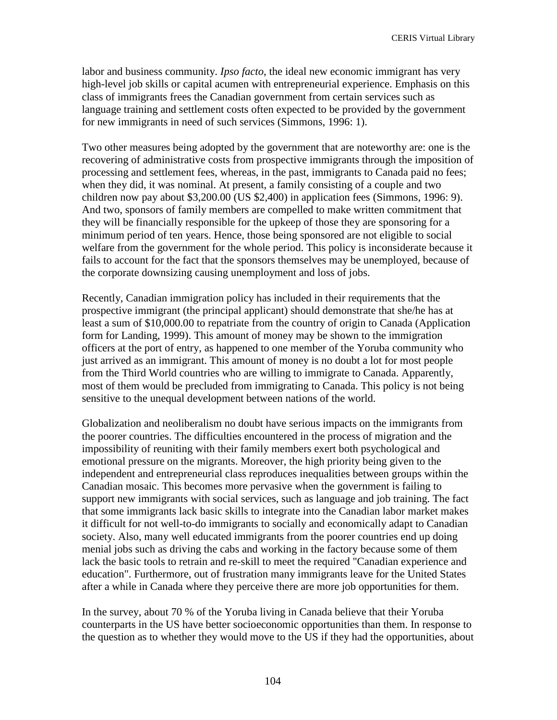labor and business community. *Ipso facto*, the ideal new economic immigrant has very high-level job skills or capital acumen with entrepreneurial experience. Emphasis on this class of immigrants frees the Canadian government from certain services such as language training and settlement costs often expected to be provided by the government for new immigrants in need of such services (Simmons, 1996: 1).

Two other measures being adopted by the government that are noteworthy are: one is the recovering of administrative costs from prospective immigrants through the imposition of processing and settlement fees, whereas, in the past, immigrants to Canada paid no fees; when they did, it was nominal. At present, a family consisting of a couple and two children now pay about \$3,200.00 (US \$2,400) in application fees (Simmons, 1996: 9). And two, sponsors of family members are compelled to make written commitment that they will be financially responsible for the upkeep of those they are sponsoring for a minimum period of ten years. Hence, those being sponsored are not eligible to social welfare from the government for the whole period. This policy is inconsiderate because it fails to account for the fact that the sponsors themselves may be unemployed, because of the corporate downsizing causing unemployment and loss of jobs.

Recently, Canadian immigration policy has included in their requirements that the prospective immigrant (the principal applicant) should demonstrate that she/he has at least a sum of \$10,000.00 to repatriate from the country of origin to Canada (Application form for Landing, 1999). This amount of money may be shown to the immigration officers at the port of entry, as happened to one member of the Yoruba community who just arrived as an immigrant. This amount of money is no doubt a lot for most people from the Third World countries who are willing to immigrate to Canada. Apparently, most of them would be precluded from immigrating to Canada. This policy is not being sensitive to the unequal development between nations of the world.

Globalization and neoliberalism no doubt have serious impacts on the immigrants from the poorer countries. The difficulties encountered in the process of migration and the impossibility of reuniting with their family members exert both psychological and emotional pressure on the migrants. Moreover, the high priority being given to the independent and entrepreneurial class reproduces inequalities between groups within the Canadian mosaic. This becomes more pervasive when the government is failing to support new immigrants with social services, such as language and job training. The fact that some immigrants lack basic skills to integrate into the Canadian labor market makes it difficult for not well-to-do immigrants to socially and economically adapt to Canadian society. Also, many well educated immigrants from the poorer countries end up doing menial jobs such as driving the cabs and working in the factory because some of them lack the basic tools to retrain and re-skill to meet the required "Canadian experience and education". Furthermore, out of frustration many immigrants leave for the United States after a while in Canada where they perceive there are more job opportunities for them.

In the survey, about 70 % of the Yoruba living in Canada believe that their Yoruba counterparts in the US have better socioeconomic opportunities than them. In response to the question as to whether they would move to the US if they had the opportunities, about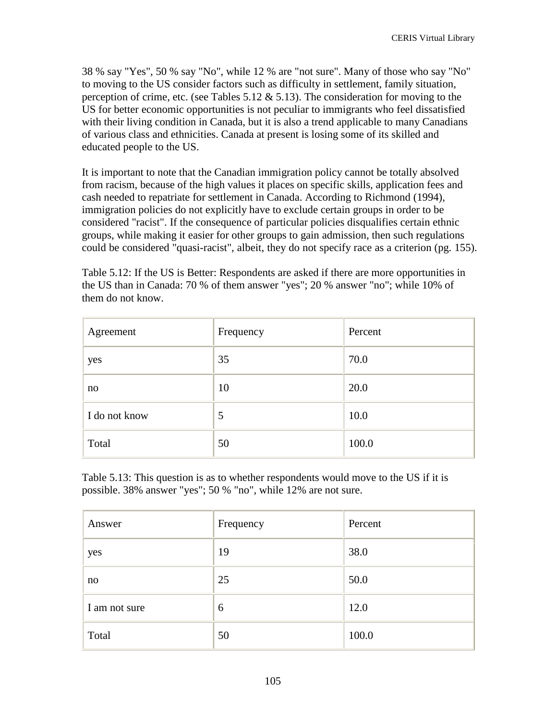38 % say "Yes", 50 % say "No", while 12 % are "not sure". Many of those who say "No" to moving to the US consider factors such as difficulty in settlement, family situation, perception of crime, etc. (see Tables 5.12  $& 5.13$ ). The consideration for moving to the US for better economic opportunities is not peculiar to immigrants who feel dissatisfied with their living condition in Canada, but it is also a trend applicable to many Canadians of various class and ethnicities. Canada at present is losing some of its skilled and educated people to the US.

It is important to note that the Canadian immigration policy cannot be totally absolved from racism, because of the high values it places on specific skills, application fees and cash needed to repatriate for settlement in Canada. According to Richmond (1994), immigration policies do not explicitly have to exclude certain groups in order to be considered "racist". If the consequence of particular policies disqualifies certain ethnic groups, while making it easier for other groups to gain admission, then such regulations could be considered "quasi-racist", albeit, they do not specify race as a criterion (pg. 155).

Table 5.12: If the US is Better: Respondents are asked if there are more opportunities in the US than in Canada: 70 % of them answer "yes"; 20 % answer "no"; while 10% of them do not know.

| Agreement     | Frequency | Percent |
|---------------|-----------|---------|
| yes           | 35        | 70.0    |
| no            | 10        | 20.0    |
| I do not know | 5         | 10.0    |
| Total         | 50        | 100.0   |

Table 5.13: This question is as to whether respondents would move to the US if it is possible. 38% answer "yes"; 50 % "no", while 12% are not sure.

| Answer        | Frequency | Percent |
|---------------|-----------|---------|
| yes           | 19        | 38.0    |
| no            | 25        | 50.0    |
| I am not sure | 6         | 12.0    |
| Total         | 50        | 100.0   |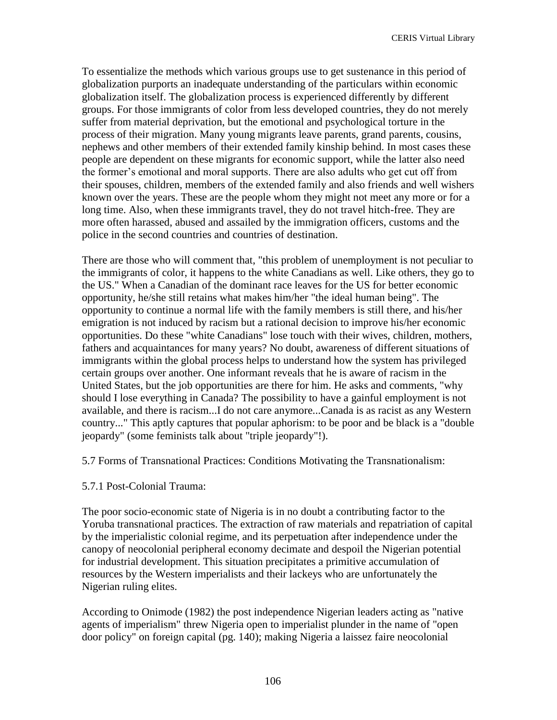To essentialize the methods which various groups use to get sustenance in this period of globalization purports an inadequate understanding of the particulars within economic globalization itself. The globalization process is experienced differently by different groups. For those immigrants of color from less developed countries, they do not merely suffer from material deprivation, but the emotional and psychological torture in the process of their migration. Many young migrants leave parents, grand parents, cousins, nephews and other members of their extended family kinship behind. In most cases these people are dependent on these migrants for economic support, while the latter also need the former's emotional and moral supports. There are also adults who get cut off from their spouses, children, members of the extended family and also friends and well wishers known over the years. These are the people whom they might not meet any more or for a long time. Also, when these immigrants travel, they do not travel hitch-free. They are more often harassed, abused and assailed by the immigration officers, customs and the police in the second countries and countries of destination.

There are those who will comment that, "this problem of unemployment is not peculiar to the immigrants of color, it happens to the white Canadians as well. Like others, they go to the US." When a Canadian of the dominant race leaves for the US for better economic opportunity, he/she still retains what makes him/her "the ideal human being". The opportunity to continue a normal life with the family members is still there, and his/her emigration is not induced by racism but a rational decision to improve his/her economic opportunities. Do these "white Canadians" lose touch with their wives, children, mothers, fathers and acquaintances for many years? No doubt, awareness of different situations of immigrants within the global process helps to understand how the system has privileged certain groups over another. One informant reveals that he is aware of racism in the United States, but the job opportunities are there for him. He asks and comments, "why should I lose everything in Canada? The possibility to have a gainful employment is not available, and there is racism...I do not care anymore...Canada is as racist as any Western country..." This aptly captures that popular aphorism: to be poor and be black is a "double jeopardy" (some feminists talk about "triple jeopardy"!).

5.7 Forms of Transnational Practices: Conditions Motivating the Transnationalism:

5.7.1 Post-Colonial Trauma:

The poor socio-economic state of Nigeria is in no doubt a contributing factor to the Yoruba transnational practices. The extraction of raw materials and repatriation of capital by the imperialistic colonial regime, and its perpetuation after independence under the canopy of neocolonial peripheral economy decimate and despoil the Nigerian potential for industrial development. This situation precipitates a primitive accumulation of resources by the Western imperialists and their lackeys who are unfortunately the Nigerian ruling elites.

According to Onimode (1982) the post independence Nigerian leaders acting as "native agents of imperialism" threw Nigeria open to imperialist plunder in the name of "open door policy" on foreign capital (pg. 140); making Nigeria a laissez faire neocolonial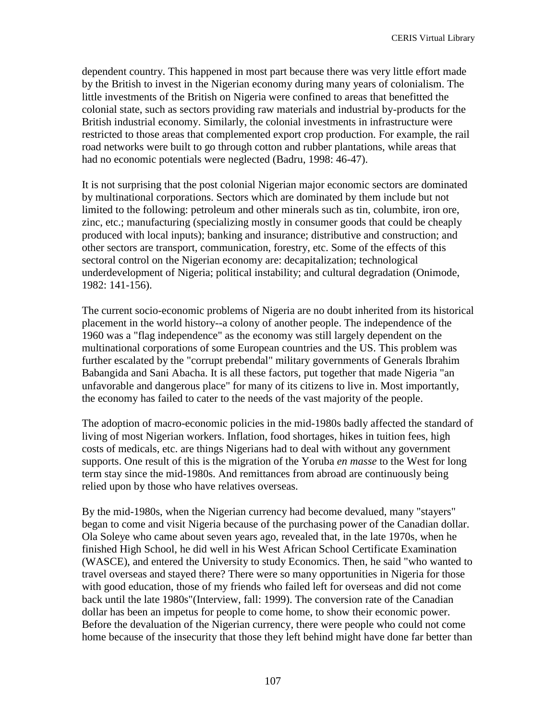dependent country. This happened in most part because there was very little effort made by the British to invest in the Nigerian economy during many years of colonialism. The little investments of the British on Nigeria were confined to areas that benefitted the colonial state, such as sectors providing raw materials and industrial by-products for the British industrial economy. Similarly, the colonial investments in infrastructure were restricted to those areas that complemented export crop production. For example, the rail road networks were built to go through cotton and rubber plantations, while areas that had no economic potentials were neglected (Badru, 1998: 46-47).

It is not surprising that the post colonial Nigerian major economic sectors are dominated by multinational corporations. Sectors which are dominated by them include but not limited to the following: petroleum and other minerals such as tin, columbite, iron ore, zinc, etc.; manufacturing (specializing mostly in consumer goods that could be cheaply produced with local inputs); banking and insurance; distributive and construction; and other sectors are transport, communication, forestry, etc. Some of the effects of this sectoral control on the Nigerian economy are: decapitalization; technological underdevelopment of Nigeria; political instability; and cultural degradation (Onimode, 1982: 141-156).

The current socio-economic problems of Nigeria are no doubt inherited from its historical placement in the world history--a colony of another people. The independence of the 1960 was a "flag independence" as the economy was still largely dependent on the multinational corporations of some European countries and the US. This problem was further escalated by the "corrupt prebendal" military governments of Generals Ibrahim Babangida and Sani Abacha. It is all these factors, put together that made Nigeria "an unfavorable and dangerous place" for many of its citizens to live in. Most importantly, the economy has failed to cater to the needs of the vast majority of the people.

The adoption of macro-economic policies in the mid-1980s badly affected the standard of living of most Nigerian workers. Inflation, food shortages, hikes in tuition fees, high costs of medicals, etc. are things Nigerians had to deal with without any government supports. One result of this is the migration of the Yoruba *en masse* to the West for long term stay since the mid-1980s. And remittances from abroad are continuously being relied upon by those who have relatives overseas.

By the mid-1980s, when the Nigerian currency had become devalued, many "stayers" began to come and visit Nigeria because of the purchasing power of the Canadian dollar. Ola Soleye who came about seven years ago, revealed that, in the late 1970s, when he finished High School, he did well in his West African School Certificate Examination (WASCE), and entered the University to study Economics. Then, he said "who wanted to travel overseas and stayed there? There were so many opportunities in Nigeria for those with good education, those of my friends who failed left for overseas and did not come back until the late 1980s"(Interview, fall: 1999). The conversion rate of the Canadian dollar has been an impetus for people to come home, to show their economic power. Before the devaluation of the Nigerian currency, there were people who could not come home because of the insecurity that those they left behind might have done far better than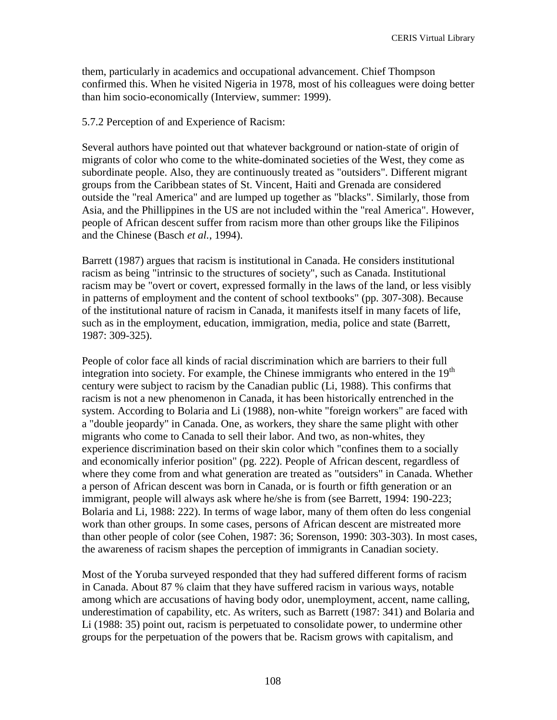them, particularly in academics and occupational advancement. Chief Thompson confirmed this. When he visited Nigeria in 1978, most of his colleagues were doing better than him socio-economically (Interview, summer: 1999).

### 5.7.2 Perception of and Experience of Racism:

Several authors have pointed out that whatever background or nation-state of origin of migrants of color who come to the white-dominated societies of the West, they come as subordinate people. Also, they are continuously treated as "outsiders". Different migrant groups from the Caribbean states of St. Vincent, Haiti and Grenada are considered outside the "real America" and are lumped up together as "blacks". Similarly, those from Asia, and the Phillippines in the US are not included within the "real America". However, people of African descent suffer from racism more than other groups like the Filipinos and the Chinese (Basch *et al.*, 1994).

Barrett (1987) argues that racism is institutional in Canada. He considers institutional racism as being "intrinsic to the structures of society", such as Canada. Institutional racism may be "overt or covert, expressed formally in the laws of the land, or less visibly in patterns of employment and the content of school textbooks" (pp. 307-308). Because of the institutional nature of racism in Canada, it manifests itself in many facets of life, such as in the employment, education, immigration, media, police and state (Barrett, 1987: 309-325).

People of color face all kinds of racial discrimination which are barriers to their full integration into society. For example, the Chinese immigrants who entered in the  $19<sup>th</sup>$ century were subject to racism by the Canadian public (Li, 1988). This confirms that racism is not a new phenomenon in Canada, it has been historically entrenched in the system. According to Bolaria and Li (1988), non-white "foreign workers" are faced with a "double jeopardy" in Canada. One, as workers, they share the same plight with other migrants who come to Canada to sell their labor. And two, as non-whites, they experience discrimination based on their skin color which "confines them to a socially and economically inferior position" (pg. 222). People of African descent, regardless of where they come from and what generation are treated as "outsiders" in Canada. Whether a person of African descent was born in Canada, or is fourth or fifth generation or an immigrant, people will always ask where he/she is from (see Barrett, 1994: 190-223; Bolaria and Li, 1988: 222). In terms of wage labor, many of them often do less congenial work than other groups. In some cases, persons of African descent are mistreated more than other people of color (see Cohen, 1987: 36; Sorenson, 1990: 303-303). In most cases, the awareness of racism shapes the perception of immigrants in Canadian society.

Most of the Yoruba surveyed responded that they had suffered different forms of racism in Canada. About 87 % claim that they have suffered racism in various ways, notable among which are accusations of having body odor, unemployment, accent, name calling, underestimation of capability, etc. As writers, such as Barrett (1987: 341) and Bolaria and Li (1988: 35) point out, racism is perpetuated to consolidate power, to undermine other groups for the perpetuation of the powers that be. Racism grows with capitalism, and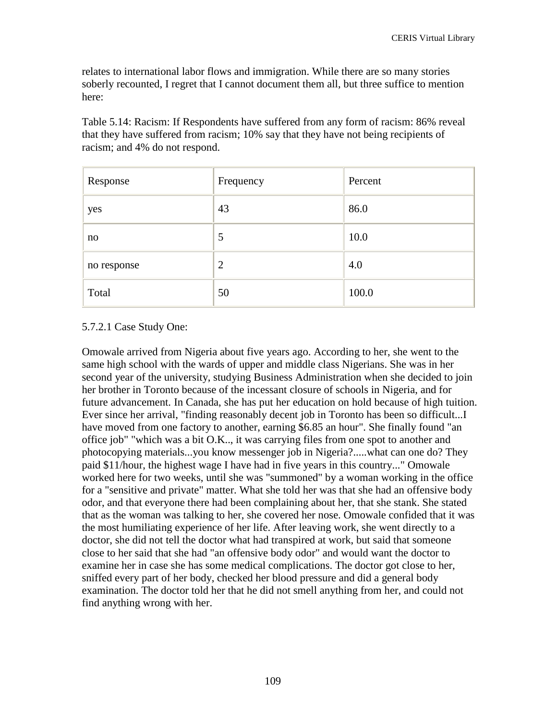relates to international labor flows and immigration. While there are so many stories soberly recounted, I regret that I cannot document them all, but three suffice to mention here:

Table 5.14: Racism: If Respondents have suffered from any form of racism: 86% reveal that they have suffered from racism; 10% say that they have not being recipients of racism; and 4% do not respond.

| Response    | Frequency | Percent |
|-------------|-----------|---------|
| yes         | 43        | 86.0    |
| no          | 5         | 10.0    |
| no response | 2         | 4.0     |
| Total       | 50        | 100.0   |

# 5.7.2.1 Case Study One:

Omowale arrived from Nigeria about five years ago. According to her, she went to the same high school with the wards of upper and middle class Nigerians. She was in her second year of the university, studying Business Administration when she decided to join her brother in Toronto because of the incessant closure of schools in Nigeria, and for future advancement. In Canada, she has put her education on hold because of high tuition. Ever since her arrival, "finding reasonably decent job in Toronto has been so difficult...I have moved from one factory to another, earning \$6.85 an hour". She finally found "an office job" "which was a bit O.K.., it was carrying files from one spot to another and photocopying materials...you know messenger job in Nigeria?.....what can one do? They paid \$11/hour, the highest wage I have had in five years in this country..." Omowale worked here for two weeks, until she was "summoned" by a woman working in the office for a "sensitive and private" matter. What she told her was that she had an offensive body odor, and that everyone there had been complaining about her, that she stank. She stated that as the woman was talking to her, she covered her nose. Omowale confided that it was the most humiliating experience of her life. After leaving work, she went directly to a doctor, she did not tell the doctor what had transpired at work, but said that someone close to her said that she had "an offensive body odor" and would want the doctor to examine her in case she has some medical complications. The doctor got close to her, sniffed every part of her body, checked her blood pressure and did a general body examination. The doctor told her that he did not smell anything from her, and could not find anything wrong with her.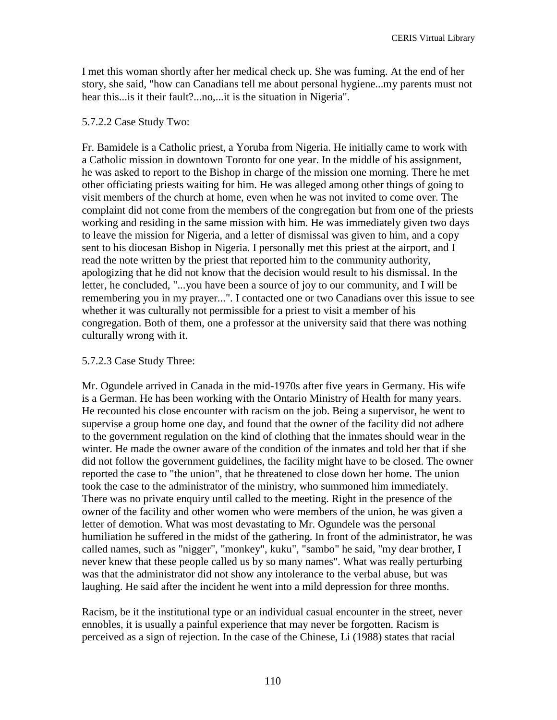I met this woman shortly after her medical check up. She was fuming. At the end of her story, she said, "how can Canadians tell me about personal hygiene...my parents must not hear this...is it their fault?...no,...it is the situation in Nigeria".

### 5.7.2.2 Case Study Two:

Fr. Bamidele is a Catholic priest, a Yoruba from Nigeria. He initially came to work with a Catholic mission in downtown Toronto for one year. In the middle of his assignment, he was asked to report to the Bishop in charge of the mission one morning. There he met other officiating priests waiting for him. He was alleged among other things of going to visit members of the church at home, even when he was not invited to come over. The complaint did not come from the members of the congregation but from one of the priests working and residing in the same mission with him. He was immediately given two days to leave the mission for Nigeria, and a letter of dismissal was given to him, and a copy sent to his diocesan Bishop in Nigeria. I personally met this priest at the airport, and I read the note written by the priest that reported him to the community authority, apologizing that he did not know that the decision would result to his dismissal. In the letter, he concluded, "...you have been a source of joy to our community, and I will be remembering you in my prayer...". I contacted one or two Canadians over this issue to see whether it was culturally not permissible for a priest to visit a member of his congregation. Both of them, one a professor at the university said that there was nothing culturally wrong with it.

## 5.7.2.3 Case Study Three:

Mr. Ogundele arrived in Canada in the mid-1970s after five years in Germany. His wife is a German. He has been working with the Ontario Ministry of Health for many years. He recounted his close encounter with racism on the job. Being a supervisor, he went to supervise a group home one day, and found that the owner of the facility did not adhere to the government regulation on the kind of clothing that the inmates should wear in the winter. He made the owner aware of the condition of the inmates and told her that if she did not follow the government guidelines, the facility might have to be closed. The owner reported the case to "the union", that he threatened to close down her home. The union took the case to the administrator of the ministry, who summoned him immediately. There was no private enquiry until called to the meeting. Right in the presence of the owner of the facility and other women who were members of the union, he was given a letter of demotion. What was most devastating to Mr. Ogundele was the personal humiliation he suffered in the midst of the gathering. In front of the administrator, he was called names, such as "nigger", "monkey", kuku", "sambo" he said, "my dear brother, I never knew that these people called us by so many names". What was really perturbing was that the administrator did not show any intolerance to the verbal abuse, but was laughing. He said after the incident he went into a mild depression for three months.

Racism, be it the institutional type or an individual casual encounter in the street, never ennobles, it is usually a painful experience that may never be forgotten. Racism is perceived as a sign of rejection. In the case of the Chinese, Li (1988) states that racial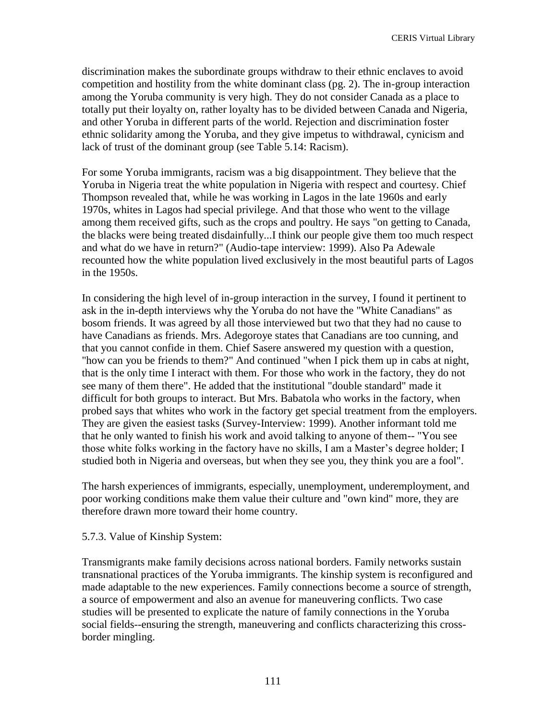discrimination makes the subordinate groups withdraw to their ethnic enclaves to avoid competition and hostility from the white dominant class (pg. 2). The in-group interaction among the Yoruba community is very high. They do not consider Canada as a place to totally put their loyalty on, rather loyalty has to be divided between Canada and Nigeria, and other Yoruba in different parts of the world. Rejection and discrimination foster ethnic solidarity among the Yoruba, and they give impetus to withdrawal, cynicism and lack of trust of the dominant group (see Table 5.14: Racism).

For some Yoruba immigrants, racism was a big disappointment. They believe that the Yoruba in Nigeria treat the white population in Nigeria with respect and courtesy. Chief Thompson revealed that, while he was working in Lagos in the late 1960s and early 1970s, whites in Lagos had special privilege. And that those who went to the village among them received gifts, such as the crops and poultry. He says "on getting to Canada, the blacks were being treated disdainfully...I think our people give them too much respect and what do we have in return?" (Audio-tape interview: 1999). Also Pa Adewale recounted how the white population lived exclusively in the most beautiful parts of Lagos in the 1950s.

In considering the high level of in-group interaction in the survey, I found it pertinent to ask in the in-depth interviews why the Yoruba do not have the "White Canadians" as bosom friends. It was agreed by all those interviewed but two that they had no cause to have Canadians as friends. Mrs. Adegoroye states that Canadians are too cunning, and that you cannot confide in them. Chief Sasere answered my question with a question, "how can you be friends to them?" And continued "when I pick them up in cabs at night, that is the only time I interact with them. For those who work in the factory, they do not see many of them there". He added that the institutional "double standard" made it difficult for both groups to interact. But Mrs. Babatola who works in the factory, when probed says that whites who work in the factory get special treatment from the employers. They are given the easiest tasks (Survey-Interview: 1999). Another informant told me that he only wanted to finish his work and avoid talking to anyone of them-- "You see those white folks working in the factory have no skills, I am a Master's degree holder; I studied both in Nigeria and overseas, but when they see you, they think you are a fool".

The harsh experiences of immigrants, especially, unemployment, underemployment, and poor working conditions make them value their culture and "own kind" more, they are therefore drawn more toward their home country.

### 5.7.3. Value of Kinship System:

Transmigrants make family decisions across national borders. Family networks sustain transnational practices of the Yoruba immigrants. The kinship system is reconfigured and made adaptable to the new experiences. Family connections become a source of strength, a source of empowerment and also an avenue for maneuvering conflicts. Two case studies will be presented to explicate the nature of family connections in the Yoruba social fields--ensuring the strength, maneuvering and conflicts characterizing this crossborder mingling.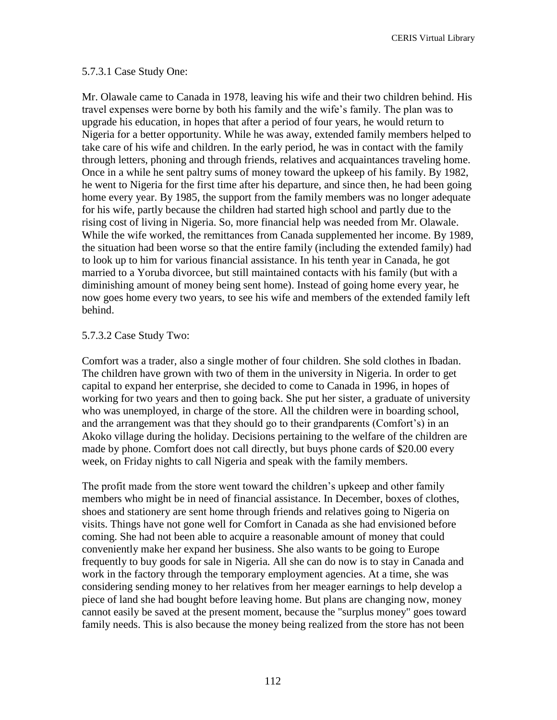CERIS Virtual Library

#### 5.7.3.1 Case Study One:

Mr. Olawale came to Canada in 1978, leaving his wife and their two children behind. His travel expenses were borne by both his family and the wife's family. The plan was to upgrade his education, in hopes that after a period of four years, he would return to Nigeria for a better opportunity. While he was away, extended family members helped to take care of his wife and children. In the early period, he was in contact with the family through letters, phoning and through friends, relatives and acquaintances traveling home. Once in a while he sent paltry sums of money toward the upkeep of his family. By 1982, he went to Nigeria for the first time after his departure, and since then, he had been going home every year. By 1985, the support from the family members was no longer adequate for his wife, partly because the children had started high school and partly due to the rising cost of living in Nigeria. So, more financial help was needed from Mr. Olawale. While the wife worked, the remittances from Canada supplemented her income. By 1989, the situation had been worse so that the entire family (including the extended family) had to look up to him for various financial assistance. In his tenth year in Canada, he got married to a Yoruba divorcee, but still maintained contacts with his family (but with a diminishing amount of money being sent home). Instead of going home every year, he now goes home every two years, to see his wife and members of the extended family left behind.

#### 5.7.3.2 Case Study Two:

Comfort was a trader, also a single mother of four children. She sold clothes in Ibadan. The children have grown with two of them in the university in Nigeria. In order to get capital to expand her enterprise, she decided to come to Canada in 1996, in hopes of working for two years and then to going back. She put her sister, a graduate of university who was unemployed, in charge of the store. All the children were in boarding school, and the arrangement was that they should go to their grandparents (Comfort's) in an Akoko village during the holiday. Decisions pertaining to the welfare of the children are made by phone. Comfort does not call directly, but buys phone cards of \$20.00 every week, on Friday nights to call Nigeria and speak with the family members.

The profit made from the store went toward the children's upkeep and other family members who might be in need of financial assistance. In December, boxes of clothes, shoes and stationery are sent home through friends and relatives going to Nigeria on visits. Things have not gone well for Comfort in Canada as she had envisioned before coming. She had not been able to acquire a reasonable amount of money that could conveniently make her expand her business. She also wants to be going to Europe frequently to buy goods for sale in Nigeria. All she can do now is to stay in Canada and work in the factory through the temporary employment agencies. At a time, she was considering sending money to her relatives from her meager earnings to help develop a piece of land she had bought before leaving home. But plans are changing now, money cannot easily be saved at the present moment, because the "surplus money" goes toward family needs. This is also because the money being realized from the store has not been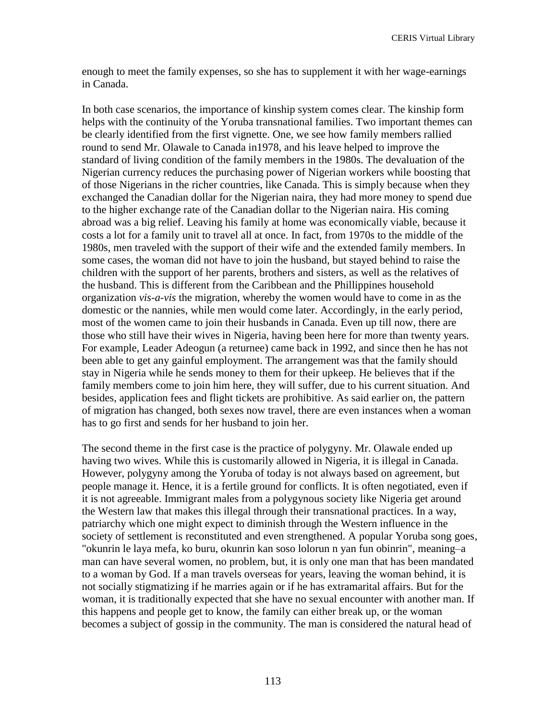enough to meet the family expenses, so she has to supplement it with her wage-earnings in Canada.

In both case scenarios, the importance of kinship system comes clear. The kinship form helps with the continuity of the Yoruba transnational families. Two important themes can be clearly identified from the first vignette. One, we see how family members rallied round to send Mr. Olawale to Canada in1978, and his leave helped to improve the standard of living condition of the family members in the 1980s. The devaluation of the Nigerian currency reduces the purchasing power of Nigerian workers while boosting that of those Nigerians in the richer countries, like Canada. This is simply because when they exchanged the Canadian dollar for the Nigerian naira, they had more money to spend due to the higher exchange rate of the Canadian dollar to the Nigerian naira. His coming abroad was a big relief. Leaving his family at home was economically viable, because it costs a lot for a family unit to travel all at once. In fact, from 1970s to the middle of the 1980s, men traveled with the support of their wife and the extended family members. In some cases, the woman did not have to join the husband, but stayed behind to raise the children with the support of her parents, brothers and sisters, as well as the relatives of the husband. This is different from the Caribbean and the Phillippines household organization *vis-a-vis* the migration, whereby the women would have to come in as the domestic or the nannies, while men would come later. Accordingly, in the early period, most of the women came to join their husbands in Canada. Even up till now, there are those who still have their wives in Nigeria, having been here for more than twenty years. For example, Leader Adeogun (a returnee) came back in 1992, and since then he has not been able to get any gainful employment. The arrangement was that the family should stay in Nigeria while he sends money to them for their upkeep. He believes that if the family members come to join him here, they will suffer, due to his current situation. And besides, application fees and flight tickets are prohibitive. As said earlier on, the pattern of migration has changed, both sexes now travel, there are even instances when a woman has to go first and sends for her husband to join her.

The second theme in the first case is the practice of polygyny. Mr. Olawale ended up having two wives. While this is customarily allowed in Nigeria, it is illegal in Canada. However, polygyny among the Yoruba of today is not always based on agreement, but people manage it. Hence, it is a fertile ground for conflicts. It is often negotiated, even if it is not agreeable. Immigrant males from a polygynous society like Nigeria get around the Western law that makes this illegal through their transnational practices. In a way, patriarchy which one might expect to diminish through the Western influence in the society of settlement is reconstituted and even strengthened. A popular Yoruba song goes, "okunrin le laya mefa, ko buru, okunrin kan soso lolorun n yan fun obinrin", meaning–a man can have several women, no problem, but, it is only one man that has been mandated to a woman by God. If a man travels overseas for years, leaving the woman behind, it is not socially stigmatizing if he marries again or if he has extramarital affairs. But for the woman, it is traditionally expected that she have no sexual encounter with another man. If this happens and people get to know, the family can either break up, or the woman becomes a subject of gossip in the community. The man is considered the natural head of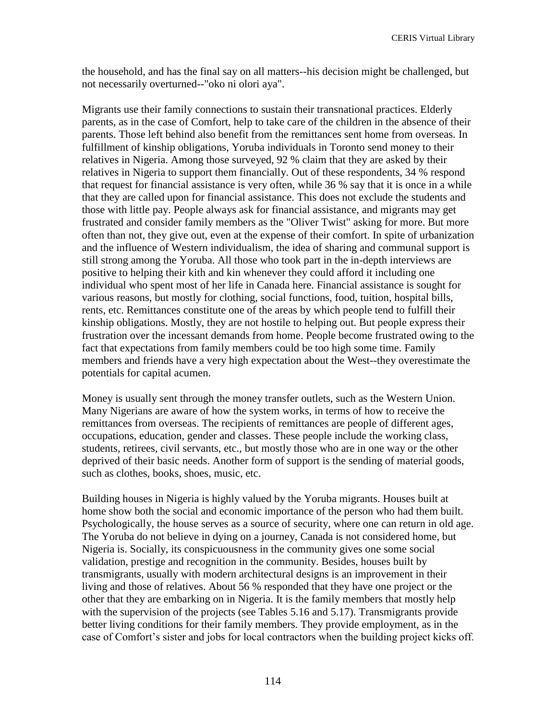the household, and has the final say on all matters--his decision might be challenged, but not necessarily overturned--"oko ni olori aya".

Migrants use their family connections to sustain their transnational practices. Elderly parents, as in the case of Comfort, help to take care of the children in the absence of their parents. Those left behind also benefit from the remittances sent home from overseas. In fulfillment of kinship obligations, Yoruba individuals in Toronto send money to their relatives in Nigeria. Among those surveyed, 92 % claim that they are asked by their relatives in Nigeria to support them financially. Out of these respondents, 34 % respond that request for financial assistance is very often, while 36 % say that it is once in a while that they are called upon for financial assistance. This does not exclude the students and those with little pay. People always ask for financial assistance, and migrants may get frustrated and consider family members as the "Oliver Twist" asking for more. But more often than not, they give out, even at the expense of their comfort. In spite of urbanization and the influence of Western individualism, the idea of sharing and communal support is still strong among the Yoruba. All those who took part in the in-depth interviews are positive to helping their kith and kin whenever they could afford it including one individual who spent most of her life in Canada here. Financial assistance is sought for various reasons, but mostly for clothing, social functions, food, tuition, hospital bills, rents, etc. Remittances constitute one of the areas by which people tend to fulfill their kinship obligations. Mostly, they are not hostile to helping out. But people express their frustration over the incessant demands from home. People become frustrated owing to the fact that expectations from family members could be too high some time. Family members and friends have a very high expectation about the West--they overestimate the potentials for capital acumen.

Money is usually sent through the money transfer outlets, such as the Western Union. Many Nigerians are aware of how the system works, in terms of how to receive the remittances from overseas. The recipients of remittances are people of different ages, occupations, education, gender and classes. These people include the working class, students, retirees, civil servants, etc., but mostly those who are in one way or the other deprived of their basic needs. Another form of support is the sending of material goods, such as clothes, books, shoes, music, etc.

Building houses in Nigeria is highly valued by the Yoruba migrants. Houses built at home show both the social and economic importance of the person who had them built. Psychologically, the house serves as a source of security, where one can return in old age. The Yoruba do not believe in dying on a journey, Canada is not considered home, but Nigeria is. Socially, its conspicuousness in the community gives one some social validation, prestige and recognition in the community. Besides, houses built by transmigrants, usually with modern architectural designs is an improvement in their living and those of relatives. About 56 % responded that they have one project or the other that they are embarking on in Nigeria. It is the family members that mostly help with the supervision of the projects (see Tables 5.16 and 5.17). Transmigrants provide better living conditions for their family members. They provide employment, as in the case of Comfort's sister and jobs for local contractors when the building project kicks off.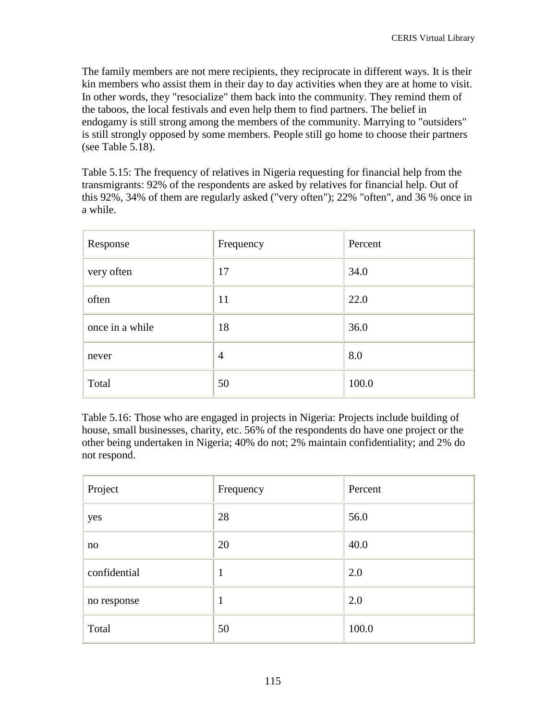The family members are not mere recipients, they reciprocate in different ways. It is their kin members who assist them in their day to day activities when they are at home to visit. In other words, they "resocialize" them back into the community. They remind them of the taboos, the local festivals and even help them to find partners. The belief in endogamy is still strong among the members of the community. Marrying to "outsiders" is still strongly opposed by some members. People still go home to choose their partners (see Table 5.18).

Table 5.15: The frequency of relatives in Nigeria requesting for financial help from the transmigrants: 92% of the respondents are asked by relatives for financial help. Out of this 92%, 34% of them are regularly asked ("very often"); 22% "often", and 36 % once in a while.

| Response        | Frequency      | Percent |
|-----------------|----------------|---------|
| very often      | 17             | 34.0    |
| often           | 11             | 22.0    |
| once in a while | 18             | 36.0    |
| never           | $\overline{4}$ | 8.0     |
| Total           | 50             | 100.0   |

Table 5.16: Those who are engaged in projects in Nigeria: Projects include building of house, small businesses, charity, etc. 56% of the respondents do have one project or the other being undertaken in Nigeria; 40% do not; 2% maintain confidentiality; and 2% do not respond.

| Project      | Frequency | Percent |
|--------------|-----------|---------|
| yes          | 28        | 56.0    |
| no           | 20        | 40.0    |
| confidential | 1         | 2.0     |
| no response  | 1         | 2.0     |
| Total        | 50        | 100.0   |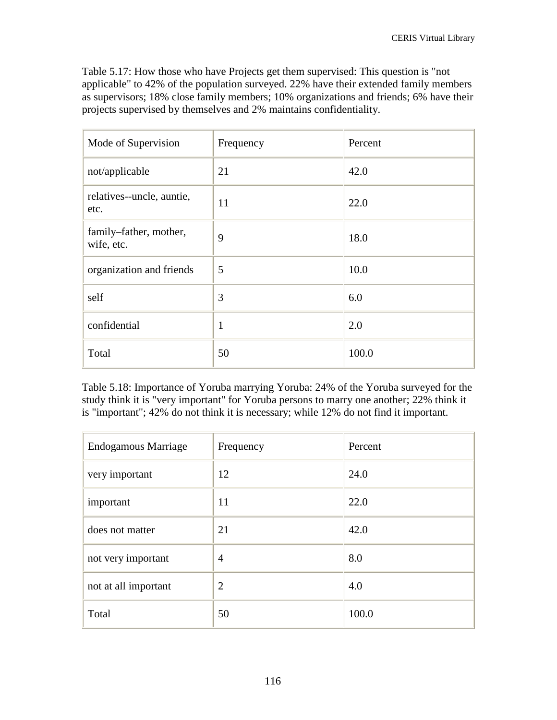Table 5.17: How those who have Projects get them supervised: This question is "not applicable" to 42% of the population surveyed. 22% have their extended family members as supervisors; 18% close family members; 10% organizations and friends; 6% have their projects supervised by themselves and 2% maintains confidentiality.

| Mode of Supervision                  | Frequency | Percent |
|--------------------------------------|-----------|---------|
| not/applicable                       | 21        | 42.0    |
| relatives--uncle, auntie,<br>etc.    | 11        | 22.0    |
| family-father, mother,<br>wife, etc. | 9         | 18.0    |
| organization and friends             | 5         | 10.0    |
| self                                 | 3         | 6.0     |
| confidential                         | 1         | 2.0     |
| Total                                | 50        | 100.0   |

Table 5.18: Importance of Yoruba marrying Yoruba: 24% of the Yoruba surveyed for the study think it is "very important" for Yoruba persons to marry one another; 22% think it is "important"; 42% do not think it is necessary; while 12% do not find it important.

| <b>Endogamous Marriage</b> | Frequency      | Percent |
|----------------------------|----------------|---------|
| very important             | 12             | 24.0    |
| important                  | 11             | 22.0    |
| does not matter            | 21             | 42.0    |
| not very important         | $\overline{4}$ | 8.0     |
| not at all important       | $\overline{2}$ | 4.0     |
| Total                      | 50             | 100.0   |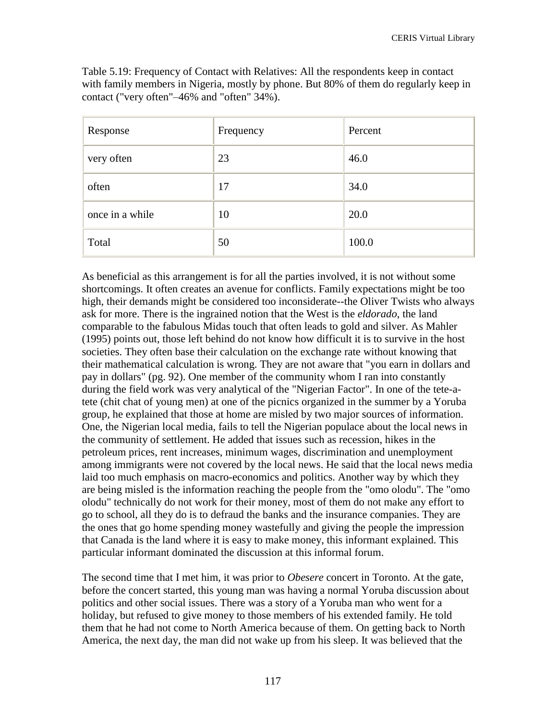| Response        | Frequency | Percent |
|-----------------|-----------|---------|
| very often      | 23        | 46.0    |
| often           | 17        | 34.0    |
| once in a while | 10        | 20.0    |
| Total           | 50        | 100.0   |

Table 5.19: Frequency of Contact with Relatives: All the respondents keep in contact with family members in Nigeria, mostly by phone. But 80% of them do regularly keep in contact ("very often"–46% and "often" 34%).

As beneficial as this arrangement is for all the parties involved, it is not without some shortcomings. It often creates an avenue for conflicts. Family expectations might be too high, their demands might be considered too inconsiderate--the Oliver Twists who always ask for more. There is the ingrained notion that the West is the *eldorado*, the land comparable to the fabulous Midas touch that often leads to gold and silver. As Mahler (1995) points out, those left behind do not know how difficult it is to survive in the host societies. They often base their calculation on the exchange rate without knowing that their mathematical calculation is wrong. They are not aware that "you earn in dollars and pay in dollars" (pg. 92). One member of the community whom I ran into constantly during the field work was very analytical of the "Nigerian Factor". In one of the tete-atete (chit chat of young men) at one of the picnics organized in the summer by a Yoruba group, he explained that those at home are misled by two major sources of information. One, the Nigerian local media, fails to tell the Nigerian populace about the local news in the community of settlement. He added that issues such as recession, hikes in the petroleum prices, rent increases, minimum wages, discrimination and unemployment among immigrants were not covered by the local news. He said that the local news media laid too much emphasis on macro-economics and politics. Another way by which they are being misled is the information reaching the people from the "omo olodu". The "omo olodu" technically do not work for their money, most of them do not make any effort to go to school, all they do is to defraud the banks and the insurance companies. They are the ones that go home spending money wastefully and giving the people the impression that Canada is the land where it is easy to make money, this informant explained. This particular informant dominated the discussion at this informal forum.

The second time that I met him, it was prior to *Obesere* concert in Toronto. At the gate, before the concert started, this young man was having a normal Yoruba discussion about politics and other social issues. There was a story of a Yoruba man who went for a holiday, but refused to give money to those members of his extended family. He told them that he had not come to North America because of them. On getting back to North America, the next day, the man did not wake up from his sleep. It was believed that the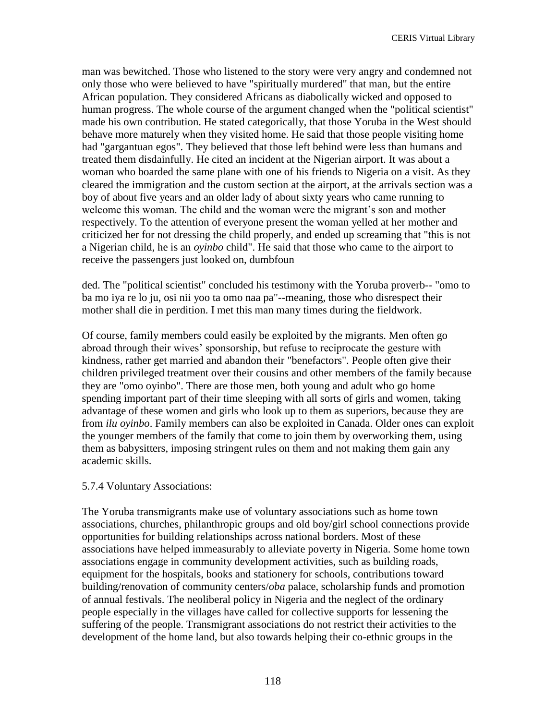man was bewitched. Those who listened to the story were very angry and condemned not only those who were believed to have "spiritually murdered" that man, but the entire African population. They considered Africans as diabolically wicked and opposed to human progress. The whole course of the argument changed when the "political scientist" made his own contribution. He stated categorically, that those Yoruba in the West should behave more maturely when they visited home. He said that those people visiting home had "gargantuan egos". They believed that those left behind were less than humans and treated them disdainfully. He cited an incident at the Nigerian airport. It was about a woman who boarded the same plane with one of his friends to Nigeria on a visit. As they cleared the immigration and the custom section at the airport, at the arrivals section was a boy of about five years and an older lady of about sixty years who came running to welcome this woman. The child and the woman were the migrant's son and mother respectively. To the attention of everyone present the woman yelled at her mother and criticized her for not dressing the child properly, and ended up screaming that "this is not a Nigerian child, he is an *oyinbo* child". He said that those who came to the airport to receive the passengers just looked on, dumbfoun

ded. The "political scientist" concluded his testimony with the Yoruba proverb-- "omo to ba mo iya re lo ju, osi nii yoo ta omo naa pa"--meaning, those who disrespect their mother shall die in perdition. I met this man many times during the fieldwork.

Of course, family members could easily be exploited by the migrants. Men often go abroad through their wives' sponsorship, but refuse to reciprocate the gesture with kindness, rather get married and abandon their "benefactors". People often give their children privileged treatment over their cousins and other members of the family because they are "omo oyinbo". There are those men, both young and adult who go home spending important part of their time sleeping with all sorts of girls and women, taking advantage of these women and girls who look up to them as superiors, because they are from *ilu oyinbo*. Family members can also be exploited in Canada. Older ones can exploit the younger members of the family that come to join them by overworking them, using them as babysitters, imposing stringent rules on them and not making them gain any academic skills.

### 5.7.4 Voluntary Associations:

The Yoruba transmigrants make use of voluntary associations such as home town associations, churches, philanthropic groups and old boy/girl school connections provide opportunities for building relationships across national borders. Most of these associations have helped immeasurably to alleviate poverty in Nigeria. Some home town associations engage in community development activities, such as building roads, equipment for the hospitals, books and stationery for schools, contributions toward building/renovation of community centers/*oba* palace, scholarship funds and promotion of annual festivals. The neoliberal policy in Nigeria and the neglect of the ordinary people especially in the villages have called for collective supports for lessening the suffering of the people. Transmigrant associations do not restrict their activities to the development of the home land, but also towards helping their co-ethnic groups in the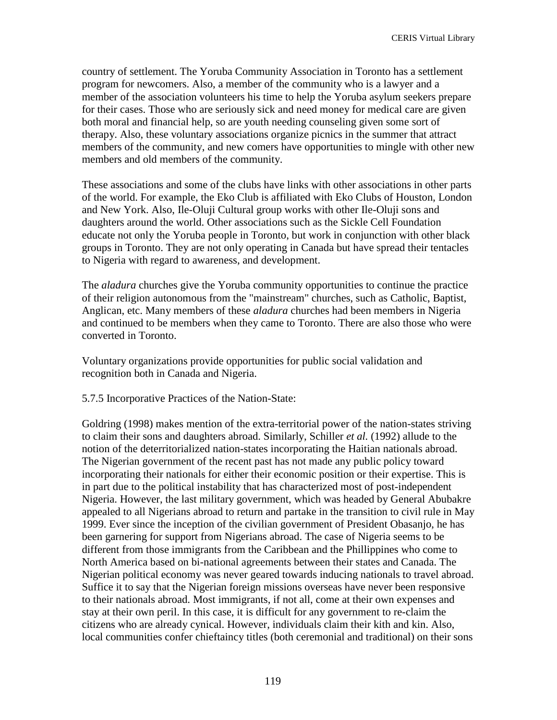country of settlement. The Yoruba Community Association in Toronto has a settlement program for newcomers. Also, a member of the community who is a lawyer and a member of the association volunteers his time to help the Yoruba asylum seekers prepare for their cases. Those who are seriously sick and need money for medical care are given both moral and financial help, so are youth needing counseling given some sort of therapy. Also, these voluntary associations organize picnics in the summer that attract members of the community, and new comers have opportunities to mingle with other new members and old members of the community.

These associations and some of the clubs have links with other associations in other parts of the world. For example, the Eko Club is affiliated with Eko Clubs of Houston, London and New York. Also, Ile-Oluji Cultural group works with other Ile-Oluji sons and daughters around the world. Other associations such as the Sickle Cell Foundation educate not only the Yoruba people in Toronto, but work in conjunction with other black groups in Toronto. They are not only operating in Canada but have spread their tentacles to Nigeria with regard to awareness, and development.

The *aladura* churches give the Yoruba community opportunities to continue the practice of their religion autonomous from the "mainstream" churches, such as Catholic, Baptist, Anglican, etc. Many members of these *aladura* churches had been members in Nigeria and continued to be members when they came to Toronto. There are also those who were converted in Toronto.

Voluntary organizations provide opportunities for public social validation and recognition both in Canada and Nigeria.

5.7.5 Incorporative Practices of the Nation-State:

Goldring (1998) makes mention of the extra-territorial power of the nation-states striving to claim their sons and daughters abroad. Similarly, Schiller *et al.* (1992) allude to the notion of the deterritorialized nation-states incorporating the Haitian nationals abroad. The Nigerian government of the recent past has not made any public policy toward incorporating their nationals for either their economic position or their expertise. This is in part due to the political instability that has characterized most of post-independent Nigeria. However, the last military government, which was headed by General Abubakre appealed to all Nigerians abroad to return and partake in the transition to civil rule in May 1999. Ever since the inception of the civilian government of President Obasanjo, he has been garnering for support from Nigerians abroad. The case of Nigeria seems to be different from those immigrants from the Caribbean and the Phillippines who come to North America based on bi-national agreements between their states and Canada. The Nigerian political economy was never geared towards inducing nationals to travel abroad. Suffice it to say that the Nigerian foreign missions overseas have never been responsive to their nationals abroad. Most immigrants, if not all, come at their own expenses and stay at their own peril. In this case, it is difficult for any government to re-claim the citizens who are already cynical. However, individuals claim their kith and kin. Also, local communities confer chieftaincy titles (both ceremonial and traditional) on their sons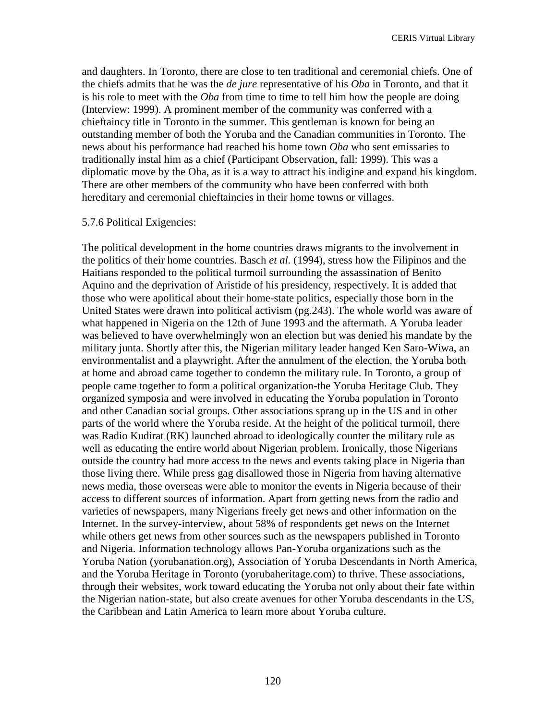and daughters. In Toronto, there are close to ten traditional and ceremonial chiefs. One of the chiefs admits that he was the *de jure* representative of his *Oba* in Toronto, and that it is his role to meet with the *Oba* from time to time to tell him how the people are doing (Interview: 1999). A prominent member of the community was conferred with a chieftaincy title in Toronto in the summer. This gentleman is known for being an outstanding member of both the Yoruba and the Canadian communities in Toronto. The news about his performance had reached his home town *Oba* who sent emissaries to traditionally instal him as a chief (Participant Observation, fall: 1999). This was a diplomatic move by the Oba, as it is a way to attract his indigine and expand his kingdom. There are other members of the community who have been conferred with both hereditary and ceremonial chieftaincies in their home towns or villages.

#### 5.7.6 Political Exigencies:

The political development in the home countries draws migrants to the involvement in the politics of their home countries. Basch *et al.* (1994), stress how the Filipinos and the Haitians responded to the political turmoil surrounding the assassination of Benito Aquino and the deprivation of Aristide of his presidency, respectively. It is added that those who were apolitical about their home-state politics, especially those born in the United States were drawn into political activism (pg.243). The whole world was aware of what happened in Nigeria on the 12th of June 1993 and the aftermath. A Yoruba leader was believed to have overwhelmingly won an election but was denied his mandate by the military junta. Shortly after this, the Nigerian military leader hanged Ken Saro-Wiwa, an environmentalist and a playwright. After the annulment of the election, the Yoruba both at home and abroad came together to condemn the military rule. In Toronto, a group of people came together to form a political organization-the Yoruba Heritage Club. They organized symposia and were involved in educating the Yoruba population in Toronto and other Canadian social groups. Other associations sprang up in the US and in other parts of the world where the Yoruba reside. At the height of the political turmoil, there was Radio Kudirat (RK) launched abroad to ideologically counter the military rule as well as educating the entire world about Nigerian problem. Ironically, those Nigerians outside the country had more access to the news and events taking place in Nigeria than those living there. While press gag disallowed those in Nigeria from having alternative news media, those overseas were able to monitor the events in Nigeria because of their access to different sources of information. Apart from getting news from the radio and varieties of newspapers, many Nigerians freely get news and other information on the Internet. In the survey-interview, about 58% of respondents get news on the Internet while others get news from other sources such as the newspapers published in Toronto and Nigeria. Information technology allows Pan-Yoruba organizations such as the Yoruba Nation (yorubanation.org), Association of Yoruba Descendants in North America, and the Yoruba Heritage in Toronto (yorubaheritage.com) to thrive. These associations, through their websites, work toward educating the Yoruba not only about their fate within the Nigerian nation-state, but also create avenues for other Yoruba descendants in the US, the Caribbean and Latin America to learn more about Yoruba culture.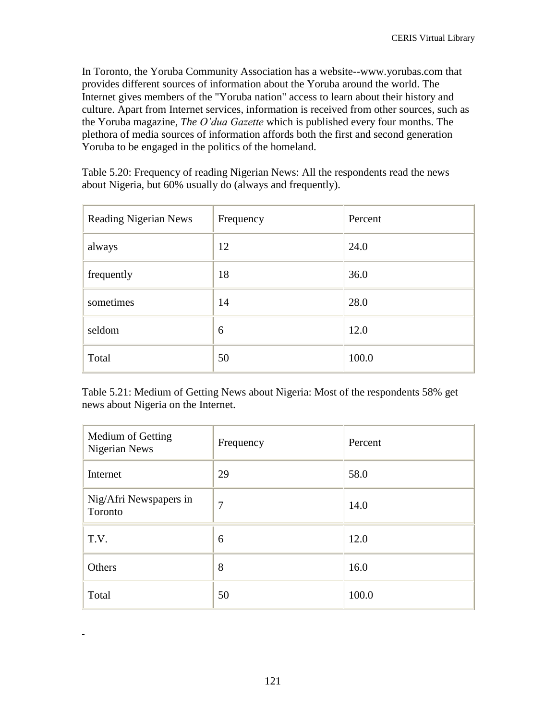In Toronto, the Yoruba Community Association has a website--www.yorubas.com that provides different sources of information about the Yoruba around the world. The Internet gives members of the "Yoruba nation" access to learn about their history and culture. Apart from Internet services, information is received from other sources, such as the Yoruba magazine, *The O'dua Gazette* which is published every four months. The plethora of media sources of information affords both the first and second generation Yoruba to be engaged in the politics of the homeland.

Table 5.20: Frequency of reading Nigerian News: All the respondents read the news about Nigeria, but 60% usually do (always and frequently).

| <b>Reading Nigerian News</b> | Frequency | Percent |
|------------------------------|-----------|---------|
| always                       | 12        | 24.0    |
| frequently                   | 18        | 36.0    |
| sometimes                    | 14        | 28.0    |
| seldom                       | 6         | 12.0    |
| Total                        | 50        | 100.0   |

Table 5.21: Medium of Getting News about Nigeria: Most of the respondents 58% get news about Nigeria on the Internet.

| Medium of Getting<br>Nigerian News | Frequency | Percent |
|------------------------------------|-----------|---------|
| Internet                           | 29        | 58.0    |
| Nig/Afri Newspapers in<br>Toronto  | 7         | 14.0    |
| T.V.                               | 6         | 12.0    |
| Others                             | 8         | 16.0    |
| Total                              | 50        | 100.0   |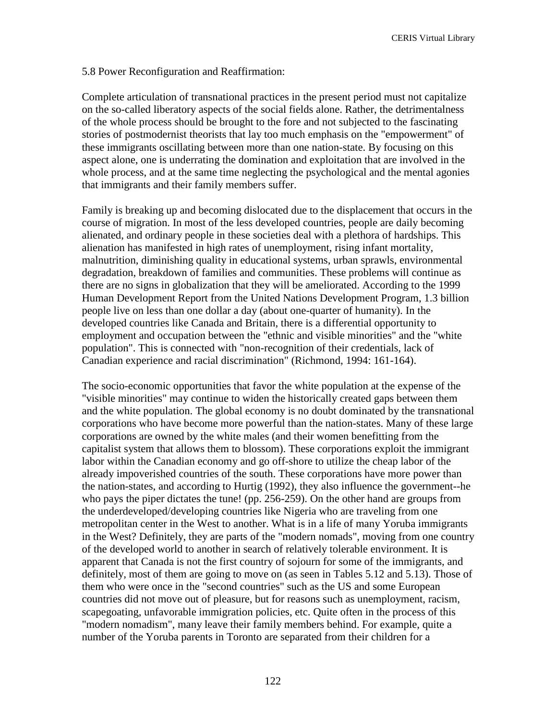#### 5.8 Power Reconfiguration and Reaffirmation:

Complete articulation of transnational practices in the present period must not capitalize on the so-called liberatory aspects of the social fields alone. Rather, the detrimentalness of the whole process should be brought to the fore and not subjected to the fascinating stories of postmodernist theorists that lay too much emphasis on the "empowerment" of these immigrants oscillating between more than one nation-state. By focusing on this aspect alone, one is underrating the domination and exploitation that are involved in the whole process, and at the same time neglecting the psychological and the mental agonies that immigrants and their family members suffer.

Family is breaking up and becoming dislocated due to the displacement that occurs in the course of migration. In most of the less developed countries, people are daily becoming alienated, and ordinary people in these societies deal with a plethora of hardships. This alienation has manifested in high rates of unemployment, rising infant mortality, malnutrition, diminishing quality in educational systems, urban sprawls, environmental degradation, breakdown of families and communities. These problems will continue as there are no signs in globalization that they will be ameliorated. According to the 1999 Human Development Report from the United Nations Development Program, 1.3 billion people live on less than one dollar a day (about one-quarter of humanity). In the developed countries like Canada and Britain, there is a differential opportunity to employment and occupation between the "ethnic and visible minorities" and the "white population". This is connected with "non-recognition of their credentials, lack of Canadian experience and racial discrimination" (Richmond, 1994: 161-164).

The socio-economic opportunities that favor the white population at the expense of the "visible minorities" may continue to widen the historically created gaps between them and the white population. The global economy is no doubt dominated by the transnational corporations who have become more powerful than the nation-states. Many of these large corporations are owned by the white males (and their women benefitting from the capitalist system that allows them to blossom). These corporations exploit the immigrant labor within the Canadian economy and go off-shore to utilize the cheap labor of the already impoverished countries of the south. These corporations have more power than the nation-states, and according to Hurtig (1992), they also influence the government--he who pays the piper dictates the tune! (pp. 256-259). On the other hand are groups from the underdeveloped/developing countries like Nigeria who are traveling from one metropolitan center in the West to another. What is in a life of many Yoruba immigrants in the West? Definitely, they are parts of the "modern nomads", moving from one country of the developed world to another in search of relatively tolerable environment. It is apparent that Canada is not the first country of sojourn for some of the immigrants, and definitely, most of them are going to move on (as seen in Tables 5.12 and 5.13). Those of them who were once in the "second countries" such as the US and some European countries did not move out of pleasure, but for reasons such as unemployment, racism, scapegoating, unfavorable immigration policies, etc. Quite often in the process of this "modern nomadism", many leave their family members behind. For example, quite a number of the Yoruba parents in Toronto are separated from their children for a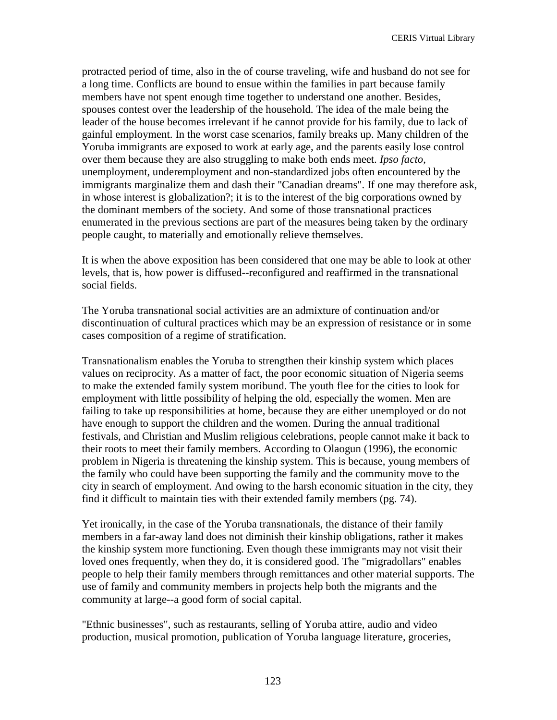protracted period of time, also in the of course traveling, wife and husband do not see for a long time. Conflicts are bound to ensue within the families in part because family members have not spent enough time together to understand one another. Besides, spouses contest over the leadership of the household. The idea of the male being the leader of the house becomes irrelevant if he cannot provide for his family, due to lack of gainful employment. In the worst case scenarios, family breaks up. Many children of the Yoruba immigrants are exposed to work at early age, and the parents easily lose control over them because they are also struggling to make both ends meet. *Ipso facto*, unemployment, underemployment and non-standardized jobs often encountered by the immigrants marginalize them and dash their "Canadian dreams". If one may therefore ask, in whose interest is globalization?; it is to the interest of the big corporations owned by the dominant members of the society. And some of those transnational practices enumerated in the previous sections are part of the measures being taken by the ordinary people caught, to materially and emotionally relieve themselves.

It is when the above exposition has been considered that one may be able to look at other levels, that is, how power is diffused--reconfigured and reaffirmed in the transnational social fields.

The Yoruba transnational social activities are an admixture of continuation and/or discontinuation of cultural practices which may be an expression of resistance or in some cases composition of a regime of stratification.

Transnationalism enables the Yoruba to strengthen their kinship system which places values on reciprocity. As a matter of fact, the poor economic situation of Nigeria seems to make the extended family system moribund. The youth flee for the cities to look for employment with little possibility of helping the old, especially the women. Men are failing to take up responsibilities at home, because they are either unemployed or do not have enough to support the children and the women. During the annual traditional festivals, and Christian and Muslim religious celebrations, people cannot make it back to their roots to meet their family members. According to Olaogun (1996), the economic problem in Nigeria is threatening the kinship system. This is because, young members of the family who could have been supporting the family and the community move to the city in search of employment. And owing to the harsh economic situation in the city, they find it difficult to maintain ties with their extended family members (pg. 74).

Yet ironically, in the case of the Yoruba transnationals, the distance of their family members in a far-away land does not diminish their kinship obligations, rather it makes the kinship system more functioning. Even though these immigrants may not visit their loved ones frequently, when they do, it is considered good. The "migradollars" enables people to help their family members through remittances and other material supports. The use of family and community members in projects help both the migrants and the community at large--a good form of social capital.

"Ethnic businesses", such as restaurants, selling of Yoruba attire, audio and video production, musical promotion, publication of Yoruba language literature, groceries,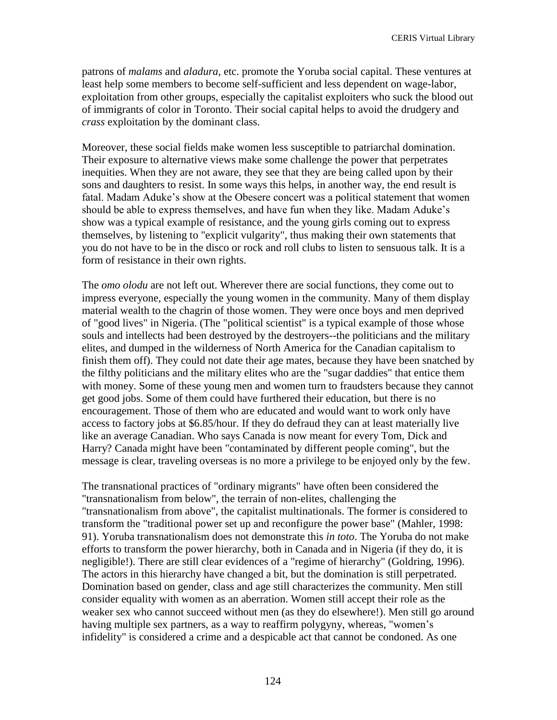patrons of *malams* and *aladura*, etc. promote the Yoruba social capital. These ventures at least help some members to become self-sufficient and less dependent on wage-labor, exploitation from other groups, especially the capitalist exploiters who suck the blood out of immigrants of color in Toronto. Their social capital helps to avoid the drudgery and *crass* exploitation by the dominant class.

Moreover, these social fields make women less susceptible to patriarchal domination. Their exposure to alternative views make some challenge the power that perpetrates inequities. When they are not aware, they see that they are being called upon by their sons and daughters to resist. In some ways this helps, in another way, the end result is fatal. Madam Aduke's show at the Obesere concert was a political statement that women should be able to express themselves, and have fun when they like. Madam Aduke's show was a typical example of resistance, and the young girls coming out to express themselves, by listening to "explicit vulgarity", thus making their own statements that you do not have to be in the disco or rock and roll clubs to listen to sensuous talk. It is a form of resistance in their own rights.

The *omo olodu* are not left out. Wherever there are social functions, they come out to impress everyone, especially the young women in the community. Many of them display material wealth to the chagrin of those women. They were once boys and men deprived of "good lives" in Nigeria. (The "political scientist" is a typical example of those whose souls and intellects had been destroyed by the destroyers--the politicians and the military elites, and dumped in the wilderness of North America for the Canadian capitalism to finish them off). They could not date their age mates, because they have been snatched by the filthy politicians and the military elites who are the "sugar daddies" that entice them with money. Some of these young men and women turn to fraudsters because they cannot get good jobs. Some of them could have furthered their education, but there is no encouragement. Those of them who are educated and would want to work only have access to factory jobs at \$6.85/hour. If they do defraud they can at least materially live like an average Canadian. Who says Canada is now meant for every Tom, Dick and Harry? Canada might have been "contaminated by different people coming", but the message is clear, traveling overseas is no more a privilege to be enjoyed only by the few.

The transnational practices of "ordinary migrants" have often been considered the "transnationalism from below", the terrain of non-elites, challenging the "transnationalism from above", the capitalist multinationals. The former is considered to transform the "traditional power set up and reconfigure the power base" (Mahler, 1998: 91). Yoruba transnationalism does not demonstrate this *in toto*. The Yoruba do not make efforts to transform the power hierarchy, both in Canada and in Nigeria (if they do, it is negligible!). There are still clear evidences of a "regime of hierarchy" (Goldring, 1996). The actors in this hierarchy have changed a bit, but the domination is still perpetrated. Domination based on gender, class and age still characterizes the community. Men still consider equality with women as an aberration. Women still accept their role as the weaker sex who cannot succeed without men (as they do elsewhere!). Men still go around having multiple sex partners, as a way to reaffirm polygyny, whereas, "women's infidelity" is considered a crime and a despicable act that cannot be condoned. As one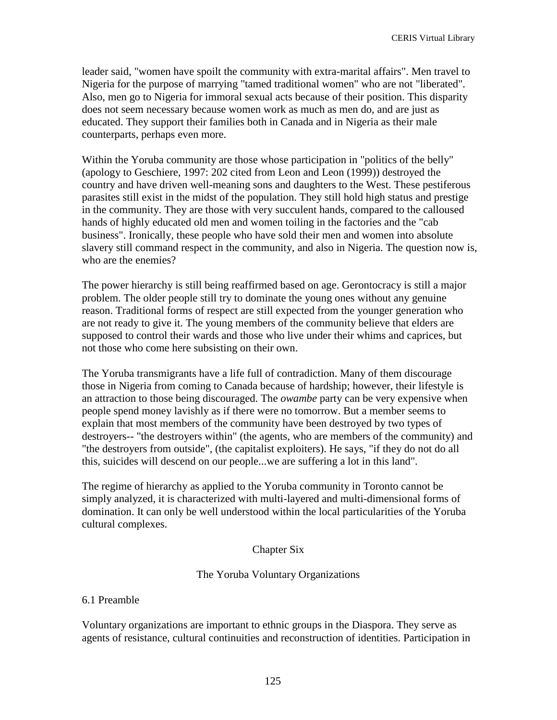leader said, "women have spoilt the community with extra-marital affairs". Men travel to Nigeria for the purpose of marrying "tamed traditional women" who are not "liberated". Also, men go to Nigeria for immoral sexual acts because of their position. This disparity does not seem necessary because women work as much as men do, and are just as educated. They support their families both in Canada and in Nigeria as their male counterparts, perhaps even more.

Within the Yoruba community are those whose participation in "politics of the belly" (apology to Geschiere, 1997: 202 cited from Leon and Leon (1999)) destroyed the country and have driven well-meaning sons and daughters to the West. These pestiferous parasites still exist in the midst of the population. They still hold high status and prestige in the community. They are those with very succulent hands, compared to the calloused hands of highly educated old men and women toiling in the factories and the "cab business". Ironically, these people who have sold their men and women into absolute slavery still command respect in the community, and also in Nigeria. The question now is, who are the enemies?

The power hierarchy is still being reaffirmed based on age. Gerontocracy is still a major problem. The older people still try to dominate the young ones without any genuine reason. Traditional forms of respect are still expected from the younger generation who are not ready to give it. The young members of the community believe that elders are supposed to control their wards and those who live under their whims and caprices, but not those who come here subsisting on their own.

The Yoruba transmigrants have a life full of contradiction. Many of them discourage those in Nigeria from coming to Canada because of hardship; however, their lifestyle is an attraction to those being discouraged. The *owambe* party can be very expensive when people spend money lavishly as if there were no tomorrow. But a member seems to explain that most members of the community have been destroyed by two types of destroyers-- "the destroyers within" (the agents, who are members of the community) and "the destroyers from outside", (the capitalist exploiters). He says, "if they do not do all this, suicides will descend on our people...we are suffering a lot in this land".

The regime of hierarchy as applied to the Yoruba community in Toronto cannot be simply analyzed, it is characterized with multi-layered and multi-dimensional forms of domination. It can only be well understood within the local particularities of the Yoruba cultural complexes.

### Chapter Six

# The Yoruba Voluntary Organizations

# 6.1 Preamble

Voluntary organizations are important to ethnic groups in the Diaspora. They serve as agents of resistance, cultural continuities and reconstruction of identities. Participation in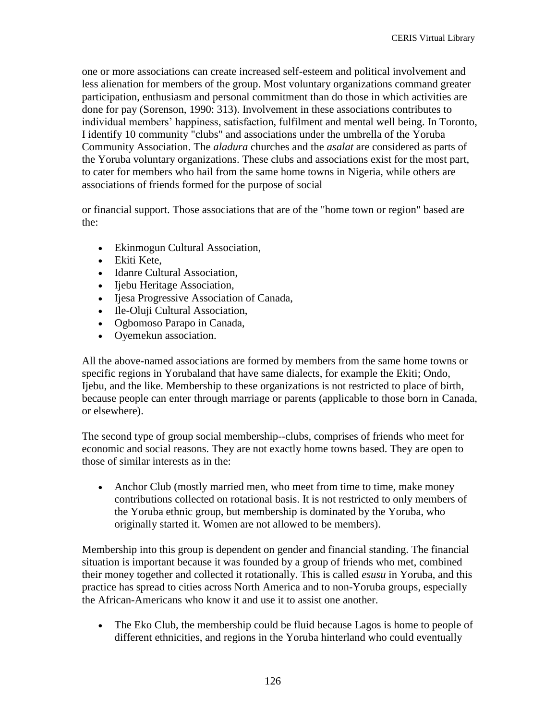one or more associations can create increased self-esteem and political involvement and less alienation for members of the group. Most voluntary organizations command greater participation, enthusiasm and personal commitment than do those in which activities are done for pay (Sorenson, 1990: 313). Involvement in these associations contributes to individual members' happiness, satisfaction, fulfilment and mental well being. In Toronto, I identify 10 community "clubs" and associations under the umbrella of the Yoruba Community Association. The *aladura* churches and the *asalat* are considered as parts of the Yoruba voluntary organizations. These clubs and associations exist for the most part, to cater for members who hail from the same home towns in Nigeria, while others are associations of friends formed for the purpose of social

or financial support. Those associations that are of the "home town or region" based are the:

- Ekinmogun Cultural Association,
- Ekiti Kete,
- Idanre Cultural Association,
- Ijebu Heritage Association,
- Ijesa Progressive Association of Canada,
- Ile-Oluji Cultural Association,
- Ogbomoso Parapo in Canada,
- Oyemekun association.

All the above-named associations are formed by members from the same home towns or specific regions in Yorubaland that have same dialects, for example the Ekiti; Ondo, Ijebu, and the like. Membership to these organizations is not restricted to place of birth, because people can enter through marriage or parents (applicable to those born in Canada, or elsewhere).

The second type of group social membership--clubs, comprises of friends who meet for economic and social reasons. They are not exactly home towns based. They are open to those of similar interests as in the:

 Anchor Club (mostly married men, who meet from time to time, make money contributions collected on rotational basis. It is not restricted to only members of the Yoruba ethnic group, but membership is dominated by the Yoruba, who originally started it. Women are not allowed to be members).

Membership into this group is dependent on gender and financial standing. The financial situation is important because it was founded by a group of friends who met, combined their money together and collected it rotationally. This is called *esusu* in Yoruba, and this practice has spread to cities across North America and to non-Yoruba groups, especially the African-Americans who know it and use it to assist one another.

• The Eko Club, the membership could be fluid because Lagos is home to people of different ethnicities, and regions in the Yoruba hinterland who could eventually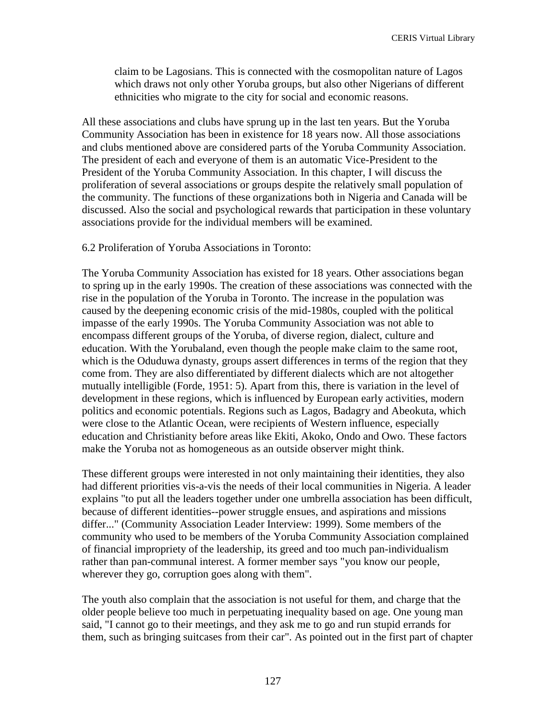claim to be Lagosians. This is connected with the cosmopolitan nature of Lagos which draws not only other Yoruba groups, but also other Nigerians of different ethnicities who migrate to the city for social and economic reasons.

All these associations and clubs have sprung up in the last ten years. But the Yoruba Community Association has been in existence for 18 years now. All those associations and clubs mentioned above are considered parts of the Yoruba Community Association. The president of each and everyone of them is an automatic Vice-President to the President of the Yoruba Community Association. In this chapter, I will discuss the proliferation of several associations or groups despite the relatively small population of the community. The functions of these organizations both in Nigeria and Canada will be discussed. Also the social and psychological rewards that participation in these voluntary associations provide for the individual members will be examined.

#### 6.2 Proliferation of Yoruba Associations in Toronto:

The Yoruba Community Association has existed for 18 years. Other associations began to spring up in the early 1990s. The creation of these associations was connected with the rise in the population of the Yoruba in Toronto. The increase in the population was caused by the deepening economic crisis of the mid-1980s, coupled with the political impasse of the early 1990s. The Yoruba Community Association was not able to encompass different groups of the Yoruba, of diverse region, dialect, culture and education. With the Yorubaland, even though the people make claim to the same root, which is the Oduduwa dynasty, groups assert differences in terms of the region that they come from. They are also differentiated by different dialects which are not altogether mutually intelligible (Forde, 1951: 5). Apart from this, there is variation in the level of development in these regions, which is influenced by European early activities, modern politics and economic potentials. Regions such as Lagos, Badagry and Abeokuta, which were close to the Atlantic Ocean, were recipients of Western influence, especially education and Christianity before areas like Ekiti, Akoko, Ondo and Owo. These factors make the Yoruba not as homogeneous as an outside observer might think.

These different groups were interested in not only maintaining their identities, they also had different priorities vis-a-vis the needs of their local communities in Nigeria. A leader explains "to put all the leaders together under one umbrella association has been difficult, because of different identities--power struggle ensues, and aspirations and missions differ..." (Community Association Leader Interview: 1999). Some members of the community who used to be members of the Yoruba Community Association complained of financial impropriety of the leadership, its greed and too much pan-individualism rather than pan-communal interest. A former member says "you know our people, wherever they go, corruption goes along with them".

The youth also complain that the association is not useful for them, and charge that the older people believe too much in perpetuating inequality based on age. One young man said, "I cannot go to their meetings, and they ask me to go and run stupid errands for them, such as bringing suitcases from their car". As pointed out in the first part of chapter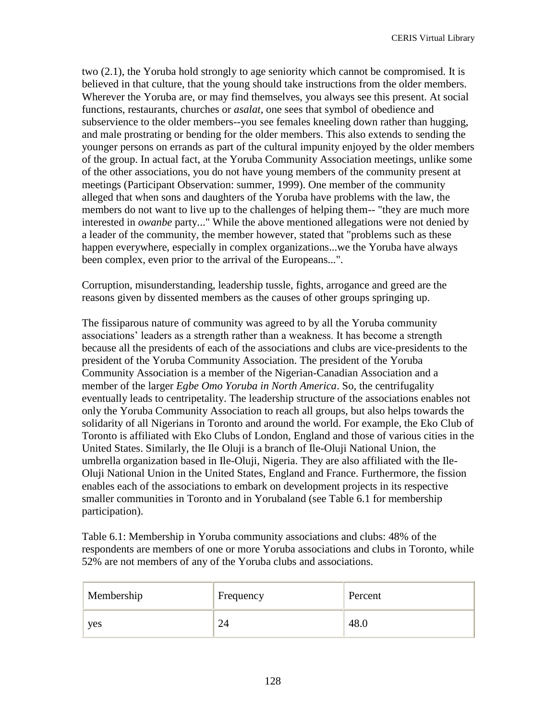two (2.1), the Yoruba hold strongly to age seniority which cannot be compromised. It is believed in that culture, that the young should take instructions from the older members. Wherever the Yoruba are, or may find themselves, you always see this present. At social functions, restaurants, churches or *asalat*, one sees that symbol of obedience and subservience to the older members--you see females kneeling down rather than hugging, and male prostrating or bending for the older members. This also extends to sending the younger persons on errands as part of the cultural impunity enjoyed by the older members of the group. In actual fact, at the Yoruba Community Association meetings, unlike some of the other associations, you do not have young members of the community present at meetings (Participant Observation: summer, 1999). One member of the community alleged that when sons and daughters of the Yoruba have problems with the law, the members do not want to live up to the challenges of helping them-- "they are much more interested in *owanbe* party..." While the above mentioned allegations were not denied by a leader of the community, the member however, stated that "problems such as these happen everywhere, especially in complex organizations...we the Yoruba have always been complex, even prior to the arrival of the Europeans...".

Corruption, misunderstanding, leadership tussle, fights, arrogance and greed are the reasons given by dissented members as the causes of other groups springing up.

The fissiparous nature of community was agreed to by all the Yoruba community associations' leaders as a strength rather than a weakness. It has become a strength because all the presidents of each of the associations and clubs are vice-presidents to the president of the Yoruba Community Association. The president of the Yoruba Community Association is a member of the Nigerian-Canadian Association and a member of the larger *Egbe Omo Yoruba in North America*. So, the centrifugality eventually leads to centripetality. The leadership structure of the associations enables not only the Yoruba Community Association to reach all groups, but also helps towards the solidarity of all Nigerians in Toronto and around the world. For example, the Eko Club of Toronto is affiliated with Eko Clubs of London, England and those of various cities in the United States. Similarly, the Ile Oluji is a branch of Ile-Oluji National Union, the umbrella organization based in Ile-Oluji, Nigeria. They are also affiliated with the Ile-Oluji National Union in the United States, England and France. Furthermore, the fission enables each of the associations to embark on development projects in its respective smaller communities in Toronto and in Yorubaland (see Table 6.1 for membership participation).

Table 6.1: Membership in Yoruba community associations and clubs: 48% of the respondents are members of one or more Yoruba associations and clubs in Toronto, while 52% are not members of any of the Yoruba clubs and associations.

| Membership | Frequency | Percent |
|------------|-----------|---------|
| yes        | 24        | 48.0    |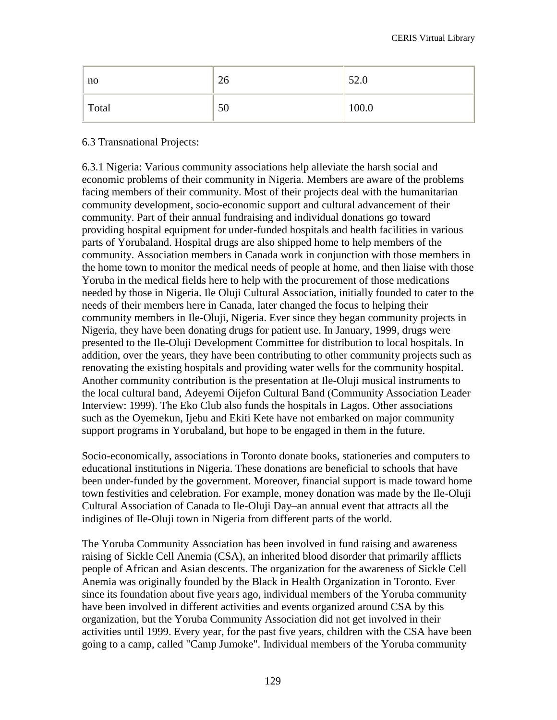| no    | 26 | 52.0  |
|-------|----|-------|
| Total | 50 | 100.0 |

# 6.3 Transnational Projects:

6.3.1 Nigeria: Various community associations help alleviate the harsh social and economic problems of their community in Nigeria. Members are aware of the problems facing members of their community. Most of their projects deal with the humanitarian community development, socio-economic support and cultural advancement of their community. Part of their annual fundraising and individual donations go toward providing hospital equipment for under-funded hospitals and health facilities in various parts of Yorubaland. Hospital drugs are also shipped home to help members of the community. Association members in Canada work in conjunction with those members in the home town to monitor the medical needs of people at home, and then liaise with those Yoruba in the medical fields here to help with the procurement of those medications needed by those in Nigeria. Ile Oluji Cultural Association, initially founded to cater to the needs of their members here in Canada, later changed the focus to helping their community members in Ile-Oluji, Nigeria. Ever since they began community projects in Nigeria, they have been donating drugs for patient use. In January, 1999, drugs were presented to the Ile-Oluji Development Committee for distribution to local hospitals. In addition, over the years, they have been contributing to other community projects such as renovating the existing hospitals and providing water wells for the community hospital. Another community contribution is the presentation at Ile-Oluji musical instruments to the local cultural band, Adeyemi Oijefon Cultural Band (Community Association Leader Interview: 1999). The Eko Club also funds the hospitals in Lagos. Other associations such as the Oyemekun, Ijebu and Ekiti Kete have not embarked on major community support programs in Yorubaland, but hope to be engaged in them in the future.

Socio-economically, associations in Toronto donate books, stationeries and computers to educational institutions in Nigeria. These donations are beneficial to schools that have been under-funded by the government. Moreover, financial support is made toward home town festivities and celebration. For example, money donation was made by the Ile-Oluji Cultural Association of Canada to Ile-Oluji Day–an annual event that attracts all the indigines of Ile-Oluji town in Nigeria from different parts of the world.

The Yoruba Community Association has been involved in fund raising and awareness raising of Sickle Cell Anemia (CSA), an inherited blood disorder that primarily afflicts people of African and Asian descents. The organization for the awareness of Sickle Cell Anemia was originally founded by the Black in Health Organization in Toronto. Ever since its foundation about five years ago, individual members of the Yoruba community have been involved in different activities and events organized around CSA by this organization, but the Yoruba Community Association did not get involved in their activities until 1999. Every year, for the past five years, children with the CSA have been going to a camp, called "Camp Jumoke". Individual members of the Yoruba community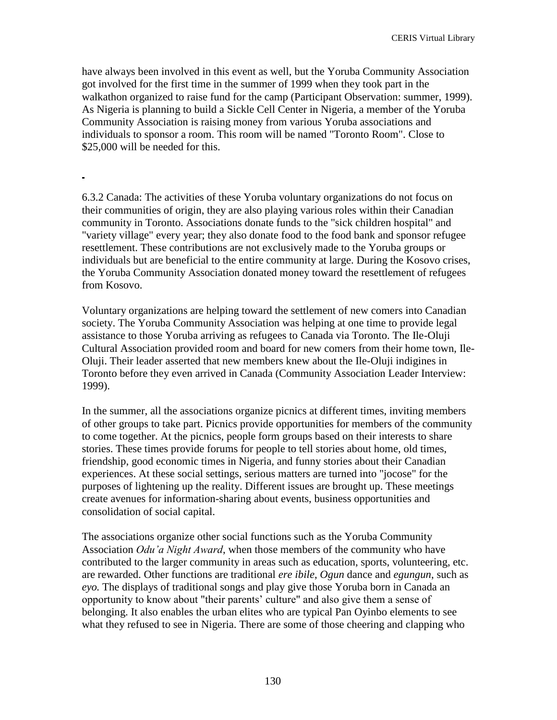have always been involved in this event as well, but the Yoruba Community Association got involved for the first time in the summer of 1999 when they took part in the walkathon organized to raise fund for the camp (Participant Observation: summer, 1999). As Nigeria is planning to build a Sickle Cell Center in Nigeria, a member of the Yoruba Community Association is raising money from various Yoruba associations and individuals to sponsor a room. This room will be named "Toronto Room". Close to \$25,000 will be needed for this.

6.3.2 Canada: The activities of these Yoruba voluntary organizations do not focus on their communities of origin, they are also playing various roles within their Canadian community in Toronto. Associations donate funds to the "sick children hospital" and "variety village" every year; they also donate food to the food bank and sponsor refugee resettlement. These contributions are not exclusively made to the Yoruba groups or individuals but are beneficial to the entire community at large. During the Kosovo crises, the Yoruba Community Association donated money toward the resettlement of refugees from Kosovo.

Voluntary organizations are helping toward the settlement of new comers into Canadian society. The Yoruba Community Association was helping at one time to provide legal assistance to those Yoruba arriving as refugees to Canada via Toronto. The Ile-Oluji Cultural Association provided room and board for new comers from their home town, Ile-Oluji. Their leader asserted that new members knew about the Ile-Oluji indigines in Toronto before they even arrived in Canada (Community Association Leader Interview: 1999).

In the summer, all the associations organize picnics at different times, inviting members of other groups to take part. Picnics provide opportunities for members of the community to come together. At the picnics, people form groups based on their interests to share stories. These times provide forums for people to tell stories about home, old times, friendship, good economic times in Nigeria, and funny stories about their Canadian experiences. At these social settings, serious matters are turned into "jocose" for the purposes of lightening up the reality. Different issues are brought up. These meetings create avenues for information-sharing about events, business opportunities and consolidation of social capital.

The associations organize other social functions such as the Yoruba Community Association *Odu'a Night Award*, when those members of the community who have contributed to the larger community in areas such as education, sports, volunteering, etc. are rewarded. Other functions are traditional *ere ibile*, *Ogun* dance and *egungun*, such as *eyo.* The displays of traditional songs and play give those Yoruba born in Canada an opportunity to know about "their parents' culture" and also give them a sense of belonging. It also enables the urban elites who are typical Pan Oyinbo elements to see what they refused to see in Nigeria. There are some of those cheering and clapping who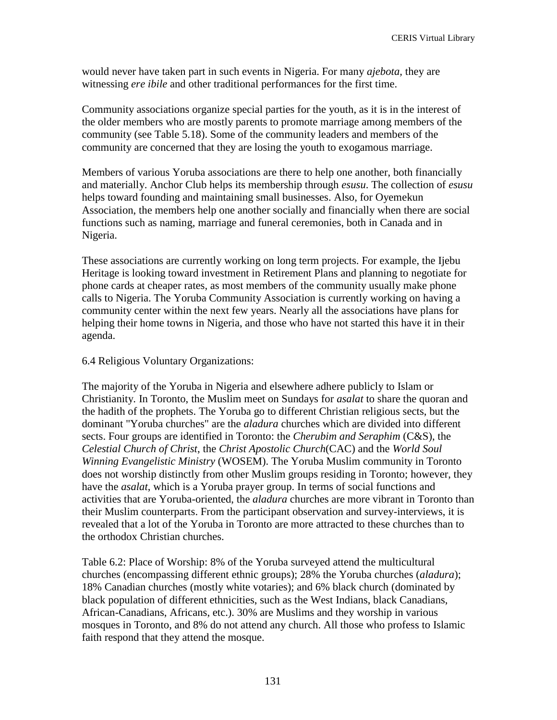would never have taken part in such events in Nigeria. For many *ajebota,* they are witnessing *ere ibile* and other traditional performances for the first time.

Community associations organize special parties for the youth, as it is in the interest of the older members who are mostly parents to promote marriage among members of the community (see Table 5.18). Some of the community leaders and members of the community are concerned that they are losing the youth to exogamous marriage.

Members of various Yoruba associations are there to help one another, both financially and materially. Anchor Club helps its membership through *esusu*. The collection of *esusu* helps toward founding and maintaining small businesses. Also, for Oyemekun Association, the members help one another socially and financially when there are social functions such as naming, marriage and funeral ceremonies, both in Canada and in Nigeria.

These associations are currently working on long term projects. For example, the Ijebu Heritage is looking toward investment in Retirement Plans and planning to negotiate for phone cards at cheaper rates, as most members of the community usually make phone calls to Nigeria. The Yoruba Community Association is currently working on having a community center within the next few years. Nearly all the associations have plans for helping their home towns in Nigeria, and those who have not started this have it in their agenda.

### 6.4 Religious Voluntary Organizations:

The majority of the Yoruba in Nigeria and elsewhere adhere publicly to Islam or Christianity. In Toronto, the Muslim meet on Sundays for *asalat* to share the quoran and the hadith of the prophets. The Yoruba go to different Christian religious sects, but the dominant "Yoruba churches" are the *aladura* churches which are divided into different sects. Four groups are identified in Toronto: the *Cherubim and Seraphim* (C&S), the *Celestial Church of Christ*, the *Christ Apostolic Church*(CAC) and the *World Soul Winning Evangelistic Ministry* (WOSEM). The Yoruba Muslim community in Toronto does not worship distinctly from other Muslim groups residing in Toronto; however, they have the *asalat*, which is a Yoruba prayer group. In terms of social functions and activities that are Yoruba-oriented, the *aladura* churches are more vibrant in Toronto than their Muslim counterparts. From the participant observation and survey-interviews, it is revealed that a lot of the Yoruba in Toronto are more attracted to these churches than to the orthodox Christian churches.

Table 6.2: Place of Worship: 8% of the Yoruba surveyed attend the multicultural churches (encompassing different ethnic groups); 28% the Yoruba churches (*aladura*); 18% Canadian churches (mostly white votaries); and 6% black church (dominated by black population of different ethnicities, such as the West Indians, black Canadians, African-Canadians, Africans, etc.). 30% are Muslims and they worship in various mosques in Toronto, and 8% do not attend any church. All those who profess to Islamic faith respond that they attend the mosque.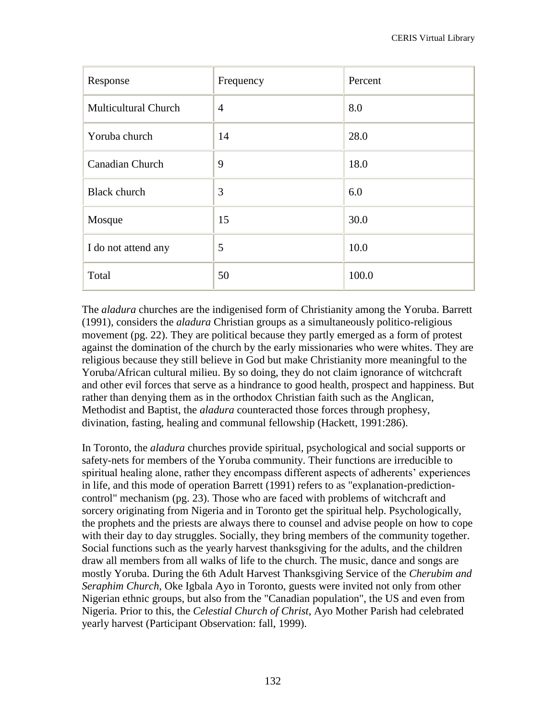| Response                    | Frequency      | Percent |
|-----------------------------|----------------|---------|
| <b>Multicultural Church</b> | $\overline{4}$ | 8.0     |
| Yoruba church               | 14             | 28.0    |
| <b>Canadian Church</b>      | 9              | 18.0    |
| <b>Black church</b>         | 3              | 6.0     |
| Mosque                      | 15             | 30.0    |
| I do not attend any         | 5              | 10.0    |
| Total                       | 50             | 100.0   |

The *aladura* churches are the indigenised form of Christianity among the Yoruba. Barrett (1991), considers the *aladura* Christian groups as a simultaneously politico-religious movement (pg. 22). They are political because they partly emerged as a form of protest against the domination of the church by the early missionaries who were whites. They are religious because they still believe in God but make Christianity more meaningful to the Yoruba/African cultural milieu. By so doing, they do not claim ignorance of witchcraft and other evil forces that serve as a hindrance to good health, prospect and happiness. But rather than denying them as in the orthodox Christian faith such as the Anglican, Methodist and Baptist, the *aladura* counteracted those forces through prophesy, divination, fasting, healing and communal fellowship (Hackett, 1991:286).

In Toronto, the *aladura* churches provide spiritual, psychological and social supports or safety-nets for members of the Yoruba community. Their functions are irreducible to spiritual healing alone, rather they encompass different aspects of adherents' experiences in life, and this mode of operation Barrett (1991) refers to as "explanation-predictioncontrol" mechanism (pg. 23). Those who are faced with problems of witchcraft and sorcery originating from Nigeria and in Toronto get the spiritual help. Psychologically, the prophets and the priests are always there to counsel and advise people on how to cope with their day to day struggles. Socially, they bring members of the community together. Social functions such as the yearly harvest thanksgiving for the adults, and the children draw all members from all walks of life to the church. The music, dance and songs are mostly Yoruba. During the 6th Adult Harvest Thanksgiving Service of the *Cherubim and Seraphim Church*, Oke Igbala Ayo in Toronto, guests were invited not only from other Nigerian ethnic groups, but also from the "Canadian population", the US and even from Nigeria. Prior to this, the *Celestial Church of Christ*, Ayo Mother Parish had celebrated yearly harvest (Participant Observation: fall, 1999).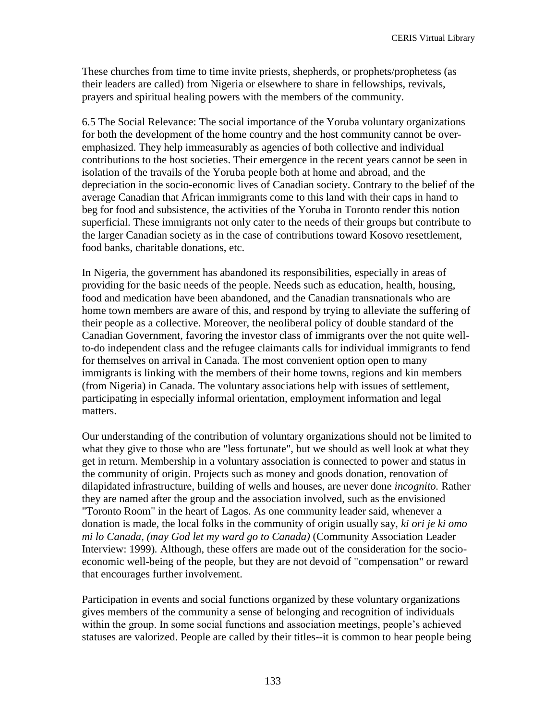These churches from time to time invite priests, shepherds, or prophets/prophetess (as their leaders are called) from Nigeria or elsewhere to share in fellowships, revivals, prayers and spiritual healing powers with the members of the community.

6.5 The Social Relevance: The social importance of the Yoruba voluntary organizations for both the development of the home country and the host community cannot be overemphasized. They help immeasurably as agencies of both collective and individual contributions to the host societies. Their emergence in the recent years cannot be seen in isolation of the travails of the Yoruba people both at home and abroad, and the depreciation in the socio-economic lives of Canadian society. Contrary to the belief of the average Canadian that African immigrants come to this land with their caps in hand to beg for food and subsistence, the activities of the Yoruba in Toronto render this notion superficial. These immigrants not only cater to the needs of their groups but contribute to the larger Canadian society as in the case of contributions toward Kosovo resettlement, food banks, charitable donations, etc.

In Nigeria, the government has abandoned its responsibilities, especially in areas of providing for the basic needs of the people. Needs such as education, health, housing, food and medication have been abandoned, and the Canadian transnationals who are home town members are aware of this, and respond by trying to alleviate the suffering of their people as a collective. Moreover, the neoliberal policy of double standard of the Canadian Government, favoring the investor class of immigrants over the not quite wellto-do independent class and the refugee claimants calls for individual immigrants to fend for themselves on arrival in Canada. The most convenient option open to many immigrants is linking with the members of their home towns, regions and kin members (from Nigeria) in Canada. The voluntary associations help with issues of settlement, participating in especially informal orientation, employment information and legal matters.

Our understanding of the contribution of voluntary organizations should not be limited to what they give to those who are "less fortunate", but we should as well look at what they get in return. Membership in a voluntary association is connected to power and status in the community of origin. Projects such as money and goods donation, renovation of dilapidated infrastructure, building of wells and houses, are never done *incognito.* Rather they are named after the group and the association involved, such as the envisioned "Toronto Room" in the heart of Lagos. As one community leader said, whenever a donation is made, the local folks in the community of origin usually say, *ki ori je ki omo mi lo Canada, (may God let my ward go to Canada)* (Community Association Leader Interview: 1999)*.* Although, these offers are made out of the consideration for the socioeconomic well-being of the people, but they are not devoid of "compensation" or reward that encourages further involvement.

Participation in events and social functions organized by these voluntary organizations gives members of the community a sense of belonging and recognition of individuals within the group. In some social functions and association meetings, people's achieved statuses are valorized. People are called by their titles--it is common to hear people being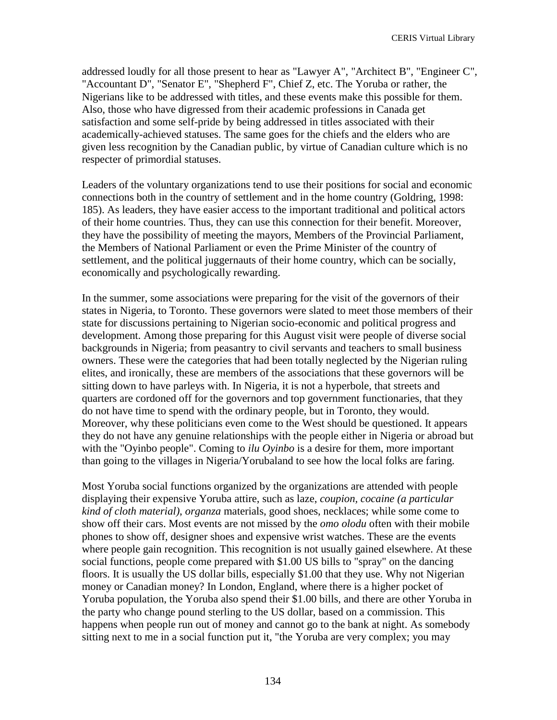addressed loudly for all those present to hear as "Lawyer A", "Architect B", "Engineer C", "Accountant D", "Senator E", "Shepherd F", Chief Z, etc. The Yoruba or rather, the Nigerians like to be addressed with titles, and these events make this possible for them. Also, those who have digressed from their academic professions in Canada get satisfaction and some self-pride by being addressed in titles associated with their academically-achieved statuses. The same goes for the chiefs and the elders who are given less recognition by the Canadian public, by virtue of Canadian culture which is no respecter of primordial statuses.

Leaders of the voluntary organizations tend to use their positions for social and economic connections both in the country of settlement and in the home country (Goldring, 1998: 185). As leaders, they have easier access to the important traditional and political actors of their home countries. Thus, they can use this connection for their benefit. Moreover, they have the possibility of meeting the mayors, Members of the Provincial Parliament, the Members of National Parliament or even the Prime Minister of the country of settlement, and the political juggernauts of their home country, which can be socially, economically and psychologically rewarding.

In the summer, some associations were preparing for the visit of the governors of their states in Nigeria, to Toronto. These governors were slated to meet those members of their state for discussions pertaining to Nigerian socio-economic and political progress and development. Among those preparing for this August visit were people of diverse social backgrounds in Nigeria; from peasantry to civil servants and teachers to small business owners. These were the categories that had been totally neglected by the Nigerian ruling elites, and ironically, these are members of the associations that these governors will be sitting down to have parleys with. In Nigeria, it is not a hyperbole, that streets and quarters are cordoned off for the governors and top government functionaries, that they do not have time to spend with the ordinary people, but in Toronto, they would. Moreover, why these politicians even come to the West should be questioned. It appears they do not have any genuine relationships with the people either in Nigeria or abroad but with the "Oyinbo people". Coming to *ilu Oyinbo* is a desire for them, more important than going to the villages in Nigeria/Yorubaland to see how the local folks are faring.

Most Yoruba social functions organized by the organizations are attended with people displaying their expensive Yoruba attire, such as laze, *coupion, cocaine (a particular kind of cloth material)*, *organza* materials, good shoes, necklaces; while some come to show off their cars. Most events are not missed by the *omo olodu* often with their mobile phones to show off, designer shoes and expensive wrist watches. These are the events where people gain recognition. This recognition is not usually gained elsewhere. At these social functions, people come prepared with \$1.00 US bills to "spray" on the dancing floors. It is usually the US dollar bills, especially \$1.00 that they use. Why not Nigerian money or Canadian money? In London, England, where there is a higher pocket of Yoruba population, the Yoruba also spend their \$1.00 bills, and there are other Yoruba in the party who change pound sterling to the US dollar, based on a commission. This happens when people run out of money and cannot go to the bank at night. As somebody sitting next to me in a social function put it, "the Yoruba are very complex; you may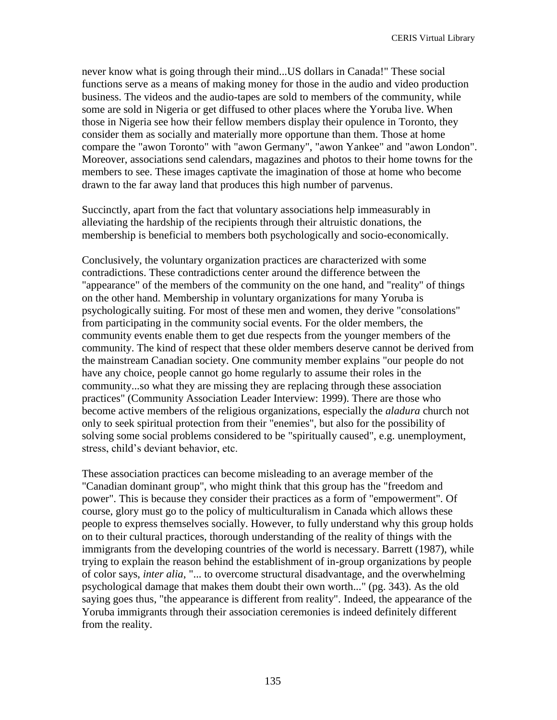never know what is going through their mind...US dollars in Canada!" These social functions serve as a means of making money for those in the audio and video production business. The videos and the audio-tapes are sold to members of the community, while some are sold in Nigeria or get diffused to other places where the Yoruba live. When those in Nigeria see how their fellow members display their opulence in Toronto, they consider them as socially and materially more opportune than them. Those at home compare the "awon Toronto" with "awon Germany", "awon Yankee" and "awon London". Moreover, associations send calendars, magazines and photos to their home towns for the members to see. These images captivate the imagination of those at home who become drawn to the far away land that produces this high number of parvenus.

Succinctly, apart from the fact that voluntary associations help immeasurably in alleviating the hardship of the recipients through their altruistic donations, the membership is beneficial to members both psychologically and socio-economically.

Conclusively, the voluntary organization practices are characterized with some contradictions. These contradictions center around the difference between the "appearance" of the members of the community on the one hand, and "reality" of things on the other hand. Membership in voluntary organizations for many Yoruba is psychologically suiting. For most of these men and women, they derive "consolations" from participating in the community social events. For the older members, the community events enable them to get due respects from the younger members of the community. The kind of respect that these older members deserve cannot be derived from the mainstream Canadian society. One community member explains "our people do not have any choice, people cannot go home regularly to assume their roles in the community...so what they are missing they are replacing through these association practices" (Community Association Leader Interview: 1999). There are those who become active members of the religious organizations, especially the *aladura* church not only to seek spiritual protection from their "enemies", but also for the possibility of solving some social problems considered to be "spiritually caused", e.g. unemployment, stress, child's deviant behavior, etc.

These association practices can become misleading to an average member of the "Canadian dominant group", who might think that this group has the "freedom and power". This is because they consider their practices as a form of "empowerment". Of course, glory must go to the policy of multiculturalism in Canada which allows these people to express themselves socially. However, to fully understand why this group holds on to their cultural practices, thorough understanding of the reality of things with the immigrants from the developing countries of the world is necessary. Barrett (1987), while trying to explain the reason behind the establishment of in-group organizations by people of color says, *inter alia*, "... to overcome structural disadvantage, and the overwhelming psychological damage that makes them doubt their own worth..." (pg. 343). As the old saying goes thus, "the appearance is different from reality". Indeed, the appearance of the Yoruba immigrants through their association ceremonies is indeed definitely different from the reality.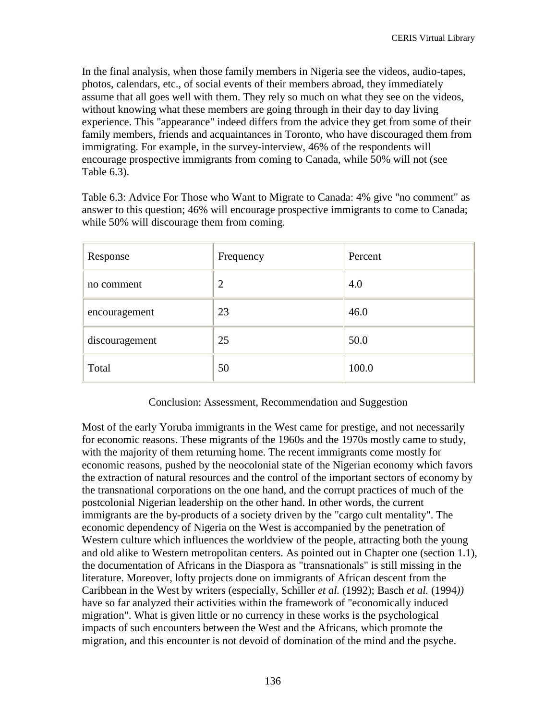In the final analysis, when those family members in Nigeria see the videos, audio-tapes, photos, calendars, etc., of social events of their members abroad, they immediately assume that all goes well with them. They rely so much on what they see on the videos, without knowing what these members are going through in their day to day living experience. This "appearance" indeed differs from the advice they get from some of their family members, friends and acquaintances in Toronto, who have discouraged them from immigrating. For example, in the survey-interview, 46% of the respondents will encourage prospective immigrants from coming to Canada, while 50% will not (see Table 6.3).

Table 6.3: Advice For Those who Want to Migrate to Canada: 4% give "no comment" as answer to this question; 46% will encourage prospective immigrants to come to Canada; while 50% will discourage them from coming.

| Response       | Frequency      | Percent |
|----------------|----------------|---------|
| no comment     | $\overline{2}$ | 4.0     |
| encouragement  | 23             | 46.0    |
| discouragement | 25             | 50.0    |
| Total          | 50             | 100.0   |

# Conclusion: Assessment, Recommendation and Suggestion

Most of the early Yoruba immigrants in the West came for prestige, and not necessarily for economic reasons. These migrants of the 1960s and the 1970s mostly came to study, with the majority of them returning home. The recent immigrants come mostly for economic reasons, pushed by the neocolonial state of the Nigerian economy which favors the extraction of natural resources and the control of the important sectors of economy by the transnational corporations on the one hand, and the corrupt practices of much of the postcolonial Nigerian leadership on the other hand. In other words, the current immigrants are the by-products of a society driven by the "cargo cult mentality". The economic dependency of Nigeria on the West is accompanied by the penetration of Western culture which influences the worldview of the people, attracting both the young and old alike to Western metropolitan centers. As pointed out in Chapter one (section 1.1), the documentation of Africans in the Diaspora as "transnationals" is still missing in the literature. Moreover, lofty projects done on immigrants of African descent from the Caribbean in the West by writers (especially, Schiller *et al.* (1992); Basch *et al.* (1994*))* have so far analyzed their activities within the framework of "economically induced migration". What is given little or no currency in these works is the psychological impacts of such encounters between the West and the Africans, which promote the migration, and this encounter is not devoid of domination of the mind and the psyche.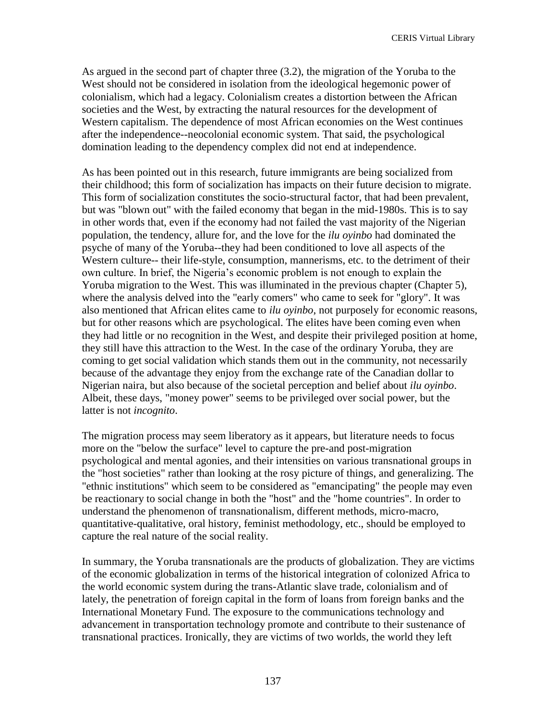As argued in the second part of chapter three (3.2), the migration of the Yoruba to the West should not be considered in isolation from the ideological hegemonic power of colonialism, which had a legacy. Colonialism creates a distortion between the African societies and the West, by extracting the natural resources for the development of Western capitalism. The dependence of most African economies on the West continues after the independence--neocolonial economic system. That said, the psychological domination leading to the dependency complex did not end at independence.

As has been pointed out in this research, future immigrants are being socialized from their childhood; this form of socialization has impacts on their future decision to migrate. This form of socialization constitutes the socio-structural factor, that had been prevalent, but was "blown out" with the failed economy that began in the mid-1980s. This is to say in other words that, even if the economy had not failed the vast majority of the Nigerian population, the tendency, allure for, and the love for the *ilu oyinbo* had dominated the psyche of many of the Yoruba--they had been conditioned to love all aspects of the Western culture-- their life-style, consumption, mannerisms, etc. to the detriment of their own culture. In brief, the Nigeria's economic problem is not enough to explain the Yoruba migration to the West. This was illuminated in the previous chapter (Chapter 5), where the analysis delved into the "early comers" who came to seek for "glory". It was also mentioned that African elites came to *ilu oyinbo*, not purposely for economic reasons, but for other reasons which are psychological. The elites have been coming even when they had little or no recognition in the West, and despite their privileged position at home, they still have this attraction to the West. In the case of the ordinary Yoruba, they are coming to get social validation which stands them out in the community, not necessarily because of the advantage they enjoy from the exchange rate of the Canadian dollar to Nigerian naira, but also because of the societal perception and belief about *ilu oyinbo*. Albeit, these days, "money power" seems to be privileged over social power, but the latter is not *incognito*.

The migration process may seem liberatory as it appears, but literature needs to focus more on the "below the surface" level to capture the pre-and post-migration psychological and mental agonies, and their intensities on various transnational groups in the "host societies" rather than looking at the rosy picture of things, and generalizing. The "ethnic institutions" which seem to be considered as "emancipating" the people may even be reactionary to social change in both the "host" and the "home countries". In order to understand the phenomenon of transnationalism, different methods, micro-macro, quantitative-qualitative, oral history, feminist methodology, etc., should be employed to capture the real nature of the social reality.

In summary, the Yoruba transnationals are the products of globalization. They are victims of the economic globalization in terms of the historical integration of colonized Africa to the world economic system during the trans-Atlantic slave trade, colonialism and of lately, the penetration of foreign capital in the form of loans from foreign banks and the International Monetary Fund. The exposure to the communications technology and advancement in transportation technology promote and contribute to their sustenance of transnational practices. Ironically, they are victims of two worlds, the world they left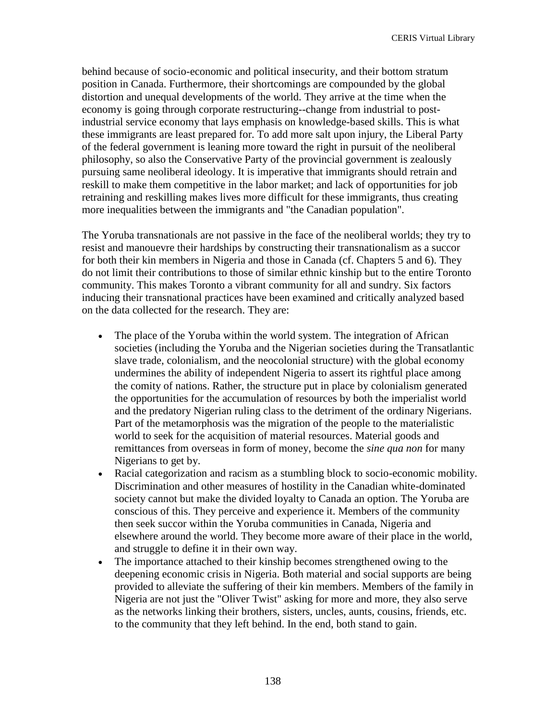behind because of socio-economic and political insecurity, and their bottom stratum position in Canada. Furthermore, their shortcomings are compounded by the global distortion and unequal developments of the world. They arrive at the time when the economy is going through corporate restructuring--change from industrial to postindustrial service economy that lays emphasis on knowledge-based skills. This is what these immigrants are least prepared for. To add more salt upon injury, the Liberal Party of the federal government is leaning more toward the right in pursuit of the neoliberal philosophy, so also the Conservative Party of the provincial government is zealously pursuing same neoliberal ideology. It is imperative that immigrants should retrain and reskill to make them competitive in the labor market; and lack of opportunities for job retraining and reskilling makes lives more difficult for these immigrants, thus creating more inequalities between the immigrants and "the Canadian population".

The Yoruba transnationals are not passive in the face of the neoliberal worlds; they try to resist and manouevre their hardships by constructing their transnationalism as a succor for both their kin members in Nigeria and those in Canada (cf. Chapters 5 and 6). They do not limit their contributions to those of similar ethnic kinship but to the entire Toronto community. This makes Toronto a vibrant community for all and sundry. Six factors inducing their transnational practices have been examined and critically analyzed based on the data collected for the research. They are:

- The place of the Yoruba within the world system. The integration of African societies (including the Yoruba and the Nigerian societies during the Transatlantic slave trade, colonialism, and the neocolonial structure) with the global economy undermines the ability of independent Nigeria to assert its rightful place among the comity of nations. Rather, the structure put in place by colonialism generated the opportunities for the accumulation of resources by both the imperialist world and the predatory Nigerian ruling class to the detriment of the ordinary Nigerians. Part of the metamorphosis was the migration of the people to the materialistic world to seek for the acquisition of material resources. Material goods and remittances from overseas in form of money, become the *sine qua non* for many Nigerians to get by.
- Racial categorization and racism as a stumbling block to socio-economic mobility. Discrimination and other measures of hostility in the Canadian white-dominated society cannot but make the divided loyalty to Canada an option. The Yoruba are conscious of this. They perceive and experience it. Members of the community then seek succor within the Yoruba communities in Canada, Nigeria and elsewhere around the world. They become more aware of their place in the world, and struggle to define it in their own way.
- The importance attached to their kinship becomes strengthened owing to the deepening economic crisis in Nigeria. Both material and social supports are being provided to alleviate the suffering of their kin members. Members of the family in Nigeria are not just the "Oliver Twist" asking for more and more, they also serve as the networks linking their brothers, sisters, uncles, aunts, cousins, friends, etc. to the community that they left behind. In the end, both stand to gain.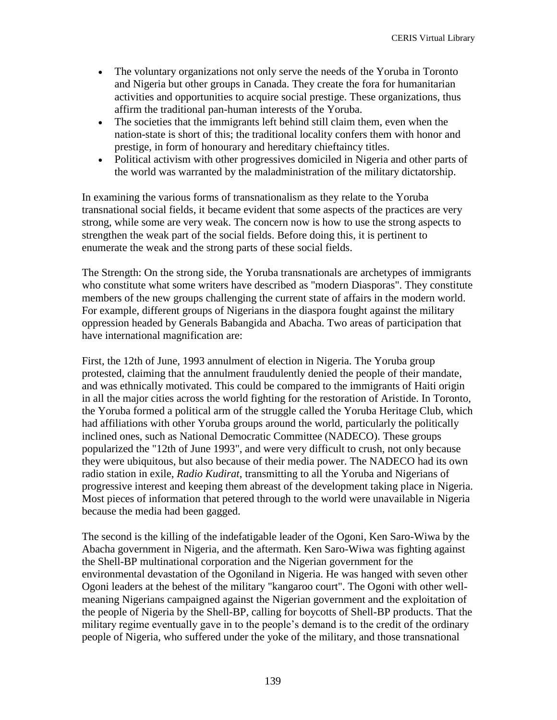- The voluntary organizations not only serve the needs of the Yoruba in Toronto and Nigeria but other groups in Canada. They create the fora for humanitarian activities and opportunities to acquire social prestige. These organizations, thus affirm the traditional pan-human interests of the Yoruba.
- The societies that the immigrants left behind still claim them, even when the nation-state is short of this; the traditional locality confers them with honor and prestige, in form of honourary and hereditary chieftaincy titles.
- Political activism with other progressives domiciled in Nigeria and other parts of the world was warranted by the maladministration of the military dictatorship.

In examining the various forms of transnationalism as they relate to the Yoruba transnational social fields, it became evident that some aspects of the practices are very strong, while some are very weak. The concern now is how to use the strong aspects to strengthen the weak part of the social fields. Before doing this, it is pertinent to enumerate the weak and the strong parts of these social fields.

The Strength: On the strong side, the Yoruba transnationals are archetypes of immigrants who constitute what some writers have described as "modern Diasporas". They constitute members of the new groups challenging the current state of affairs in the modern world. For example, different groups of Nigerians in the diaspora fought against the military oppression headed by Generals Babangida and Abacha. Two areas of participation that have international magnification are:

First, the 12th of June, 1993 annulment of election in Nigeria. The Yoruba group protested, claiming that the annulment fraudulently denied the people of their mandate, and was ethnically motivated. This could be compared to the immigrants of Haiti origin in all the major cities across the world fighting for the restoration of Aristide. In Toronto, the Yoruba formed a political arm of the struggle called the Yoruba Heritage Club, which had affiliations with other Yoruba groups around the world, particularly the politically inclined ones, such as National Democratic Committee (NADECO). These groups popularized the "12th of June 1993", and were very difficult to crush, not only because they were ubiquitous, but also because of their media power. The NADECO had its own radio station in exile, *Radio Kudirat*, transmitting to all the Yoruba and Nigerians of progressive interest and keeping them abreast of the development taking place in Nigeria. Most pieces of information that petered through to the world were unavailable in Nigeria because the media had been gagged.

The second is the killing of the indefatigable leader of the Ogoni, Ken Saro-Wiwa by the Abacha government in Nigeria, and the aftermath. Ken Saro-Wiwa was fighting against the Shell-BP multinational corporation and the Nigerian government for the environmental devastation of the Ogoniland in Nigeria. He was hanged with seven other Ogoni leaders at the behest of the military "kangaroo court". The Ogoni with other wellmeaning Nigerians campaigned against the Nigerian government and the exploitation of the people of Nigeria by the Shell-BP, calling for boycotts of Shell-BP products. That the military regime eventually gave in to the people's demand is to the credit of the ordinary people of Nigeria, who suffered under the yoke of the military, and those transnational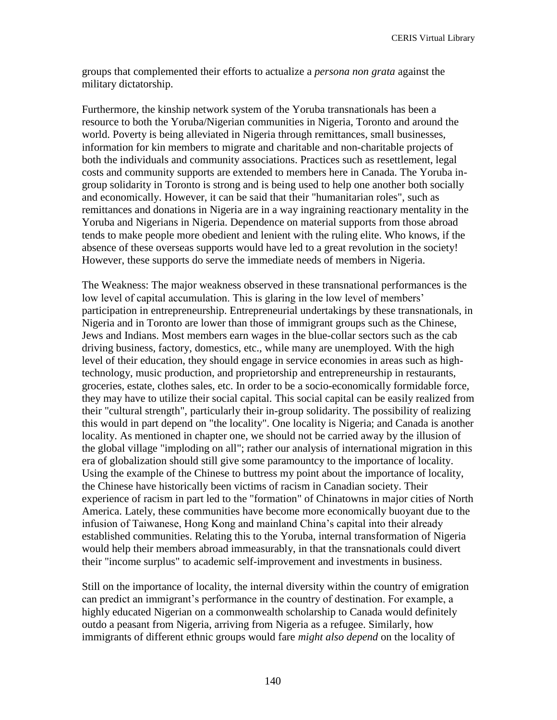groups that complemented their efforts to actualize a *persona non grata* against the military dictatorship.

Furthermore, the kinship network system of the Yoruba transnationals has been a resource to both the Yoruba/Nigerian communities in Nigeria, Toronto and around the world. Poverty is being alleviated in Nigeria through remittances, small businesses, information for kin members to migrate and charitable and non-charitable projects of both the individuals and community associations. Practices such as resettlement, legal costs and community supports are extended to members here in Canada. The Yoruba ingroup solidarity in Toronto is strong and is being used to help one another both socially and economically. However, it can be said that their "humanitarian roles", such as remittances and donations in Nigeria are in a way ingraining reactionary mentality in the Yoruba and Nigerians in Nigeria. Dependence on material supports from those abroad tends to make people more obedient and lenient with the ruling elite. Who knows, if the absence of these overseas supports would have led to a great revolution in the society! However, these supports do serve the immediate needs of members in Nigeria.

The Weakness: The major weakness observed in these transnational performances is the low level of capital accumulation. This is glaring in the low level of members' participation in entrepreneurship. Entrepreneurial undertakings by these transnationals, in Nigeria and in Toronto are lower than those of immigrant groups such as the Chinese, Jews and Indians. Most members earn wages in the blue-collar sectors such as the cab driving business, factory, domestics, etc., while many are unemployed. With the high level of their education, they should engage in service economies in areas such as hightechnology, music production, and proprietorship and entrepreneurship in restaurants, groceries, estate, clothes sales, etc. In order to be a socio-economically formidable force, they may have to utilize their social capital. This social capital can be easily realized from their "cultural strength", particularly their in-group solidarity. The possibility of realizing this would in part depend on "the locality". One locality is Nigeria; and Canada is another locality. As mentioned in chapter one, we should not be carried away by the illusion of the global village "imploding on all"; rather our analysis of international migration in this era of globalization should still give some paramountcy to the importance of locality. Using the example of the Chinese to buttress my point about the importance of locality, the Chinese have historically been victims of racism in Canadian society. Their experience of racism in part led to the "formation" of Chinatowns in major cities of North America. Lately, these communities have become more economically buoyant due to the infusion of Taiwanese, Hong Kong and mainland China's capital into their already established communities. Relating this to the Yoruba, internal transformation of Nigeria would help their members abroad immeasurably, in that the transnationals could divert their "income surplus" to academic self-improvement and investments in business.

Still on the importance of locality, the internal diversity within the country of emigration can predict an immigrant's performance in the country of destination. For example, a highly educated Nigerian on a commonwealth scholarship to Canada would definitely outdo a peasant from Nigeria, arriving from Nigeria as a refugee. Similarly, how immigrants of different ethnic groups would fare *might also depend* on the locality of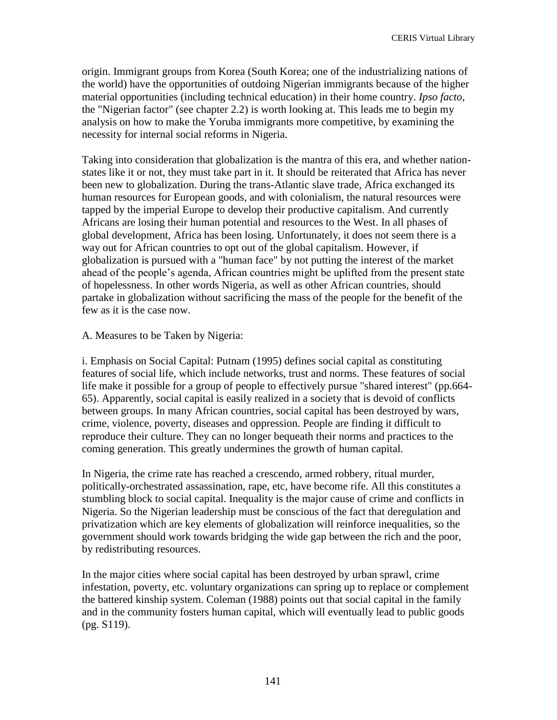origin. Immigrant groups from Korea (South Korea; one of the industrializing nations of the world) have the opportunities of outdoing Nigerian immigrants because of the higher material opportunities (including technical education) in their home country. *Ipso facto*, the "Nigerian factor" (see chapter 2.2) is worth looking at. This leads me to begin my analysis on how to make the Yoruba immigrants more competitive, by examining the necessity for internal social reforms in Nigeria.

Taking into consideration that globalization is the mantra of this era, and whether nationstates like it or not, they must take part in it. It should be reiterated that Africa has never been new to globalization. During the trans-Atlantic slave trade, Africa exchanged its human resources for European goods, and with colonialism, the natural resources were tapped by the imperial Europe to develop their productive capitalism. And currently Africans are losing their human potential and resources to the West. In all phases of global development, Africa has been losing. Unfortunately, it does not seem there is a way out for African countries to opt out of the global capitalism. However, if globalization is pursued with a "human face" by not putting the interest of the market ahead of the people's agenda, African countries might be uplifted from the present state of hopelessness. In other words Nigeria, as well as other African countries, should partake in globalization without sacrificing the mass of the people for the benefit of the few as it is the case now.

### A. Measures to be Taken by Nigeria:

i. Emphasis on Social Capital: Putnam (1995) defines social capital as constituting features of social life, which include networks, trust and norms. These features of social life make it possible for a group of people to effectively pursue "shared interest" (pp.664- 65). Apparently, social capital is easily realized in a society that is devoid of conflicts between groups. In many African countries, social capital has been destroyed by wars, crime, violence, poverty, diseases and oppression. People are finding it difficult to reproduce their culture. They can no longer bequeath their norms and practices to the coming generation. This greatly undermines the growth of human capital.

In Nigeria, the crime rate has reached a crescendo, armed robbery, ritual murder, politically-orchestrated assassination, rape, etc, have become rife. All this constitutes a stumbling block to social capital. Inequality is the major cause of crime and conflicts in Nigeria. So the Nigerian leadership must be conscious of the fact that deregulation and privatization which are key elements of globalization will reinforce inequalities, so the government should work towards bridging the wide gap between the rich and the poor, by redistributing resources.

In the major cities where social capital has been destroyed by urban sprawl, crime infestation, poverty, etc. voluntary organizations can spring up to replace or complement the battered kinship system. Coleman (1988) points out that social capital in the family and in the community fosters human capital, which will eventually lead to public goods (pg. S119).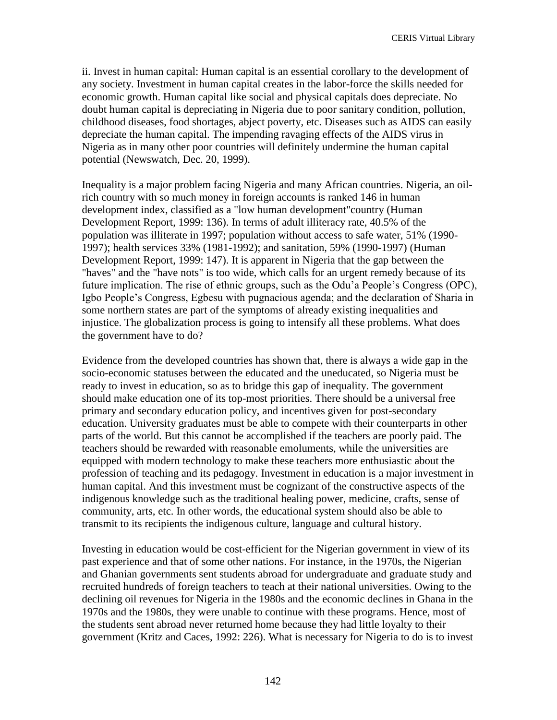ii. Invest in human capital: Human capital is an essential corollary to the development of any society. Investment in human capital creates in the labor-force the skills needed for economic growth. Human capital like social and physical capitals does depreciate. No doubt human capital is depreciating in Nigeria due to poor sanitary condition, pollution, childhood diseases, food shortages, abject poverty, etc. Diseases such as AIDS can easily depreciate the human capital. The impending ravaging effects of the AIDS virus in Nigeria as in many other poor countries will definitely undermine the human capital potential (Newswatch, Dec. 20, 1999).

Inequality is a major problem facing Nigeria and many African countries. Nigeria, an oilrich country with so much money in foreign accounts is ranked 146 in human development index, classified as a "low human development"country (Human Development Report, 1999: 136). In terms of adult illiteracy rate, 40.5% of the population was illiterate in 1997; population without access to safe water, 51% (1990- 1997); health services 33% (1981-1992); and sanitation, 59% (1990-1997) (Human Development Report, 1999: 147). It is apparent in Nigeria that the gap between the "haves" and the "have nots" is too wide, which calls for an urgent remedy because of its future implication. The rise of ethnic groups, such as the Odu'a People's Congress (OPC), Igbo People's Congress, Egbesu with pugnacious agenda; and the declaration of Sharia in some northern states are part of the symptoms of already existing inequalities and injustice. The globalization process is going to intensify all these problems. What does the government have to do?

Evidence from the developed countries has shown that, there is always a wide gap in the socio-economic statuses between the educated and the uneducated, so Nigeria must be ready to invest in education, so as to bridge this gap of inequality. The government should make education one of its top-most priorities. There should be a universal free primary and secondary education policy, and incentives given for post-secondary education. University graduates must be able to compete with their counterparts in other parts of the world. But this cannot be accomplished if the teachers are poorly paid. The teachers should be rewarded with reasonable emoluments, while the universities are equipped with modern technology to make these teachers more enthusiastic about the profession of teaching and its pedagogy. Investment in education is a major investment in human capital. And this investment must be cognizant of the constructive aspects of the indigenous knowledge such as the traditional healing power, medicine, crafts, sense of community, arts, etc. In other words, the educational system should also be able to transmit to its recipients the indigenous culture, language and cultural history.

Investing in education would be cost-efficient for the Nigerian government in view of its past experience and that of some other nations. For instance, in the 1970s, the Nigerian and Ghanian governments sent students abroad for undergraduate and graduate study and recruited hundreds of foreign teachers to teach at their national universities. Owing to the declining oil revenues for Nigeria in the 1980s and the economic declines in Ghana in the 1970s and the 1980s, they were unable to continue with these programs. Hence, most of the students sent abroad never returned home because they had little loyalty to their government (Kritz and Caces, 1992: 226). What is necessary for Nigeria to do is to invest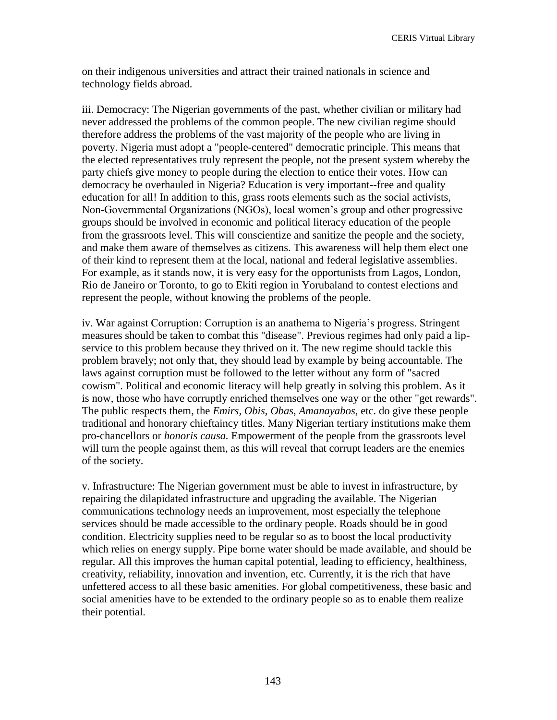on their indigenous universities and attract their trained nationals in science and technology fields abroad.

iii. Democracy: The Nigerian governments of the past, whether civilian or military had never addressed the problems of the common people. The new civilian regime should therefore address the problems of the vast majority of the people who are living in poverty. Nigeria must adopt a "people-centered" democratic principle. This means that the elected representatives truly represent the people, not the present system whereby the party chiefs give money to people during the election to entice their votes. How can democracy be overhauled in Nigeria? Education is very important--free and quality education for all! In addition to this, grass roots elements such as the social activists, Non-Governmental Organizations (NGOs), local women's group and other progressive groups should be involved in economic and political literacy education of the people from the grassroots level. This will conscientize and sanitize the people and the society, and make them aware of themselves as citizens. This awareness will help them elect one of their kind to represent them at the local, national and federal legislative assemblies. For example, as it stands now, it is very easy for the opportunists from Lagos, London, Rio de Janeiro or Toronto, to go to Ekiti region in Yorubaland to contest elections and represent the people, without knowing the problems of the people.

iv. War against Corruption: Corruption is an anathema to Nigeria's progress. Stringent measures should be taken to combat this "disease". Previous regimes had only paid a lipservice to this problem because they thrived on it. The new regime should tackle this problem bravely; not only that, they should lead by example by being accountable. The laws against corruption must be followed to the letter without any form of "sacred cowism". Political and economic literacy will help greatly in solving this problem. As it is now, those who have corruptly enriched themselves one way or the other "get rewards". The public respects them, the *Emirs, Obis, Obas*, *Amanayabos*, etc. do give these people traditional and honorary chieftaincy titles. Many Nigerian tertiary institutions make them pro-chancellors or *honoris causa.* Empowerment of the people from the grassroots level will turn the people against them, as this will reveal that corrupt leaders are the enemies of the society.

v. Infrastructure: The Nigerian government must be able to invest in infrastructure, by repairing the dilapidated infrastructure and upgrading the available. The Nigerian communications technology needs an improvement, most especially the telephone services should be made accessible to the ordinary people. Roads should be in good condition. Electricity supplies need to be regular so as to boost the local productivity which relies on energy supply. Pipe borne water should be made available, and should be regular. All this improves the human capital potential, leading to efficiency, healthiness, creativity, reliability, innovation and invention, etc. Currently, it is the rich that have unfettered access to all these basic amenities. For global competitiveness, these basic and social amenities have to be extended to the ordinary people so as to enable them realize their potential.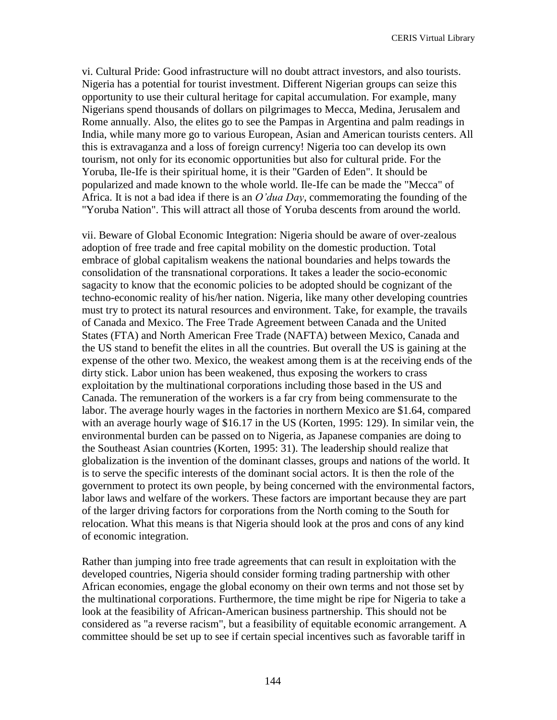vi. Cultural Pride: Good infrastructure will no doubt attract investors, and also tourists. Nigeria has a potential for tourist investment. Different Nigerian groups can seize this opportunity to use their cultural heritage for capital accumulation. For example, many Nigerians spend thousands of dollars on pilgrimages to Mecca, Medina, Jerusalem and Rome annually. Also, the elites go to see the Pampas in Argentina and palm readings in India, while many more go to various European, Asian and American tourists centers. All this is extravaganza and a loss of foreign currency! Nigeria too can develop its own tourism, not only for its economic opportunities but also for cultural pride. For the Yoruba, Ile-Ife is their spiritual home, it is their "Garden of Eden". It should be popularized and made known to the whole world. Ile-Ife can be made the "Mecca" of Africa. It is not a bad idea if there is an *O'dua Day*, commemorating the founding of the "Yoruba Nation". This will attract all those of Yoruba descents from around the world.

vii. Beware of Global Economic Integration: Nigeria should be aware of over-zealous adoption of free trade and free capital mobility on the domestic production. Total embrace of global capitalism weakens the national boundaries and helps towards the consolidation of the transnational corporations. It takes a leader the socio-economic sagacity to know that the economic policies to be adopted should be cognizant of the techno-economic reality of his/her nation. Nigeria, like many other developing countries must try to protect its natural resources and environment. Take, for example, the travails of Canada and Mexico. The Free Trade Agreement between Canada and the United States (FTA) and North American Free Trade (NAFTA) between Mexico, Canada and the US stand to benefit the elites in all the countries. But overall the US is gaining at the expense of the other two. Mexico, the weakest among them is at the receiving ends of the dirty stick. Labor union has been weakened, thus exposing the workers to crass exploitation by the multinational corporations including those based in the US and Canada. The remuneration of the workers is a far cry from being commensurate to the labor. The average hourly wages in the factories in northern Mexico are \$1.64, compared with an average hourly wage of \$16.17 in the US (Korten, 1995: 129). In similar vein, the environmental burden can be passed on to Nigeria, as Japanese companies are doing to the Southeast Asian countries (Korten, 1995: 31). The leadership should realize that globalization is the invention of the dominant classes, groups and nations of the world. It is to serve the specific interests of the dominant social actors. It is then the role of the government to protect its own people, by being concerned with the environmental factors, labor laws and welfare of the workers. These factors are important because they are part of the larger driving factors for corporations from the North coming to the South for relocation. What this means is that Nigeria should look at the pros and cons of any kind of economic integration.

Rather than jumping into free trade agreements that can result in exploitation with the developed countries, Nigeria should consider forming trading partnership with other African economies, engage the global economy on their own terms and not those set by the multinational corporations. Furthermore, the time might be ripe for Nigeria to take a look at the feasibility of African-American business partnership. This should not be considered as "a reverse racism", but a feasibility of equitable economic arrangement. A committee should be set up to see if certain special incentives such as favorable tariff in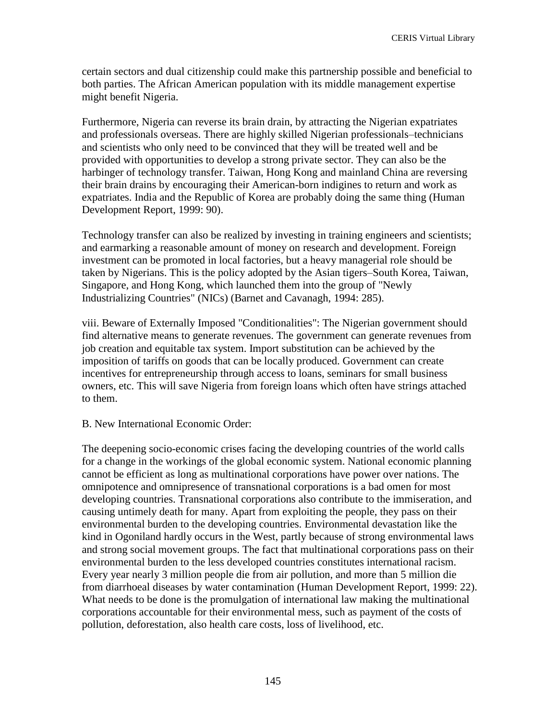certain sectors and dual citizenship could make this partnership possible and beneficial to both parties. The African American population with its middle management expertise might benefit Nigeria.

Furthermore, Nigeria can reverse its brain drain, by attracting the Nigerian expatriates and professionals overseas. There are highly skilled Nigerian professionals–technicians and scientists who only need to be convinced that they will be treated well and be provided with opportunities to develop a strong private sector. They can also be the harbinger of technology transfer. Taiwan, Hong Kong and mainland China are reversing their brain drains by encouraging their American-born indigines to return and work as expatriates. India and the Republic of Korea are probably doing the same thing (Human Development Report, 1999: 90).

Technology transfer can also be realized by investing in training engineers and scientists; and earmarking a reasonable amount of money on research and development. Foreign investment can be promoted in local factories, but a heavy managerial role should be taken by Nigerians. This is the policy adopted by the Asian tigers–South Korea, Taiwan, Singapore, and Hong Kong, which launched them into the group of "Newly Industrializing Countries" (NICs) (Barnet and Cavanagh, 1994: 285).

viii. Beware of Externally Imposed "Conditionalities": The Nigerian government should find alternative means to generate revenues. The government can generate revenues from job creation and equitable tax system. Import substitution can be achieved by the imposition of tariffs on goods that can be locally produced. Government can create incentives for entrepreneurship through access to loans, seminars for small business owners, etc. This will save Nigeria from foreign loans which often have strings attached to them.

## B. New International Economic Order:

The deepening socio-economic crises facing the developing countries of the world calls for a change in the workings of the global economic system. National economic planning cannot be efficient as long as multinational corporations have power over nations. The omnipotence and omnipresence of transnational corporations is a bad omen for most developing countries. Transnational corporations also contribute to the immiseration, and causing untimely death for many. Apart from exploiting the people, they pass on their environmental burden to the developing countries. Environmental devastation like the kind in Ogoniland hardly occurs in the West, partly because of strong environmental laws and strong social movement groups. The fact that multinational corporations pass on their environmental burden to the less developed countries constitutes international racism. Every year nearly 3 million people die from air pollution, and more than 5 million die from diarrhoeal diseases by water contamination (Human Development Report, 1999: 22). What needs to be done is the promulgation of international law making the multinational corporations accountable for their environmental mess, such as payment of the costs of pollution, deforestation, also health care costs, loss of livelihood, etc.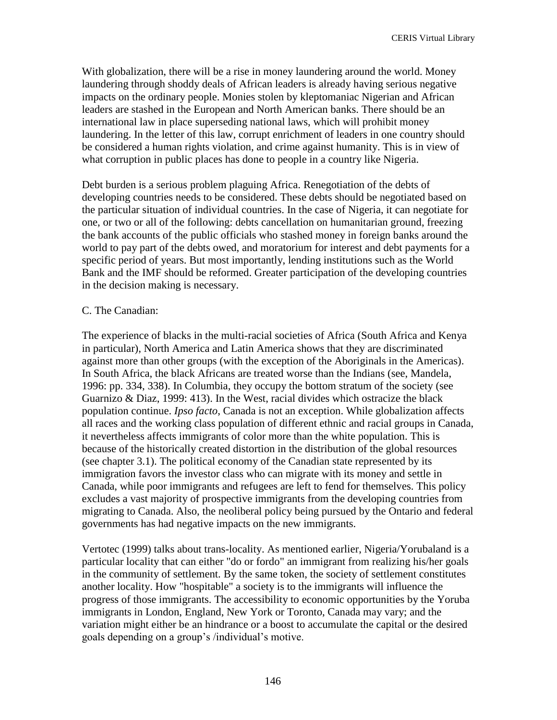With globalization, there will be a rise in money laundering around the world. Money laundering through shoddy deals of African leaders is already having serious negative impacts on the ordinary people. Monies stolen by kleptomaniac Nigerian and African leaders are stashed in the European and North American banks. There should be an international law in place superseding national laws, which will prohibit money laundering. In the letter of this law, corrupt enrichment of leaders in one country should be considered a human rights violation, and crime against humanity. This is in view of what corruption in public places has done to people in a country like Nigeria.

Debt burden is a serious problem plaguing Africa. Renegotiation of the debts of developing countries needs to be considered. These debts should be negotiated based on the particular situation of individual countries. In the case of Nigeria, it can negotiate for one, or two or all of the following: debts cancellation on humanitarian ground, freezing the bank accounts of the public officials who stashed money in foreign banks around the world to pay part of the debts owed, and moratorium for interest and debt payments for a specific period of years. But most importantly, lending institutions such as the World Bank and the IMF should be reformed. Greater participation of the developing countries in the decision making is necessary.

## C. The Canadian:

The experience of blacks in the multi-racial societies of Africa (South Africa and Kenya in particular), North America and Latin America shows that they are discriminated against more than other groups (with the exception of the Aboriginals in the Americas). In South Africa, the black Africans are treated worse than the Indians (see, Mandela, 1996: pp. 334, 338). In Columbia, they occupy the bottom stratum of the society (see Guarnizo & Diaz, 1999: 413). In the West, racial divides which ostracize the black population continue. *Ipso facto*, Canada is not an exception. While globalization affects all races and the working class population of different ethnic and racial groups in Canada, it nevertheless affects immigrants of color more than the white population. This is because of the historically created distortion in the distribution of the global resources (see chapter 3.1). The political economy of the Canadian state represented by its immigration favors the investor class who can migrate with its money and settle in Canada, while poor immigrants and refugees are left to fend for themselves. This policy excludes a vast majority of prospective immigrants from the developing countries from migrating to Canada. Also, the neoliberal policy being pursued by the Ontario and federal governments has had negative impacts on the new immigrants.

Vertotec (1999) talks about trans-locality. As mentioned earlier, Nigeria/Yorubaland is a particular locality that can either "do or fordo" an immigrant from realizing his/her goals in the community of settlement. By the same token, the society of settlement constitutes another locality. How "hospitable" a society is to the immigrants will influence the progress of those immigrants. The accessibility to economic opportunities by the Yoruba immigrants in London, England, New York or Toronto, Canada may vary; and the variation might either be an hindrance or a boost to accumulate the capital or the desired goals depending on a group's /individual's motive.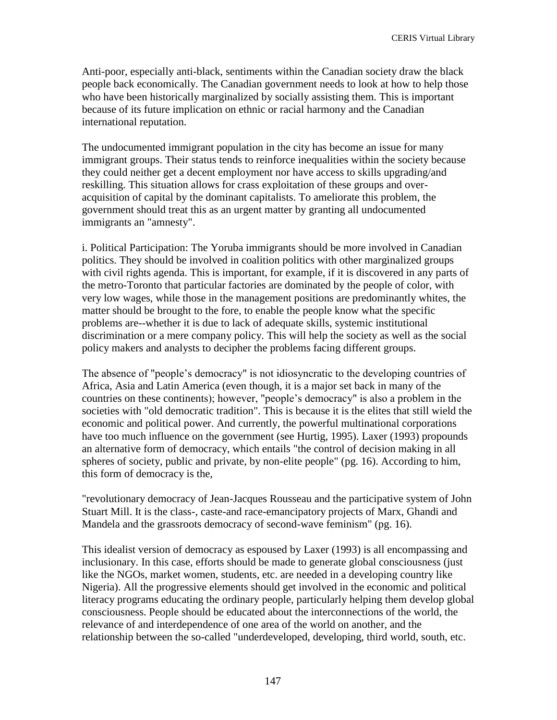Anti-poor, especially anti-black, sentiments within the Canadian society draw the black people back economically. The Canadian government needs to look at how to help those who have been historically marginalized by socially assisting them. This is important because of its future implication on ethnic or racial harmony and the Canadian international reputation.

The undocumented immigrant population in the city has become an issue for many immigrant groups. Their status tends to reinforce inequalities within the society because they could neither get a decent employment nor have access to skills upgrading/and reskilling. This situation allows for crass exploitation of these groups and overacquisition of capital by the dominant capitalists. To ameliorate this problem, the government should treat this as an urgent matter by granting all undocumented immigrants an "amnesty".

i. Political Participation: The Yoruba immigrants should be more involved in Canadian politics. They should be involved in coalition politics with other marginalized groups with civil rights agenda. This is important, for example, if it is discovered in any parts of the metro-Toronto that particular factories are dominated by the people of color, with very low wages, while those in the management positions are predominantly whites, the matter should be brought to the fore, to enable the people know what the specific problems are--whether it is due to lack of adequate skills, systemic institutional discrimination or a mere company policy. This will help the society as well as the social policy makers and analysts to decipher the problems facing different groups.

The absence of "people's democracy" is not idiosyncratic to the developing countries of Africa, Asia and Latin America (even though, it is a major set back in many of the countries on these continents); however, "people's democracy" is also a problem in the societies with "old democratic tradition". This is because it is the elites that still wield the economic and political power. And currently, the powerful multinational corporations have too much influence on the government (see Hurtig, 1995). Laxer (1993) propounds an alternative form of democracy, which entails "the control of decision making in all spheres of society, public and private, by non-elite people" (pg. 16). According to him, this form of democracy is the,

"revolutionary democracy of Jean-Jacques Rousseau and the participative system of John Stuart Mill. It is the class-, caste-and race-emancipatory projects of Marx, Ghandi and Mandela and the grassroots democracy of second-wave feminism" (pg. 16).

This idealist version of democracy as espoused by Laxer (1993) is all encompassing and inclusionary. In this case, efforts should be made to generate global consciousness (just like the NGOs, market women, students, etc. are needed in a developing country like Nigeria). All the progressive elements should get involved in the economic and political literacy programs educating the ordinary people, particularly helping them develop global consciousness. People should be educated about the interconnections of the world, the relevance of and interdependence of one area of the world on another, and the relationship between the so-called "underdeveloped, developing, third world, south, etc.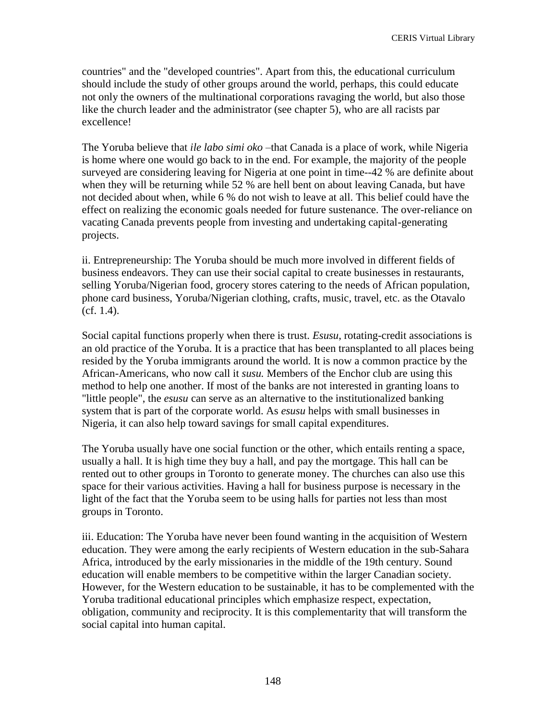countries" and the "developed countries". Apart from this, the educational curriculum should include the study of other groups around the world, perhaps, this could educate not only the owners of the multinational corporations ravaging the world, but also those like the church leader and the administrator (see chapter 5), who are all racists par excellence!

The Yoruba believe that *ile labo simi oko* –that Canada is a place of work, while Nigeria is home where one would go back to in the end. For example, the majority of the people surveyed are considering leaving for Nigeria at one point in time--42 % are definite about when they will be returning while 52 % are hell bent on about leaving Canada, but have not decided about when, while 6 % do not wish to leave at all. This belief could have the effect on realizing the economic goals needed for future sustenance. The over-reliance on vacating Canada prevents people from investing and undertaking capital-generating projects.

ii. Entrepreneurship: The Yoruba should be much more involved in different fields of business endeavors. They can use their social capital to create businesses in restaurants, selling Yoruba/Nigerian food, grocery stores catering to the needs of African population, phone card business, Yoruba/Nigerian clothing, crafts, music, travel, etc. as the Otavalo (cf. 1.4).

Social capital functions properly when there is trust. *Esusu*, rotating-credit associations is an old practice of the Yoruba. It is a practice that has been transplanted to all places being resided by the Yoruba immigrants around the world. It is now a common practice by the African-Americans, who now call it *susu.* Members of the Enchor club are using this method to help one another. If most of the banks are not interested in granting loans to "little people", the *esusu* can serve as an alternative to the institutionalized banking system that is part of the corporate world. As *esusu* helps with small businesses in Nigeria, it can also help toward savings for small capital expenditures.

The Yoruba usually have one social function or the other, which entails renting a space, usually a hall. It is high time they buy a hall, and pay the mortgage. This hall can be rented out to other groups in Toronto to generate money. The churches can also use this space for their various activities. Having a hall for business purpose is necessary in the light of the fact that the Yoruba seem to be using halls for parties not less than most groups in Toronto.

iii. Education: The Yoruba have never been found wanting in the acquisition of Western education. They were among the early recipients of Western education in the sub-Sahara Africa, introduced by the early missionaries in the middle of the 19th century. Sound education will enable members to be competitive within the larger Canadian society. However, for the Western education to be sustainable, it has to be complemented with the Yoruba traditional educational principles which emphasize respect, expectation, obligation, community and reciprocity. It is this complementarity that will transform the social capital into human capital.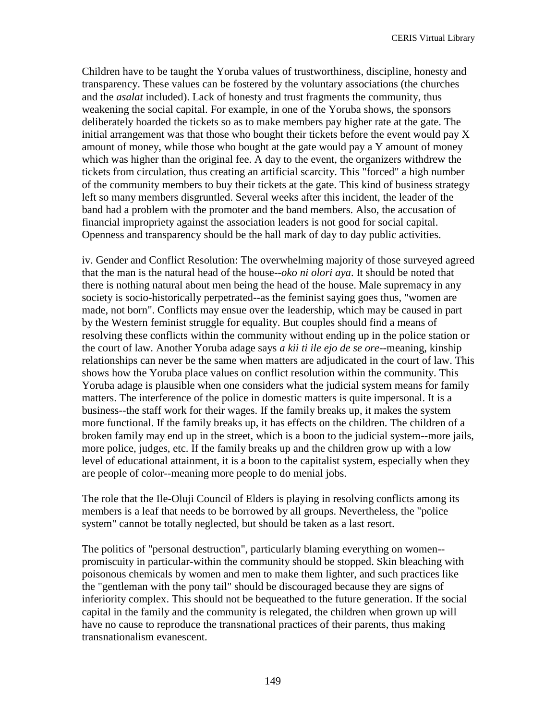Children have to be taught the Yoruba values of trustworthiness, discipline, honesty and transparency. These values can be fostered by the voluntary associations (the churches and the *asalat* included). Lack of honesty and trust fragments the community, thus weakening the social capital. For example, in one of the Yoruba shows, the sponsors deliberately hoarded the tickets so as to make members pay higher rate at the gate. The initial arrangement was that those who bought their tickets before the event would pay X amount of money, while those who bought at the gate would pay a Y amount of money which was higher than the original fee. A day to the event, the organizers withdrew the tickets from circulation, thus creating an artificial scarcity. This "forced" a high number of the community members to buy their tickets at the gate. This kind of business strategy left so many members disgruntled. Several weeks after this incident, the leader of the band had a problem with the promoter and the band members. Also, the accusation of financial impropriety against the association leaders is not good for social capital. Openness and transparency should be the hall mark of day to day public activities.

iv. Gender and Conflict Resolution: The overwhelming majority of those surveyed agreed that the man is the natural head of the house-*-oko ni olori aya*. It should be noted that there is nothing natural about men being the head of the house. Male supremacy in any society is socio-historically perpetrated--as the feminist saying goes thus, "women are made, not born". Conflicts may ensue over the leadership, which may be caused in part by the Western feminist struggle for equality. But couples should find a means of resolving these conflicts within the community without ending up in the police station or the court of law. Another Yoruba adage says *a kii ti ile ejo de se ore*--meaning, kinship relationships can never be the same when matters are adjudicated in the court of law. This shows how the Yoruba place values on conflict resolution within the community. This Yoruba adage is plausible when one considers what the judicial system means for family matters. The interference of the police in domestic matters is quite impersonal. It is a business--the staff work for their wages. If the family breaks up, it makes the system more functional. If the family breaks up, it has effects on the children. The children of a broken family may end up in the street, which is a boon to the judicial system--more jails, more police, judges, etc. If the family breaks up and the children grow up with a low level of educational attainment, it is a boon to the capitalist system, especially when they are people of color--meaning more people to do menial jobs.

The role that the Ile-Oluji Council of Elders is playing in resolving conflicts among its members is a leaf that needs to be borrowed by all groups. Nevertheless, the "police system" cannot be totally neglected, but should be taken as a last resort.

The politics of "personal destruction", particularly blaming everything on women- promiscuity in particular-within the community should be stopped. Skin bleaching with poisonous chemicals by women and men to make them lighter, and such practices like the "gentleman with the pony tail" should be discouraged because they are signs of inferiority complex. This should not be bequeathed to the future generation. If the social capital in the family and the community is relegated, the children when grown up will have no cause to reproduce the transnational practices of their parents, thus making transnationalism evanescent.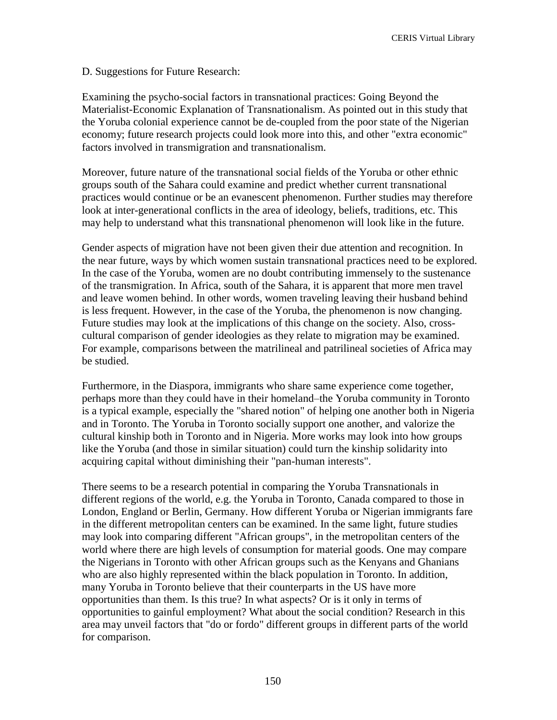## D. Suggestions for Future Research:

Examining the psycho-social factors in transnational practices: Going Beyond the Materialist-Economic Explanation of Transnationalism. As pointed out in this study that the Yoruba colonial experience cannot be de-coupled from the poor state of the Nigerian economy; future research projects could look more into this, and other "extra economic" factors involved in transmigration and transnationalism.

Moreover, future nature of the transnational social fields of the Yoruba or other ethnic groups south of the Sahara could examine and predict whether current transnational practices would continue or be an evanescent phenomenon. Further studies may therefore look at inter-generational conflicts in the area of ideology, beliefs, traditions, etc. This may help to understand what this transnational phenomenon will look like in the future.

Gender aspects of migration have not been given their due attention and recognition. In the near future, ways by which women sustain transnational practices need to be explored. In the case of the Yoruba, women are no doubt contributing immensely to the sustenance of the transmigration. In Africa, south of the Sahara, it is apparent that more men travel and leave women behind. In other words, women traveling leaving their husband behind is less frequent. However, in the case of the Yoruba, the phenomenon is now changing. Future studies may look at the implications of this change on the society. Also, crosscultural comparison of gender ideologies as they relate to migration may be examined. For example, comparisons between the matrilineal and patrilineal societies of Africa may be studied.

Furthermore, in the Diaspora, immigrants who share same experience come together, perhaps more than they could have in their homeland–the Yoruba community in Toronto is a typical example, especially the "shared notion" of helping one another both in Nigeria and in Toronto. The Yoruba in Toronto socially support one another, and valorize the cultural kinship both in Toronto and in Nigeria. More works may look into how groups like the Yoruba (and those in similar situation) could turn the kinship solidarity into acquiring capital without diminishing their "pan-human interests".

There seems to be a research potential in comparing the Yoruba Transnationals in different regions of the world, e.g. the Yoruba in Toronto, Canada compared to those in London, England or Berlin, Germany. How different Yoruba or Nigerian immigrants fare in the different metropolitan centers can be examined. In the same light, future studies may look into comparing different "African groups", in the metropolitan centers of the world where there are high levels of consumption for material goods. One may compare the Nigerians in Toronto with other African groups such as the Kenyans and Ghanians who are also highly represented within the black population in Toronto. In addition, many Yoruba in Toronto believe that their counterparts in the US have more opportunities than them. Is this true? In what aspects? Or is it only in terms of opportunities to gainful employment? What about the social condition? Research in this area may unveil factors that "do or fordo" different groups in different parts of the world for comparison.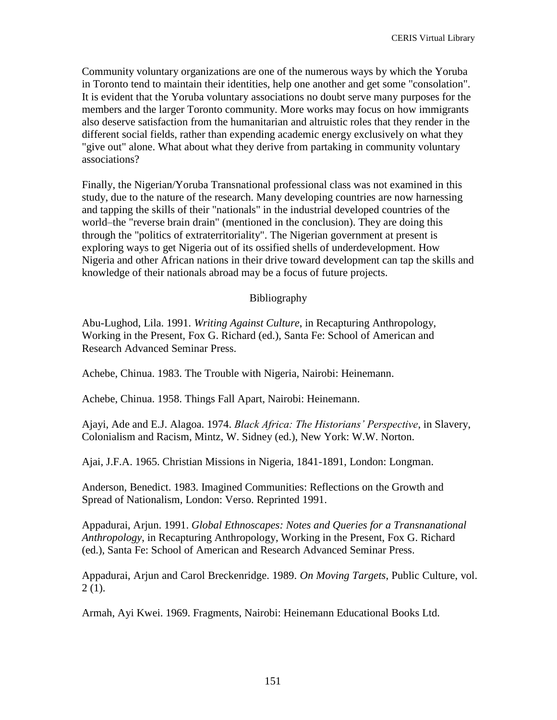Community voluntary organizations are one of the numerous ways by which the Yoruba in Toronto tend to maintain their identities, help one another and get some "consolation". It is evident that the Yoruba voluntary associations no doubt serve many purposes for the members and the larger Toronto community. More works may focus on how immigrants also deserve satisfaction from the humanitarian and altruistic roles that they render in the different social fields, rather than expending academic energy exclusively on what they "give out" alone. What about what they derive from partaking in community voluntary associations?

Finally, the Nigerian/Yoruba Transnational professional class was not examined in this study, due to the nature of the research. Many developing countries are now harnessing and tapping the skills of their "nationals" in the industrial developed countries of the world–the "reverse brain drain" (mentioned in the conclusion). They are doing this through the "politics of extraterritoriality". The Nigerian government at present is exploring ways to get Nigeria out of its ossified shells of underdevelopment. How Nigeria and other African nations in their drive toward development can tap the skills and knowledge of their nationals abroad may be a focus of future projects.

## Bibliography

Abu-Lughod, Lila. 1991. *Writing Against Culture*, in Recapturing Anthropology, Working in the Present, Fox G. Richard (ed.), Santa Fe: School of American and Research Advanced Seminar Press.

Achebe, Chinua. 1983. The Trouble with Nigeria, Nairobi: Heinemann.

Achebe, Chinua. 1958. Things Fall Apart, Nairobi: Heinemann.

Ajayi, Ade and E.J. Alagoa. 1974. *Black Africa: The Historians' Perspective*, in Slavery, Colonialism and Racism, Mintz, W. Sidney (ed.), New York: W.W. Norton.

Ajai, J.F.A. 1965. Christian Missions in Nigeria, 1841-1891, London: Longman.

Anderson, Benedict. 1983. Imagined Communities: Reflections on the Growth and Spread of Nationalism, London: Verso. Reprinted 1991.

Appadurai, Arjun. 1991. *Global Ethnoscapes: Notes and Queries for a Transnanational Anthropology*, in Recapturing Anthropology, Working in the Present, Fox G. Richard (ed.), Santa Fe: School of American and Research Advanced Seminar Press.

Appadurai, Arjun and Carol Breckenridge. 1989. *On Moving Targets*, Public Culture, vol.  $2(1)$ .

Armah, Ayi Kwei. 1969. Fragments, Nairobi: Heinemann Educational Books Ltd.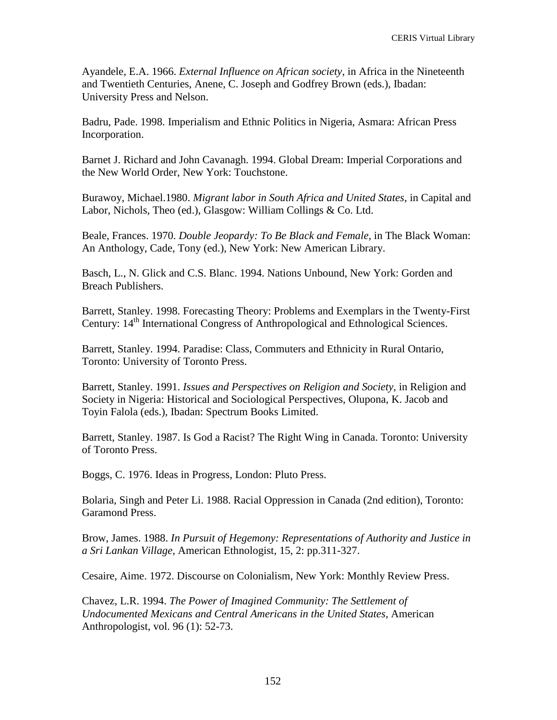Ayandele, E.A. 1966. *External Influence on African society*, in Africa in the Nineteenth and Twentieth Centuries, Anene, C. Joseph and Godfrey Brown (eds.), Ibadan: University Press and Nelson.

Badru, Pade. 1998. Imperialism and Ethnic Politics in Nigeria, Asmara: African Press Incorporation.

Barnet J. Richard and John Cavanagh. 1994. Global Dream: Imperial Corporations and the New World Order, New York: Touchstone.

Burawoy, Michael.1980. *Migrant labor in South Africa and United States*, in Capital and Labor, Nichols, Theo (ed.), Glasgow: William Collings & Co. Ltd.

Beale, Frances. 1970. *Double Jeopardy: To Be Black and Female*, in The Black Woman: An Anthology, Cade, Tony (ed.), New York: New American Library.

Basch, L., N. Glick and C.S. Blanc. 1994. Nations Unbound, New York: Gorden and Breach Publishers.

Barrett, Stanley. 1998. Forecasting Theory: Problems and Exemplars in the Twenty-First Century: 14<sup>th</sup> International Congress of Anthropological and Ethnological Sciences.

Barrett, Stanley. 1994. Paradise: Class, Commuters and Ethnicity in Rural Ontario, Toronto: University of Toronto Press.

Barrett, Stanley. 1991. *Issues and Perspectives on Religion and Society*, in Religion and Society in Nigeria: Historical and Sociological Perspectives, Olupona, K. Jacob and Toyin Falola (eds.), Ibadan: Spectrum Books Limited.

Barrett, Stanley. 1987. Is God a Racist? The Right Wing in Canada. Toronto: University of Toronto Press.

Boggs, C. 1976. Ideas in Progress, London: Pluto Press.

Bolaria, Singh and Peter Li. 1988. Racial Oppression in Canada (2nd edition), Toronto: Garamond Press.

Brow, James. 1988. *In Pursuit of Hegemony: Representations of Authority and Justice in a Sri Lankan Village*, American Ethnologist, 15, 2: pp.311-327.

Cesaire, Aime. 1972. Discourse on Colonialism, New York: Monthly Review Press.

Chavez, L.R. 1994. *The Power of Imagined Community: The Settlement of Undocumented Mexicans and Central Americans in the United States*, American Anthropologist, vol. 96 (1): 52-73.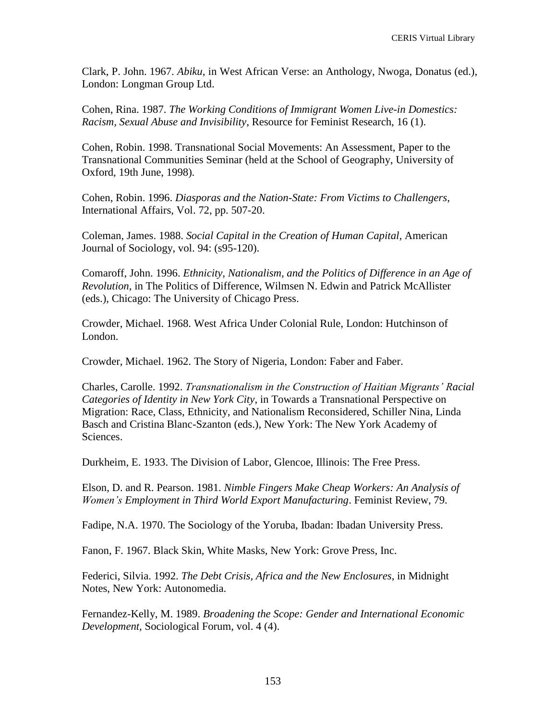Clark, P. John. 1967. *Abiku*, in West African Verse: an Anthology, Nwoga, Donatus (ed.), London: Longman Group Ltd.

Cohen, Rina. 1987. *The Working Conditions of Immigrant Women Live-in Domestics: Racism, Sexual Abuse and Invisibility*, Resource for Feminist Research, 16 (1).

Cohen, Robin. 1998. Transnational Social Movements: An Assessment, Paper to the Transnational Communities Seminar (held at the School of Geography, University of Oxford, 19th June, 1998).

Cohen, Robin. 1996. *Diasporas and the Nation-State: From Victims to Challengers*, International Affairs, Vol. 72, pp. 507-20.

Coleman, James. 1988. *Social Capital in the Creation of Human Capital*, American Journal of Sociology, vol. 94: (s95-120).

Comaroff, John. 1996. *Ethnicity, Nationalism, and the Politics of Difference in an Age of Revolution*, in The Politics of Difference, Wilmsen N. Edwin and Patrick McAllister (eds.), Chicago: The University of Chicago Press.

Crowder, Michael. 1968. West Africa Under Colonial Rule, London: Hutchinson of London.

Crowder, Michael. 1962. The Story of Nigeria, London: Faber and Faber.

Charles, Carolle. 1992. *Transnationalism in the Construction of Haitian Migrants' Racial Categories of Identity in New York City*, in Towards a Transnational Perspective on Migration: Race, Class, Ethnicity, and Nationalism Reconsidered, Schiller Nina, Linda Basch and Cristina Blanc-Szanton (eds.), New York: The New York Academy of Sciences.

Durkheim, E. 1933. The Division of Labor, Glencoe, Illinois: The Free Press.

Elson, D. and R. Pearson. 1981. *Nimble Fingers Make Cheap Workers: An Analysis of Women's Employment in Third World Export Manufacturing*. Feminist Review, 79.

Fadipe, N.A. 1970. The Sociology of the Yoruba, Ibadan: Ibadan University Press.

Fanon, F. 1967. Black Skin, White Masks, New York: Grove Press, Inc.

Federici, Silvia. 1992. *The Debt Crisis, Africa and the New Enclosures*, in Midnight Notes, New York: Autonomedia.

Fernandez-Kelly, M. 1989. *Broadening the Scope: Gender and International Economic Development,* Sociological Forum, vol. 4 (4).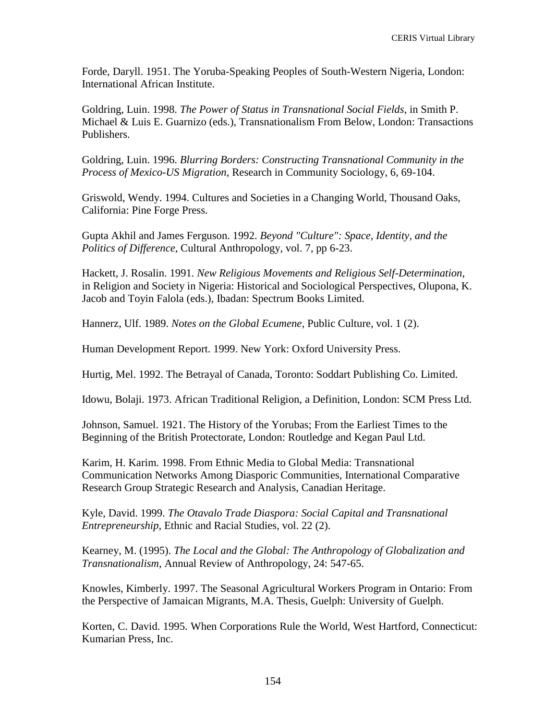Forde, Daryll. 1951. The Yoruba-Speaking Peoples of South-Western Nigeria, London: International African Institute.

Goldring, Luin. 1998. *The Power of Status in Transnational Social Fields*, in Smith P. Michael & Luis E. Guarnizo (eds.), Transnationalism From Below, London: Transactions Publishers.

Goldring, Luin. 1996. *Blurring Borders: Constructing Transnational Community in the Process of Mexico-US Migration*, Research in Community Sociology, 6, 69-104.

Griswold, Wendy. 1994. Cultures and Societies in a Changing World, Thousand Oaks, California: Pine Forge Press.

Gupta Akhil and James Ferguson. 1992. *Beyond "Culture": Space, Identity, and the Politics of Difference*, Cultural Anthropology, vol. 7, pp 6-23.

Hackett, J. Rosalin. 1991. *New Religious Movements and Religious Self-Determination*, in Religion and Society in Nigeria: Historical and Sociological Perspectives, Olupona, K. Jacob and Toyin Falola (eds.), Ibadan: Spectrum Books Limited.

Hannerz, Ulf. 1989. *Notes on the Global Ecumene*, Public Culture, vol. 1 (2).

Human Development Report. 1999. New York: Oxford University Press.

Hurtig, Mel. 1992. The Betrayal of Canada, Toronto: Soddart Publishing Co. Limited.

Idowu, Bolaji. 1973. African Traditional Religion, a Definition, London: SCM Press Ltd.

Johnson, Samuel. 1921. The History of the Yorubas; From the Earliest Times to the Beginning of the British Protectorate, London: Routledge and Kegan Paul Ltd.

Karim, H. Karim. 1998. From Ethnic Media to Global Media: Transnational Communication Networks Among Diasporic Communities, International Comparative Research Group Strategic Research and Analysis, Canadian Heritage.

Kyle, David. 1999. *The Otavalo Trade Diaspora: Social Capital and Transnational Entrepreneurship*, Ethnic and Racial Studies, vol. 22 (2).

Kearney, M. (1995). *The Local and the Global: The Anthropology of Globalization and Transnationalism*, Annual Review of Anthropology, 24: 547-65.

Knowles, Kimberly. 1997. The Seasonal Agricultural Workers Program in Ontario: From the Perspective of Jamaican Migrants, M.A. Thesis, Guelph: University of Guelph.

Korten, C. David. 1995. When Corporations Rule the World, West Hartford, Connecticut: Kumarian Press, Inc.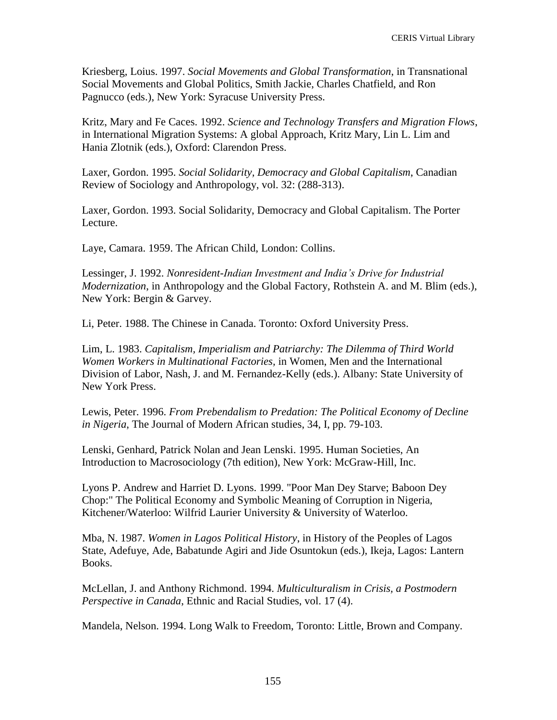Kriesberg, Loius. 1997. *Social Movements and Global Transformation*, in Transnational Social Movements and Global Politics, Smith Jackie, Charles Chatfield, and Ron Pagnucco (eds.), New York: Syracuse University Press.

Kritz, Mary and Fe Caces. 1992. *Science and Technology Transfers and Migration Flows*, in International Migration Systems: A global Approach, Kritz Mary, Lin L. Lim and Hania Zlotnik (eds.), Oxford: Clarendon Press.

Laxer, Gordon. 1995. *Social Solidarity, Democracy and Global Capitalism*, Canadian Review of Sociology and Anthropology, vol. 32: (288-313).

Laxer, Gordon. 1993. Social Solidarity, Democracy and Global Capitalism. The Porter Lecture.

Laye, Camara. 1959. The African Child, London: Collins.

Lessinger, J. 1992. *Nonresident-Indian Investment and India's Drive for Industrial Modernization*, in Anthropology and the Global Factory, Rothstein A. and M. Blim (eds.), New York: Bergin & Garvey.

Li, Peter. 1988. The Chinese in Canada. Toronto: Oxford University Press.

Lim, L. 1983. *Capitalism, Imperialism and Patriarchy: The Dilemma of Third World Women Workers in Multinational Factories,* in Women, Men and the International Division of Labor, Nash, J. and M. Fernandez-Kelly (eds.). Albany: State University of New York Press.

Lewis, Peter. 1996. *From Prebendalism to Predation: The Political Economy of Decline in Nigeria*, The Journal of Modern African studies, 34, I, pp. 79-103.

Lenski, Genhard, Patrick Nolan and Jean Lenski. 1995. Human Societies, An Introduction to Macrosociology (7th edition), New York: McGraw-Hill, Inc.

Lyons P. Andrew and Harriet D. Lyons. 1999. "Poor Man Dey Starve; Baboon Dey Chop:" The Political Economy and Symbolic Meaning of Corruption in Nigeria, Kitchener/Waterloo: Wilfrid Laurier University & University of Waterloo.

Mba, N. 1987. *Women in Lagos Political History*, in History of the Peoples of Lagos State, Adefuye, Ade, Babatunde Agiri and Jide Osuntokun (eds.), Ikeja, Lagos: Lantern Books.

McLellan, J. and Anthony Richmond. 1994. *Multiculturalism in Crisis, a Postmodern Perspective in Canada*, Ethnic and Racial Studies, vol. 17 (4).

Mandela, Nelson. 1994. Long Walk to Freedom, Toronto: Little, Brown and Company.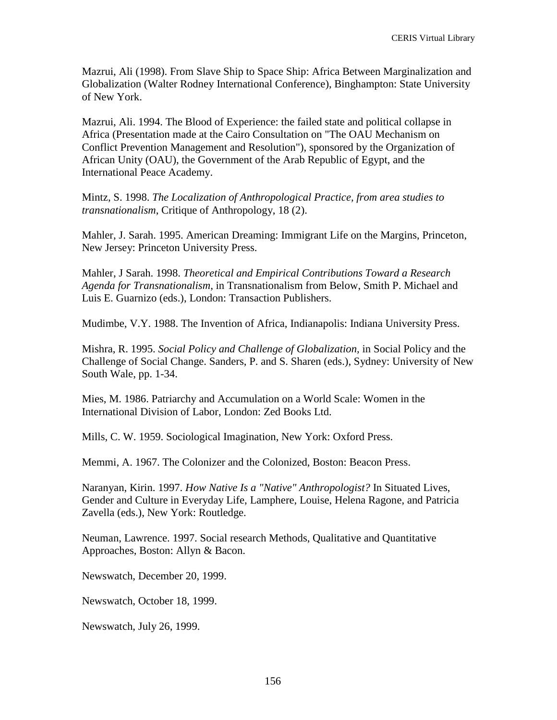Mazrui, Ali (1998). From Slave Ship to Space Ship: Africa Between Marginalization and Globalization (Walter Rodney International Conference), Binghampton: State University of New York.

Mazrui, Ali. 1994. The Blood of Experience: the failed state and political collapse in Africa (Presentation made at the Cairo Consultation on "The OAU Mechanism on Conflict Prevention Management and Resolution"), sponsored by the Organization of African Unity (OAU), the Government of the Arab Republic of Egypt, and the International Peace Academy.

Mintz, S. 1998. *The Localization of Anthropological Practice, from area studies to transnationalism*, Critique of Anthropology, 18 (2).

Mahler, J. Sarah. 1995. American Dreaming: Immigrant Life on the Margins, Princeton, New Jersey: Princeton University Press.

Mahler, J Sarah. 1998. *Theoretical and Empirical Contributions Toward a Research Agenda for Transnationalism*, in Transnationalism from Below, Smith P. Michael and Luis E. Guarnizo (eds.), London: Transaction Publishers.

Mudimbe, V.Y. 1988. The Invention of Africa, Indianapolis: Indiana University Press.

Mishra, R. 1995. *Social Policy and Challenge of Globalization,* in Social Policy and the Challenge of Social Change. Sanders, P. and S. Sharen (eds.), Sydney: University of New South Wale, pp. 1-34.

Mies, M. 1986. Patriarchy and Accumulation on a World Scale: Women in the International Division of Labor, London: Zed Books Ltd.

Mills, C. W. 1959. Sociological Imagination, New York: Oxford Press.

Memmi, A. 1967. The Colonizer and the Colonized, Boston: Beacon Press.

Naranyan, Kirin. 1997. *How Native Is a "Native" Anthropologist?* In Situated Lives, Gender and Culture in Everyday Life, Lamphere, Louise, Helena Ragone, and Patricia Zavella (eds.), New York: Routledge.

Neuman, Lawrence. 1997. Social research Methods, Qualitative and Quantitative Approaches, Boston: Allyn & Bacon.

Newswatch, December 20, 1999.

Newswatch, October 18, 1999.

Newswatch, July 26, 1999.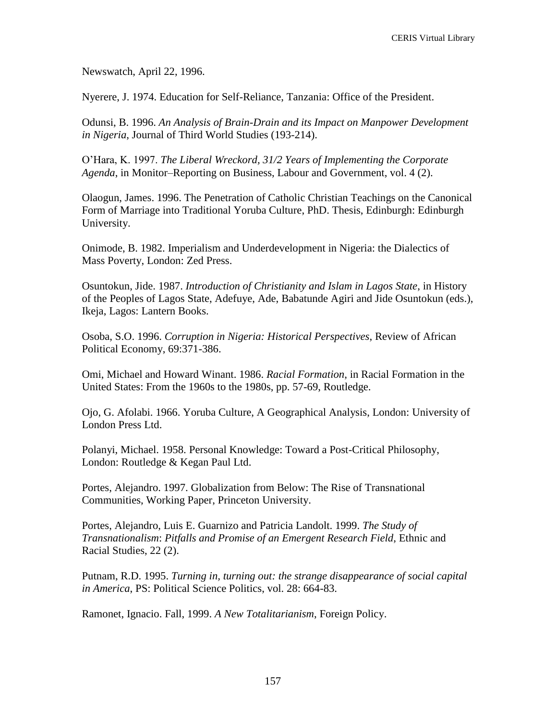Newswatch, April 22, 1996.

Nyerere, J. 1974. Education for Self-Reliance, Tanzania: Office of the President.

Odunsi, B. 1996. *An Analysis of Brain-Drain and its Impact on Manpower Development in Nigeria*, Journal of Third World Studies (193-214).

O'Hara, K. 1997. *The Liberal Wreckord, 31/2 Years of Implementing the Corporate Agenda*, in Monitor–Reporting on Business, Labour and Government, vol. 4 (2).

Olaogun, James. 1996. The Penetration of Catholic Christian Teachings on the Canonical Form of Marriage into Traditional Yoruba Culture, PhD. Thesis, Edinburgh: Edinburgh University.

Onimode, B. 1982. Imperialism and Underdevelopment in Nigeria: the Dialectics of Mass Poverty, London: Zed Press.

Osuntokun, Jide. 1987. *Introduction of Christianity and Islam in Lagos State*, in History of the Peoples of Lagos State, Adefuye, Ade, Babatunde Agiri and Jide Osuntokun (eds.), Ikeja, Lagos: Lantern Books.

Osoba, S.O. 1996. *Corruption in Nigeria: Historical Perspectives*, Review of African Political Economy, 69:371-386.

Omi, Michael and Howard Winant. 1986. *Racial Formation*, in Racial Formation in the United States: From the 1960s to the 1980s, pp. 57-69, Routledge.

Ojo, G. Afolabi. 1966. Yoruba Culture, A Geographical Analysis, London: University of London Press Ltd.

Polanyi, Michael. 1958. Personal Knowledge: Toward a Post-Critical Philosophy, London: Routledge & Kegan Paul Ltd.

Portes, Alejandro. 1997. Globalization from Below: The Rise of Transnational Communities, Working Paper, Princeton University.

Portes, Alejandro, Luis E. Guarnizo and Patricia Landolt. 1999. *The Study of Transnationalism*: *Pitfalls and Promise of an Emergent Research Field*, Ethnic and Racial Studies, 22 (2).

Putnam, R.D. 1995. *Turning in, turning out: the strange disappearance of social capital in America*, PS: Political Science Politics, vol. 28: 664-83.

Ramonet, Ignacio. Fall, 1999. *A New Totalitarianism*, Foreign Policy.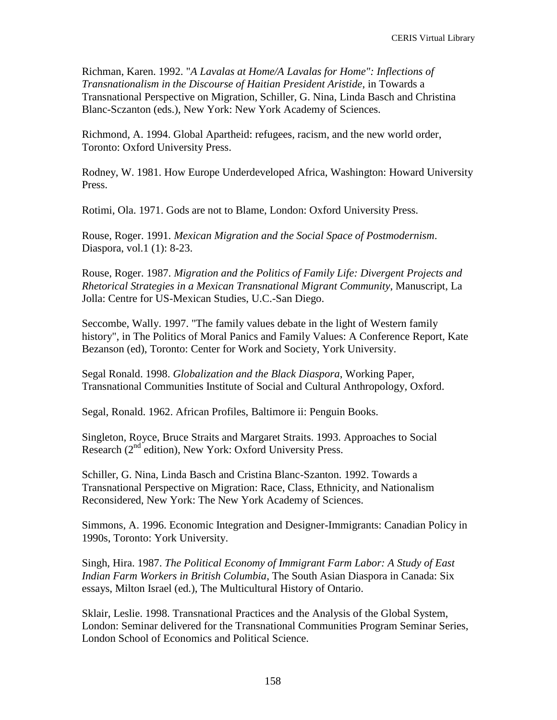Richman, Karen. 1992. "*A Lavalas at Home/A Lavalas for Home": Inflections of Transnationalism in the Discourse of Haitian President Aristide*, in Towards a Transnational Perspective on Migration, Schiller, G. Nina, Linda Basch and Christina Blanc-Sczanton (eds.), New York: New York Academy of Sciences.

Richmond, A. 1994. Global Apartheid: refugees, racism, and the new world order, Toronto: Oxford University Press.

Rodney, W. 1981. How Europe Underdeveloped Africa, Washington: Howard University Press.

Rotimi, Ola. 1971. Gods are not to Blame, London: Oxford University Press.

Rouse, Roger. 1991. *Mexican Migration and the Social Space of Postmodernism*. Diaspora, vol.1 (1): 8-23.

Rouse, Roger. 1987. *Migration and the Politics of Family Life: Divergent Projects and Rhetorical Strategies in a Mexican Transnational Migrant Community*, Manuscript, La Jolla: Centre for US-Mexican Studies, U.C.-San Diego.

Seccombe, Wally. 1997. "The family values debate in the light of Western family history", in The Politics of Moral Panics and Family Values: A Conference Report, Kate Bezanson (ed), Toronto: Center for Work and Society, York University.

Segal Ronald. 1998. *Globalization and the Black Diaspora*, Working Paper, Transnational Communities Institute of Social and Cultural Anthropology, Oxford.

Segal, Ronald. 1962. African Profiles, Baltimore ii: Penguin Books.

Singleton, Royce, Bruce Straits and Margaret Straits. 1993. Approaches to Social Research (2<sup>nd</sup> edition), New York: Oxford University Press.

Schiller, G. Nina, Linda Basch and Cristina Blanc-Szanton. 1992. Towards a Transnational Perspective on Migration: Race, Class, Ethnicity, and Nationalism Reconsidered, New York: The New York Academy of Sciences.

Simmons, A. 1996. Economic Integration and Designer-Immigrants: Canadian Policy in 1990s, Toronto: York University.

Singh, Hira. 1987. *The Political Economy of Immigrant Farm Labor: A Study of East Indian Farm Workers in British Columbia*, The South Asian Diaspora in Canada: Six essays, Milton Israel (ed.), The Multicultural History of Ontario.

Sklair, Leslie. 1998. Transnational Practices and the Analysis of the Global System, London: Seminar delivered for the Transnational Communities Program Seminar Series, London School of Economics and Political Science.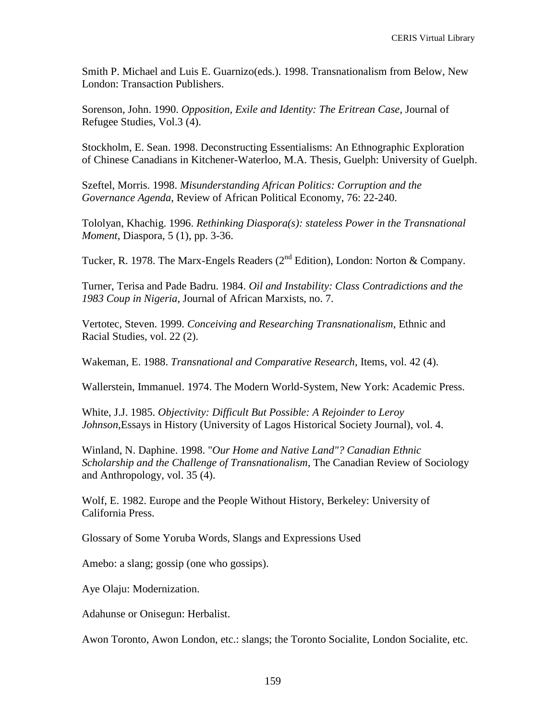Smith P. Michael and Luis E. Guarnizo(eds.). 1998. Transnationalism from Below, New London: Transaction Publishers.

Sorenson, John. 1990. *Opposition, Exile and Identity: The Eritrean Case*, Journal of Refugee Studies, Vol.3 (4).

Stockholm, E. Sean. 1998. Deconstructing Essentialisms: An Ethnographic Exploration of Chinese Canadians in Kitchener-Waterloo, M.A. Thesis, Guelph: University of Guelph.

Szeftel, Morris. 1998. *Misunderstanding African Politics: Corruption and the Governance Agenda*, Review of African Political Economy, 76: 22-240.

Tololyan, Khachig. 1996. *Rethinking Diaspora(s): stateless Power in the Transnational Moment*, Diaspora, 5 (1), pp. 3-36.

Tucker, R. 1978. The Marx-Engels Readers ( $2<sup>nd</sup> Edition$ ), London: Norton & Company.

Turner, Terisa and Pade Badru. 1984. *Oil and Instability: Class Contradictions and the 1983 Coup in Nigeria*, Journal of African Marxists, no. 7.

Vertotec, Steven. 1999. *Conceiving and Researching Transnationalism*, Ethnic and Racial Studies, vol. 22 (2).

Wakeman, E. 1988. *Transnational and Comparative Research*, Items, vol. 42 (4).

Wallerstein, Immanuel. 1974. The Modern World-System, New York: Academic Press.

White, J.J. 1985. *Objectivity: Difficult But Possible: A Rejoinder to Leroy Johnson*,Essays in History (University of Lagos Historical Society Journal), vol. 4.

Winland, N. Daphine. 1998. "*Our Home and Native Land"? Canadian Ethnic Scholarship and the Challenge of Transnationalism*, The Canadian Review of Sociology and Anthropology, vol. 35 (4).

Wolf, E. 1982. Europe and the People Without History, Berkeley: University of California Press.

Glossary of Some Yoruba Words, Slangs and Expressions Used

Amebo: a slang; gossip (one who gossips).

Aye Olaju: Modernization.

Adahunse or Onisegun: Herbalist.

Awon Toronto, Awon London, etc.: slangs; the Toronto Socialite, London Socialite, etc.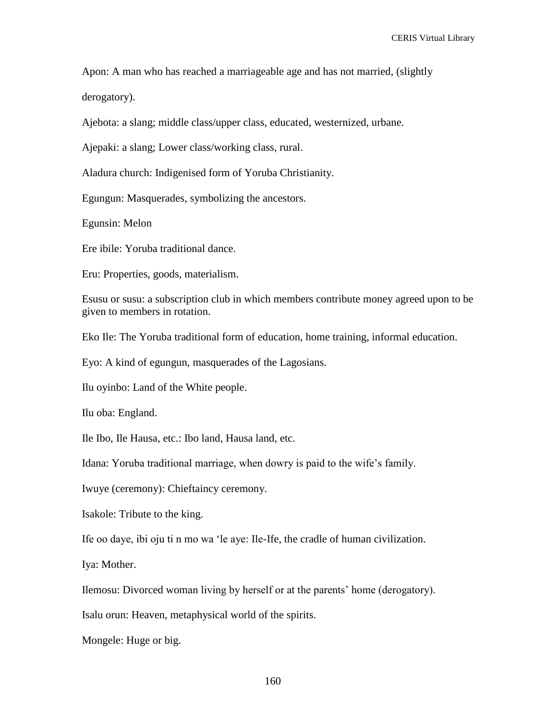Apon: A man who has reached a marriageable age and has not married, (slightly

derogatory).

Ajebota: a slang; middle class/upper class, educated, westernized, urbane.

Ajepaki: a slang; Lower class/working class, rural.

Aladura church: Indigenised form of Yoruba Christianity.

Egungun: Masquerades, symbolizing the ancestors.

Egunsin: Melon

Ere ibile: Yoruba traditional dance.

Eru: Properties, goods, materialism.

Esusu or susu: a subscription club in which members contribute money agreed upon to be given to members in rotation.

Eko Ile: The Yoruba traditional form of education, home training, informal education.

Eyo: A kind of egungun, masquerades of the Lagosians.

Ilu oyinbo: Land of the White people.

Ilu oba: England.

Ile Ibo, Ile Hausa, etc.: Ibo land, Hausa land, etc.

Idana: Yoruba traditional marriage, when dowry is paid to the wife's family.

Iwuye (ceremony): Chieftaincy ceremony.

Isakole: Tribute to the king.

Ife oo daye, ibi oju ti n mo wa 'le aye: Ile-Ife, the cradle of human civilization.

Iya: Mother.

Ilemosu: Divorced woman living by herself or at the parents' home (derogatory).

Isalu orun: Heaven, metaphysical world of the spirits.

Mongele: Huge or big.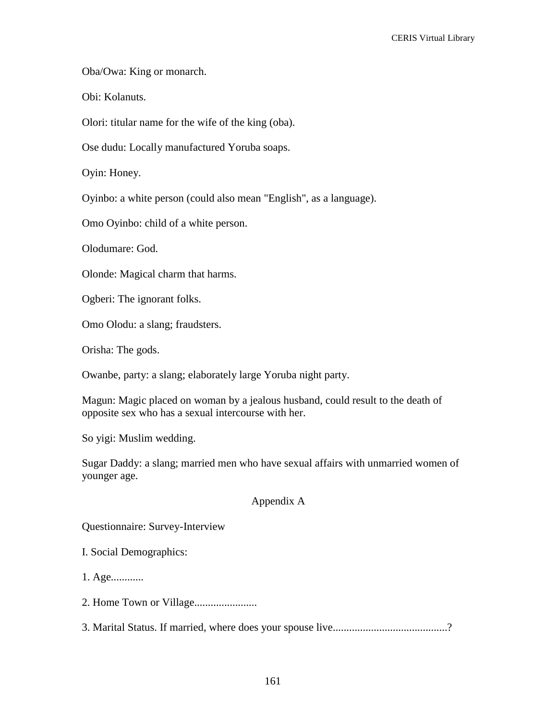Oba/Owa: King or monarch.

Obi: Kolanuts.

Olori: titular name for the wife of the king (oba).

Ose dudu: Locally manufactured Yoruba soaps.

Oyin: Honey.

Oyinbo: a white person (could also mean "English", as a language).

Omo Oyinbo: child of a white person.

Olodumare: God.

Olonde: Magical charm that harms.

Ogberi: The ignorant folks.

Omo Olodu: a slang; fraudsters.

Orisha: The gods.

Owanbe, party: a slang; elaborately large Yoruba night party.

Magun: Magic placed on woman by a jealous husband, could result to the death of opposite sex who has a sexual intercourse with her.

So yigi: Muslim wedding.

Sugar Daddy: a slang; married men who have sexual affairs with unmarried women of younger age.

#### Appendix A

Questionnaire: Survey-Interview

I. Social Demographics:

1. Age............

2. Home Town or Village.......................

3. Marital Status. If married, where does your spouse live..........................................?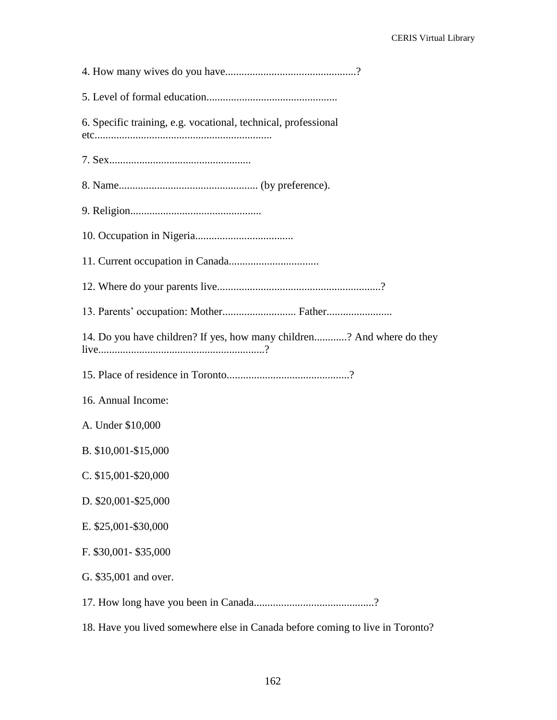| 6. Specific training, e.g. vocational, technical, professional                |
|-------------------------------------------------------------------------------|
|                                                                               |
|                                                                               |
|                                                                               |
|                                                                               |
|                                                                               |
|                                                                               |
|                                                                               |
| 14. Do you have children? If yes, how many children? And where do they        |
|                                                                               |
| 16. Annual Income:                                                            |
| A. Under \$10,000                                                             |
| B. \$10,001-\$15,000                                                          |
| C. \$15,001-\$20,000                                                          |
| D. \$20,001-\$25,000                                                          |
| E. \$25,001-\$30,000                                                          |
| F. \$30,001-\$35,000                                                          |
| G. \$35,001 and over.                                                         |
|                                                                               |
| 18. Have you lived somewhere else in Canada before coming to live in Toronto? |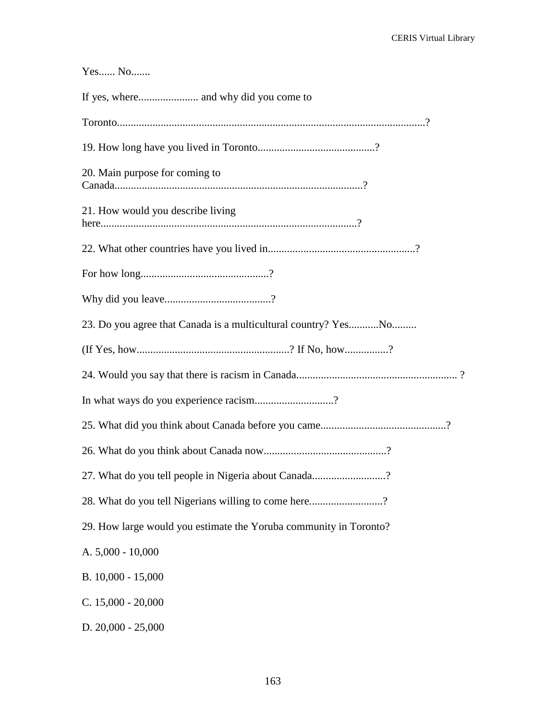# Yes...... No.......

| 20. Main purpose for coming to                                    |
|-------------------------------------------------------------------|
| 21. How would you describe living                                 |
|                                                                   |
|                                                                   |
|                                                                   |
| 23. Do you agree that Canada is a multicultural country? YesNo    |
|                                                                   |
|                                                                   |
| In what ways do you experience racism?                            |
|                                                                   |
|                                                                   |
| 27. What do you tell people in Nigeria about Canada?              |
| 28. What do you tell Nigerians willing to come here               |
| 29. How large would you estimate the Yoruba community in Toronto? |
| A. 5,000 - 10,000                                                 |
| B. 10,000 - 15,000                                                |
| C. $15,000 - 20,000$                                              |
| D. $20,000 - 25,000$                                              |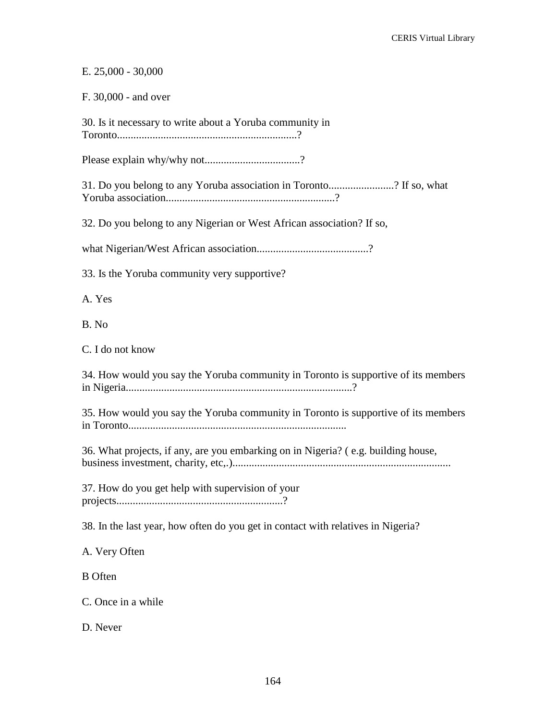E. 25,000 - 30,000

F. 30,000 - and over

30. Is it necessary to write about a Yoruba community in Toronto..................................................................? Please explain why/why not...............................? 31. Do you belong to any Yoruba association in Toronto........................? If so, what Yoruba association..............................................................? 32. Do you belong to any Nigerian or West African association? If so, what Nigerian/West African association.........................................? 33. Is the Yoruba community very supportive? A. Yes B. No C. I do not know 34. How would you say the Yoruba community in Toronto is supportive of its members in Nigeria...................................................................................? 35. How would you say the Yoruba community in Toronto is supportive of its members in Toronto................................................................................ 36. What projects, if any, are you embarking on in Nigeria? ( e.g. building house, business investment, charity, etc,.)................................................................................ 37. How do you get help with supervision of your projects.............................................................? 38. In the last year, how often do you get in contact with relatives in Nigeria? A. Very Often B Often C. Once in a while D. Never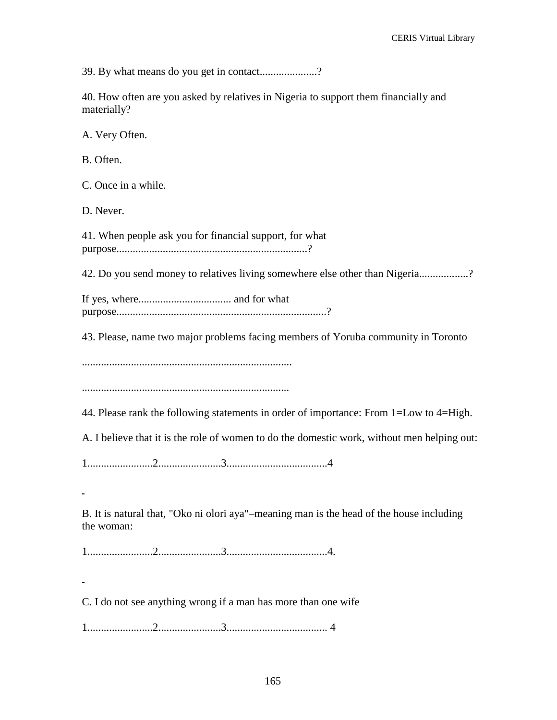39. By what means do you get in contact.....................?

40. How often are you asked by relatives in Nigeria to support them financially and materially?

A. Very Often.

B. Often.

C. Once in a while.

D. Never.

L.

41. When people ask you for financial support, for what purpose......................................................................?

42. Do you send money to relatives living somewhere else other than Nigeria................?

If yes, where.................................. and for what purpose.............................................................................?

43. Please, name two major problems facing members of Yoruba community in Toronto

.............................................................................

............................................................................

44. Please rank the following statements in order of importance: From 1=Low to 4=High.

A. I believe that it is the role of women to do the domestic work, without men helping out:

1........................2.......................3.....................................4

B. It is natural that, "Oko ni olori aya"–meaning man is the head of the house including the woman:

1........................2.......................3.....................................4.

C. I do not see anything wrong if a man has more than one wife

1........................2.......................3..................................... 4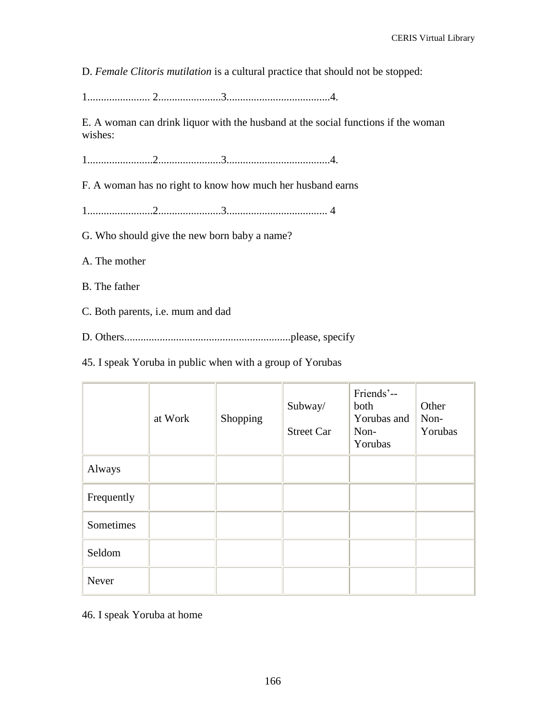D. *Female Clitoris mutilation* is a cultural practice that should not be stopped:

1....................... 2.......................3......................................4.

E. A woman can drink liquor with the husband at the social functions if the woman wishes:

1........................2.......................3......................................4.

F. A woman has no right to know how much her husband earns

1........................2.......................3..................................... 4

- G. Who should give the new born baby a name?
- A. The mother
- B. The father
- C. Both parents, i.e. mum and dad
- D. Others.............................................................please, specify

45. I speak Yoruba in public when with a group of Yorubas

|            | at Work | Shopping | Subway/<br><b>Street Car</b> | Friends'--<br>both<br>Yorubas and<br>Non-<br>Yorubas | Other<br>Non-<br>Yorubas |
|------------|---------|----------|------------------------------|------------------------------------------------------|--------------------------|
| Always     |         |          |                              |                                                      |                          |
| Frequently |         |          |                              |                                                      |                          |
| Sometimes  |         |          |                              |                                                      |                          |
| Seldom     |         |          |                              |                                                      |                          |
| Never      |         |          |                              |                                                      |                          |

46. I speak Yoruba at home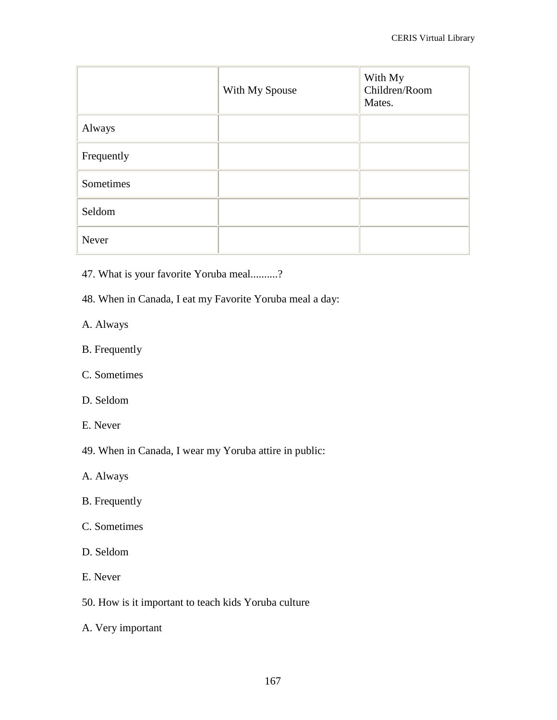|            | With My Spouse | With My<br>Children/Room<br>Mates. |
|------------|----------------|------------------------------------|
| Always     |                |                                    |
| Frequently |                |                                    |
| Sometimes  |                |                                    |
| Seldom     |                |                                    |
| Never      |                |                                    |

- 47. What is your favorite Yoruba meal..........?
- 48. When in Canada, I eat my Favorite Yoruba meal a day:
- A. Always
- B. Frequently
- C. Sometimes
- D. Seldom
- E. Never
- 49. When in Canada, I wear my Yoruba attire in public:
- A. Always
- B. Frequently
- C. Sometimes
- D. Seldom
- E. Never
- 50. How is it important to teach kids Yoruba culture
- A. Very important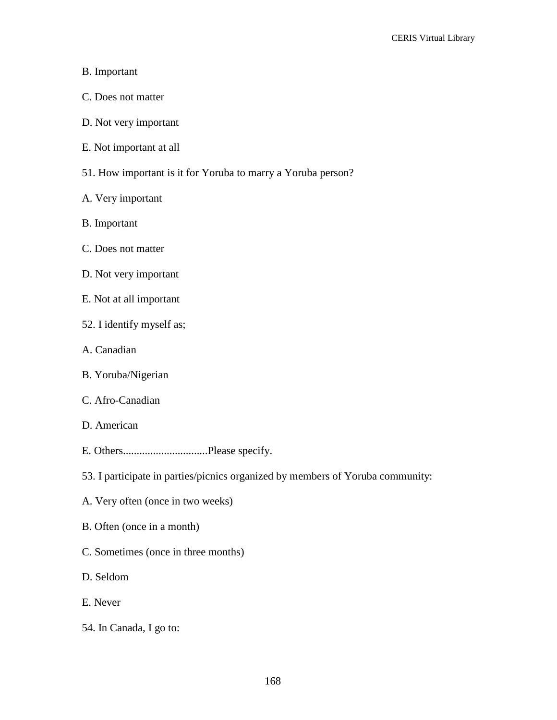## B. Important

- C. Does not matter
- D. Not very important
- E. Not important at all
- 51. How important is it for Yoruba to marry a Yoruba person?
- A. Very important
- B. Important
- C. Does not matter
- D. Not very important
- E. Not at all important
- 52. I identify myself as;
- A. Canadian
- B. Yoruba/Nigerian
- C. Afro-Canadian
- D. American
- E. Others...............................Please specify.
- 53. I participate in parties/picnics organized by members of Yoruba community:
- A. Very often (once in two weeks)
- B. Often (once in a month)
- C. Sometimes (once in three months)
- D. Seldom
- E. Never
- 54. In Canada, I go to: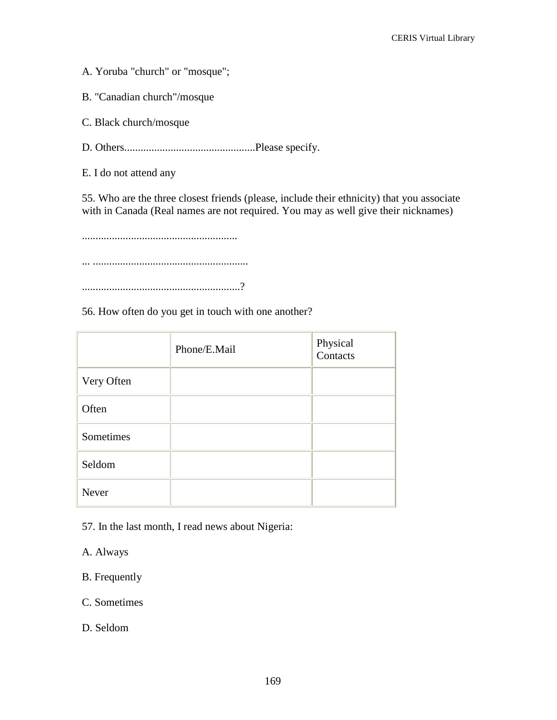A. Yoruba "church" or "mosque";

B. "Canadian church"/mosque

C. Black church/mosque

D. Others................................................Please specify.

E. I do not attend any

55. Who are the three closest friends (please, include their ethnicity) that you associate with in Canada (Real names are not required. You may as well give their nicknames)

.........................................................

... .........................................................

..........................................................?

56. How often do you get in touch with one another?

|            | Phone/E.Mail | Physical<br>Contacts |
|------------|--------------|----------------------|
| Very Often |              |                      |
| Often      |              |                      |
| Sometimes  |              |                      |
| Seldom     |              |                      |
| Never      |              |                      |

57. In the last month, I read news about Nigeria:

A. Always

B. Frequently

C. Sometimes

D. Seldom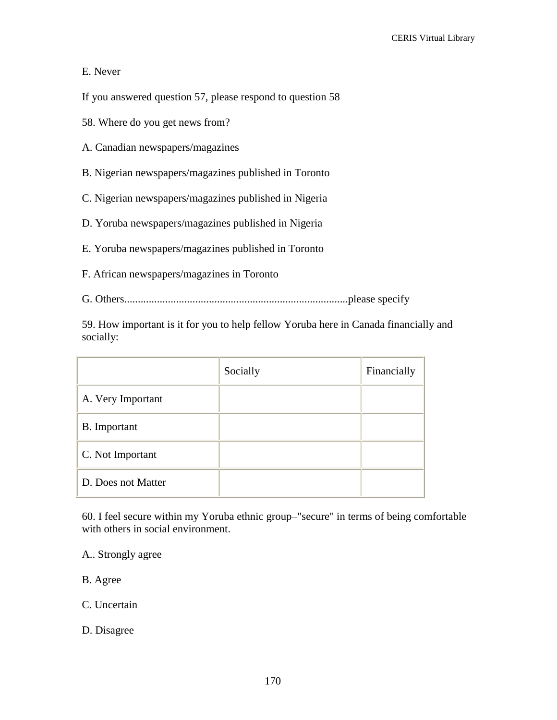## E. Never

If you answered question 57, please respond to question 58

- 58. Where do you get news from?
- A. Canadian newspapers/magazines
- B. Nigerian newspapers/magazines published in Toronto
- C. Nigerian newspapers/magazines published in Nigeria
- D. Yoruba newspapers/magazines published in Nigeria
- E. Yoruba newspapers/magazines published in Toronto
- F. African newspapers/magazines in Toronto
- G. Others..................................................................................please specify

59. How important is it for you to help fellow Yoruba here in Canada financially and socially:

|                     | Socially | Financially |
|---------------------|----------|-------------|
| A. Very Important   |          |             |
| <b>B.</b> Important |          |             |
| C. Not Important    |          |             |
| D. Does not Matter  |          |             |

60. I feel secure within my Yoruba ethnic group–"secure" in terms of being comfortable with others in social environment.

A.. Strongly agree

B. Agree

C. Uncertain

D. Disagree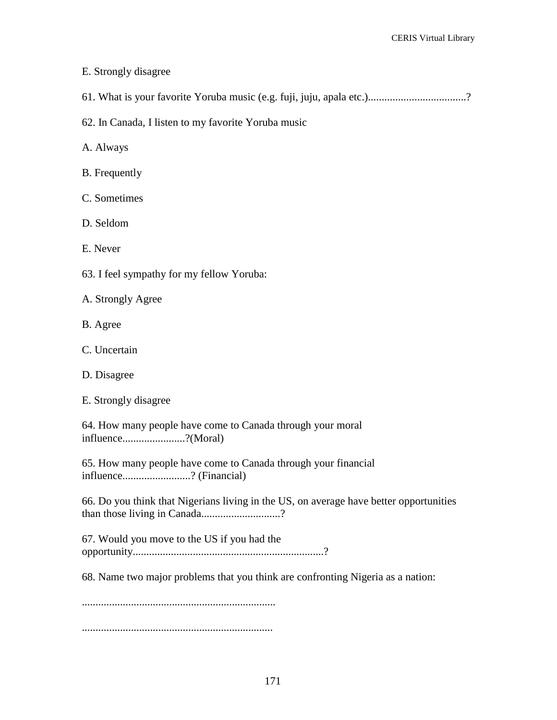## E. Strongly disagree

- 61. What is your favorite Yoruba music (e.g. fuji, juju, apala etc.).................................?
- 62. In Canada, I listen to my favorite Yoruba music
- A. Always
- B. Frequently
- C. Sometimes
- D. Seldom
- E. Never
- 63. I feel sympathy for my fellow Yoruba:
- A. Strongly Agree
- B. Agree
- C. Uncertain
- D. Disagree
- E. Strongly disagree

64. How many people have come to Canada through your moral influence.......................?(Moral)

65. How many people have come to Canada through your financial influence.........................? (Financial)

66. Do you think that Nigerians living in the US, on average have better opportunities than those living in Canada...........................?

67. Would you move to the US if you had the opportunity......................................................................?

68. Name two major problems that you think are confronting Nigeria as a nation:

....................................................................... ......................................................................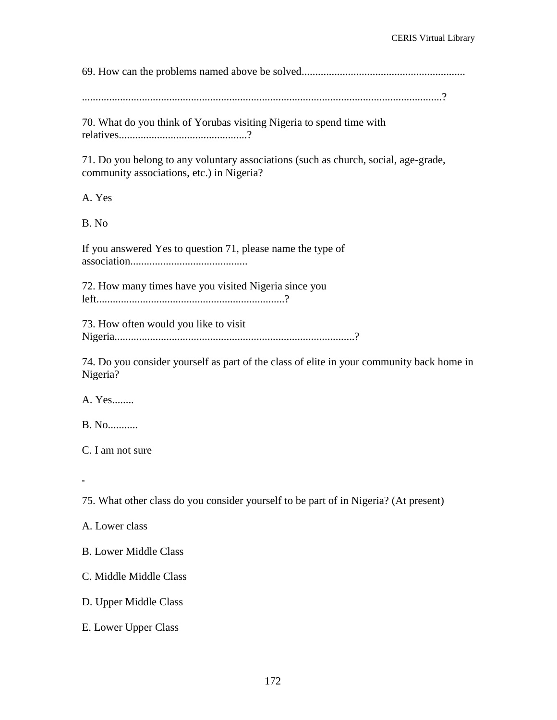69. How can the problems named above be solved............................................................

....................................................................................................................................?

70. What do you think of Yorubas visiting Nigeria to spend time with relatives...............................................?

71. Do you belong to any voluntary associations (such as church, social, age-grade, community associations, etc.) in Nigeria?

A. Yes

B. No

If you answered Yes to question 71, please name the type of association...........................................

72. How many times have you visited Nigeria since you left.....................................................................?

73. How often would you like to visit Nigeria........................................................................................?

74. Do you consider yourself as part of the class of elite in your community back home in Nigeria?

A. Yes........

B. No...........

C. I am not sure

75. What other class do you consider yourself to be part of in Nigeria? (At present)

A. Lower class

B. Lower Middle Class

C. Middle Middle Class

D. Upper Middle Class

E. Lower Upper Class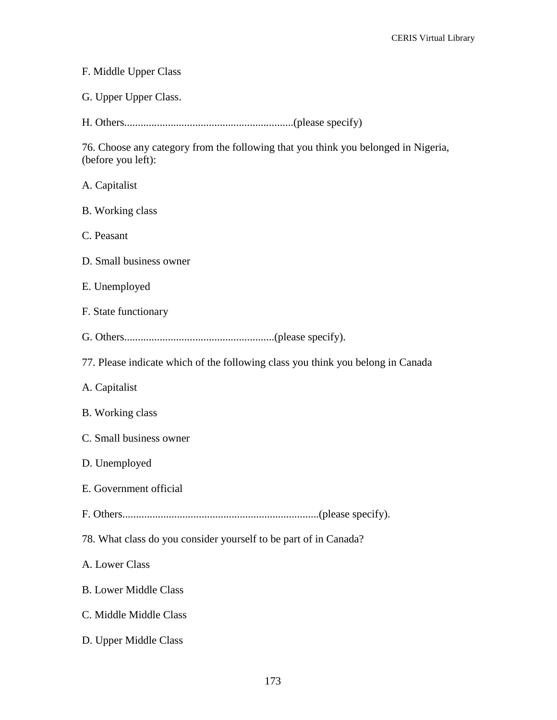| F. Middle Upper Class                                                                                    |
|----------------------------------------------------------------------------------------------------------|
| G. Upper Upper Class.                                                                                    |
|                                                                                                          |
| 76. Choose any category from the following that you think you belonged in Nigeria,<br>(before you left): |
| A. Capitalist                                                                                            |
| B. Working class                                                                                         |
| C. Peasant                                                                                               |
| D. Small business owner                                                                                  |
| E. Unemployed                                                                                            |
| F. State functionary                                                                                     |
|                                                                                                          |
| 77. Please indicate which of the following class you think you belong in Canada                          |
| A. Capitalist                                                                                            |
| B. Working class                                                                                         |
| C. Small business owner                                                                                  |
| D. Unemployed                                                                                            |
| E. Government official                                                                                   |
|                                                                                                          |
| 78. What class do you consider yourself to be part of in Canada?                                         |
| A. Lower Class                                                                                           |
| <b>B.</b> Lower Middle Class                                                                             |
| C. Middle Middle Class                                                                                   |
| D. Upper Middle Class                                                                                    |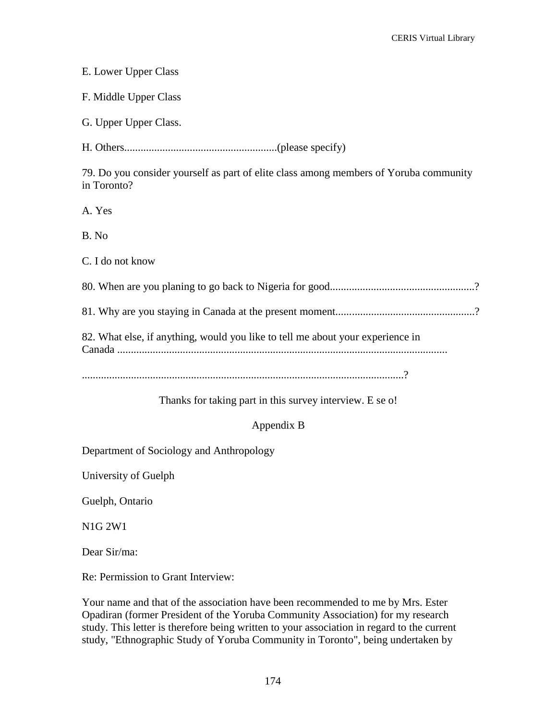| E. Lower Upper Class                                                                                 |
|------------------------------------------------------------------------------------------------------|
| F. Middle Upper Class                                                                                |
| G. Upper Upper Class.                                                                                |
|                                                                                                      |
| 79. Do you consider yourself as part of elite class among members of Yoruba community<br>in Toronto? |
| A. Yes                                                                                               |
| B. No                                                                                                |
| C. I do not know                                                                                     |
|                                                                                                      |
|                                                                                                      |
| 82. What else, if anything, would you like to tell me about your experience in                       |
|                                                                                                      |
| Thanks for taking part in this survey interview. E se o!                                             |
| Appendix B                                                                                           |
| Department of Sociology and Anthropology                                                             |
| University of Guelph                                                                                 |
| Guelph, Ontario                                                                                      |
| N1G 2W1                                                                                              |

Dear Sir/ma:

Re: Permission to Grant Interview:

Your name and that of the association have been recommended to me by Mrs. Ester Opadiran (former President of the Yoruba Community Association) for my research study. This letter is therefore being written to your association in regard to the current study, "Ethnographic Study of Yoruba Community in Toronto", being undertaken by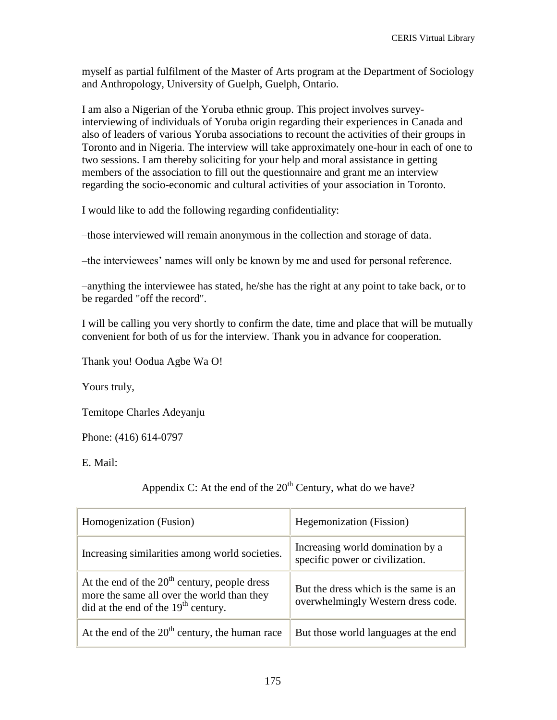myself as partial fulfilment of the Master of Arts program at the Department of Sociology and Anthropology, University of Guelph, Guelph, Ontario.

I am also a Nigerian of the Yoruba ethnic group. This project involves surveyinterviewing of individuals of Yoruba origin regarding their experiences in Canada and also of leaders of various Yoruba associations to recount the activities of their groups in Toronto and in Nigeria. The interview will take approximately one-hour in each of one to two sessions. I am thereby soliciting for your help and moral assistance in getting members of the association to fill out the questionnaire and grant me an interview regarding the socio-economic and cultural activities of your association in Toronto.

I would like to add the following regarding confidentiality:

–those interviewed will remain anonymous in the collection and storage of data.

–the interviewees' names will only be known by me and used for personal reference.

–anything the interviewee has stated, he/she has the right at any point to take back, or to be regarded "off the record".

I will be calling you very shortly to confirm the date, time and place that will be mutually convenient for both of us for the interview. Thank you in advance for cooperation.

Thank you! Oodua Agbe Wa O!

Yours truly,

Temitope Charles Adeyanju

Phone: (416) 614-0797

E. Mail:

Appendix C: At the end of the  $20<sup>th</sup>$  Century, what do we have?

| Homogenization (Fusion)                                                                                                               | Hegemonization (Fission)                                                    |
|---------------------------------------------------------------------------------------------------------------------------------------|-----------------------------------------------------------------------------|
| Increasing similarities among world societies.                                                                                        | Increasing world domination by a<br>specific power or civilization.         |
| At the end of the $20th$ century, people dress<br>more the same all over the world than they<br>did at the end of the $19th$ century. | But the dress which is the same is an<br>overwhelmingly Western dress code. |
| At the end of the $20th$ century, the human race                                                                                      | But those world languages at the end                                        |